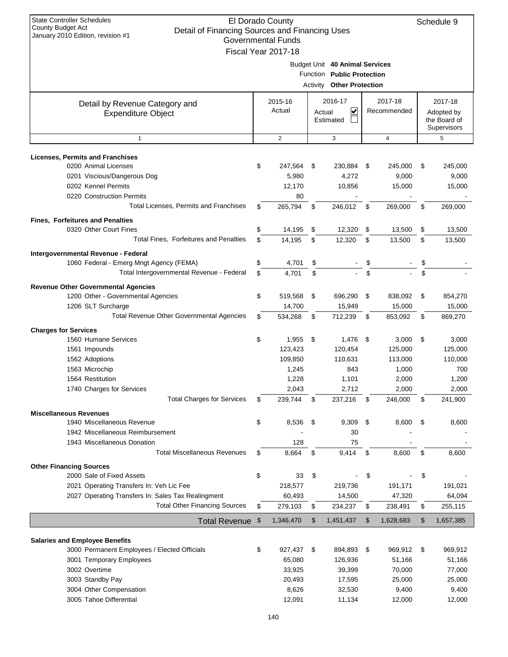| <b>State Controller Schedules</b><br>El Dorado County<br>Schedule 9<br><b>County Budget Act</b><br>Detail of Financing Sources and Financing Uses<br>January 2010 Edition, revision #1<br><b>Governmental Funds</b><br>Fiscal Year 2017-18 |          |                                                |          |                                                                                                  |          |                                                |                                                      |                                                |
|--------------------------------------------------------------------------------------------------------------------------------------------------------------------------------------------------------------------------------------------|----------|------------------------------------------------|----------|--------------------------------------------------------------------------------------------------|----------|------------------------------------------------|------------------------------------------------------|------------------------------------------------|
|                                                                                                                                                                                                                                            |          |                                                |          | Budget Unit 40 Animal Services<br>Function Public Protection<br><b>Activity Other Protection</b> |          |                                                |                                                      |                                                |
| Detail by Revenue Category and<br><b>Expenditure Object</b>                                                                                                                                                                                |          | 2015-16<br>Actual                              | Actual   | 2016-17<br>V<br>Estimated                                                                        |          | 2017-18<br>Recommended                         | 2017-18<br>Adopted by<br>the Board of<br>Supervisors |                                                |
| $\mathbf{1}$                                                                                                                                                                                                                               |          | $\overline{2}$                                 |          | 3                                                                                                |          | $\overline{4}$                                 |                                                      | 5                                              |
| <b>Licenses, Permits and Franchises</b>                                                                                                                                                                                                    |          |                                                |          |                                                                                                  |          |                                                |                                                      |                                                |
| 0200 Animal Licenses<br>0201 Viscious/Dangerous Dog<br>0202 Kennel Permits<br>0220 Construction Permits                                                                                                                                    | \$       | 247,564<br>5,980<br>12,170<br>80               | \$       | 230,884<br>4,272<br>10,856                                                                       | - \$     | 245,000<br>9,000<br>15,000                     | \$                                                   | 245,000<br>9,000<br>15,000                     |
| Total Licenses, Permits and Franchises                                                                                                                                                                                                     | \$       | 265,794                                        | \$       | 246,012                                                                                          | \$       | 269,000                                        | \$                                                   | 269,000                                        |
| <b>Fines, Forfeitures and Penalties</b><br>0320 Other Court Fines<br>Total Fines, Forfeitures and Penalties                                                                                                                                | \$<br>\$ | 14,195                                         | \$       | 12,320                                                                                           | \$       | 13,500                                         | \$                                                   | 13,500                                         |
|                                                                                                                                                                                                                                            |          | 14,195                                         | \$       | 12,320                                                                                           | \$       | 13,500                                         | \$                                                   | 13,500                                         |
| Intergovernmental Revenue - Federal<br>1060 Federal - Emerg Mngt Agency (FEMA)<br>Total Intergovernmental Revenue - Federal                                                                                                                | \$<br>\$ | 4,701<br>4,701                                 | \$<br>\$ |                                                                                                  | \$<br>\$ |                                                | \$<br>\$                                             |                                                |
| <b>Revenue Other Governmental Agencies</b><br>1200 Other - Governmental Agencies<br>1206 SLT Surcharge                                                                                                                                     | \$       | 519,568<br>14,700                              | \$       | 696,290<br>15,949                                                                                | \$       | 838,092<br>15,000                              | \$                                                   | 854,270<br>15,000                              |
| Total Revenue Other Governmental Agencies                                                                                                                                                                                                  | S        | 534,268                                        | \$       | 712,239                                                                                          | \$       | 853,092                                        | \$                                                   | 869,270                                        |
| <b>Charges for Services</b>                                                                                                                                                                                                                |          |                                                |          |                                                                                                  |          |                                                |                                                      |                                                |
| 1560 Humane Services                                                                                                                                                                                                                       | \$       | 1,955                                          | \$       | 1,476                                                                                            | \$       | 3,000                                          | \$                                                   | 3,000                                          |
| 1561 Impounds<br>1562 Adoptions                                                                                                                                                                                                            |          | 123,423<br>109,850                             |          | 120,454<br>110,631                                                                               |          | 125,000<br>113,000                             |                                                      | 125,000<br>110,000                             |
| 1563 Microchip<br>1564 Restitution                                                                                                                                                                                                         |          | 1,245<br>1,228                                 |          | 843<br>1,101                                                                                     |          | 1,000<br>2,000                                 |                                                      | 700<br>1,200                                   |
| 1740 Charges for Services<br><b>Total Charges for Services</b>                                                                                                                                                                             | \$       | 2,043<br>239,744                               | \$       | 2,712<br>237,216                                                                                 | \$       | 2,000<br>246,000                               | \$                                                   | 2,000<br>241,900                               |
| <b>Miscellaneous Revenues</b>                                                                                                                                                                                                              |          |                                                |          |                                                                                                  |          |                                                |                                                      |                                                |
| 1940 Miscellaneous Revenue<br>1942 Miscellaneous Reimbursement<br>1943 Miscellaneous Donation                                                                                                                                              | \$       | 8,536<br>128                                   | \$       | 9,309<br>30<br>75                                                                                | - \$     | 8,600                                          | \$                                                   | 8,600                                          |
| <b>Total Miscellaneous Revenues</b>                                                                                                                                                                                                        | \$       | 8,664                                          | \$       | 9,414                                                                                            | \$       | 8,600                                          | \$                                                   | 8,600                                          |
| <b>Other Financing Sources</b><br>2000 Sale of Fixed Assets<br>2021 Operating Transfers In: Veh Lic Fee                                                                                                                                    | \$       | 33<br>218,577                                  | \$       | 219,736                                                                                          | \$       | 191,171                                        | \$                                                   | 191,021                                        |
| 2027 Operating Transfers In: Sales Tax Realingment                                                                                                                                                                                         |          | 60,493                                         |          | 14,500                                                                                           |          | 47,320                                         |                                                      | 64,094                                         |
| <b>Total Other Financing Sources</b>                                                                                                                                                                                                       | \$       | 279,103                                        | \$       | 234,237                                                                                          | \$       | 238,491                                        | \$                                                   | 255,115                                        |
| Total Revenue \$                                                                                                                                                                                                                           |          | 1,346,470                                      | \$       | 1,451,437                                                                                        | \$       | 1,628,683                                      | \$                                                   | 1,657,385                                      |
| <b>Salaries and Employee Benefits</b><br>3000 Permanent Employees / Elected Officials<br>3001 Temporary Employees<br>3002 Overtime<br>3003 Standby Pay<br>3004 Other Compensation                                                          | \$       | 927,437<br>65,080<br>33,925<br>20,493<br>8,626 | \$       | 894,893 \$<br>126,936<br>39,399<br>17,595<br>32,530                                              |          | 969,912<br>51,166<br>70,000<br>25,000<br>9,400 | -\$                                                  | 969,912<br>51,166<br>77,000<br>25,000<br>9,400 |
| 3005 Tahoe Differential                                                                                                                                                                                                                    |          | 12,091                                         |          | 11,134                                                                                           |          | 12,000                                         |                                                      | 12,000                                         |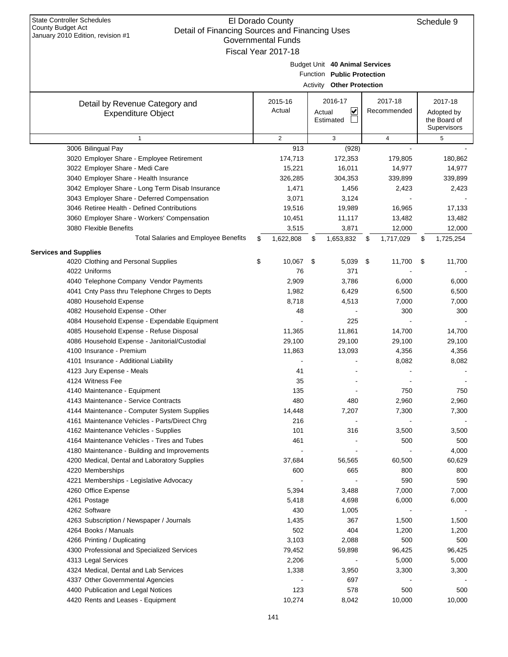| January 2010 Edition, revision #1<br>Governmental Funds |    |                     |    |                                  |     |             |    |              |  |  |  |
|---------------------------------------------------------|----|---------------------|----|----------------------------------|-----|-------------|----|--------------|--|--|--|
|                                                         |    | Fiscal Year 2017-18 |    |                                  |     |             |    |              |  |  |  |
|                                                         |    |                     |    | Budget Unit 40 Animal Services   |     |             |    |              |  |  |  |
|                                                         |    |                     |    | Function Public Protection       |     |             |    |              |  |  |  |
|                                                         |    |                     |    | <b>Activity Other Protection</b> |     |             |    |              |  |  |  |
| Detail by Revenue Category and                          |    | 2015-16             |    | 2016-17                          |     | 2017-18     |    | 2017-18      |  |  |  |
| <b>Expenditure Object</b>                               |    | Actual              |    | ⊻<br>Actual                      |     | Recommended |    | Adopted by   |  |  |  |
|                                                         |    |                     |    | Estimated                        |     |             |    | the Board of |  |  |  |
|                                                         |    |                     |    |                                  |     |             |    | Supervisors  |  |  |  |
| $\mathbf{1}$                                            |    | $\overline{2}$      |    | 3                                |     | 4           |    | 5            |  |  |  |
| 3006 Bilingual Pay                                      |    | 913                 |    | (928)                            |     |             |    |              |  |  |  |
| 3020 Employer Share - Employee Retirement               |    | 174,713             |    | 172,353                          |     | 179,805     |    | 180,862      |  |  |  |
| 3022 Employer Share - Medi Care                         |    | 15,221              |    | 16,011                           |     | 14,977      |    | 14,977       |  |  |  |
| 3040 Employer Share - Health Insurance                  |    | 326,285             |    | 304,353                          |     | 339,899     |    | 339,899      |  |  |  |
| 3042 Employer Share - Long Term Disab Insurance         |    | 1,471               |    | 1,456                            |     | 2,423       |    | 2,423        |  |  |  |
| 3043 Employer Share - Deferred Compensation             |    | 3,071               |    | 3,124                            |     |             |    |              |  |  |  |
| 3046 Retiree Health - Defined Contributions             |    | 19,516              |    | 19,989                           |     | 16,965      |    | 17,133       |  |  |  |
| 3060 Employer Share - Workers' Compensation             |    | 10,451              |    | 11,117                           |     | 13,482      |    | 13,482       |  |  |  |
| 3080 Flexible Benefits                                  |    | 3,515               |    | 3,871                            |     | 12,000      |    | 12,000       |  |  |  |
| <b>Total Salaries and Employee Benefits</b>             | \$ | 1,622,808           | \$ | 1,653,832                        | \$  | 1,717,029   | \$ | 1,725,254    |  |  |  |
| <b>Services and Supplies</b>                            |    |                     |    |                                  |     |             |    |              |  |  |  |
| 4020 Clothing and Personal Supplies                     | \$ | 10,067              | \$ | 5,039                            | -\$ | 11,700      | \$ | 11,700       |  |  |  |
| 4022 Uniforms                                           |    | 76                  |    | 371                              |     |             |    |              |  |  |  |
| 4040 Telephone Company Vendor Payments                  |    | 2,909               |    | 3,786                            |     | 6,000       |    | 6,000        |  |  |  |
| 4041 Cnty Pass thru Telephone Chrges to Depts           |    | 1,982               |    | 6,429                            |     | 6,500       |    | 6,500        |  |  |  |
| 4080 Household Expense                                  |    | 8,718               |    | 4,513                            |     | 7,000       |    | 7,000        |  |  |  |
| 4082 Household Expense - Other                          |    | 48                  |    |                                  |     | 300         |    | 300          |  |  |  |
| 4084 Household Expense - Expendable Equipment           |    |                     |    | 225                              |     |             |    |              |  |  |  |
| 4085 Household Expense - Refuse Disposal                |    | 11,365              |    | 11,861                           |     | 14,700      |    | 14,700       |  |  |  |
| 4086 Household Expense - Janitorial/Custodial           |    | 29,100              |    | 29,100                           |     | 29,100      |    | 29,100       |  |  |  |
| 4100 Insurance - Premium                                |    | 11,863              |    | 13,093                           |     | 4,356       |    | 4,356        |  |  |  |
| 4101 Insurance - Additional Liability                   |    |                     |    |                                  |     | 8,082       |    | 8,082        |  |  |  |
| 4123 Jury Expense - Meals                               |    | 41                  |    |                                  |     |             |    |              |  |  |  |
| 4124 Witness Fee                                        |    | 35                  |    |                                  |     |             |    |              |  |  |  |
| 4140 Maintenance - Equipment                            |    | 135                 |    |                                  |     | 750         |    | 750          |  |  |  |
| 4143 Maintenance - Service Contracts                    |    | 480                 |    | 480                              |     | 2,960       |    | 2,960        |  |  |  |
| 4144 Maintenance - Computer System Supplies             |    | 14,448              |    | 7,207                            |     | 7,300       |    | 7,300        |  |  |  |
| 4161 Maintenance Vehicles - Parts/Direct Chrg           |    | 216                 |    |                                  |     |             |    |              |  |  |  |
| 4162 Maintenance Vehicles - Supplies                    |    | 101                 |    | 316                              |     | 3,500       |    | 3,500        |  |  |  |
| 4164 Maintenance Vehicles - Tires and Tubes             |    | 461                 |    |                                  |     | 500         |    | 500          |  |  |  |
| 4180 Maintenance - Building and Improvements            |    |                     |    |                                  |     |             |    | 4,000        |  |  |  |
| 4200 Medical, Dental and Laboratory Supplies            |    | 37,684              |    | 56,565                           |     | 60,500      |    | 60,629       |  |  |  |
| 4220 Memberships                                        |    | 600                 |    | 665                              |     | 800         |    | 800          |  |  |  |
| 4221 Memberships - Legislative Advocacy                 |    |                     |    |                                  |     | 590         |    | 590          |  |  |  |
| 4260 Office Expense                                     |    | 5,394               |    | 3,488                            |     | 7,000       |    | 7,000        |  |  |  |
| 4261 Postage                                            |    | 5,418               |    | 4,698                            |     | 6,000       |    | 6,000        |  |  |  |
| 4262 Software                                           |    | 430                 |    | 1,005                            |     |             |    |              |  |  |  |
| 4263 Subscription / Newspaper / Journals                |    | 1,435               |    | 367                              |     | 1,500       |    | 1,500        |  |  |  |
| 4264 Books / Manuals                                    |    | 502                 |    | 404                              |     | 1,200       |    | 1,200        |  |  |  |
| 4266 Printing / Duplicating                             |    | 3,103               |    | 2,088                            |     | 500         |    | 500          |  |  |  |
| 4300 Professional and Specialized Services              |    | 79,452              |    | 59,898                           |     | 96,425      |    | 96,425       |  |  |  |
| 4313 Legal Services                                     |    | 2,206               |    |                                  |     | 5,000       |    | 5,000        |  |  |  |
| 4324 Medical, Dental and Lab Services                   |    | 1,338               |    | 3,950                            |     | 3,300       |    | 3,300        |  |  |  |
| 4337 Other Governmental Agencies                        |    |                     |    | 697                              |     |             |    |              |  |  |  |
| 4400 Publication and Legal Notices                      |    | 123                 |    | 578                              |     | 500         |    | 500          |  |  |  |
| 4420 Rents and Leases - Equipment                       |    | 10,274              |    | 8,042                            |     | 10,000      |    | 10,000       |  |  |  |
|                                                         |    |                     |    |                                  |     |             |    |              |  |  |  |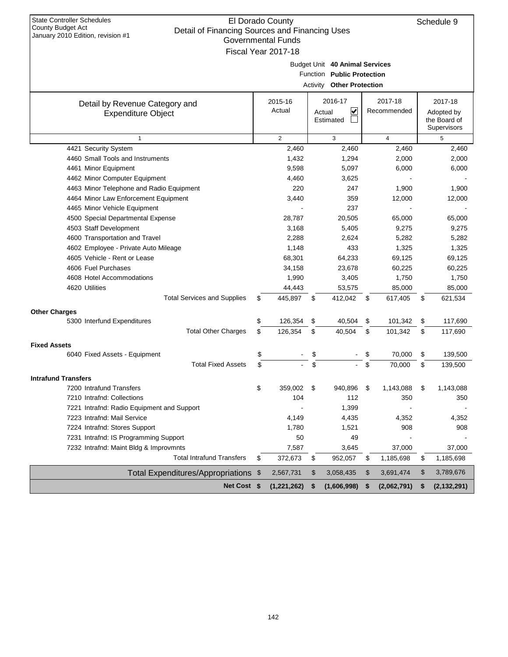| <b>State Controller Schedules</b>                                                   |                           |                                  |                         |                     |
|-------------------------------------------------------------------------------------|---------------------------|----------------------------------|-------------------------|---------------------|
| <b>County Budget Act</b>                                                            | El Dorado County          |                                  |                         | Schedule 9          |
| Detail of Financing Sources and Financing Uses<br>January 2010 Edition, revision #1 | <b>Governmental Funds</b> |                                  |                         |                     |
|                                                                                     |                           |                                  |                         |                     |
|                                                                                     | Fiscal Year 2017-18       |                                  |                         |                     |
|                                                                                     |                           | Budget Unit 40 Animal Services   |                         |                     |
|                                                                                     |                           | Function Public Protection       |                         |                     |
|                                                                                     |                           | <b>Activity Other Protection</b> |                         |                     |
| Detail by Revenue Category and                                                      | 2015-16                   | 2016-17                          | 2017-18                 | 2017-18             |
| <b>Expenditure Object</b>                                                           | Actual                    | ⊻<br>Actual                      | Recommended             | Adopted by          |
|                                                                                     |                           | Estimated                        |                         | the Board of        |
|                                                                                     |                           |                                  |                         | Supervisors         |
| 1<br>4421 Security System                                                           | 2<br>2,460                | 3<br>2,460                       | $\overline{4}$<br>2,460 | 5                   |
| 4460 Small Tools and Instruments                                                    | 1,432                     | 1,294                            |                         | 2,460<br>2,000      |
| 4461 Minor Equipment                                                                | 9,598                     | 5,097                            | 2,000<br>6,000          | 6,000               |
| 4462 Minor Computer Equipment                                                       | 4,460                     | 3,625                            |                         |                     |
| 4463 Minor Telephone and Radio Equipment                                            | 220                       | 247                              | 1,900                   | 1,900               |
| 4464 Minor Law Enforcement Equipment                                                | 3,440                     | 359                              | 12,000                  | 12,000              |
| 4465 Minor Vehicle Equipment                                                        |                           | 237                              |                         |                     |
| 4500 Special Departmental Expense                                                   | 28,787                    | 20,505                           | 65,000                  | 65,000              |
| 4503 Staff Development                                                              | 3,168                     | 5,405                            | 9,275                   | 9,275               |
| 4600 Transportation and Travel                                                      | 2,288                     | 2,624                            | 5,282                   | 5,282               |
| 4602 Employee - Private Auto Mileage                                                | 1,148                     | 433                              | 1,325                   | 1,325               |
| 4605 Vehicle - Rent or Lease                                                        | 68,301                    | 64,233                           | 69,125                  | 69,125              |
| 4606 Fuel Purchases                                                                 | 34,158                    | 23,678                           | 60,225                  | 60,225              |
| 4608 Hotel Accommodations                                                           | 1,990                     | 3,405                            | 1,750                   | 1,750               |
| 4620 Utilities                                                                      | 44,443                    | 53,575                           | 85,000                  | 85,000              |
| <b>Total Services and Supplies</b>                                                  | \$<br>445,897             | \$<br>412,042                    | \$<br>617,405           | \$<br>621,534       |
| <b>Other Charges</b>                                                                |                           |                                  |                         |                     |
| 5300 Interfund Expenditures                                                         | \$<br>126,354             | \$<br>40,504                     | \$<br>101,342           | \$<br>117,690       |
| <b>Total Other Charges</b>                                                          | \$<br>126,354             | \$<br>40,504                     | \$<br>101,342           | \$<br>117,690       |
| <b>Fixed Assets</b>                                                                 |                           |                                  |                         |                     |
| 6040 Fixed Assets - Equipment                                                       | \$                        | \$                               | 70.000                  | \$<br>139,500       |
| <b>Total Fixed Assets</b>                                                           | \$                        | \$                               | \$<br>70,000            | \$<br>139,500       |
| <b>Intrafund Transfers</b>                                                          |                           |                                  |                         |                     |
| 7200 Intrafund Transfers                                                            | \$<br>359,002             | \$<br>940,896                    | \$<br>1,143,088         | \$<br>1,143,088     |
| 7210 Intrafnd: Collections                                                          | 104                       | 112                              | 350                     | 350                 |
| 7221 Intrafnd: Radio Equipment and Support                                          |                           | 1,399                            |                         |                     |
| 7223 Intrafnd: Mail Service                                                         | 4,149                     | 4,435                            | 4,352                   | 4,352               |
| 7224 Intrafnd: Stores Support                                                       | 1,780                     | 1,521                            | 908                     | 908                 |
| 7231 Intrafnd: IS Programming Support                                               | 50                        | 49                               |                         |                     |
| 7232 Intrafnd: Maint Bldg & Improvmnts                                              | 7,587                     | 3,645                            | 37,000                  | 37,000              |
| <b>Total Intrafund Transfers</b>                                                    | \$<br>372,673             | \$<br>952,057                    | \$<br>1,185,698         | \$<br>1,185,698     |
| Total Expenditures/Appropriations \$                                                | 2,567,731                 | \$<br>3,058,435                  | \$<br>3,691,474         | \$<br>3,789,676     |
| Net Cost \$                                                                         | (1,221,262)               | \$<br>(1,606,998)                | \$<br>(2,062,791)       | \$<br>(2, 132, 291) |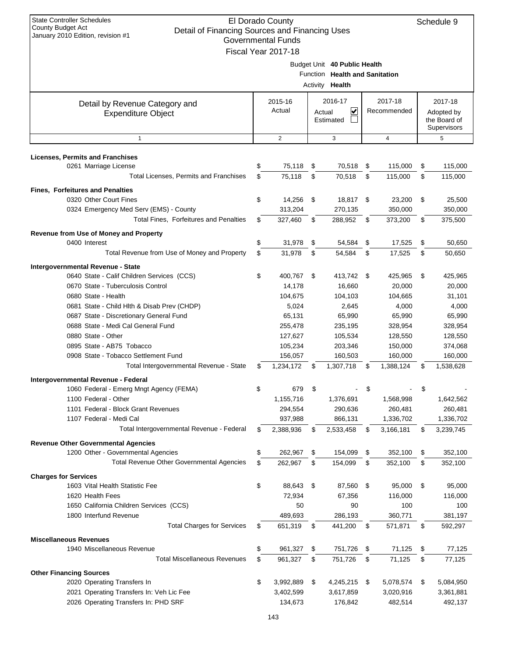| <b>State Controller Schedules</b><br>El Dorado County<br>Schedule 9<br><b>County Budget Act</b><br>Detail of Financing Sources and Financing Uses<br>January 2010 Edition, revision #1<br><b>Governmental Funds</b><br>Fiscal Year 2017-18 |    |                    |      |                                                                                          |            |                  |          |                                           |  |
|--------------------------------------------------------------------------------------------------------------------------------------------------------------------------------------------------------------------------------------------|----|--------------------|------|------------------------------------------------------------------------------------------|------------|------------------|----------|-------------------------------------------|--|
|                                                                                                                                                                                                                                            |    |                    |      | Budget Unit 40 Public Health<br>Function Health and Sanitation<br>Activity <b>Health</b> |            |                  |          |                                           |  |
| Detail by Revenue Category and                                                                                                                                                                                                             |    | 2015-16            |      | 2016-17                                                                                  |            | 2017-18          |          | 2017-18                                   |  |
| <b>Expenditure Object</b>                                                                                                                                                                                                                  |    | Actual             |      | ∣✔<br>Actual<br>Estimated                                                                |            | Recommended      |          | Adopted by<br>the Board of<br>Supervisors |  |
| $\mathbf{1}$                                                                                                                                                                                                                               |    | 2                  |      | 3                                                                                        | 4          |                  |          | 5                                         |  |
| <b>Licenses, Permits and Franchises</b>                                                                                                                                                                                                    |    |                    |      |                                                                                          |            |                  |          |                                           |  |
| 0261 Marriage License                                                                                                                                                                                                                      | \$ | 75,118             | \$   | 70,518                                                                                   | \$         | 115,000          | \$       | 115,000                                   |  |
| Total Licenses, Permits and Franchises                                                                                                                                                                                                     | \$ | 75,118             | \$   | 70.518                                                                                   | \$         | 115,000          | \$       | 115,000                                   |  |
| <b>Fines, Forfeitures and Penalties</b>                                                                                                                                                                                                    |    |                    |      |                                                                                          |            |                  |          |                                           |  |
| 0320 Other Court Fines                                                                                                                                                                                                                     | \$ | 14,256             | -\$  | 18,817                                                                                   | \$         | 23,200           | \$       | 25,500                                    |  |
| 0324 Emergency Med Serv (EMS) - County                                                                                                                                                                                                     |    | 313,204            |      | 270,135                                                                                  |            | 350,000          |          | 350,000                                   |  |
| <b>Total Fines. Forfeitures and Penalties</b>                                                                                                                                                                                              | \$ | 327,460            | \$   | 288,952                                                                                  | \$         | 373,200          | \$       | 375,500                                   |  |
| Revenue from Use of Money and Property                                                                                                                                                                                                     |    |                    |      |                                                                                          |            |                  |          |                                           |  |
| 0400 Interest                                                                                                                                                                                                                              | \$ | 31,978             | \$   | 54,584                                                                                   | \$         | 17,525           | \$       | 50,650                                    |  |
| Total Revenue from Use of Money and Property                                                                                                                                                                                               | \$ | 31,978             | \$   | 54,584                                                                                   | \$         | 17,525           | \$       | 50,650                                    |  |
| Intergovernmental Revenue - State                                                                                                                                                                                                          |    |                    |      |                                                                                          |            |                  |          |                                           |  |
| 0640 State - Calif Children Services (CCS)                                                                                                                                                                                                 | \$ | 400,767            | - \$ | 413,742 \$                                                                               |            | 425,965          | \$       | 425,965                                   |  |
| 0670 State - Tuberculosis Control                                                                                                                                                                                                          |    | 14,178             |      | 16,660                                                                                   |            | 20,000           |          | 20,000                                    |  |
| 0680 State - Health                                                                                                                                                                                                                        |    | 104,675            |      | 104,103                                                                                  |            | 104,665          |          | 31,101                                    |  |
| 0681 State - Child Hlth & Disab Prev (CHDP)                                                                                                                                                                                                |    | 5,024              |      | 2,645                                                                                    |            | 4,000            |          | 4,000                                     |  |
| 0687 State - Discretionary General Fund                                                                                                                                                                                                    |    | 65,131             |      | 65,990                                                                                   |            | 65,990           |          | 65,990                                    |  |
| 0688 State - Medi Cal General Fund                                                                                                                                                                                                         |    | 255,478            |      | 235,195                                                                                  |            | 328,954          |          | 328,954                                   |  |
| 0880 State - Other                                                                                                                                                                                                                         |    | 127,627            |      | 105,534                                                                                  |            | 128,550          |          | 128,550                                   |  |
| 0895 State - AB75 Tobacco                                                                                                                                                                                                                  |    | 105,234            |      | 203,346                                                                                  |            | 150,000          |          | 374,068                                   |  |
| 0908 State - Tobacco Settlement Fund                                                                                                                                                                                                       |    | 156,057            |      | 160,503                                                                                  |            | 160,000          |          | 160,000                                   |  |
| Total Intergovernmental Revenue - State                                                                                                                                                                                                    | \$ | 1,234,172          | S    | 1,307,718                                                                                | \$         | 1,388,124        | \$       | 1,538,628                                 |  |
| Intergovernmental Revenue - Federal                                                                                                                                                                                                        |    |                    |      |                                                                                          |            |                  |          |                                           |  |
| 1060 Federal - Emerg Mngt Agency (FEMA)                                                                                                                                                                                                    | \$ | 679                | \$   |                                                                                          | \$         |                  | \$       |                                           |  |
| 1100 Federal - Other                                                                                                                                                                                                                       |    | 1,155,716          |      | 1,376,691                                                                                |            | 1,568,998        |          | 1,642,562                                 |  |
| 1101 Federal - Block Grant Revenues                                                                                                                                                                                                        |    | 294,554            |      | 290,636                                                                                  |            | 260,481          |          | 260,481                                   |  |
| 1107 Federal - Medi Cal                                                                                                                                                                                                                    |    | 937,988            |      | 866,131                                                                                  |            | 1,336,702        |          | 1,336,702                                 |  |
| Total Intergovernmental Revenue - Federal                                                                                                                                                                                                  | \$ | 2,388,936          | \$   | 2,533,458                                                                                | \$         | 3,166,181        | \$       | 3,239,745                                 |  |
|                                                                                                                                                                                                                                            |    |                    |      |                                                                                          |            |                  |          |                                           |  |
| <b>Revenue Other Governmental Agencies</b><br>1200 Other - Governmental Agencies                                                                                                                                                           | \$ | 262,967            | \$   | 154,099                                                                                  | \$         | 352,100          | \$       | 352,100                                   |  |
| <b>Total Revenue Other Governmental Agencies</b>                                                                                                                                                                                           | \$ | 262,967            | \$   | 154,099                                                                                  | \$         | 352,100          | \$       | 352,100                                   |  |
|                                                                                                                                                                                                                                            |    |                    |      |                                                                                          |            |                  |          |                                           |  |
| <b>Charges for Services</b><br>1603 Vital Health Statistic Fee                                                                                                                                                                             |    |                    |      |                                                                                          |            |                  |          |                                           |  |
|                                                                                                                                                                                                                                            | \$ | 88,643             | - \$ | 87,560 \$                                                                                |            | 95,000           | \$       | 95,000                                    |  |
| 1620 Health Fees                                                                                                                                                                                                                           |    | 72,934             |      | 67,356                                                                                   |            | 116,000          |          | 116,000                                   |  |
| 1650 California Children Services (CCS)<br>1800 Interfund Revenue                                                                                                                                                                          |    | 50<br>489,693      |      | 90<br>286,193                                                                            |            | 100<br>360,771   |          | 100<br>381,197                            |  |
| <b>Total Charges for Services</b>                                                                                                                                                                                                          | \$ | 651,319            | \$   | 441,200                                                                                  | \$         | 571,871          | \$       | 592,297                                   |  |
|                                                                                                                                                                                                                                            |    |                    |      |                                                                                          |            |                  |          |                                           |  |
| <b>Miscellaneous Revenues</b><br>1940 Miscellaneous Revenue                                                                                                                                                                                | \$ |                    | \$   |                                                                                          |            |                  |          |                                           |  |
| <b>Total Miscellaneous Revenues</b>                                                                                                                                                                                                        | \$ | 961,327<br>961,327 | \$   | 751,726<br>751,726                                                                       | - \$<br>\$ | 71,125<br>71,125 | \$<br>\$ | 77,125                                    |  |
|                                                                                                                                                                                                                                            |    |                    |      |                                                                                          |            |                  |          | 77,125                                    |  |
| <b>Other Financing Sources</b>                                                                                                                                                                                                             |    |                    |      |                                                                                          |            |                  |          |                                           |  |
| 2020 Operating Transfers In                                                                                                                                                                                                                | \$ | 3,992,889          | \$   | 4,245,215 \$                                                                             |            | 5,078,574        | \$       | 5,084,950                                 |  |
| 2021 Operating Transfers In: Veh Lic Fee                                                                                                                                                                                                   |    | 3,402,599          |      | 3,617,859                                                                                |            | 3,020,916        |          | 3,361,881                                 |  |
| 2026 Operating Transfers In: PHD SRF                                                                                                                                                                                                       |    | 134,673            |      | 176,842                                                                                  |            | 482,514          |          | 492,137                                   |  |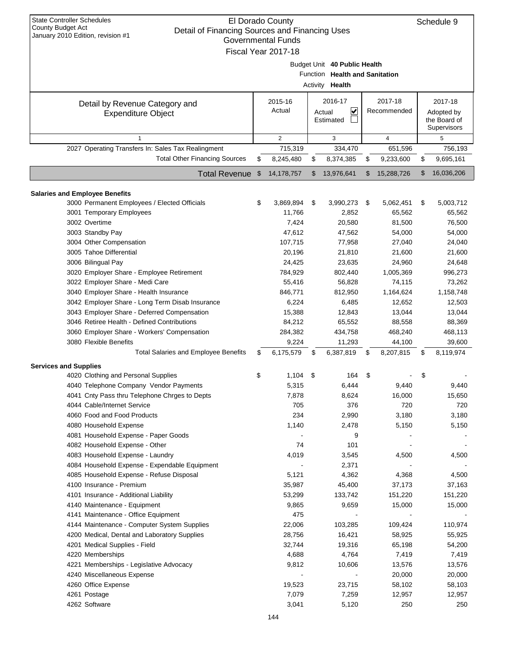| <b>State Controller Schedules</b><br>El Dorado County<br><b>County Budget Act</b><br>Detail of Financing Sources and Financing Uses<br>January 2010 Edition, revision #1<br><b>Governmental Funds</b><br>Fiscal Year 2017-18 |         |                         |          |                                                                                          |          |                         |          |                                           |  |
|------------------------------------------------------------------------------------------------------------------------------------------------------------------------------------------------------------------------------|---------|-------------------------|----------|------------------------------------------------------------------------------------------|----------|-------------------------|----------|-------------------------------------------|--|
|                                                                                                                                                                                                                              |         |                         |          | Budget Unit 40 Public Health<br>Function Health and Sanitation<br>Activity <b>Health</b> |          |                         |          |                                           |  |
| Detail by Revenue Category and                                                                                                                                                                                               | 2015-16 |                         |          | 2016-17                                                                                  |          | 2017-18                 |          | 2017-18                                   |  |
| <b>Expenditure Object</b>                                                                                                                                                                                                    |         | Actual                  |          | V<br>Actual<br>Estimated                                                                 |          | Recommended             |          | Adopted by<br>the Board of<br>Supervisors |  |
| $\mathbf{1}$                                                                                                                                                                                                                 |         | $\overline{2}$          |          | 3                                                                                        |          | $\overline{4}$          |          | 5                                         |  |
| 2027 Operating Transfers In: Sales Tax Realingment<br><b>Total Other Financing Sources</b>                                                                                                                                   |         | 715,319                 |          | 334,470                                                                                  |          | 651,596                 |          | 756,193                                   |  |
| Total Revenue \$                                                                                                                                                                                                             | \$      | 8,245,480<br>14,178,757 | \$<br>\$ | 8,374,385<br>13,976,641                                                                  | \$<br>\$ | 9,233,600<br>15,288,726 | \$<br>\$ | 9,695,161<br>16,036,206                   |  |
|                                                                                                                                                                                                                              |         |                         |          |                                                                                          |          |                         |          |                                           |  |
| <b>Salaries and Employee Benefits</b>                                                                                                                                                                                        |         |                         |          |                                                                                          |          |                         |          |                                           |  |
| 3000 Permanent Employees / Elected Officials                                                                                                                                                                                 | \$      | 3,869,894               | \$       | 3,990,273                                                                                | - \$     | 5,062,451               | \$       | 5,003,712                                 |  |
| 3001 Temporary Employees                                                                                                                                                                                                     |         | 11,766                  |          | 2,852                                                                                    |          | 65,562                  |          | 65,562                                    |  |
| 3002 Overtime                                                                                                                                                                                                                |         | 7,424                   |          | 20,580                                                                                   |          | 81,500                  |          | 76,500                                    |  |
| 3003 Standby Pay                                                                                                                                                                                                             |         | 47,612                  |          | 47,562                                                                                   |          | 54,000                  |          | 54,000                                    |  |
| 3004 Other Compensation                                                                                                                                                                                                      |         | 107,715                 |          | 77,958                                                                                   |          | 27,040                  |          | 24,040                                    |  |
| 3005 Tahoe Differential                                                                                                                                                                                                      |         | 20,196                  |          | 21,810                                                                                   |          | 21,600                  |          | 21,600                                    |  |
| 3006 Bilingual Pay                                                                                                                                                                                                           |         | 24,425                  |          | 23,635                                                                                   |          | 24,960                  |          | 24,648                                    |  |
| 3020 Employer Share - Employee Retirement                                                                                                                                                                                    |         | 784,929                 |          | 802,440                                                                                  |          | 1,005,369               |          | 996,273                                   |  |
| 3022 Employer Share - Medi Care                                                                                                                                                                                              |         | 55,416                  |          | 56,828                                                                                   |          | 74,115                  |          | 73,262                                    |  |
| 3040 Employer Share - Health Insurance                                                                                                                                                                                       |         | 846,771                 |          | 812,950                                                                                  |          | 1,164,624               |          | 1,158,748                                 |  |
| 3042 Employer Share - Long Term Disab Insurance                                                                                                                                                                              |         | 6,224                   |          | 6,485                                                                                    |          | 12,652                  |          | 12,503                                    |  |
| 3043 Employer Share - Deferred Compensation                                                                                                                                                                                  |         | 15,388                  |          | 12,843                                                                                   |          | 13,044                  |          | 13,044                                    |  |
| 3046 Retiree Health - Defined Contributions                                                                                                                                                                                  |         | 84,212                  |          | 65,552                                                                                   |          | 88,558                  |          | 88,369                                    |  |
| 3060 Employer Share - Workers' Compensation                                                                                                                                                                                  |         | 284,382                 |          | 434,758                                                                                  |          | 468,240                 |          | 468,113                                   |  |
| 3080 Flexible Benefits                                                                                                                                                                                                       |         | 9,224                   |          | 11,293                                                                                   |          | 44,100                  |          | 39,600                                    |  |
| <b>Total Salaries and Employee Benefits</b>                                                                                                                                                                                  | \$      | 6,175,579               | S        | 6,387,819                                                                                | S        | 8,207,815               | \$       | 8,119,974                                 |  |
| <b>Services and Supplies</b>                                                                                                                                                                                                 |         |                         |          |                                                                                          |          |                         |          |                                           |  |
| 4020 Clothing and Personal Supplies                                                                                                                                                                                          | \$      | 1,104                   | \$       | 164                                                                                      | S        |                         | \$       |                                           |  |
| 4040 Telephone Company Vendor Payments                                                                                                                                                                                       |         | 5,315                   |          | 6,444                                                                                    |          | 9,440                   |          | 9,440                                     |  |
| 4041 Cnty Pass thru Telephone Chrges to Depts                                                                                                                                                                                |         | 7,878                   |          | 8,624                                                                                    |          | 16,000                  |          | 15,650                                    |  |
| 4044 Cable/Internet Service                                                                                                                                                                                                  |         | 705                     |          | 376                                                                                      |          | 720                     |          | 720                                       |  |
| 4060 Food and Food Products                                                                                                                                                                                                  |         | 234                     |          | 2,990                                                                                    |          | 3,180                   |          | 3,180                                     |  |
| 4080 Household Expense                                                                                                                                                                                                       |         | 1,140                   |          | 2,478                                                                                    |          | 5,150                   |          | 5,150                                     |  |
| 4081 Household Expense - Paper Goods                                                                                                                                                                                         |         |                         |          | 9                                                                                        |          |                         |          |                                           |  |
| 4082 Household Expense - Other                                                                                                                                                                                               |         | 74                      |          | 101                                                                                      |          |                         |          |                                           |  |
| 4083 Household Expense - Laundry                                                                                                                                                                                             |         | 4,019                   |          | 3,545                                                                                    |          | 4,500                   |          | 4,500                                     |  |
| 4084 Household Expense - Expendable Equipment                                                                                                                                                                                |         |                         |          | 2,371                                                                                    |          |                         |          |                                           |  |
| 4085 Household Expense - Refuse Disposal                                                                                                                                                                                     |         | 5,121                   |          | 4,362                                                                                    |          | 4,368                   |          | 4,500                                     |  |
| 4100 Insurance - Premium                                                                                                                                                                                                     |         | 35,987                  |          | 45,400                                                                                   |          | 37,173                  |          | 37,163                                    |  |
| 4101 Insurance - Additional Liability                                                                                                                                                                                        |         | 53,299                  |          | 133,742                                                                                  |          | 151,220                 |          | 151,220                                   |  |
| 4140 Maintenance - Equipment                                                                                                                                                                                                 |         | 9,865                   |          | 9,659                                                                                    |          | 15,000                  |          | 15,000                                    |  |
| 4141 Maintenance - Office Equipment                                                                                                                                                                                          |         | 475                     |          |                                                                                          |          |                         |          |                                           |  |
| 4144 Maintenance - Computer System Supplies                                                                                                                                                                                  |         | 22,006                  |          | 103,285                                                                                  |          | 109,424                 |          | 110,974                                   |  |
| 4200 Medical, Dental and Laboratory Supplies                                                                                                                                                                                 |         | 28,756                  |          | 16,421                                                                                   |          | 58,925                  |          | 55,925                                    |  |
|                                                                                                                                                                                                                              |         |                         |          |                                                                                          |          |                         |          |                                           |  |
| 4201 Medical Supplies - Field                                                                                                                                                                                                |         | 32,744                  |          | 19,316                                                                                   |          | 65,198                  |          | 54,200                                    |  |
| 4220 Memberships                                                                                                                                                                                                             |         | 4,688                   |          | 4,764                                                                                    |          | 7,419                   |          | 7,419                                     |  |
| 4221 Memberships - Legislative Advocacy                                                                                                                                                                                      |         | 9,812                   |          | 10,606                                                                                   |          | 13,576                  |          | 13,576                                    |  |
| 4240 Miscellaneous Expense                                                                                                                                                                                                   |         |                         |          |                                                                                          |          | 20,000                  |          | 20,000                                    |  |
| 4260 Office Expense                                                                                                                                                                                                          |         | 19,523                  |          | 23,715                                                                                   |          | 58,102                  |          | 58,103                                    |  |
| 4261 Postage                                                                                                                                                                                                                 |         | 7,079                   |          | 7,259                                                                                    |          | 12,957                  |          | 12,957                                    |  |
| 4262 Software                                                                                                                                                                                                                |         | 3,041                   |          | 5,120                                                                                    |          | 250                     |          | 250                                       |  |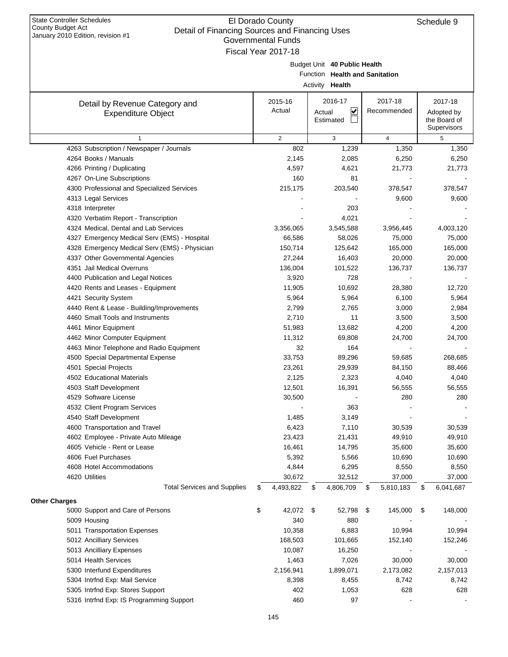| Detail Of Financing Sources and Financing Oses<br>January 2010 Edition, revision #1<br>Governmental Funds |       |                       |     |                                |    |                         |    |              |  |  |  |
|-----------------------------------------------------------------------------------------------------------|-------|-----------------------|-----|--------------------------------|----|-------------------------|----|--------------|--|--|--|
|                                                                                                           |       | Fiscal Year 2017-18   |     |                                |    |                         |    |              |  |  |  |
|                                                                                                           |       |                       |     | Budget Unit 40 Public Health   |    |                         |    |              |  |  |  |
|                                                                                                           |       |                       |     | Function Health and Sanitation |    |                         |    |              |  |  |  |
|                                                                                                           |       |                       |     | Activity Health                |    |                         |    |              |  |  |  |
|                                                                                                           |       | 2015-16               |     | 2016-17                        |    | 2017-18                 |    | 2017-18      |  |  |  |
| Detail by Revenue Category and<br><b>Expenditure Object</b>                                               |       | Actual                |     | ⊻<br>Actual                    |    | Recommended             |    | Adopted by   |  |  |  |
|                                                                                                           |       |                       |     | Estimated                      |    |                         |    | the Board of |  |  |  |
|                                                                                                           |       |                       |     |                                |    |                         |    | Supervisors  |  |  |  |
| $\mathbf{1}$<br>4263 Subscription / Newspaper / Journals                                                  |       | $\overline{2}$<br>802 |     | 3<br>1,239                     |    | $\overline{4}$<br>1,350 |    | 5<br>1,350   |  |  |  |
| 4264 Books / Manuals                                                                                      |       | 2,145                 |     | 2,085                          |    | 6,250                   |    | 6,250        |  |  |  |
| 4266 Printing / Duplicating                                                                               |       | 4,597                 |     | 4,621                          |    | 21,773                  |    | 21,773       |  |  |  |
| 4267 On-Line Subscriptions                                                                                |       | 160                   |     | 81                             |    |                         |    |              |  |  |  |
| 4300 Professional and Specialized Services                                                                |       | 215,175               |     | 203,540                        |    | 378,547                 |    | 378,547      |  |  |  |
| 4313 Legal Services                                                                                       |       |                       |     |                                |    | 9,600                   |    | 9,600        |  |  |  |
| 4318 Interpreter                                                                                          |       |                       |     | 203                            |    |                         |    |              |  |  |  |
| 4320 Verbatim Report - Transcription                                                                      |       |                       |     | 4,021                          |    |                         |    |              |  |  |  |
| 4324 Medical, Dental and Lab Services                                                                     |       | 3,356,065             |     | 3,545,588                      |    | 3,956,445               |    | 4,003,120    |  |  |  |
| 4327 Emergency Medical Serv (EMS) - Hospital                                                              |       | 66,586                |     | 58,026                         |    | 75,000                  |    | 75,000       |  |  |  |
| 4328 Emergency Medical Serv (EMS) - Physician                                                             |       | 150,714               |     | 125,642                        |    | 165,000                 |    | 165,000      |  |  |  |
| 4337 Other Governmental Agencies                                                                          |       | 27,244                |     | 16,403                         |    | 20,000                  |    | 20,000       |  |  |  |
| 4351 Jail Medical Overruns                                                                                |       | 136,004               |     | 101,522                        |    | 136,737                 |    | 136,737      |  |  |  |
| 4400 Publication and Legal Notices                                                                        |       | 3,920                 |     | 728                            |    |                         |    |              |  |  |  |
| 4420 Rents and Leases - Equipment                                                                         |       | 11,905                |     | 10,692                         |    | 28,380                  |    | 12,720       |  |  |  |
| 4421 Security System                                                                                      |       | 5,964                 |     | 5,964                          |    | 6,100                   |    | 5,964        |  |  |  |
| 4440 Rent & Lease - Building/Improvements                                                                 | 2,799 |                       |     | 2,765                          |    | 3,000                   |    | 2,984        |  |  |  |
| 4460 Small Tools and Instruments                                                                          |       | 2,710                 |     | 11                             |    | 3,500                   |    | 3,500        |  |  |  |
| 4461 Minor Equipment                                                                                      |       | 51,983                |     | 13,682                         |    | 4,200                   |    | 4,200        |  |  |  |
| 4462 Minor Computer Equipment                                                                             |       | 11,312                |     | 69,808                         |    | 24,700                  |    | 24,700       |  |  |  |
| 4463 Minor Telephone and Radio Equipment                                                                  |       | 32                    |     | 164                            |    |                         |    |              |  |  |  |
| 4500 Special Departmental Expense                                                                         |       | 33,753                |     | 89,296                         |    | 59,685                  |    | 268,685      |  |  |  |
| 4501 Special Projects                                                                                     |       | 23,261                |     | 29,939                         |    | 84,150                  |    | 88,466       |  |  |  |
| 4502 Educational Materials                                                                                |       | 2,125                 |     | 2,323                          |    | 4,040                   |    | 4,040        |  |  |  |
| 4503 Staff Development                                                                                    |       | 12,501                |     | 16,391                         |    | 56,555                  |    | 56,555       |  |  |  |
| 4529 Software License                                                                                     |       | 30,500                |     |                                |    | 280                     |    | 280          |  |  |  |
| 4532 Client Program Services                                                                              |       |                       |     | 363                            |    |                         |    |              |  |  |  |
| 4540 Staff Development                                                                                    |       | 1,485                 |     | 3,149                          |    |                         |    |              |  |  |  |
| 4600 Transportation and Travel                                                                            |       | 6,423                 |     | 7,110                          |    | 30,539                  |    | 30,539       |  |  |  |
| 4602 Employee - Private Auto Mileage                                                                      |       | 23,423                |     | 21,431                         |    | 49,910                  |    | 49,910       |  |  |  |
| 4605 Vehicle - Rent or Lease                                                                              |       | 16,461                |     | 14,795                         |    | 35,600                  |    | 35,600       |  |  |  |
| 4606 Fuel Purchases                                                                                       |       | 5,392                 |     | 5,566                          |    | 10,690                  |    | 10,690       |  |  |  |
| 4608 Hotel Accommodations                                                                                 |       | 4,844                 |     | 6,295                          |    | 8,550                   |    | 8,550        |  |  |  |
| 4620 Utilities                                                                                            |       | 30,672                |     | 32,512                         |    | 37,000                  |    | 37,000       |  |  |  |
| <b>Total Services and Supplies</b>                                                                        | \$    | 4,493,822             | \$  | 4,806,709                      | \$ | 5,810,183               | \$ | 6,041,687    |  |  |  |
| <b>Other Charges</b>                                                                                      |       |                       |     |                                |    |                         |    |              |  |  |  |
| 5000 Support and Care of Persons                                                                          | \$    | 42,072                | -\$ | 52,798                         | \$ | 145,000                 | \$ | 148,000      |  |  |  |
| 5009 Housing                                                                                              |       | 340                   |     | 880                            |    |                         |    |              |  |  |  |
| 5011 Transportation Expenses                                                                              |       | 10,358                |     | 6,883                          |    | 10,994                  |    | 10,994       |  |  |  |
| 5012 Ancilliary Services                                                                                  |       | 168,503               |     | 101,665                        |    | 152,140                 |    | 152,246      |  |  |  |
| 5013 Ancilliary Expenses                                                                                  |       | 10,087                |     | 16,250                         |    |                         |    |              |  |  |  |
| 5014 Health Services                                                                                      |       | 1,463                 |     | 7,026                          |    | 30,000                  |    | 30,000       |  |  |  |
| 5300 Interfund Expenditures                                                                               |       | 2,156,941             |     | 1,899,071                      |    | 2,173,082               |    | 2,157,013    |  |  |  |
| 5304 Intrfnd Exp: Mail Service                                                                            |       | 8,398                 |     | 8,455                          |    | 8,742                   |    | 8,742        |  |  |  |
| 5305 Intrfnd Exp: Stores Support                                                                          |       | 402                   |     | 1,053                          |    | 628                     |    | 628          |  |  |  |
| 5316 Intrfnd Exp: IS Programming Support                                                                  |       | 460                   |     | 97                             |    |                         |    |              |  |  |  |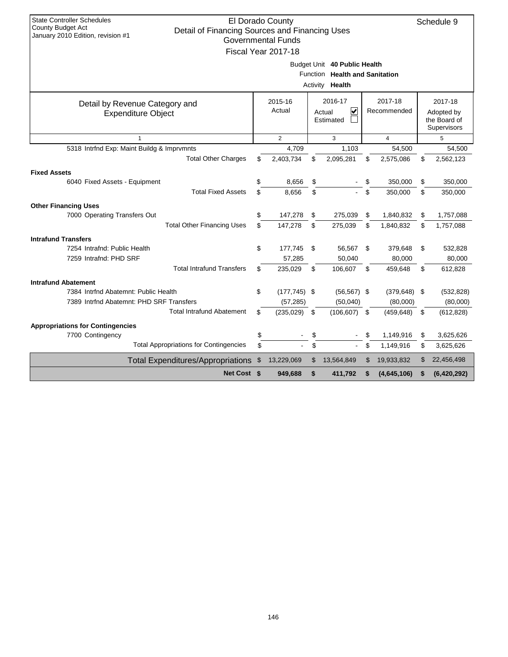| <b>State Controller Schedules</b><br>El Dorado County<br>Schedule 9              |     |                           |    |                                |    |                 |    |                            |  |
|----------------------------------------------------------------------------------|-----|---------------------------|----|--------------------------------|----|-----------------|----|----------------------------|--|
| <b>County Budget Act</b><br>Detail of Financing Sources and Financing Uses       |     |                           |    |                                |    |                 |    |                            |  |
| January 2010 Edition, revision #1                                                |     | <b>Governmental Funds</b> |    |                                |    |                 |    |                            |  |
|                                                                                  |     | Fiscal Year 2017-18       |    |                                |    |                 |    |                            |  |
|                                                                                  |     |                           |    | Budget Unit 40 Public Health   |    |                 |    |                            |  |
|                                                                                  |     |                           |    | Function Health and Sanitation |    |                 |    |                            |  |
|                                                                                  |     |                           |    | Activity <b>Health</b>         |    |                 |    |                            |  |
|                                                                                  |     |                           |    |                                |    |                 |    |                            |  |
| Detail by Revenue Category and                                                   |     | 2015-16                   |    | 2016-17                        |    | 2017-18         |    | 2017-18                    |  |
| <b>Expenditure Object</b>                                                        |     | Actual                    |    | ⊻<br>Actual<br>Estimated       |    | Recommended     |    | Adopted by<br>the Board of |  |
| Supervisors                                                                      |     |                           |    |                                |    |                 |    |                            |  |
| $\mathbf{1}$                                                                     |     | 2                         |    | 3                              |    | $\overline{4}$  |    | 5                          |  |
| 5318 Intrfnd Exp: Maint Buildg & Imprvmnts<br>4,709<br>1,103<br>54,500<br>54,500 |     |                           |    |                                |    |                 |    |                            |  |
| <b>Total Other Charges</b>                                                       | \$  | 2,403,734                 | \$ | 2,095,281                      | \$ | 2,575,086       | \$ | 2,562,123                  |  |
| <b>Fixed Assets</b>                                                              |     |                           |    |                                |    |                 |    |                            |  |
| 6040 Fixed Assets - Equipment                                                    | \$  | 8,656                     | \$ |                                | \$ | 350,000         | \$ | 350,000                    |  |
| <b>Total Fixed Assets</b>                                                        | \$. | 8.656                     | \$ |                                | \$ | 350.000         | \$ | 350,000                    |  |
| <b>Other Financing Uses</b>                                                      |     |                           |    |                                |    |                 |    |                            |  |
| 7000 Operating Transfers Out                                                     | \$  | 147,278                   | \$ | 275,039                        | \$ | 1,840,832       | \$ | 1,757,088                  |  |
| <b>Total Other Financing Uses</b>                                                | \$  | 147,278                   | \$ | 275,039                        | \$ | 1,840,832       | \$ | 1,757,088                  |  |
| <b>Intrafund Transfers</b>                                                       |     |                           |    |                                |    |                 |    |                            |  |
| 7254 Intrafnd: Public Health                                                     | \$  | 177,745                   | \$ | 56,567                         | \$ | 379,648         | \$ | 532,828                    |  |
| 7259 Intrafnd: PHD SRF                                                           |     | 57,285                    |    | 50,040                         |    | 80,000          |    | 80,000                     |  |
| <b>Total Intrafund Transfers</b>                                                 | \$  | 235,029                   | \$ | 106,607                        | \$ | 459,648         | \$ | 612,828                    |  |
| <b>Intrafund Abatement</b>                                                       |     |                           |    |                                |    |                 |    |                            |  |
| 7384 Intrind Abatemnt: Public Health                                             | \$  | $(177, 745)$ \$           |    | $(56, 567)$ \$                 |    | $(379, 648)$ \$ |    | (532, 828)                 |  |
| 7389 Intrind Abatemnt: PHD SRF Transfers                                         |     | (57, 285)                 |    | (50,040)                       |    | (80,000)        |    | (80,000)                   |  |
| <b>Total Intrafund Abatement</b>                                                 | \$  | (235, 029)                | \$ | $(106, 607)$ \$                |    | (459, 648)      | \$ | (612, 828)                 |  |
| <b>Appropriations for Contingencies</b>                                          |     |                           |    |                                |    |                 |    |                            |  |
| 7700 Contingency                                                                 | \$  |                           | \$ |                                | \$ | 1,149,916       | \$ | 3,625,626                  |  |
| <b>Total Appropriations for Contingencies</b>                                    | \$  |                           | \$ | $\blacksquare$                 | \$ | 1,149,916       | \$ | 3,625,626                  |  |
| <b>Total Expenditures/Appropriations</b>                                         | \$  | 13,229,069                | \$ | 13,564,849                     | \$ | 19,933,832      | \$ | 22,456,498                 |  |
| Net Cost \$                                                                      |     | 949,688                   | \$ | 411,792                        | \$ | (4,645,106)     | \$ | (6,420,292)                |  |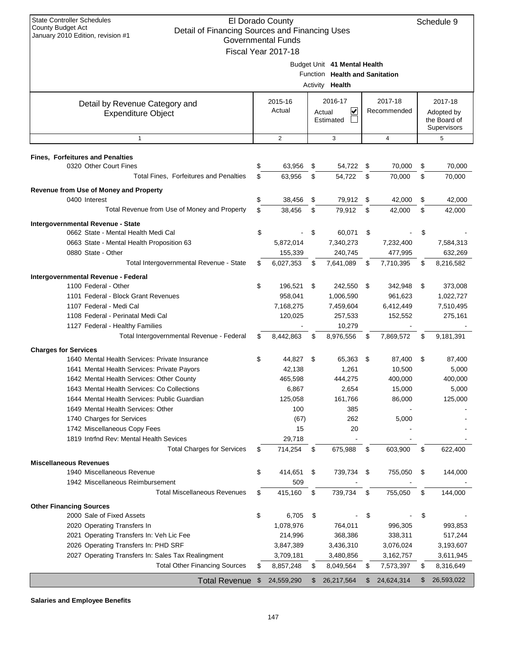| <b>State Controller Schedules</b><br>El Dorado County<br>County Budget Act<br>Detail of Financing Sources and Financing Uses<br>January 2010 Edition, revision #1<br><b>Governmental Funds</b><br>Fiscal Year 2017-18 |    |                   |    |                                                                                          |    |                        |    |                                                      |
|-----------------------------------------------------------------------------------------------------------------------------------------------------------------------------------------------------------------------|----|-------------------|----|------------------------------------------------------------------------------------------|----|------------------------|----|------------------------------------------------------|
|                                                                                                                                                                                                                       |    |                   |    | Budget Unit 41 Mental Health<br>Function Health and Sanitation<br>Activity <b>Health</b> |    |                        |    |                                                      |
| Detail by Revenue Category and<br><b>Expenditure Object</b>                                                                                                                                                           |    | 2015-16<br>Actual |    | 2016-17<br>V<br>Actual<br>Estimated                                                      |    | 2017-18<br>Recommended |    | 2017-18<br>Adopted by<br>the Board of<br>Supervisors |
| $\mathbf{1}$                                                                                                                                                                                                          |    | 2                 |    | 3                                                                                        |    | $\overline{4}$         |    | 5                                                    |
| <b>Fines, Forfeitures and Penalties</b><br>0320 Other Court Fines                                                                                                                                                     | \$ | 63,956            | \$ | 54,722                                                                                   | \$ | 70,000                 | \$ | 70,000                                               |
| <b>Total Fines. Forfeitures and Penalties</b>                                                                                                                                                                         | \$ | 63,956            | \$ | 54,722                                                                                   | \$ | 70,000                 | \$ | 70,000                                               |
| Revenue from Use of Money and Property<br>0400 Interest                                                                                                                                                               | \$ | 38,456            | \$ | 79,912                                                                                   | \$ | 42,000                 | \$ | 42,000                                               |
| Total Revenue from Use of Money and Property                                                                                                                                                                          | \$ | 38,456            | \$ | 79,912                                                                                   | \$ | 42,000                 | \$ | 42,000                                               |
| Intergovernmental Revenue - State                                                                                                                                                                                     |    |                   |    |                                                                                          |    |                        |    |                                                      |
| 0662 State - Mental Health Medi Cal                                                                                                                                                                                   | \$ |                   | \$ | 60,071                                                                                   | \$ |                        | \$ |                                                      |
| 0663 State - Mental Health Proposition 63                                                                                                                                                                             |    | 5,872,014         |    | 7,340,273                                                                                |    | 7,232,400              |    | 7,584,313                                            |
| 0880 State - Other                                                                                                                                                                                                    |    | 155,339           |    | 240,745                                                                                  |    | 477,995                |    | 632,269                                              |
| Total Intergovernmental Revenue - State                                                                                                                                                                               | \$ | 6,027,353         | \$ | 7,641,089                                                                                | \$ | 7,710,395              | \$ | 8,216,582                                            |
| Intergovernmental Revenue - Federal                                                                                                                                                                                   |    |                   |    |                                                                                          |    |                        |    |                                                      |
| 1100 Federal - Other                                                                                                                                                                                                  | \$ | 196,521           | \$ | 242,550                                                                                  | \$ | 342,948                | \$ | 373,008                                              |
| 1101 Federal - Block Grant Revenues                                                                                                                                                                                   |    | 958,041           |    | 1,006,590                                                                                |    | 961,623                |    | 1,022,727                                            |
| 1107 Federal - Medi Cal                                                                                                                                                                                               |    | 7,168,275         |    | 7,459,604                                                                                |    | 6,412,449              |    | 7,510,495                                            |
| 1108 Federal - Perinatal Medi Cal                                                                                                                                                                                     |    | 120,025           |    | 257,533                                                                                  |    | 152,552                |    | 275,161                                              |
| 1127 Federal - Healthy Families                                                                                                                                                                                       |    |                   |    | 10,279                                                                                   |    |                        |    |                                                      |
| Total Intergovernmental Revenue - Federal                                                                                                                                                                             | \$ | 8,442,863         | \$ | 8,976,556                                                                                | \$ | 7,869,572              | \$ | 9,181,391                                            |
| <b>Charges for Services</b>                                                                                                                                                                                           |    |                   |    |                                                                                          |    |                        |    |                                                      |
| 1640 Mental Health Services: Private Insurance                                                                                                                                                                        | \$ | 44,827            | \$ | 65,363                                                                                   | \$ | 87,400                 | \$ | 87,400                                               |
| 1641 Mental Health Services: Private Payors                                                                                                                                                                           |    | 42,138            |    | 1,261                                                                                    |    | 10,500                 |    | 5,000                                                |
| 1642 Mental Health Services: Other County                                                                                                                                                                             |    | 465,598           |    | 444,275                                                                                  |    | 400,000                |    | 400,000                                              |
| 1643 Mental Health Services: Co Collections                                                                                                                                                                           |    | 6,867             |    | 2,654                                                                                    |    | 15,000                 |    | 5,000                                                |
| 1644 Mental Health Services: Public Guardian                                                                                                                                                                          |    | 125,058           |    | 161,766                                                                                  |    | 86,000                 |    | 125,000                                              |
| 1649 Mental Health Services: Other                                                                                                                                                                                    |    | 100               |    | 385                                                                                      |    |                        |    |                                                      |
| 1740 Charges for Services                                                                                                                                                                                             |    | (67)              |    | 262                                                                                      |    | 5,000                  |    |                                                      |
| 1742 Miscellaneous Copy Fees                                                                                                                                                                                          |    | 15                |    | 20                                                                                       |    |                        |    |                                                      |
| 1819 Intrfnd Rev: Mental Health Sevices                                                                                                                                                                               |    | 29,718            |    |                                                                                          |    |                        |    |                                                      |
| <b>Total Charges for Services</b>                                                                                                                                                                                     | \$ | 714,254           | \$ | 675,988                                                                                  | \$ | 603,900                | \$ | 622,400                                              |
| <b>Miscellaneous Revenues</b>                                                                                                                                                                                         |    |                   |    |                                                                                          |    |                        |    |                                                      |
| 1940 Miscellaneous Revenue                                                                                                                                                                                            | \$ | 414,651           | \$ | 739,734                                                                                  | \$ | 755,050                | \$ | 144,000                                              |
| 1942 Miscellaneous Reimbursement                                                                                                                                                                                      |    | 509               |    |                                                                                          |    |                        |    |                                                      |
| <b>Total Miscellaneous Revenues</b>                                                                                                                                                                                   | \$ | 415,160           | \$ | 739,734                                                                                  | \$ | 755,050                | \$ | 144,000                                              |
| <b>Other Financing Sources</b>                                                                                                                                                                                        |    |                   |    |                                                                                          |    |                        |    |                                                      |
| 2000 Sale of Fixed Assets                                                                                                                                                                                             | \$ | 6,705             | \$ |                                                                                          | \$ |                        | \$ |                                                      |
| 2020 Operating Transfers In                                                                                                                                                                                           |    | 1,078,976         |    | 764,011                                                                                  |    | 996,305                |    | 993,853                                              |
| 2021 Operating Transfers In: Veh Lic Fee                                                                                                                                                                              |    | 214,996           |    | 368,386                                                                                  |    | 338,311                |    | 517,244                                              |
| 2026 Operating Transfers In: PHD SRF                                                                                                                                                                                  |    | 3,847,389         |    | 3,436,310                                                                                |    | 3,076,024              |    | 3,193,607                                            |
| 2027 Operating Transfers In: Sales Tax Realingment                                                                                                                                                                    |    | 3,709,181         |    | 3,480,856                                                                                |    | 3,162,757              |    | 3,611,945                                            |
| <b>Total Other Financing Sources</b>                                                                                                                                                                                  | \$ | 8,857,248         | \$ | 8,049,564                                                                                | \$ | 7,573,397              | \$ | 8,316,649                                            |
| <b>Total Revenue</b>                                                                                                                                                                                                  | \$ | 24,559,290        | \$ | 26,217,564                                                                               | \$ | 24,624,314             | \$ | 26,593,022                                           |

**Salaries and Employee Benefits**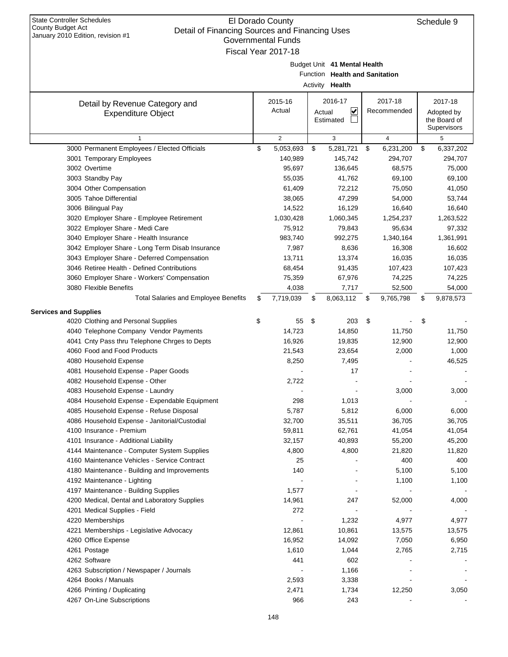| January 2010 Edition, revision $\#1$<br><b>Governmental Funds</b><br>Fiscal Year 2017-18 |    |                |    |                                |    |                         |    |              |  |  |
|------------------------------------------------------------------------------------------|----|----------------|----|--------------------------------|----|-------------------------|----|--------------|--|--|
|                                                                                          |    |                |    |                                |    |                         |    |              |  |  |
|                                                                                          |    |                |    | Budget Unit 41 Mental Health   |    |                         |    |              |  |  |
|                                                                                          |    |                |    | Function Health and Sanitation |    |                         |    |              |  |  |
|                                                                                          |    |                |    | Activity Health                |    |                         |    |              |  |  |
|                                                                                          |    | 2015-16        |    | 2016-17                        |    | 2017-18                 |    | 2017-18      |  |  |
| Detail by Revenue Category and                                                           |    | Actual         |    | V<br>Actual                    |    | Recommended             |    | Adopted by   |  |  |
| <b>Expenditure Object</b>                                                                |    |                |    | Estimated                      |    |                         |    | the Board of |  |  |
|                                                                                          |    |                |    |                                |    |                         |    | Supervisors  |  |  |
| $\mathbf{1}$                                                                             |    | $\overline{2}$ |    | 3                              |    | $\overline{\mathbf{4}}$ |    | 5            |  |  |
| 3000 Permanent Employees / Elected Officials                                             | \$ | 5,053,693      | \$ | 5,281,721                      | \$ | 6,231,200               | \$ | 6,337,202    |  |  |
| 3001 Temporary Employees                                                                 |    | 140,989        |    | 145,742                        |    | 294,707                 |    | 294,707      |  |  |
| 3002 Overtime                                                                            |    | 95,697         |    | 136,645                        |    | 68,575                  |    | 75,000       |  |  |
| 3003 Standby Pay                                                                         |    | 55,035         |    | 41,762                         |    | 69,100                  |    | 69,100       |  |  |
| 3004 Other Compensation                                                                  |    | 61,409         |    | 72,212                         |    | 75,050                  |    | 41,050       |  |  |
| 3005 Tahoe Differential                                                                  |    | 38,065         |    | 47,299                         |    | 54,000                  |    | 53,744       |  |  |
| 3006 Bilingual Pay                                                                       |    | 14,522         |    | 16,129                         |    | 16,640                  |    | 16,640       |  |  |
| 3020 Employer Share - Employee Retirement                                                |    | 1,030,428      |    | 1,060,345                      |    | 1,254,237               |    | 1,263,522    |  |  |
| 3022 Employer Share - Medi Care                                                          |    | 75,912         |    | 79,843                         |    | 95,634                  |    | 97,332       |  |  |
| 3040 Employer Share - Health Insurance                                                   |    | 983,740        |    | 992,275                        |    | 1,340,164               |    | 1,361,991    |  |  |
| 3042 Employer Share - Long Term Disab Insurance                                          |    | 7,987          |    | 8,636                          |    | 16,308                  |    | 16,602       |  |  |
| 3043 Employer Share - Deferred Compensation                                              |    | 13,711         |    | 13,374                         |    | 16,035                  |    | 16,035       |  |  |
| 3046 Retiree Health - Defined Contributions                                              |    | 68,454         |    | 91,435                         |    | 107,423                 |    | 107,423      |  |  |
| 3060 Employer Share - Workers' Compensation                                              |    | 75,359         |    | 67,976                         |    | 74,225                  |    | 74,225       |  |  |
| 3080 Flexible Benefits                                                                   |    | 4,038          |    | 7,717                          |    | 52,500                  |    | 54,000       |  |  |
| <b>Total Salaries and Employee Benefits</b>                                              | \$ | 7,719,039      | \$ | 8,063,112                      | \$ | 9,765,798               | \$ | 9,878,573    |  |  |
| <b>Services and Supplies</b>                                                             |    |                |    |                                |    |                         |    |              |  |  |
| 4020 Clothing and Personal Supplies                                                      | \$ | 55             | \$ | 203                            | \$ |                         | \$ |              |  |  |
| 4040 Telephone Company Vendor Payments                                                   |    | 14,723         |    | 14,850                         |    | 11,750                  |    | 11,750       |  |  |
| 4041 Cnty Pass thru Telephone Chrges to Depts                                            |    | 16,926         |    | 19,835                         |    | 12,900                  |    | 12,900       |  |  |
| 4060 Food and Food Products                                                              |    | 21,543         |    | 23,654                         |    | 2,000                   |    | 1,000        |  |  |
| 4080 Household Expense                                                                   |    | 8,250          |    | 7,495                          |    |                         |    | 46,525       |  |  |
| 4081 Household Expense - Paper Goods                                                     |    |                |    | 17                             |    |                         |    |              |  |  |
| 4082 Household Expense - Other                                                           |    | 2,722          |    |                                |    |                         |    |              |  |  |
| 4083 Household Expense - Laundry                                                         |    |                |    |                                |    | 3,000                   |    | 3,000        |  |  |
| 4084 Household Expense - Expendable Equipment                                            |    | 298            |    | 1,013                          |    |                         |    |              |  |  |
| 4085 Household Expense - Refuse Disposal                                                 |    | 5,787          |    | 5,812                          |    | 6,000                   |    | 6,000        |  |  |
| 4086 Household Expense - Janitorial/Custodial                                            |    | 32,700         |    | 35,511                         |    | 36,705                  |    | 36,705       |  |  |
| 4100 Insurance - Premium                                                                 |    | 59,811         |    | 62,761                         |    | 41,054                  |    | 41,054       |  |  |
| 4101 Insurance - Additional Liability                                                    |    | 32,157         |    | 40,893                         |    | 55,200                  |    | 45,200       |  |  |
| 4144 Maintenance - Computer System Supplies                                              |    | 4,800          |    | 4,800                          |    | 21,820                  |    | 11,820       |  |  |
| 4160 Maintenance Vehicles - Service Contract                                             |    | 25             |    |                                |    | 400                     |    | 400          |  |  |
| 4180 Maintenance - Building and Improvements                                             |    | 140            |    |                                |    | 5,100                   |    | 5,100        |  |  |
| 4192 Maintenance - Lighting                                                              |    |                |    |                                |    | 1,100                   |    | 1,100        |  |  |
| 4197 Maintenance - Building Supplies                                                     |    | 1,577          |    |                                |    |                         |    |              |  |  |
| 4200 Medical, Dental and Laboratory Supplies                                             |    | 14,961         |    | 247                            |    | 52,000                  |    | 4,000        |  |  |
| 4201 Medical Supplies - Field                                                            |    | 272            |    |                                |    |                         |    |              |  |  |
| 4220 Memberships                                                                         |    |                |    | 1,232                          |    | 4,977                   |    | 4,977        |  |  |
| 4221 Memberships - Legislative Advocacy                                                  |    | 12,861         |    | 10,861                         |    | 13,575                  |    | 13,575       |  |  |
| 4260 Office Expense                                                                      |    | 16,952         |    | 14,092                         |    | 7,050                   |    | 6,950        |  |  |
| 4261 Postage                                                                             |    | 1,610          |    | 1,044                          |    | 2,765                   |    | 2,715        |  |  |
| 4262 Software                                                                            |    | 441            |    | 602                            |    |                         |    |              |  |  |
| 4263 Subscription / Newspaper / Journals                                                 |    |                |    | 1,166                          |    |                         |    |              |  |  |
| 4264 Books / Manuals<br>4266 Printing / Duplicating                                      |    | 2,593<br>2,471 |    | 3,338<br>1,734                 |    | 12,250                  |    | 3,050        |  |  |
| 4267 On-Line Subscriptions                                                               |    | 966            |    | 243                            |    |                         |    |              |  |  |
|                                                                                          |    |                |    |                                |    |                         |    |              |  |  |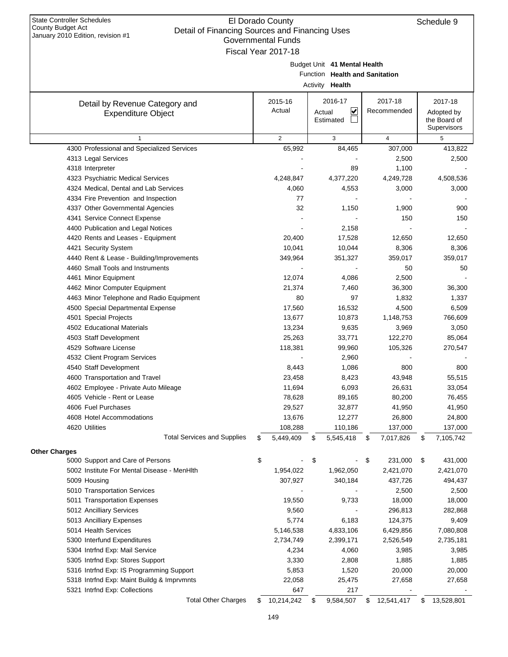| cial or mianong obdrocs and mianong oscs<br>January 2010 Edition, revision #1<br>Governmental Funds |    |                     |    |                                |    |             |    |                            |  |  |  |
|-----------------------------------------------------------------------------------------------------|----|---------------------|----|--------------------------------|----|-------------|----|----------------------------|--|--|--|
|                                                                                                     |    | Fiscal Year 2017-18 |    |                                |    |             |    |                            |  |  |  |
|                                                                                                     |    |                     |    | Budget Unit 41 Mental Health   |    |             |    |                            |  |  |  |
|                                                                                                     |    |                     |    | Function Health and Sanitation |    |             |    |                            |  |  |  |
|                                                                                                     |    |                     |    | Activity Health                |    |             |    |                            |  |  |  |
|                                                                                                     |    |                     |    |                                |    |             |    |                            |  |  |  |
| Detail by Revenue Category and                                                                      |    | 2015-16             |    | 2016-17                        |    | 2017-18     |    | 2017-18                    |  |  |  |
| <b>Expenditure Object</b>                                                                           |    | Actual              |    | V<br>Actual<br>Estimated       |    | Recommended |    | Adopted by<br>the Board of |  |  |  |
|                                                                                                     |    |                     |    |                                |    |             |    | Supervisors                |  |  |  |
| 1                                                                                                   |    | 2                   |    | 3                              |    | 4           |    | 5                          |  |  |  |
| 4300 Professional and Specialized Services                                                          |    | 65,992              |    | 84,465                         |    | 307,000     |    | 413,822                    |  |  |  |
| 4313 Legal Services                                                                                 |    |                     |    |                                |    | 2,500       |    | 2,500                      |  |  |  |
| 4318 Interpreter                                                                                    |    |                     |    | 89                             |    | 1,100       |    |                            |  |  |  |
| 4323 Psychiatric Medical Services                                                                   |    | 4,248,847           |    | 4,377,220                      |    | 4,249,728   |    | 4,508,536                  |  |  |  |
| 4324 Medical, Dental and Lab Services                                                               |    | 4,060               |    | 4,553                          |    | 3,000       |    | 3,000                      |  |  |  |
| 4334 Fire Prevention and Inspection                                                                 |    | 77                  |    |                                |    |             |    |                            |  |  |  |
| 4337 Other Governmental Agencies                                                                    |    | 32                  |    | 1,150                          |    | 1,900       |    | 900                        |  |  |  |
| 4341 Service Connect Expense                                                                        |    |                     |    |                                |    | 150         |    | 150                        |  |  |  |
| 4400 Publication and Legal Notices                                                                  |    |                     |    | 2,158                          |    |             |    |                            |  |  |  |
| 4420 Rents and Leases - Equipment                                                                   |    | 20,400              |    | 17,528                         |    | 12,650      |    | 12,650                     |  |  |  |
| 4421 Security System                                                                                |    | 10,041              |    | 10,044                         |    | 8,306       |    | 8,306                      |  |  |  |
| 4440 Rent & Lease - Building/Improvements                                                           |    | 349,964             |    | 351,327                        |    | 359,017     |    | 359,017                    |  |  |  |
| 4460 Small Tools and Instruments                                                                    |    |                     |    |                                |    | 50          |    | 50                         |  |  |  |
| 4461 Minor Equipment                                                                                |    | 12,074              |    | 4,086                          |    | 2,500       |    |                            |  |  |  |
| 4462 Minor Computer Equipment                                                                       |    | 21,374              |    | 7,460                          |    | 36,300      |    | 36,300                     |  |  |  |
| 4463 Minor Telephone and Radio Equipment                                                            |    | 80                  |    | 97                             |    | 1,832       |    | 1,337                      |  |  |  |
| 4500 Special Departmental Expense                                                                   |    | 17,560              |    | 16,532                         |    | 4,500       |    | 6,509                      |  |  |  |
| 4501 Special Projects                                                                               |    | 13,677              |    | 10,873                         |    | 1,148,753   |    | 766,609                    |  |  |  |
| 4502 Educational Materials                                                                          |    | 13,234              |    | 9,635                          |    | 3,969       |    | 3,050                      |  |  |  |
| 4503 Staff Development                                                                              |    | 25,263              |    | 33,771                         |    | 122,270     |    | 85,064                     |  |  |  |
| 4529 Software License                                                                               |    | 118,381             |    | 99,960                         |    | 105,326     |    | 270,547                    |  |  |  |
| 4532 Client Program Services                                                                        |    |                     |    | 2,960                          |    |             |    |                            |  |  |  |
| 4540 Staff Development                                                                              |    | 8,443               |    | 1,086                          |    | 800         |    | 800                        |  |  |  |
| 4600 Transportation and Travel                                                                      |    | 23,458              |    | 8,423                          |    | 43,948      |    | 55,515                     |  |  |  |
| 4602 Employee - Private Auto Mileage                                                                |    | 11,694              |    | 6,093                          |    | 26,631      |    | 33,054                     |  |  |  |
| 4605 Vehicle - Rent or Lease                                                                        |    | 78,628              |    | 89,165                         |    | 80,200      |    | 76,455                     |  |  |  |
| 4606 Fuel Purchases                                                                                 |    | 29,527              |    | 32,877                         |    | 41,950      |    | 41,950                     |  |  |  |
| 4608 Hotel Accommodations                                                                           |    | 13,676              |    | 12,277                         |    | 26,800      |    | 24,800                     |  |  |  |
| 4620 Utilities                                                                                      |    | 108,288             |    | 110,186                        |    | 137,000     |    | 137,000                    |  |  |  |
| <b>Total Services and Supplies</b>                                                                  | \$ | 5,449,409           | \$ | 5,545,418                      | \$ | 7,017,826   | \$ | 7,105,742                  |  |  |  |
| <b>Other Charges</b>                                                                                |    |                     |    |                                |    |             |    |                            |  |  |  |
| 5000 Support and Care of Persons                                                                    | \$ |                     | \$ |                                | \$ | 231,000     | \$ | 431,000                    |  |  |  |
| 5002 Institute For Mental Disease - MenHlth                                                         |    | 1,954,022           |    | 1,962,050                      |    | 2,421,070   |    | 2,421,070                  |  |  |  |
| 5009 Housing                                                                                        |    | 307,927             |    | 340,184                        |    | 437,726     |    | 494,437                    |  |  |  |
| 5010 Transportation Services                                                                        |    |                     |    |                                |    | 2,500       |    | 2,500                      |  |  |  |
| 5011 Transportation Expenses                                                                        |    | 19,550              |    | 9,733                          |    | 18,000      |    | 18,000                     |  |  |  |
| 5012 Ancilliary Services                                                                            |    | 9,560               |    |                                |    | 296,813     |    | 282,868                    |  |  |  |
| 5013 Ancilliary Expenses                                                                            |    | 5,774               |    | 6,183                          |    | 124,375     |    | 9,409                      |  |  |  |
| 5014 Health Services                                                                                |    | 5,146,538           |    | 4,833,106                      |    | 6,429,856   |    | 7,080,808                  |  |  |  |
| 5300 Interfund Expenditures                                                                         |    | 2,734,749           |    | 2,399,171                      |    | 2,526,549   |    | 2,735,181                  |  |  |  |
| 5304 Intrfnd Exp: Mail Service                                                                      |    | 4,234               |    | 4,060                          |    | 3,985       |    | 3,985                      |  |  |  |
| 5305 Intrfnd Exp: Stores Support                                                                    |    | 3,330               |    | 2,808                          |    | 1,885       |    | 1,885                      |  |  |  |
| 5316 Intrfnd Exp: IS Programming Support                                                            |    | 5,853               |    | 1,520                          |    | 20,000      |    | 20,000                     |  |  |  |
| 5318 Intrfnd Exp: Maint Buildg & Imprvmnts                                                          |    | 22,058              |    | 25,475                         |    | 27,658      |    | 27,658                     |  |  |  |
| 5321 Intrfnd Exp: Collections                                                                       |    | 647                 |    | 217                            |    |             |    |                            |  |  |  |
| <b>Total Other Charges</b>                                                                          | \$ | 10,214,242          | \$ | 9,584,507                      | \$ | 12,541,417  | \$ | 13,528,801                 |  |  |  |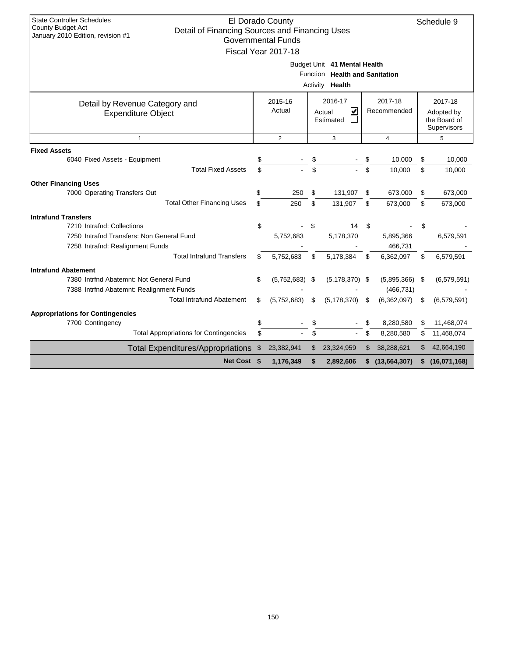| <b>State Controller Schedules</b>                                                                               |                                                            | El Dorado County          |      |                                |    |             |            | Schedule 9    |  |  |
|-----------------------------------------------------------------------------------------------------------------|------------------------------------------------------------|---------------------------|------|--------------------------------|----|-------------|------------|---------------|--|--|
| <b>County Budget Act</b><br>Detail of Financing Sources and Financing Uses<br>January 2010 Edition, revision #1 |                                                            |                           |      |                                |    |             |            |               |  |  |
|                                                                                                                 |                                                            | <b>Governmental Funds</b> |      |                                |    |             |            |               |  |  |
|                                                                                                                 |                                                            | Fiscal Year 2017-18       |      |                                |    |             |            |               |  |  |
|                                                                                                                 |                                                            |                           |      | Budget Unit 41 Mental Health   |    |             |            |               |  |  |
|                                                                                                                 |                                                            |                           |      | Function Health and Sanitation |    |             |            |               |  |  |
|                                                                                                                 |                                                            |                           |      | Activity Health                |    |             |            |               |  |  |
| Detail by Revenue Category and                                                                                  |                                                            | 2015-16                   |      | 2016-17                        |    | 2017-18     |            | 2017-18       |  |  |
| Actual<br>V<br>Recommended<br>Actual<br><b>Expenditure Object</b>                                               |                                                            |                           |      |                                |    |             | Adopted by |               |  |  |
|                                                                                                                 | Estimated<br>the Board of                                  |                           |      |                                |    |             |            |               |  |  |
|                                                                                                                 |                                                            |                           |      |                                |    |             |            | Supervisors   |  |  |
|                                                                                                                 | $\overline{2}$<br>3<br>$\overline{4}$<br>5<br>$\mathbf{1}$ |                           |      |                                |    |             |            |               |  |  |
| <b>Fixed Assets</b>                                                                                             |                                                            |                           |      |                                |    |             |            |               |  |  |
| 6040 Fixed Assets - Equipment                                                                                   | \$                                                         |                           | \$   |                                |    | 10,000      | \$         | 10,000        |  |  |
| <b>Total Fixed Assets</b>                                                                                       |                                                            |                           | \$   |                                | \$ | 10,000      | \$         | 10,000        |  |  |
| <b>Other Financing Uses</b>                                                                                     |                                                            |                           |      |                                |    |             |            |               |  |  |
| 7000 Operating Transfers Out                                                                                    | \$                                                         | 250                       | \$   | 131,907                        | \$ | 673,000     | \$         | 673,000       |  |  |
| <b>Total Other Financing Uses</b>                                                                               | \$                                                         | 250                       | \$   | 131,907                        | \$ | 673,000     | \$         | 673,000       |  |  |
| <b>Intrafund Transfers</b>                                                                                      |                                                            |                           |      |                                |    |             |            |               |  |  |
| 7210 Intrafnd: Collections                                                                                      | \$                                                         |                           | \$   | 14                             | \$ |             | \$         |               |  |  |
| 7250 Intrafnd Transfers: Non General Fund                                                                       |                                                            | 5,752,683                 |      | 5,178,370                      |    | 5,895,366   |            | 6,579,591     |  |  |
| 7258 Intrafnd: Realignment Funds                                                                                |                                                            |                           |      |                                |    | 466,731     |            |               |  |  |
| <b>Total Intrafund Transfers</b>                                                                                | \$                                                         | 5,752,683                 | \$   | 5,178,384                      | \$ | 6,362,097   | \$         | 6,579,591     |  |  |
| <b>Intrafund Abatement</b>                                                                                      |                                                            |                           |      |                                |    |             |            |               |  |  |
| 7380 Intrfnd Abatemnt: Not General Fund                                                                         | \$                                                         | (5,752,683)               | - \$ | $(5, 178, 370)$ \$             |    | (5,895,366) | - \$       | (6, 579, 591) |  |  |
| 7388 Intrfnd Abatemnt: Realignment Funds                                                                        |                                                            |                           |      |                                |    | (466, 731)  |            |               |  |  |
| <b>Total Intrafund Abatement</b>                                                                                | \$                                                         | (5,752,683)               | \$   | (5, 178, 370)                  | \$ | (6,362,097) | \$         | (6, 579, 591) |  |  |
| <b>Appropriations for Contingencies</b>                                                                         |                                                            |                           |      |                                |    |             |            |               |  |  |
| 7700 Contingency                                                                                                | \$                                                         |                           | \$   |                                |    | 8,280,580   | \$         | 11,468,074    |  |  |
| <b>Total Appropriations for Contingencies</b>                                                                   | \$                                                         |                           | \$   |                                | \$ | 8,280,580   | \$         | 11,468,074    |  |  |
| <b>Total Expenditures/Appropriations</b>                                                                        | \$                                                         | 23,382,941                | \$   | 23,324,959                     | \$ | 38,288,621  | \$         | 42,664,190    |  |  |
| Net Cost \$<br>1,176,349<br>2,892,606<br>(13,664,307)<br>(16,071,168)<br>\$<br>\$<br>\$                         |                                                            |                           |      |                                |    |             |            |               |  |  |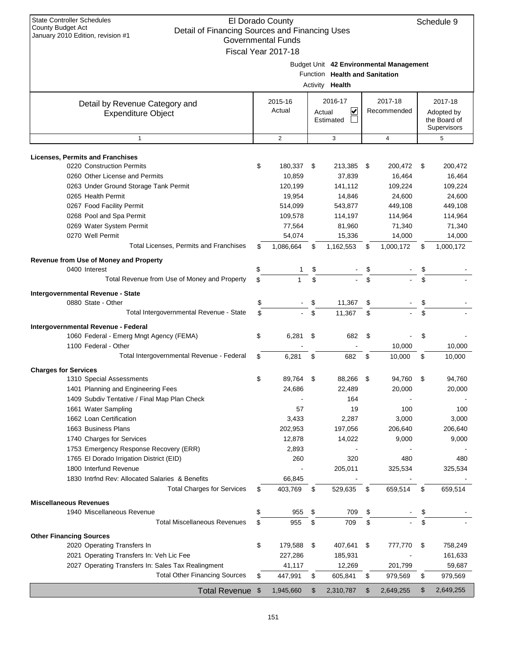| <b>State Controller Schedules</b><br>El Dorado County<br><b>County Budget Act</b><br>Detail of Financing Sources and Financing Uses<br>January 2010 Edition, revision #1<br><b>Governmental Funds</b><br>Fiscal Year 2017-18 |                                              |    |                   |    |                                                   |    |                                         | Schedule 9                                           |
|------------------------------------------------------------------------------------------------------------------------------------------------------------------------------------------------------------------------------|----------------------------------------------|----|-------------------|----|---------------------------------------------------|----|-----------------------------------------|------------------------------------------------------|
|                                                                                                                                                                                                                              |                                              |    |                   |    | Function Health and Sanitation<br>Activity Health |    | Budget Unit 42 Environmental Management |                                                      |
| Detail by Revenue Category and<br><b>Expenditure Object</b>                                                                                                                                                                  |                                              |    | 2015-16<br>Actual |    | 2016-17<br>⊻<br>Actual<br>Estimated               |    | 2017-18<br>Recommended                  | 2017-18<br>Adopted by<br>the Board of<br>Supervisors |
| $\mathbf{1}$                                                                                                                                                                                                                 |                                              |    | $\overline{2}$    |    | 3                                                 |    | $\overline{4}$                          | 5                                                    |
| <b>Licenses, Permits and Franchises</b><br>0220 Construction Permits                                                                                                                                                         |                                              | \$ | 180,337           | \$ | 213,385                                           | \$ | 200,472                                 | \$<br>200,472                                        |
| 0260 Other License and Permits                                                                                                                                                                                               |                                              |    | 10,859            |    | 37,839                                            |    | 16,464                                  | 16,464                                               |
| 0263 Under Ground Storage Tank Permit                                                                                                                                                                                        |                                              |    | 120,199           |    | 141,112                                           |    | 109,224                                 | 109,224                                              |
| 0265 Health Permit                                                                                                                                                                                                           |                                              |    | 19,954            |    | 14,846                                            |    | 24,600                                  | 24,600                                               |
| 0267 Food Facility Permit                                                                                                                                                                                                    |                                              |    | 514,099           |    | 543,877                                           |    | 449,108                                 | 449,108                                              |
| 0268 Pool and Spa Permit                                                                                                                                                                                                     |                                              |    | 109,578           |    | 114,197                                           |    | 114,964                                 | 114,964                                              |
| 0269 Water System Permit                                                                                                                                                                                                     |                                              |    | 77,564            |    | 81,960                                            |    | 71,340                                  | 71,340                                               |
| 0270 Well Permit                                                                                                                                                                                                             |                                              |    | 54,074            |    | 15,336                                            |    | 14,000                                  | 14,000                                               |
|                                                                                                                                                                                                                              | Total Licenses, Permits and Franchises       | \$ | 1,086,664         | \$ | 1,162,553                                         | \$ | 1,000,172                               | \$<br>1,000,172                                      |
| Revenue from Use of Money and Property                                                                                                                                                                                       |                                              |    |                   |    |                                                   |    |                                         |                                                      |
| 0400 Interest                                                                                                                                                                                                                |                                              | \$ | 1                 | \$ |                                                   | \$ |                                         |                                                      |
|                                                                                                                                                                                                                              | Total Revenue from Use of Money and Property | \$ |                   | \$ |                                                   | \$ |                                         | \$                                                   |
| Intergovernmental Revenue - State                                                                                                                                                                                            |                                              |    |                   |    |                                                   |    |                                         |                                                      |
| 0880 State - Other                                                                                                                                                                                                           |                                              | \$ |                   | \$ | 11,367                                            | \$ |                                         | \$                                                   |
|                                                                                                                                                                                                                              | Total Intergovernmental Revenue - State      | \$ |                   | \$ | 11,367                                            | \$ |                                         | \$                                                   |
| Intergovernmental Revenue - Federal                                                                                                                                                                                          |                                              |    |                   |    |                                                   |    |                                         |                                                      |
| 1060 Federal - Emerg Mngt Agency (FEMA)                                                                                                                                                                                      |                                              | \$ | 6,281             | \$ | 682                                               | \$ |                                         | \$                                                   |
| 1100 Federal - Other                                                                                                                                                                                                         |                                              |    |                   |    |                                                   |    | 10,000                                  | 10,000                                               |
|                                                                                                                                                                                                                              | Total Intergovernmental Revenue - Federal    | \$ | 6,281             | \$ | 682                                               | \$ | 10,000                                  | \$<br>10,000                                         |
| <b>Charges for Services</b>                                                                                                                                                                                                  |                                              |    |                   |    |                                                   |    |                                         |                                                      |
| 1310 Special Assessments                                                                                                                                                                                                     |                                              | \$ | 89,764            | \$ | 88,266                                            | \$ | 94,760                                  | \$<br>94,760                                         |
| 1401 Planning and Engineering Fees                                                                                                                                                                                           |                                              |    | 24,686            |    | 22,489                                            |    | 20,000                                  | 20,000                                               |
| 1409 Subdiv Tentative / Final Map Plan Check                                                                                                                                                                                 |                                              |    |                   |    | 164                                               |    |                                         |                                                      |
| 1661 Water Sampling                                                                                                                                                                                                          |                                              |    | 57                |    | 19                                                |    | 100                                     | 100                                                  |
| 1662 Loan Certification                                                                                                                                                                                                      |                                              |    | 3,433             |    | 2,287                                             |    | 3,000                                   | 3,000                                                |
| 1663 Business Plans                                                                                                                                                                                                          |                                              |    | 202,953           |    | 197,056                                           |    | 206,640                                 | 206,640                                              |
| 1740 Charges for Services                                                                                                                                                                                                    |                                              |    | 12,878            |    | 14,022                                            |    | 9,000                                   | 9,000                                                |
| 1753 Emergency Response Recovery (ERR)                                                                                                                                                                                       |                                              |    | 2,893             |    |                                                   |    |                                         |                                                      |
| 1765 El Dorado Irrigation District (EID)                                                                                                                                                                                     |                                              |    | 260               |    | 320                                               |    | 480                                     | 480                                                  |
| 1800 Interfund Revenue                                                                                                                                                                                                       |                                              |    |                   |    | 205,011                                           |    | 325,534                                 | 325,534                                              |
| 1830 Intrind Rev: Allocated Salaries & Benefits                                                                                                                                                                              |                                              |    | 66,845            |    |                                                   |    |                                         |                                                      |
|                                                                                                                                                                                                                              | <b>Total Charges for Services</b>            | \$ | 403,769           | \$ | 529,635                                           | \$ | 659,514                                 | \$<br>659,514                                        |
| <b>Miscellaneous Revenues</b>                                                                                                                                                                                                |                                              |    |                   |    |                                                   |    |                                         |                                                      |
| 1940 Miscellaneous Revenue                                                                                                                                                                                                   |                                              | \$ | 955               | \$ | 709                                               | \$ |                                         | \$                                                   |
|                                                                                                                                                                                                                              | <b>Total Miscellaneous Revenues</b>          | \$ | 955               | \$ | 709                                               | \$ |                                         | \$                                                   |
| <b>Other Financing Sources</b>                                                                                                                                                                                               |                                              |    |                   |    |                                                   |    |                                         |                                                      |
| 2020 Operating Transfers In                                                                                                                                                                                                  |                                              | \$ | 179,588           | \$ | 407,641                                           | \$ | 777,770                                 | \$<br>758,249                                        |
| 2021 Operating Transfers In: Veh Lic Fee                                                                                                                                                                                     |                                              |    | 227,286           |    | 185,931                                           |    |                                         | 161,633                                              |
| 2027 Operating Transfers In: Sales Tax Realingment                                                                                                                                                                           |                                              |    | 41,117            |    | 12,269                                            |    | 201,799                                 | 59,687                                               |
|                                                                                                                                                                                                                              | <b>Total Other Financing Sources</b>         | \$ | 447,991           | \$ | 605,841                                           | \$ | 979,569                                 | \$<br>979,569                                        |
|                                                                                                                                                                                                                              | <b>Total Revenue</b>                         | \$ | 1,945,660         | \$ | 2,310,787                                         | \$ | 2,649,255                               | \$<br>2,649,255                                      |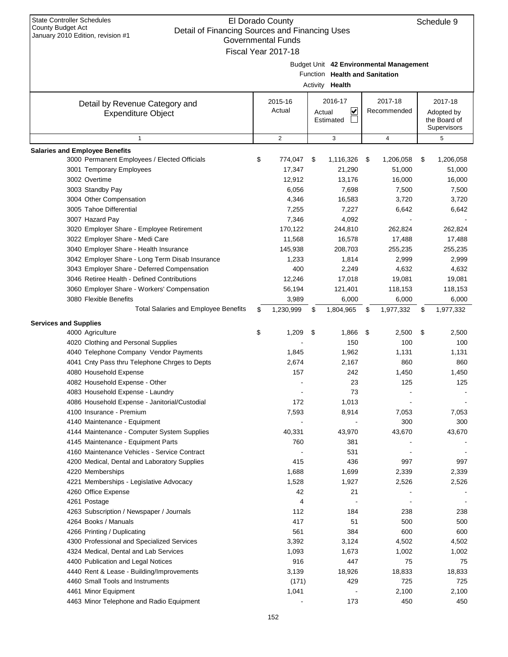| <b>State Controller Schedules</b><br>El Dorado County<br>Schedule 9<br><b>County Budget Act</b><br>Detail of Financing Sources and Financing Uses<br>January 2010 Edition, revision #1<br><b>Governmental Funds</b><br>Fiscal Year 2017-18 |    |                   |    |                                                   |    |                                         |    |                                                      |  |  |  |
|--------------------------------------------------------------------------------------------------------------------------------------------------------------------------------------------------------------------------------------------|----|-------------------|----|---------------------------------------------------|----|-----------------------------------------|----|------------------------------------------------------|--|--|--|
|                                                                                                                                                                                                                                            |    |                   |    | Function Health and Sanitation<br>Activity Health |    | Budget Unit 42 Environmental Management |    |                                                      |  |  |  |
| Detail by Revenue Category and<br><b>Expenditure Object</b>                                                                                                                                                                                |    | 2015-16<br>Actual |    | 2016-17<br>⊻<br>Actual<br>Estimated               |    | 2017-18<br>Recommended                  |    | 2017-18<br>Adopted by<br>the Board of<br>Supervisors |  |  |  |
| $\mathbf{1}$                                                                                                                                                                                                                               |    | $\overline{2}$    |    | 3                                                 |    | $\overline{4}$                          |    | 5                                                    |  |  |  |
| <b>Salaries and Employee Benefits</b>                                                                                                                                                                                                      |    |                   |    |                                                   |    |                                         |    |                                                      |  |  |  |
| 3000 Permanent Employees / Elected Officials                                                                                                                                                                                               | \$ | 774,047           | \$ | 1,116,326                                         | \$ | 1,206,058                               | \$ | 1,206,058                                            |  |  |  |
| 3001 Temporary Employees                                                                                                                                                                                                                   |    | 17,347            |    | 21,290                                            |    | 51,000                                  |    | 51,000                                               |  |  |  |
| 3002 Overtime                                                                                                                                                                                                                              |    | 12,912            |    | 13,176                                            |    | 16,000                                  |    | 16,000                                               |  |  |  |
| 3003 Standby Pay                                                                                                                                                                                                                           |    | 6,056             |    | 7,698                                             |    | 7,500                                   |    | 7,500                                                |  |  |  |
| 3004 Other Compensation                                                                                                                                                                                                                    |    | 4,346             |    | 16,583                                            |    | 3,720                                   |    | 3,720                                                |  |  |  |
| 3005 Tahoe Differential                                                                                                                                                                                                                    |    | 7,255             |    | 7,227                                             |    | 6,642                                   |    | 6,642                                                |  |  |  |
| 3007 Hazard Pay                                                                                                                                                                                                                            |    | 7,346             |    | 4,092                                             |    |                                         |    |                                                      |  |  |  |
| 3020 Employer Share - Employee Retirement                                                                                                                                                                                                  |    | 170,122           |    | 244,810                                           |    | 262,824                                 |    | 262,824                                              |  |  |  |
| 3022 Employer Share - Medi Care                                                                                                                                                                                                            |    | 11,568            |    | 16,578                                            |    | 17,488                                  |    | 17,488                                               |  |  |  |
| 3040 Employer Share - Health Insurance                                                                                                                                                                                                     |    | 145,938           |    | 208,703                                           |    | 255,235                                 |    | 255,235                                              |  |  |  |
| 3042 Employer Share - Long Term Disab Insurance                                                                                                                                                                                            |    | 1,233             |    | 1,814                                             |    | 2,999                                   |    | 2,999                                                |  |  |  |
| 3043 Employer Share - Deferred Compensation                                                                                                                                                                                                |    | 400               |    | 2,249                                             |    | 4,632                                   |    | 4,632                                                |  |  |  |
| 3046 Retiree Health - Defined Contributions                                                                                                                                                                                                |    | 12,246            |    | 17,018                                            |    | 19,081                                  |    | 19,081                                               |  |  |  |
| 3060 Employer Share - Workers' Compensation                                                                                                                                                                                                |    | 56,194            |    | 121,401                                           |    | 118,153                                 |    | 118,153                                              |  |  |  |
| 3080 Flexible Benefits                                                                                                                                                                                                                     |    | 3,989             |    | 6,000                                             |    | 6,000                                   |    | 6,000                                                |  |  |  |
| <b>Total Salaries and Employee Benefits</b>                                                                                                                                                                                                | \$ | 1,230,999         | \$ | 1,804,965                                         | \$ | 1,977,332                               | \$ | 1,977,332                                            |  |  |  |
| <b>Services and Supplies</b>                                                                                                                                                                                                               |    |                   |    |                                                   |    |                                         |    |                                                      |  |  |  |
| 4000 Agriculture                                                                                                                                                                                                                           | \$ | 1,209             | \$ | 1,866                                             | \$ | 2,500                                   | \$ | 2,500                                                |  |  |  |
| 4020 Clothing and Personal Supplies                                                                                                                                                                                                        |    |                   |    | 150                                               |    | 100                                     |    | 100                                                  |  |  |  |
| 4040 Telephone Company Vendor Payments                                                                                                                                                                                                     |    | 1,845             |    | 1,962                                             |    | 1,131                                   |    | 1,131                                                |  |  |  |
| 4041 Cnty Pass thru Telephone Chrges to Depts                                                                                                                                                                                              |    | 2,674             |    | 2,167                                             |    | 860                                     |    | 860                                                  |  |  |  |
| 4080 Household Expense                                                                                                                                                                                                                     |    | 157               |    | 242                                               |    | 1,450                                   |    | 1,450                                                |  |  |  |
| 4082 Household Expense - Other                                                                                                                                                                                                             |    |                   |    | 23                                                |    | 125                                     |    | 125                                                  |  |  |  |
| 4083 Household Expense - Laundry                                                                                                                                                                                                           |    |                   |    | 73                                                |    |                                         |    |                                                      |  |  |  |
| 4086 Household Expense - Janitorial/Custodial                                                                                                                                                                                              |    | 172               |    | 1,013                                             |    |                                         |    |                                                      |  |  |  |
| 4100 Insurance - Premium                                                                                                                                                                                                                   |    | 7,593             |    | 8,914                                             |    | 7,053                                   |    | 7,053                                                |  |  |  |
| 4140 Maintenance - Equipment                                                                                                                                                                                                               |    |                   |    |                                                   |    | 300                                     |    | 300                                                  |  |  |  |
| 4144 Maintenance - Computer System Supplies                                                                                                                                                                                                |    | 40,331            |    | 43,970                                            |    | 43,670                                  |    | 43,670                                               |  |  |  |
| 4145 Maintenance - Equipment Parts                                                                                                                                                                                                         |    | 760               |    | 381                                               |    |                                         |    |                                                      |  |  |  |
| 4160 Maintenance Vehicles - Service Contract                                                                                                                                                                                               |    |                   |    | 531                                               |    |                                         |    |                                                      |  |  |  |
| 4200 Medical, Dental and Laboratory Supplies                                                                                                                                                                                               |    | 415               |    | 436                                               |    | 997                                     |    | 997                                                  |  |  |  |
| 4220 Memberships                                                                                                                                                                                                                           |    | 1,688             |    | 1,699                                             |    | 2,339                                   |    | 2,339                                                |  |  |  |
| 4221 Memberships - Legislative Advocacy                                                                                                                                                                                                    |    | 1,528             |    | 1,927                                             |    | 2,526                                   |    | 2,526                                                |  |  |  |
| 4260 Office Expense                                                                                                                                                                                                                        |    | 42                |    | 21                                                |    |                                         |    |                                                      |  |  |  |
| 4261 Postage                                                                                                                                                                                                                               |    | 4                 |    |                                                   |    |                                         |    |                                                      |  |  |  |
| 4263 Subscription / Newspaper / Journals                                                                                                                                                                                                   |    | 112               |    | 184                                               |    | 238                                     |    | 238                                                  |  |  |  |
| 4264 Books / Manuals                                                                                                                                                                                                                       |    | 417               |    | 51                                                |    | 500                                     |    | 500                                                  |  |  |  |
| 4266 Printing / Duplicating                                                                                                                                                                                                                |    | 561               |    | 384                                               |    | 600                                     |    | 600                                                  |  |  |  |
| 4300 Professional and Specialized Services                                                                                                                                                                                                 |    | 3,392             |    | 3,124                                             |    | 4,502                                   |    | 4,502                                                |  |  |  |
| 4324 Medical, Dental and Lab Services                                                                                                                                                                                                      |    | 1,093             |    | 1,673                                             |    | 1,002                                   |    | 1,002                                                |  |  |  |
| 4400 Publication and Legal Notices                                                                                                                                                                                                         |    | 916               |    | 447                                               |    | 75                                      |    | 75                                                   |  |  |  |
|                                                                                                                                                                                                                                            |    |                   |    |                                                   |    |                                         |    |                                                      |  |  |  |
| 4440 Rent & Lease - Building/Improvements                                                                                                                                                                                                  |    | 3,139             |    | 18,926                                            |    | 18,833                                  |    | 18,833                                               |  |  |  |
| 4460 Small Tools and Instruments                                                                                                                                                                                                           |    | (171)             |    | 429                                               |    | 725                                     |    | 725                                                  |  |  |  |
| 4461 Minor Equipment                                                                                                                                                                                                                       |    | 1,041             |    |                                                   |    | 2,100                                   |    | 2,100                                                |  |  |  |
| 4463 Minor Telephone and Radio Equipment                                                                                                                                                                                                   |    |                   |    | 173                                               |    | 450                                     |    | 450                                                  |  |  |  |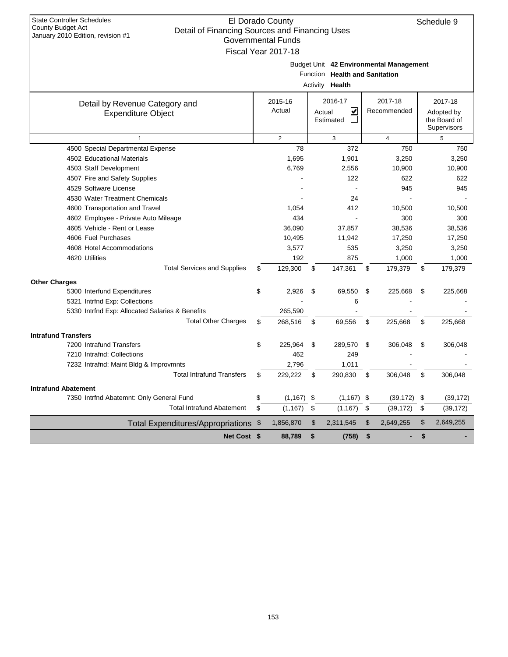| <b>State Controller Schedules</b><br>County Budget Act<br>Detail of Financing Sources and Financing Uses<br>January 2010 Edition, revision #1 | El Dorado County<br><b>Governmental Funds</b> |                                                   |     |                                         |     | Schedule 9                                           |
|-----------------------------------------------------------------------------------------------------------------------------------------------|-----------------------------------------------|---------------------------------------------------|-----|-----------------------------------------|-----|------------------------------------------------------|
|                                                                                                                                               | Fiscal Year 2017-18                           | Function Health and Sanitation<br>Activity Health |     | Budget Unit 42 Environmental Management |     |                                                      |
| Detail by Revenue Category and<br><b>Expenditure Object</b>                                                                                   | 2015-16<br>Actual                             | 2016-17<br>V<br>Actual<br>Estimated               |     | 2017-18<br>Recommended                  |     | 2017-18<br>Adopted by<br>the Board of<br>Supervisors |
| $\mathbf{1}$                                                                                                                                  | $\overline{2}$                                | 3                                                 |     | $\overline{4}$                          |     | 5                                                    |
| 4500 Special Departmental Expense                                                                                                             | 78                                            | 372                                               |     | 750                                     |     | 750                                                  |
| 4502 Educational Materials                                                                                                                    | 1,695                                         | 1,901                                             |     | 3,250                                   |     | 3,250                                                |
| 4503 Staff Development                                                                                                                        | 6,769                                         | 2,556                                             |     | 10,900                                  |     | 10,900                                               |
| 4507 Fire and Safety Supplies                                                                                                                 |                                               | 122                                               |     | 622                                     |     | 622                                                  |
| 4529 Software License                                                                                                                         |                                               |                                                   |     | 945                                     |     | 945                                                  |
| 4530 Water Treatment Chemicals                                                                                                                |                                               | 24                                                |     |                                         |     |                                                      |
| 4600 Transportation and Travel                                                                                                                | 1,054                                         | 412                                               |     | 10,500                                  |     | 10,500                                               |
| 4602 Employee - Private Auto Mileage                                                                                                          | 434                                           | L.                                                |     | 300                                     |     | 300                                                  |
| 4605 Vehicle - Rent or Lease                                                                                                                  | 36.090                                        | 37,857                                            |     | 38,536                                  |     | 38,536                                               |
| 4606 Fuel Purchases                                                                                                                           | 10,495                                        | 11,942                                            |     | 17,250                                  |     | 17,250                                               |
| 4608 Hotel Accommodations                                                                                                                     | 3,577                                         | 535                                               |     | 3,250                                   |     | 3,250                                                |
| 4620 Utilities                                                                                                                                | 192                                           | 875                                               |     | 1,000                                   |     | 1,000                                                |
| <b>Total Services and Supplies</b>                                                                                                            | \$<br>129.300                                 | \$<br>147,361                                     | \$  | 179,379                                 | \$  | 179,379                                              |
| <b>Other Charges</b>                                                                                                                          |                                               |                                                   |     |                                         |     |                                                      |
| 5300 Interfund Expenditures                                                                                                                   | \$<br>2.926                                   | \$<br>69,550                                      | \$  | 225,668                                 | \$  | 225,668                                              |
| 5321 Intrfnd Exp: Collections                                                                                                                 |                                               | 6                                                 |     |                                         |     |                                                      |
| 5330 Intrfnd Exp: Allocated Salaries & Benefits                                                                                               | 265,590                                       |                                                   |     |                                         |     |                                                      |
| <b>Total Other Charges</b>                                                                                                                    | \$<br>268,516                                 | \$<br>69,556                                      | \$  | 225,668                                 | \$  | 225,668                                              |
| <b>Intrafund Transfers</b>                                                                                                                    |                                               |                                                   |     |                                         |     |                                                      |
| 7200 Intrafund Transfers                                                                                                                      | \$<br>225,964                                 | \$<br>289,570                                     | \$  | 306,048                                 | \$  | 306,048                                              |
| 7210 Intrafnd: Collections                                                                                                                    | 462                                           | 249                                               |     |                                         |     |                                                      |
| 7232 Intrafnd: Maint Bldg & Improvmnts                                                                                                        | 2,796                                         | 1,011                                             |     |                                         |     |                                                      |
| <b>Total Intrafund Transfers</b>                                                                                                              | \$<br>229,222                                 | \$<br>290,830                                     | \$  | 306,048                                 | \$  | 306,048                                              |
| <b>Intrafund Abatement</b>                                                                                                                    |                                               |                                                   |     |                                         |     |                                                      |
| 7350 Intrfnd Abatemnt: Only General Fund                                                                                                      | \$<br>(1, 167)                                | \$<br>(1, 167)                                    | -\$ | (39, 172)                               | -\$ | (39, 172)                                            |
| <b>Total Intrafund Abatement</b>                                                                                                              | \$<br>(1, 167)                                | \$<br>(1, 167)                                    | \$  | (39, 172)                               | \$  | (39, 172)                                            |
| <b>Total Expenditures/Appropriations</b>                                                                                                      | \$<br>1,856,870                               | \$<br>2,311,545                                   | \$  | 2,649,255                               | \$  | 2,649,255                                            |
| <b>Net Cost \$</b>                                                                                                                            | 88,789                                        | \$<br>(758)                                       | \$  |                                         | \$  |                                                      |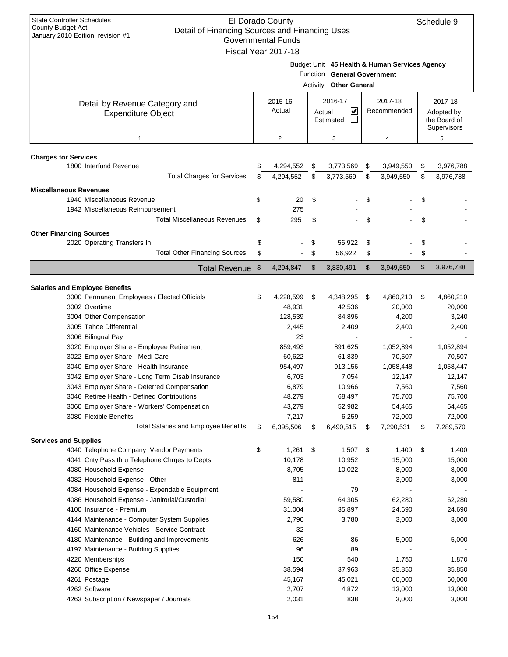| <b>State Controller Schedules</b><br>El Dorado County<br>Schedule 9<br><b>County Budget Act</b><br>Detail of Financing Sources and Financing Uses<br>January 2010 Edition, revision #1<br><b>Governmental Funds</b><br>Fiscal Year 2017-18 |          |                        |          |                                                              |          |                                               |          |                                                      |
|--------------------------------------------------------------------------------------------------------------------------------------------------------------------------------------------------------------------------------------------|----------|------------------------|----------|--------------------------------------------------------------|----------|-----------------------------------------------|----------|------------------------------------------------------|
|                                                                                                                                                                                                                                            |          |                        |          | Function General Government<br><b>Activity Other General</b> |          | Budget Unit 45 Health & Human Services Agency |          |                                                      |
| Detail by Revenue Category and<br><b>Expenditure Object</b>                                                                                                                                                                                |          | 2015-16<br>Actual      | Actual   | 2016-17<br>V<br>Estimated                                    |          | 2017-18<br>Recommended                        |          | 2017-18<br>Adopted by<br>the Board of<br>Supervisors |
| $\mathbf{1}$                                                                                                                                                                                                                               |          | $\overline{2}$         |          | 3                                                            |          | $\overline{4}$                                |          | 5                                                    |
|                                                                                                                                                                                                                                            |          |                        |          |                                                              |          |                                               |          |                                                      |
| <b>Charges for Services</b><br>1800 Interfund Revenue<br><b>Total Charges for Services</b>                                                                                                                                                 | \$<br>\$ | 4,294,552<br>4,294,552 | \$<br>\$ | 3,773,569<br>3,773,569                                       | \$<br>\$ | 3,949,550<br>3,949,550                        | \$<br>\$ | 3,976,788<br>3,976,788                               |
| <b>Miscellaneous Revenues</b>                                                                                                                                                                                                              |          |                        |          |                                                              |          |                                               |          |                                                      |
| 1940 Miscellaneous Revenue                                                                                                                                                                                                                 | \$       | 20                     | \$       |                                                              | \$       |                                               | \$       |                                                      |
| 1942 Miscellaneous Reimbursement                                                                                                                                                                                                           |          | 275                    |          |                                                              |          |                                               |          |                                                      |
| <b>Total Miscellaneous Revenues</b>                                                                                                                                                                                                        | \$       | 295                    | \$       |                                                              | \$       |                                               | \$       |                                                      |
| <b>Other Financing Sources</b>                                                                                                                                                                                                             |          |                        |          |                                                              |          |                                               |          |                                                      |
| 2020 Operating Transfers In<br><b>Total Other Financing Sources</b>                                                                                                                                                                        | \$<br>\$ |                        | \$<br>\$ | 56,922<br>56,922                                             | \$<br>\$ |                                               | \$<br>\$ |                                                      |
| <b>Total Revenue</b>                                                                                                                                                                                                                       | \$       | 4,294,847              | \$       | 3,830,491                                                    | \$       | 3,949,550                                     | \$       | 3,976,788                                            |
|                                                                                                                                                                                                                                            |          |                        |          |                                                              |          |                                               |          |                                                      |
| <b>Salaries and Employee Benefits</b>                                                                                                                                                                                                      |          |                        |          |                                                              |          |                                               |          |                                                      |
| 3000 Permanent Employees / Elected Officials                                                                                                                                                                                               | \$       | 4,228,599              | \$       | 4,348,295                                                    | \$       | 4,860,210                                     | \$       | 4,860,210                                            |
| 3002 Overtime                                                                                                                                                                                                                              |          | 48,931                 |          | 42,536                                                       |          | 20,000                                        |          | 20,000                                               |
| 3004 Other Compensation                                                                                                                                                                                                                    |          | 128,539                |          | 84,896                                                       |          | 4,200                                         |          | 3,240                                                |
| 3005 Tahoe Differential<br>3006 Bilingual Pay                                                                                                                                                                                              |          | 2,445<br>23            |          | 2,409                                                        |          | 2,400                                         |          | 2,400                                                |
| 3020 Employer Share - Employee Retirement                                                                                                                                                                                                  |          | 859,493                |          | 891,625                                                      |          | 1,052,894                                     |          | 1,052,894                                            |
| 3022 Employer Share - Medi Care                                                                                                                                                                                                            |          | 60,622                 |          | 61,839                                                       |          | 70,507                                        |          | 70,507                                               |
| 3040 Employer Share - Health Insurance                                                                                                                                                                                                     |          | 954,497                |          | 913,156                                                      |          | 1,058,448                                     |          | 1,058,447                                            |
| 3042 Employer Share - Long Term Disab Insurance                                                                                                                                                                                            |          | 6,703                  |          | 7,054                                                        |          | 12,147                                        |          | 12,147                                               |
| 3043 Employer Share - Deferred Compensation                                                                                                                                                                                                |          | 6,879                  |          | 10,966                                                       |          | 7,560                                         |          | 7,560                                                |
| 3046 Retiree Health - Defined Contributions                                                                                                                                                                                                |          | 48,279                 |          | 68,497                                                       |          | 75,700                                        |          | 75,700                                               |
| 3060 Employer Share - Workers' Compensation                                                                                                                                                                                                |          | 43,279                 |          | 52,982                                                       |          | 54,465                                        |          | 54,465                                               |
| 3080 Flexible Benefits                                                                                                                                                                                                                     |          | 7,217                  |          | 6,259                                                        |          | 72,000                                        |          | 72,000                                               |
| <b>Total Salaries and Employee Benefits</b>                                                                                                                                                                                                | \$       | 6,395,506              | \$       | 6,490,515                                                    | \$       | 7,290,531                                     | \$       | 7,289,570                                            |
| <b>Services and Supplies</b>                                                                                                                                                                                                               |          |                        |          |                                                              |          |                                               |          |                                                      |
| 4040 Telephone Company Vendor Payments                                                                                                                                                                                                     | \$       | 1,261                  | \$       | $1,507$ \$                                                   |          | 1,400                                         | \$       | 1,400                                                |
| 4041 Cnty Pass thru Telephone Chrges to Depts                                                                                                                                                                                              |          | 10,178                 |          | 10,952                                                       |          | 15,000                                        |          | 15,000                                               |
| 4080 Household Expense                                                                                                                                                                                                                     |          | 8,705                  |          | 10,022                                                       |          | 8,000                                         |          | 8,000                                                |
| 4082 Household Expense - Other                                                                                                                                                                                                             |          | 811                    |          |                                                              |          | 3,000                                         |          | 3,000                                                |
| 4084 Household Expense - Expendable Equipment                                                                                                                                                                                              |          |                        |          | 79                                                           |          |                                               |          |                                                      |
| 4086 Household Expense - Janitorial/Custodial                                                                                                                                                                                              |          | 59,580                 |          | 64,305                                                       |          | 62,280                                        |          | 62,280                                               |
| 4100 Insurance - Premium<br>4144 Maintenance - Computer System Supplies                                                                                                                                                                    |          | 31,004<br>2,790        |          | 35,897<br>3,780                                              |          | 24,690                                        |          | 24,690<br>3,000                                      |
| 4160 Maintenance Vehicles - Service Contract                                                                                                                                                                                               |          | 32                     |          |                                                              |          | 3,000                                         |          |                                                      |
| 4180 Maintenance - Building and Improvements                                                                                                                                                                                               |          | 626                    |          | 86                                                           |          | 5,000                                         |          | 5,000                                                |
| 4197 Maintenance - Building Supplies                                                                                                                                                                                                       |          | 96                     |          | 89                                                           |          |                                               |          |                                                      |
| 4220 Memberships                                                                                                                                                                                                                           |          | 150                    |          | 540                                                          |          | 1,750                                         |          | 1,870                                                |
| 4260 Office Expense                                                                                                                                                                                                                        |          | 38,594                 |          | 37,963                                                       |          | 35,850                                        |          | 35,850                                               |
| 4261 Postage                                                                                                                                                                                                                               |          | 45,167                 |          | 45,021                                                       |          | 60,000                                        |          | 60,000                                               |
| 4262 Software                                                                                                                                                                                                                              |          | 2,707                  |          | 4,872                                                        |          | 13,000                                        |          | 13,000                                               |
| 4263 Subscription / Newspaper / Journals                                                                                                                                                                                                   |          | 2,031                  |          | 838                                                          |          | 3,000                                         |          | 3,000                                                |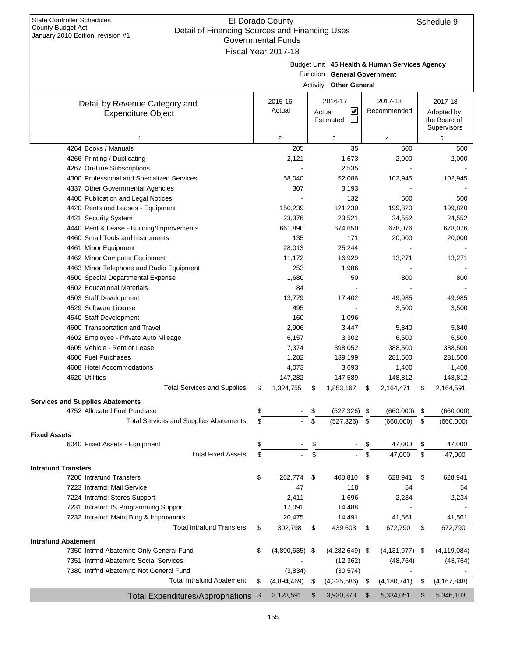| January 2010 Edition, revision #1<br><b>Governmental Funds</b> |    |                     |    |                             |    |                                               |      |                             |  |  |  |
|----------------------------------------------------------------|----|---------------------|----|-----------------------------|----|-----------------------------------------------|------|-----------------------------|--|--|--|
|                                                                |    | Fiscal Year 2017-18 |    |                             |    |                                               |      |                             |  |  |  |
|                                                                |    |                     |    | Function General Government |    | Budget Unit 45 Health & Human Services Agency |      |                             |  |  |  |
|                                                                |    |                     |    | Activity Other General      |    |                                               |      |                             |  |  |  |
| Detail by Revenue Category and                                 |    | 2015-16             |    | 2016-17                     |    | 2017-18                                       |      | 2017-18                     |  |  |  |
| <b>Expenditure Object</b>                                      |    | Actual              |    | V<br>Actual                 |    | Recommended                                   |      | Adopted by                  |  |  |  |
|                                                                |    |                     |    | Estimated                   |    |                                               |      | the Board of<br>Supervisors |  |  |  |
| $\mathbf{1}$                                                   |    | $\mathbf{2}$        |    | 3                           |    | $\overline{4}$                                |      | 5                           |  |  |  |
| 4264 Books / Manuals                                           |    | 205                 |    | 35                          |    | 500                                           |      | 500                         |  |  |  |
| 4266 Printing / Duplicating                                    |    | 2,121               |    | 1,673                       |    | 2,000                                         |      | 2,000                       |  |  |  |
| 4267 On-Line Subscriptions                                     |    |                     |    | 2,535                       |    |                                               |      |                             |  |  |  |
| 4300 Professional and Specialized Services                     |    | 58,040              |    | 52,086                      |    | 102,945                                       |      | 102,945                     |  |  |  |
| 4337 Other Governmental Agencies                               |    | 307                 |    | 3,193                       |    |                                               |      |                             |  |  |  |
| 4400 Publication and Legal Notices                             |    |                     |    | 132                         |    | 500                                           |      | 500                         |  |  |  |
| 4420 Rents and Leases - Equipment                              |    | 150,239             |    | 121,230                     |    | 199,820                                       |      | 199,820                     |  |  |  |
| 4421 Security System                                           |    | 23,376              |    | 23,521                      |    | 24,552                                        |      | 24,552                      |  |  |  |
| 4440 Rent & Lease - Building/Improvements                      |    | 661,890             |    | 674,650                     |    | 678,076                                       |      | 678,076                     |  |  |  |
| 4460 Small Tools and Instruments                               |    | 135                 |    | 171                         |    | 20,000                                        |      | 20,000                      |  |  |  |
| 4461 Minor Equipment                                           |    | 28,013              |    | 25,244                      |    |                                               |      |                             |  |  |  |
| 4462 Minor Computer Equipment                                  |    | 11,172              |    | 16,929                      |    | 13,271                                        |      | 13,271                      |  |  |  |
| 4463 Minor Telephone and Radio Equipment                       |    | 253                 |    | 1,986                       |    |                                               |      |                             |  |  |  |
| 4500 Special Departmental Expense                              |    | 1,680               |    | 50                          |    | 800                                           |      | 800                         |  |  |  |
| 4502 Educational Materials                                     |    | 84                  |    |                             |    |                                               |      |                             |  |  |  |
| 4503 Staff Development                                         |    | 13,779              |    | 17,402                      |    | 49,985                                        |      | 49,985                      |  |  |  |
| 4529 Software License                                          |    | 495                 |    |                             |    | 3,500                                         |      | 3,500                       |  |  |  |
| 4540 Staff Development                                         |    | 160                 |    | 1,096                       |    |                                               |      |                             |  |  |  |
| 4600 Transportation and Travel                                 |    | 2,906               |    | 3,447                       |    | 5,840                                         |      | 5,840                       |  |  |  |
| 4602 Employee - Private Auto Mileage                           |    | 6,157               |    | 3,302                       |    | 6,500                                         |      | 6,500                       |  |  |  |
| 4605 Vehicle - Rent or Lease                                   |    | 7,374               |    | 398,052                     |    | 388,500                                       |      | 388,500                     |  |  |  |
| 4606 Fuel Purchases                                            |    | 1,282               |    | 139,199                     |    | 281,500                                       |      | 281,500                     |  |  |  |
| 4608 Hotel Accommodations                                      |    | 4,073               |    | 3,693                       |    | 1,400                                         |      | 1,400                       |  |  |  |
| 4620 Utilities                                                 |    | 147,282             |    | 147,589                     |    | 148,812                                       |      | 148,812                     |  |  |  |
| <b>Total Services and Supplies</b>                             | \$ | 1,324,755           | \$ | 1,853,167                   | \$ | 2,164,471                                     | \$   | 2,164,591                   |  |  |  |
| <b>Services and Supplies Abatements</b>                        |    |                     |    |                             |    |                                               |      |                             |  |  |  |
| 4752 Allocated Fuel Purchase                                   | \$ |                     | \$ | $(527, 326)$ \$             |    | (660,000)                                     | \$   | (660,000)                   |  |  |  |
| <b>Total Services and Supplies Abatements</b>                  | \$ |                     | \$ | (527, 326)                  | \$ | (660,000)                                     | \$   | (660,000)                   |  |  |  |
| <b>Fixed Assets</b>                                            |    |                     |    |                             |    |                                               |      |                             |  |  |  |
| 6040 Fixed Assets - Equipment                                  | \$ |                     | \$ |                             | \$ | 47,000                                        | \$   | 47,000                      |  |  |  |
| <b>Total Fixed Assets</b>                                      | \$ |                     | \$ |                             | \$ | 47,000                                        | \$   | 47,000                      |  |  |  |
| <b>Intrafund Transfers</b>                                     |    |                     |    |                             |    |                                               |      |                             |  |  |  |
| 7200 Intrafund Transfers                                       | \$ | 262,774             | \$ | 408,810                     | \$ | 628,941                                       | \$   | 628,941                     |  |  |  |
| 7223 Intrafnd: Mail Service                                    |    | 47                  |    | 118                         |    | 54                                            |      | 54                          |  |  |  |
| 7224 Intrafnd: Stores Support                                  |    | 2,411               |    | 1,696                       |    | 2,234                                         |      | 2,234                       |  |  |  |
| 7231 Intrafnd: IS Programming Support                          |    | 17,091              |    | 14,488                      |    |                                               |      |                             |  |  |  |
| 7232 Intrafnd: Maint Bldg & Improvmnts                         |    | 20,475              |    | 14,491                      |    | 41,561                                        |      | 41,561                      |  |  |  |
| <b>Total Intrafund Transfers</b>                               | \$ | 302,798             | \$ | 439,603                     | \$ | 672,790                                       | \$   | 672,790                     |  |  |  |
| <b>Intrafund Abatement</b>                                     |    |                     |    |                             |    |                                               |      |                             |  |  |  |
| 7350 Intrfnd Abatemnt: Only General Fund                       | \$ | $(4,890,635)$ \$    |    | $(4,282,649)$ \$            |    | (4, 131, 977)                                 | - \$ | (4, 119, 084)               |  |  |  |
| 7351 Intrfnd Abatemnt: Social Services                         |    |                     |    | (12, 362)                   |    | (48, 764)                                     |      | (48, 764)                   |  |  |  |
| 7380 Intrfnd Abatemnt: Not General Fund                        |    | (3,834)             |    | (30, 574)                   |    |                                               |      |                             |  |  |  |
| <b>Total Intrafund Abatement</b>                               | S  | (4,894,469)         | \$ | (4,325,586)                 | \$ | (4, 180, 741)                                 | \$   | (4, 167, 848)               |  |  |  |
| Total Expenditures/Appropriations \$                           |    | 3,128,591           | \$ | 3,930,373                   | \$ | 5,334,051                                     | \$   | 5,346,103                   |  |  |  |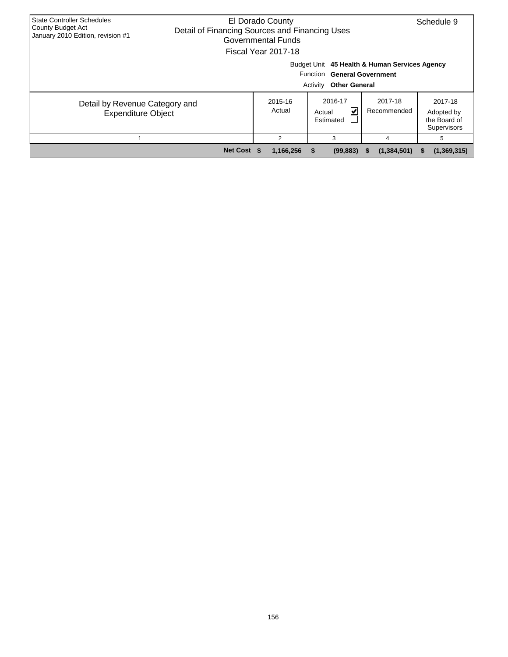| <b>State Controller Schedules</b><br><b>County Budget Act</b><br>January 2010 Edition, revision #1 | El Dorado County<br>Schedule 9<br>Detail of Financing Sources and Financing Uses<br>Governmental Funds<br>Fiscal Year 2017-18 |                   |                                                                                                                         |                        |                                                      |  |  |  |  |  |  |
|----------------------------------------------------------------------------------------------------|-------------------------------------------------------------------------------------------------------------------------------|-------------------|-------------------------------------------------------------------------------------------------------------------------|------------------------|------------------------------------------------------|--|--|--|--|--|--|
|                                                                                                    |                                                                                                                               |                   | Budget Unit 45 Health & Human Services Agency<br><b>Function General Government</b><br>Activity<br><b>Other General</b> |                        |                                                      |  |  |  |  |  |  |
| Detail by Revenue Category and<br><b>Expenditure Object</b>                                        |                                                                                                                               | 2015-16<br>Actual | 2016-17<br>M<br>Actual<br>Estimated                                                                                     | 2017-18<br>Recommended | 2017-18<br>Adopted by<br>the Board of<br>Supervisors |  |  |  |  |  |  |
|                                                                                                    |                                                                                                                               | 2                 | 3                                                                                                                       | 4                      | 5                                                    |  |  |  |  |  |  |
|                                                                                                    | Net Cost \$                                                                                                                   | 1,166,256         | (99, 883)<br>-56                                                                                                        | (1,384,501)<br>æ.      | (1,369,315)<br>Ъ.                                    |  |  |  |  |  |  |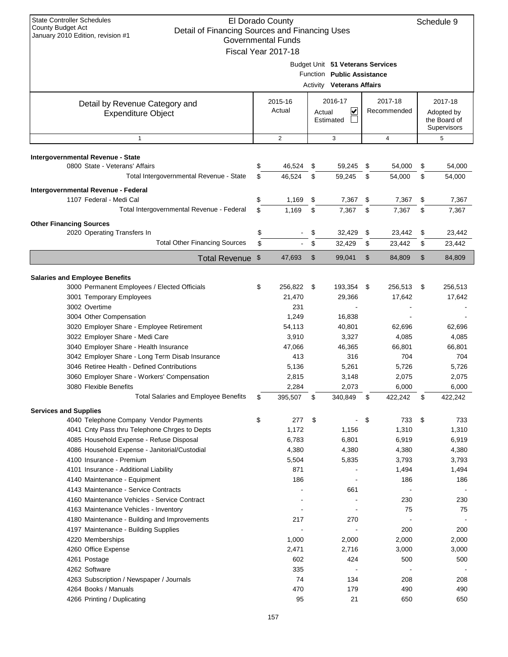| <b>State Controller Schedules</b><br>El Dorado County<br>County Budget Act<br>Detail of Financing Sources and Financing Uses<br>January 2010 Edition, revision #1<br><b>Governmental Funds</b><br>Fiscal Year 2017-18 |    |                   |      |                                                                                                    |    |                        |    | Schedule 9                                           |
|-----------------------------------------------------------------------------------------------------------------------------------------------------------------------------------------------------------------------|----|-------------------|------|----------------------------------------------------------------------------------------------------|----|------------------------|----|------------------------------------------------------|
|                                                                                                                                                                                                                       |    |                   |      | Budget Unit 51 Veterans Services<br>Function Public Assistance<br><b>Activity Veterans Affairs</b> |    |                        |    |                                                      |
| Detail by Revenue Category and<br><b>Expenditure Object</b>                                                                                                                                                           |    | 2015-16<br>Actual |      | 2016-17<br>∣✔<br>Actual<br>Estimated                                                               |    | 2017-18<br>Recommended |    | 2017-18<br>Adopted by<br>the Board of<br>Supervisors |
| $\mathbf{1}$                                                                                                                                                                                                          |    | $\overline{2}$    |      | 3                                                                                                  |    | $\overline{4}$         |    | 5                                                    |
| Intergovernmental Revenue - State                                                                                                                                                                                     |    |                   |      |                                                                                                    |    |                        |    |                                                      |
| 0800 State - Veterans' Affairs                                                                                                                                                                                        | \$ | 46,524            | \$   | 59,245                                                                                             | \$ | 54,000                 | \$ | 54,000                                               |
| Total Intergovernmental Revenue - State                                                                                                                                                                               | \$ | 46,524            | \$   | 59,245                                                                                             | \$ | 54,000                 | \$ | 54,000                                               |
| Intergovernmental Revenue - Federal                                                                                                                                                                                   |    |                   |      |                                                                                                    |    |                        |    |                                                      |
| 1107 Federal - Medi Cal                                                                                                                                                                                               | \$ | 1,169             | \$   | 7,367                                                                                              | \$ | 7,367                  | \$ | 7,367                                                |
| Total Intergovernmental Revenue - Federal                                                                                                                                                                             | \$ | 1,169             | \$   | 7,367                                                                                              | \$ | 7,367                  | \$ | 7,367                                                |
| <b>Other Financing Sources</b>                                                                                                                                                                                        |    |                   |      |                                                                                                    |    |                        |    |                                                      |
| 2020 Operating Transfers In                                                                                                                                                                                           | \$ |                   | \$   | 32,429                                                                                             | \$ | 23,442                 | \$ | 23,442                                               |
| <b>Total Other Financing Sources</b>                                                                                                                                                                                  | \$ |                   | \$   | 32,429                                                                                             | \$ | 23,442                 | \$ | 23,442                                               |
| Total Revenue \$                                                                                                                                                                                                      |    | 47,693            | \$   | 99,041                                                                                             | \$ | 84,809                 | \$ | 84,809                                               |
|                                                                                                                                                                                                                       |    |                   |      |                                                                                                    |    |                        |    |                                                      |
| <b>Salaries and Employee Benefits</b>                                                                                                                                                                                 |    |                   |      |                                                                                                    |    |                        |    |                                                      |
| 3000 Permanent Employees / Elected Officials                                                                                                                                                                          | \$ | 256,822           | - \$ | 193,354 \$                                                                                         |    | 256,513                | \$ | 256,513                                              |
| 3001 Temporary Employees                                                                                                                                                                                              |    | 21,470            |      | 29,366                                                                                             |    | 17,642                 |    | 17,642                                               |
| 3002 Overtime                                                                                                                                                                                                         |    | 231               |      |                                                                                                    |    |                        |    |                                                      |
| 3004 Other Compensation                                                                                                                                                                                               |    | 1,249             |      | 16,838                                                                                             |    |                        |    |                                                      |
| 3020 Employer Share - Employee Retirement                                                                                                                                                                             |    | 54,113            |      | 40,801                                                                                             |    | 62,696                 |    | 62,696                                               |
| 3022 Employer Share - Medi Care                                                                                                                                                                                       |    | 3,910             |      | 3,327                                                                                              |    | 4,085                  |    | 4,085                                                |
| 3040 Employer Share - Health Insurance                                                                                                                                                                                |    | 47,066            |      | 46,365                                                                                             |    | 66,801                 |    | 66,801                                               |
| 3042 Employer Share - Long Term Disab Insurance<br>3046 Retiree Health - Defined Contributions                                                                                                                        |    | 413<br>5,136      |      | 316<br>5,261                                                                                       |    | 704<br>5,726           |    | 704<br>5,726                                         |
| 3060 Employer Share - Workers' Compensation                                                                                                                                                                           |    | 2,815             |      | 3,148                                                                                              |    | 2,075                  |    | 2,075                                                |
| 3080 Flexible Benefits                                                                                                                                                                                                |    | 2,284             |      | 2,073                                                                                              |    | 6,000                  |    | 6,000                                                |
| <b>Total Salaries and Employee Benefits</b>                                                                                                                                                                           | \$ | 395,507           | \$   | 340,849                                                                                            | \$ | 422,242                | \$ | 422,242                                              |
|                                                                                                                                                                                                                       |    |                   |      |                                                                                                    |    |                        |    |                                                      |
| <b>Services and Supplies</b><br>4040 Telephone Company Vendor Payments                                                                                                                                                | \$ | 277               | \$   |                                                                                                    | \$ | 733                    | \$ | 733                                                  |
| 4041 Cnty Pass thru Telephone Chrges to Depts                                                                                                                                                                         |    | 1,172             |      | 1,156                                                                                              |    | 1,310                  |    | 1,310                                                |
| 4085 Household Expense - Refuse Disposal                                                                                                                                                                              |    | 6,783             |      | 6,801                                                                                              |    | 6,919                  |    | 6,919                                                |
| 4086 Household Expense - Janitorial/Custodial                                                                                                                                                                         |    | 4,380             |      | 4,380                                                                                              |    | 4,380                  |    | 4,380                                                |
| 4100 Insurance - Premium                                                                                                                                                                                              |    | 5,504             |      | 5,835                                                                                              |    | 3,793                  |    | 3,793                                                |
| 4101 Insurance - Additional Liability                                                                                                                                                                                 |    | 871               |      |                                                                                                    |    | 1,494                  |    | 1,494                                                |
| 4140 Maintenance - Equipment                                                                                                                                                                                          |    | 186               |      |                                                                                                    |    | 186                    |    | 186                                                  |
| 4143 Maintenance - Service Contracts                                                                                                                                                                                  |    |                   |      | 661                                                                                                |    |                        |    |                                                      |
| 4160 Maintenance Vehicles - Service Contract                                                                                                                                                                          |    |                   |      |                                                                                                    |    | 230                    |    | 230                                                  |
| 4163 Maintenance Vehicles - Inventory                                                                                                                                                                                 |    |                   |      |                                                                                                    |    | 75                     |    | 75                                                   |
| 4180 Maintenance - Building and Improvements<br>4197 Maintenance - Building Supplies                                                                                                                                  |    | 217               |      | 270                                                                                                |    | 200                    |    | 200                                                  |
| 4220 Memberships                                                                                                                                                                                                      |    | 1,000             |      | 2,000                                                                                              |    | 2,000                  |    | 2,000                                                |
| 4260 Office Expense                                                                                                                                                                                                   |    | 2,471             |      | 2,716                                                                                              |    | 3,000                  |    | 3,000                                                |
| 4261 Postage                                                                                                                                                                                                          |    | 602               |      | 424                                                                                                |    | 500                    |    | 500                                                  |
| 4262 Software                                                                                                                                                                                                         |    | 335               |      |                                                                                                    |    |                        |    |                                                      |
| 4263 Subscription / Newspaper / Journals                                                                                                                                                                              |    | 74                |      | 134                                                                                                |    | 208                    |    | 208                                                  |
| 4264 Books / Manuals                                                                                                                                                                                                  |    | 470               |      | 179                                                                                                |    | 490                    |    | 490                                                  |
| 4266 Printing / Duplicating                                                                                                                                                                                           |    | 95                |      | 21                                                                                                 |    | 650                    |    | 650                                                  |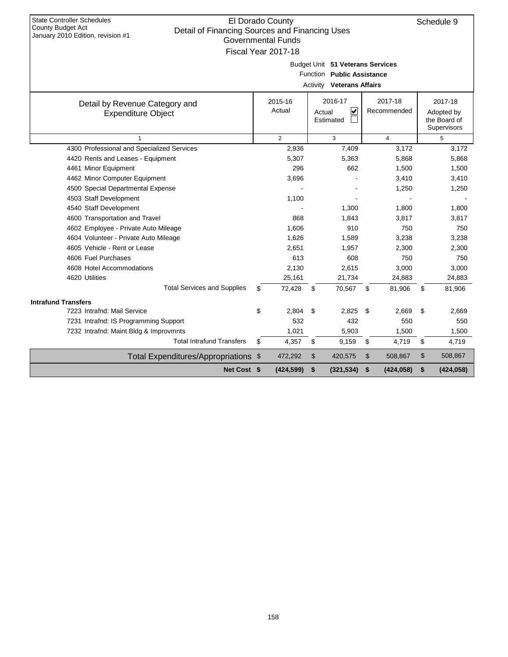| <b>State Controller Schedules</b><br><b>County Budget Act</b><br>Detail of Financing Sources and Financing Uses | El Dorado County          |                                                                |                         | Schedule 9       |
|-----------------------------------------------------------------------------------------------------------------|---------------------------|----------------------------------------------------------------|-------------------------|------------------|
| January 2010 Edition, revision #1                                                                               | <b>Governmental Funds</b> |                                                                |                         |                  |
|                                                                                                                 | Fiscal Year 2017-18       |                                                                |                         |                  |
|                                                                                                                 |                           |                                                                |                         |                  |
|                                                                                                                 |                           | Budget Unit 51 Veterans Services<br>Function Public Assistance |                         |                  |
|                                                                                                                 |                           |                                                                |                         |                  |
|                                                                                                                 |                           | <b>Activity Veterans Affairs</b>                               |                         |                  |
| Detail by Revenue Category and                                                                                  | 2015-16                   | 2016-17                                                        | 2017-18                 | 2017-18          |
| <b>Expenditure Object</b>                                                                                       | Actual                    | ∣✔<br>Actual                                                   | Recommended             | Adopted by       |
|                                                                                                                 |                           | Estimated                                                      |                         | the Board of     |
|                                                                                                                 |                           |                                                                |                         | Supervisors      |
| $\mathbf{1}$<br>4300 Professional and Specialized Services                                                      | $\overline{2}$<br>2,936   | 3<br>7,409                                                     | $\overline{4}$<br>3,172 | 5<br>3,172       |
| 4420 Rents and Leases - Equipment                                                                               | 5,307                     | 5,363                                                          | 5,868                   | 5,868            |
| 4461 Minor Equipment                                                                                            | 296                       | 662                                                            | 1,500                   | 1,500            |
| 4462 Minor Computer Equipment                                                                                   | 3,696                     |                                                                | 3,410                   | 3,410            |
| 4500 Special Departmental Expense                                                                               |                           |                                                                | 1,250                   | 1,250            |
| 4503 Staff Development                                                                                          | 1,100                     |                                                                |                         |                  |
| 4540 Staff Development                                                                                          |                           | 1.300                                                          | 1,800                   | 1,800            |
| 4600 Transportation and Travel                                                                                  | 868                       | 1,843                                                          | 3,817                   | 3,817            |
| 4602 Employee - Private Auto Mileage                                                                            | 1,606                     | 910                                                            | 750                     | 750              |
| 4604 Volunteer - Private Auto Mileage                                                                           | 1,626                     | 1,589                                                          | 3,238                   | 3,238            |
| 4605 Vehicle - Rent or Lease                                                                                    | 2,651                     | 1,957                                                          | 2,300                   | 2,300            |
| 4606 Fuel Purchases                                                                                             | 613                       | 608                                                            | 750                     | 750              |
| 4608 Hotel Accommodations                                                                                       | 2,130                     | 2,615                                                          | 3,000                   | 3,000            |
| 4620 Utilities                                                                                                  | 25,161                    | 21,734                                                         | 24,883                  | 24,883           |
| <b>Total Services and Supplies</b>                                                                              | \$<br>72,428              | \$<br>70,567                                                   | \$<br>81,906            | \$<br>81,906     |
| <b>Intrafund Transfers</b>                                                                                      |                           |                                                                |                         |                  |
| 7223 Intrafnd: Mail Service                                                                                     | \$<br>2.804               | 2.825<br>\$                                                    | \$<br>2.669             | \$<br>2.669      |
| 7231 Intrafnd: IS Programming Support                                                                           | 532                       | 432                                                            | 550                     | 550              |
| 7232 Intrafnd: Maint Bldg & Improvmnts                                                                          | 1,021                     | 5,903                                                          | 1,500                   | 1,500            |
| <b>Total Intrafund Transfers</b>                                                                                | \$<br>4,357               | \$<br>9,159                                                    | \$<br>4,719             | \$<br>4,719      |
| Total Expenditures/Appropriations \$                                                                            | 472,292                   | \$<br>420,575                                                  | \$<br>508,867           | \$<br>508,867    |
| Net Cost \$                                                                                                     | (424, 599)                | \$<br>(321, 534)                                               | \$<br>(424, 058)        | \$<br>(424, 058) |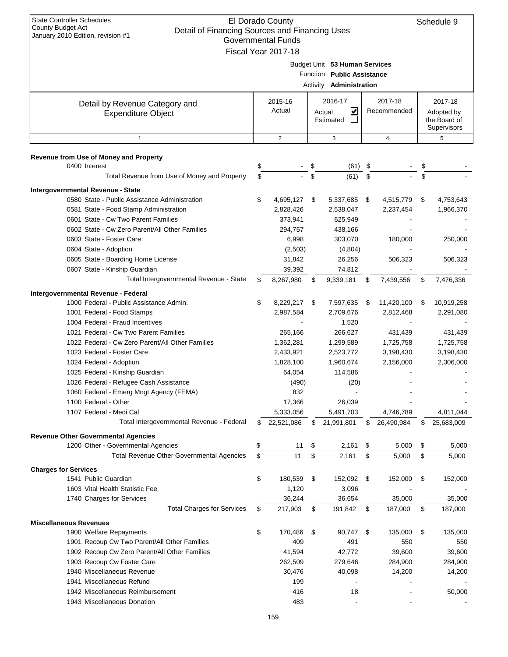| <b>State Controller Schedules</b><br>El Dorado County<br><b>County Budget Act</b><br>Detail of Financing Sources and Financing Uses<br>January 2010 Edition, revision #1<br><b>Governmental Funds</b><br>Fiscal Year 2017-18 |    |                   |    |                                                                                               |      |                        |    |                                                      |
|------------------------------------------------------------------------------------------------------------------------------------------------------------------------------------------------------------------------------|----|-------------------|----|-----------------------------------------------------------------------------------------------|------|------------------------|----|------------------------------------------------------|
|                                                                                                                                                                                                                              |    |                   |    | Budget Unit 53 Human Services<br>Function Public Assistance<br>Activity <b>Administration</b> |      |                        |    |                                                      |
| Detail by Revenue Category and<br><b>Expenditure Object</b>                                                                                                                                                                  |    | 2015-16<br>Actual |    | 2016-17<br>V<br>Actual<br>Estimated                                                           |      | 2017-18<br>Recommended |    | 2017-18<br>Adopted by<br>the Board of<br>Supervisors |
| $\mathbf{1}$                                                                                                                                                                                                                 |    | 2                 |    | 3                                                                                             |      | 4                      |    | 5                                                    |
| Revenue from Use of Money and Property                                                                                                                                                                                       |    |                   |    |                                                                                               |      |                        |    |                                                      |
| 0400 Interest                                                                                                                                                                                                                | \$ |                   | \$ | (61)                                                                                          | \$   |                        | \$ |                                                      |
| Total Revenue from Use of Money and Property                                                                                                                                                                                 | \$ |                   | \$ | (61)                                                                                          | \$   |                        |    |                                                      |
| Intergovernmental Revenue - State                                                                                                                                                                                            |    |                   |    |                                                                                               |      |                        |    |                                                      |
| 0580 State - Public Assistance Administration                                                                                                                                                                                | \$ | 4,695,127         | \$ | 5,337,685                                                                                     | \$   | 4,515,779              | \$ | 4,753,643                                            |
| 0581 State - Food Stamp Administration                                                                                                                                                                                       |    | 2,828,426         |    | 2,538,047                                                                                     |      | 2,237,454              |    | 1,966,370                                            |
| 0601 State - Cw Two Parent Families                                                                                                                                                                                          |    | 373,941           |    | 625,949                                                                                       |      |                        |    |                                                      |
| 0602 State - Cw Zero Parent/All Other Families                                                                                                                                                                               |    | 294,757           |    | 438,166                                                                                       |      |                        |    |                                                      |
| 0603 State - Foster Care                                                                                                                                                                                                     |    | 6,998             |    | 303,070                                                                                       |      | 180,000                |    | 250,000                                              |
| 0604 State - Adoption                                                                                                                                                                                                        |    | (2,503)           |    | (4,804)                                                                                       |      |                        |    |                                                      |
| 0605 State - Boarding Home License                                                                                                                                                                                           |    | 31,842            |    | 26,256                                                                                        |      | 506,323                |    | 506,323                                              |
| 0607 State - Kinship Guardian                                                                                                                                                                                                |    | 39,392            |    | 74,812                                                                                        |      |                        |    |                                                      |
| Total Intergovernmental Revenue - State                                                                                                                                                                                      | \$ | 8,267,980         | \$ | 9,339,181                                                                                     | \$   | 7,439,556              | \$ | 7,476,336                                            |
| Intergovernmental Revenue - Federal                                                                                                                                                                                          |    |                   |    |                                                                                               |      |                        |    |                                                      |
| 1000 Federal - Public Assistance Admin.                                                                                                                                                                                      | \$ | 8,229,217         | \$ | 7,597,635                                                                                     | - \$ | 11,420,100             | \$ | 10,919,258                                           |
| 1001 Federal - Food Stamps                                                                                                                                                                                                   |    | 2,987,584         |    | 2,709,676                                                                                     |      | 2,812,468              |    | 2,291,080                                            |
| 1004 Federal - Fraud Incentives                                                                                                                                                                                              |    |                   |    | 1,520                                                                                         |      |                        |    |                                                      |
| 1021 Federal - Cw Two Parent Families                                                                                                                                                                                        |    | 265,166           |    | 266,627                                                                                       |      | 431,439                |    | 431,439                                              |
| 1022 Federal - Cw Zero Parent/All Other Families                                                                                                                                                                             |    | 1,362,281         |    | 1,299,589                                                                                     |      | 1,725,758              |    | 1,725,758                                            |
| 1023 Federal - Foster Care                                                                                                                                                                                                   |    | 2,433,921         |    | 2,523,772                                                                                     |      | 3,198,430              |    | 3,198,430                                            |
| 1024 Federal - Adoption                                                                                                                                                                                                      |    | 1,828,100         |    | 1,960,674                                                                                     |      | 2,156,000              |    | 2,306,000                                            |
| 1025 Federal - Kinship Guardian                                                                                                                                                                                              |    | 64,054            |    | 114,586                                                                                       |      |                        |    |                                                      |
| 1026 Federal - Refugee Cash Assistance                                                                                                                                                                                       |    | (490)             |    | (20)                                                                                          |      |                        |    |                                                      |
| 1060 Federal - Emerg Mngt Agency (FEMA)                                                                                                                                                                                      |    | 832               |    |                                                                                               |      |                        |    |                                                      |
| 1100 Federal - Other                                                                                                                                                                                                         |    | 17,366            |    | 26,039                                                                                        |      |                        |    |                                                      |
| 1107 Federal - Medi Cal                                                                                                                                                                                                      |    | 5,333,056         |    | 5,491,703                                                                                     |      | 4,746,789              |    | 4,811,044                                            |
| Total Intergovernmental Revenue - Federal                                                                                                                                                                                    | \$ | 22,521,086        | \$ | 21,991,801                                                                                    | \$   | 26,490,984             | S. | 25,683,009                                           |
| <b>Revenue Other Governmental Agencies</b>                                                                                                                                                                                   |    |                   |    |                                                                                               |      |                        |    |                                                      |
| 1200 Other - Governmental Agencies                                                                                                                                                                                           | \$ | 11                | \$ | 2,161                                                                                         | \$   | 5,000                  | \$ | 5,000                                                |
| Total Revenue Other Governmental Agencies                                                                                                                                                                                    | \$ | 11                | \$ | 2,161                                                                                         | \$   | 5,000                  | \$ | 5,000                                                |
| <b>Charges for Services</b>                                                                                                                                                                                                  |    |                   |    |                                                                                               |      |                        |    |                                                      |
| 1541 Public Guardian                                                                                                                                                                                                         | \$ | 180,539           | \$ | 152,092 \$                                                                                    |      | 152,000                | \$ | 152,000                                              |
| 1603 Vital Health Statistic Fee                                                                                                                                                                                              |    | 1,120             |    | 3,096                                                                                         |      |                        |    |                                                      |
| 1740 Charges for Services                                                                                                                                                                                                    |    | 36,244            |    | 36,654                                                                                        |      | 35,000                 |    | 35,000                                               |
| <b>Total Charges for Services</b>                                                                                                                                                                                            | \$ | 217,903           | \$ | 191,842                                                                                       | \$   | 187,000                | \$ | 187,000                                              |
| <b>Miscellaneous Revenues</b>                                                                                                                                                                                                |    |                   |    |                                                                                               |      |                        |    |                                                      |
| 1900 Welfare Repayments                                                                                                                                                                                                      | \$ | 170,486           | \$ | 90,747                                                                                        | \$   | 135,000                | \$ | 135,000                                              |
| 1901 Recoup Cw Two Parent/All Other Families                                                                                                                                                                                 |    | 409               |    | 491                                                                                           |      | 550                    |    | 550                                                  |
| 1902 Recoup Cw Zero Parent/All Other Families                                                                                                                                                                                |    | 41,594            |    | 42,772                                                                                        |      | 39,600                 |    | 39,600                                               |
| 1903 Recoup Cw Foster Care                                                                                                                                                                                                   |    | 262,509           |    | 279,646                                                                                       |      | 284,900                |    | 284,900                                              |
| 1940 Miscellaneous Revenue                                                                                                                                                                                                   |    | 30,476            |    | 40,098                                                                                        |      | 14,200                 |    | 14,200                                               |
| 1941 Miscellaneous Refund                                                                                                                                                                                                    |    | 199               |    |                                                                                               |      |                        |    |                                                      |
| 1942 Miscellaneous Reimbursement                                                                                                                                                                                             |    | 416               |    | 18                                                                                            |      |                        |    | 50,000                                               |
| 1943 Miscellaneous Donation                                                                                                                                                                                                  |    | 483               |    |                                                                                               |      |                        |    |                                                      |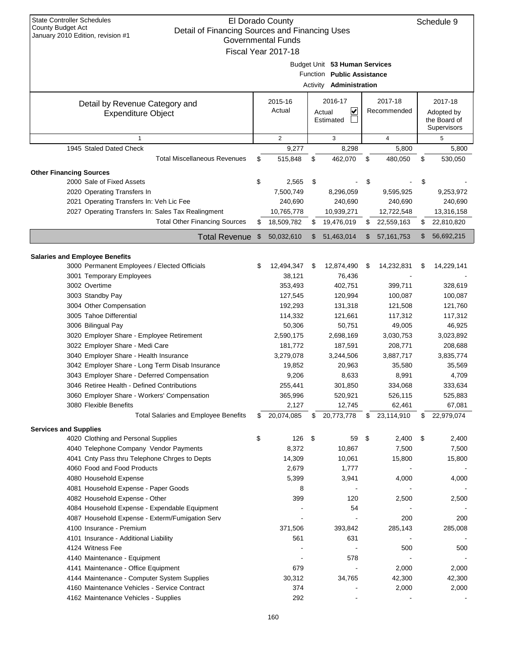| <b>State Controller Schedules</b><br>El Dorado County<br>Schedule 9<br><b>County Budget Act</b><br>Detail of Financing Sources and Financing Uses<br>January 2010 Edition, revision #1<br><b>Governmental Funds</b><br>Fiscal Year 2017-18 |    |                   |    |                                                                                               |    |                |    |                                                      |  |
|--------------------------------------------------------------------------------------------------------------------------------------------------------------------------------------------------------------------------------------------|----|-------------------|----|-----------------------------------------------------------------------------------------------|----|----------------|----|------------------------------------------------------|--|
|                                                                                                                                                                                                                                            |    |                   |    | Budget Unit 53 Human Services<br>Function Public Assistance<br>Activity <b>Administration</b> |    |                |    |                                                      |  |
|                                                                                                                                                                                                                                            |    |                   |    | 2016-17                                                                                       |    | 2017-18        |    |                                                      |  |
| Detail by Revenue Category and<br><b>Expenditure Object</b>                                                                                                                                                                                |    | 2015-16<br>Actual |    | V<br>Actual<br>Estimated                                                                      |    | Recommended    |    | 2017-18<br>Adopted by<br>the Board of<br>Supervisors |  |
| 1                                                                                                                                                                                                                                          |    | 2                 |    | 3                                                                                             |    | $\overline{4}$ |    | 5                                                    |  |
| 1945 Staled Dated Check                                                                                                                                                                                                                    |    | 9,277             |    | 8,298                                                                                         |    | 5,800          |    | 5,800                                                |  |
| <b>Total Miscellaneous Revenues</b>                                                                                                                                                                                                        | \$ | 515,848           | \$ | 462,070                                                                                       | \$ | 480,050        | \$ | 530,050                                              |  |
| <b>Other Financing Sources</b>                                                                                                                                                                                                             |    |                   |    |                                                                                               |    |                |    |                                                      |  |
| 2000 Sale of Fixed Assets                                                                                                                                                                                                                  | \$ | 2,565             | \$ |                                                                                               | \$ |                | \$ |                                                      |  |
| 2020 Operating Transfers In                                                                                                                                                                                                                |    | 7,500,749         |    | 8,296,059                                                                                     |    | 9,595,925      |    | 9,253,972                                            |  |
| 2021 Operating Transfers In: Veh Lic Fee                                                                                                                                                                                                   |    | 240,690           |    | 240,690                                                                                       |    | 240,690        |    | 240,690                                              |  |
| 2027 Operating Transfers In: Sales Tax Realingment                                                                                                                                                                                         |    | 10,765,778        |    | 10,939,271                                                                                    |    | 12,722,548     |    | 13,316,158                                           |  |
| <b>Total Other Financing Sources</b>                                                                                                                                                                                                       | \$ | 18,509,782        | \$ | 19,476,019                                                                                    | \$ | 22,559,163     | \$ | 22,810,820                                           |  |
| <b>Total Revenue</b>                                                                                                                                                                                                                       | \$ | 50,032,610        | \$ | 51,463,014                                                                                    | \$ | 57, 161, 753   | \$ | 56,692,215                                           |  |
|                                                                                                                                                                                                                                            |    |                   |    |                                                                                               |    |                |    |                                                      |  |
| <b>Salaries and Employee Benefits</b>                                                                                                                                                                                                      |    |                   |    |                                                                                               |    |                |    |                                                      |  |
| 3000 Permanent Employees / Elected Officials                                                                                                                                                                                               | S  | 12,494,347        | \$ | 12,874,490                                                                                    | \$ | 14,232,831     | S  | 14,229,141                                           |  |
| 3001 Temporary Employees                                                                                                                                                                                                                   |    | 38,121            |    | 76,436                                                                                        |    |                |    |                                                      |  |
| 3002 Overtime                                                                                                                                                                                                                              |    | 353,493           |    | 402,751                                                                                       |    | 399,711        |    | 328,619                                              |  |
| 3003 Standby Pay                                                                                                                                                                                                                           |    | 127,545           |    | 120,994                                                                                       |    | 100,087        |    | 100,087                                              |  |
| 3004 Other Compensation                                                                                                                                                                                                                    |    | 192,293           |    | 131,318                                                                                       |    | 121,508        |    | 121,760                                              |  |
| 3005 Tahoe Differential                                                                                                                                                                                                                    |    | 114,332           |    | 121,661                                                                                       |    | 117,312        |    | 117,312                                              |  |
| 3006 Bilingual Pay                                                                                                                                                                                                                         |    | 50,306            |    | 50,751                                                                                        |    | 49,005         |    | 46,925                                               |  |
| 3020 Employer Share - Employee Retirement                                                                                                                                                                                                  |    | 2,590,175         |    | 2,698,169                                                                                     |    | 3,030,753      |    | 3,023,892                                            |  |
| 3022 Employer Share - Medi Care                                                                                                                                                                                                            |    | 181,772           |    | 187,591                                                                                       |    | 208,771        |    | 208,688                                              |  |
| 3040 Employer Share - Health Insurance                                                                                                                                                                                                     |    | 3,279,078         |    | 3,244,506                                                                                     |    | 3,887,717      |    | 3,835,774                                            |  |
| 3042 Employer Share - Long Term Disab Insurance                                                                                                                                                                                            |    | 19,852            |    | 20,963                                                                                        |    | 35,580         |    | 35,569                                               |  |
| 3043 Employer Share - Deferred Compensation                                                                                                                                                                                                |    | 9,206             |    | 8,633                                                                                         |    | 8,991          |    | 4,709                                                |  |
| 3046 Retiree Health - Defined Contributions                                                                                                                                                                                                |    | 255,441           |    | 301,850                                                                                       |    | 334,068        |    | 333,634                                              |  |
| 3060 Employer Share - Workers' Compensation                                                                                                                                                                                                |    | 365,996           |    | 520,921                                                                                       |    | 526,115        |    | 525,883                                              |  |
| 3080 Flexible Benefits                                                                                                                                                                                                                     |    | 2,127             |    | 12,745                                                                                        |    | 62,461         |    | 67,081                                               |  |
| <b>Total Salaries and Employee Benefits</b>                                                                                                                                                                                                | \$ | 20,074,085        | \$ | 20,773,778                                                                                    | \$ | 23,114,910     | \$ | 22,979,074                                           |  |
| <b>Services and Supplies</b>                                                                                                                                                                                                               |    |                   |    |                                                                                               |    |                |    |                                                      |  |
| 4020 Clothing and Personal Supplies                                                                                                                                                                                                        | \$ | 126               | \$ | 59                                                                                            | \$ | 2,400          | \$ | 2,400                                                |  |
| 4040 Telephone Company Vendor Payments                                                                                                                                                                                                     |    | 8,372             |    | 10,867                                                                                        |    | 7,500          |    | 7,500                                                |  |
| 4041 Cnty Pass thru Telephone Chrges to Depts                                                                                                                                                                                              |    | 14,309            |    | 10,061                                                                                        |    | 15,800         |    | 15,800                                               |  |
| 4060 Food and Food Products                                                                                                                                                                                                                |    | 2,679             |    | 1,777                                                                                         |    |                |    |                                                      |  |
| 4080 Household Expense                                                                                                                                                                                                                     |    | 5,399             |    | 3,941                                                                                         |    | 4,000          |    | 4,000                                                |  |
| 4081 Household Expense - Paper Goods                                                                                                                                                                                                       |    | 8                 |    |                                                                                               |    |                |    |                                                      |  |
| 4082 Household Expense - Other                                                                                                                                                                                                             |    | 399               |    | 120                                                                                           |    | 2,500          |    | 2,500                                                |  |
| 4084 Household Expense - Expendable Equipment                                                                                                                                                                                              |    |                   |    | 54                                                                                            |    |                |    |                                                      |  |
| 4087 Household Expense - Exterm/Fumigation Serv                                                                                                                                                                                            |    |                   |    |                                                                                               |    | 200            |    | 200                                                  |  |
| 4100 Insurance - Premium                                                                                                                                                                                                                   |    | 371,506           |    | 393,842                                                                                       |    | 285,143        |    | 285,008                                              |  |
| 4101 Insurance - Additional Liability                                                                                                                                                                                                      |    | 561               |    | 631                                                                                           |    |                |    |                                                      |  |
| 4124 Witness Fee                                                                                                                                                                                                                           |    |                   |    |                                                                                               |    | 500            |    | 500                                                  |  |
| 4140 Maintenance - Equipment                                                                                                                                                                                                               |    |                   |    | 578                                                                                           |    |                |    |                                                      |  |
| 4141 Maintenance - Office Equipment                                                                                                                                                                                                        |    | 679               |    |                                                                                               |    | 2,000          |    | 2,000                                                |  |
| 4144 Maintenance - Computer System Supplies                                                                                                                                                                                                |    | 30,312            |    | 34,765                                                                                        |    | 42,300         |    | 42,300                                               |  |
| 4160 Maintenance Vehicles - Service Contract                                                                                                                                                                                               |    | 374               |    |                                                                                               |    | 2,000          |    | 2,000                                                |  |
| 4162 Maintenance Vehicles - Supplies                                                                                                                                                                                                       |    | 292               |    |                                                                                               |    |                |    |                                                      |  |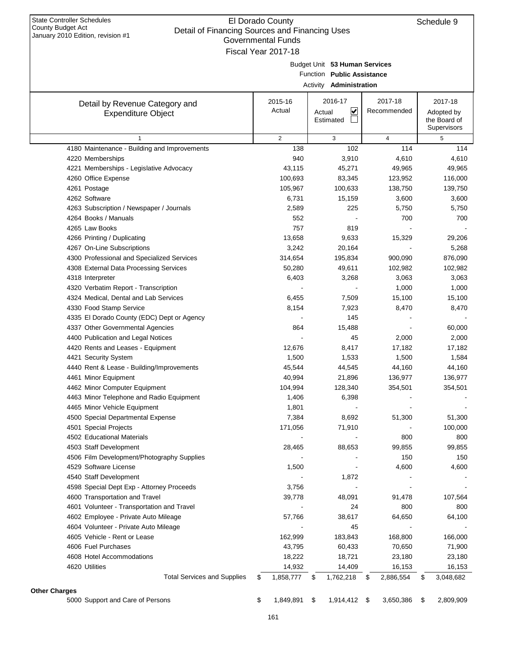| January 2010 Edition, revision #1                                 | Governmental Funds  |      |                                |                 |                 |
|-------------------------------------------------------------------|---------------------|------|--------------------------------|-----------------|-----------------|
|                                                                   | Fiscal Year 2017-18 |      |                                |                 |                 |
|                                                                   |                     |      | Budget Unit 53 Human Services  |                 |                 |
|                                                                   |                     |      | Function Public Assistance     |                 |                 |
|                                                                   |                     |      | Activity <b>Administration</b> |                 |                 |
| Detail by Revenue Category and                                    | 2015-16             |      | 2016-17                        | 2017-18         | 2017-18         |
| <b>Expenditure Object</b>                                         | Actual              |      | ⊻<br>Actual                    | Recommended     | Adopted by      |
|                                                                   |                     |      | Estimated                      |                 | the Board of    |
|                                                                   |                     |      |                                |                 | Supervisors     |
| 1                                                                 | $\overline{2}$      |      | 3                              | $\overline{4}$  | 5               |
| 4180 Maintenance - Building and Improvements                      | 138                 |      | 102                            | 114             | 114             |
| 4220 Memberships                                                  | 940                 |      | 3,910                          | 4,610           | 4,610           |
| 4221 Memberships - Legislative Advocacy                           | 43,115              |      | 45,271                         | 49,965          | 49,965          |
| 4260 Office Expense                                               | 100,693             |      | 83,345                         | 123,952         | 116,000         |
| 4261 Postage                                                      | 105,967             |      | 100,633                        | 138,750         | 139,750         |
| 4262 Software                                                     | 6,731               |      | 15,159                         | 3,600           | 3,600           |
| 4263 Subscription / Newspaper / Journals                          | 2,589               |      | 225                            | 5,750           | 5,750           |
| 4264 Books / Manuals                                              | 552                 |      |                                | 700             | 700             |
| 4265 Law Books                                                    | 757                 |      | 819                            |                 |                 |
| 4266 Printing / Duplicating                                       | 13,658              |      | 9,633                          | 15,329          | 29,206          |
| 4267 On-Line Subscriptions                                        | 3,242               |      | 20,164                         |                 | 5,268           |
| 4300 Professional and Specialized Services                        | 314,654             |      | 195,834                        | 900,090         | 876,090         |
| 4308 External Data Processing Services                            | 50,280              |      | 49,611                         | 102,982         | 102,982         |
| 4318 Interpreter                                                  | 6,403               |      | 3,268                          | 3,063           | 3,063           |
| 4320 Verbatim Report - Transcription                              |                     |      |                                | 1,000           | 1,000           |
| 4324 Medical, Dental and Lab Services                             | 6,455               |      | 7,509                          | 15,100          | 15,100          |
| 4330 Food Stamp Service                                           | 8,154               |      | 7,923                          | 8,470           | 8,470           |
| 4335 El Dorado County (EDC) Dept or Agency                        |                     |      | 145                            |                 |                 |
| 4337 Other Governmental Agencies                                  | 864                 |      | 15,488                         |                 | 60,000          |
| 4400 Publication and Legal Notices                                |                     |      | 45<br>8,417                    | 2,000           | 2,000           |
| 4420 Rents and Leases - Equipment                                 | 12,676<br>1,500     |      |                                | 17,182          | 17,182          |
| 4421 Security System<br>4440 Rent & Lease - Building/Improvements | 45,544              |      | 1,533<br>44,545                | 1,500<br>44,160 | 1,584<br>44,160 |
| 4461 Minor Equipment                                              | 40,994              |      | 21,896                         | 136,977         | 136,977         |
| 4462 Minor Computer Equipment                                     | 104,994             |      | 128,340                        | 354,501         | 354,501         |
| 4463 Minor Telephone and Radio Equipment                          | 1,406               |      | 6,398                          |                 |                 |
| 4465 Minor Vehicle Equipment                                      | 1,801               |      |                                |                 |                 |
| 4500 Special Departmental Expense                                 | 7,384               |      | 8,692                          | 51,300          | 51,300          |
| 4501 Special Projects                                             | 171,056             |      | 71,910                         |                 | 100,000         |
| 4502 Educational Materials                                        |                     |      |                                | 800             | 800             |
| 4503 Staff Development                                            | 28,465              |      | 88,653                         | 99,855          | 99,855          |
| 4506 Film Development/Photography Supplies                        |                     |      |                                | 150             | 150             |
| 4529 Software License                                             | 1,500               |      |                                | 4,600           | 4,600           |
| 4540 Staff Development                                            |                     |      | 1,872                          |                 |                 |
| 4598 Special Dept Exp - Attorney Proceeds                         | 3,756               |      |                                |                 |                 |
| 4600 Transportation and Travel                                    | 39,778              |      | 48,091                         | 91,478          | 107,564         |
| 4601 Volunteer - Transportation and Travel                        |                     |      | 24                             | 800             | 800             |
| 4602 Employee - Private Auto Mileage                              | 57,766              |      | 38,617                         | 64,650          | 64,100          |
| 4604 Volunteer - Private Auto Mileage                             |                     |      | 45                             |                 |                 |
| 4605 Vehicle - Rent or Lease                                      | 162,999             |      | 183,843                        | 168,800         | 166,000         |
| 4606 Fuel Purchases                                               | 43,795              |      | 60,433                         | 70,650          | 71,900          |
| 4608 Hotel Accommodations                                         | 18,222              |      | 18,721                         | 23,180          | 23,180          |
| 4620 Utilities                                                    | 14,932              |      | 14,409                         | 16,153          | 16,153          |
| <b>Total Services and Supplies</b>                                | \$<br>1,858,777     | \$   | 1,762,218                      | \$<br>2,886,554 | \$<br>3,048,682 |
|                                                                   |                     |      |                                |                 |                 |
| <b>Other Charges</b>                                              |                     |      |                                |                 |                 |
| 5000 Support and Care of Persons                                  | \$<br>1,849,891     | - \$ | 1,914,412 \$                   | 3,650,386       | \$<br>2,809,909 |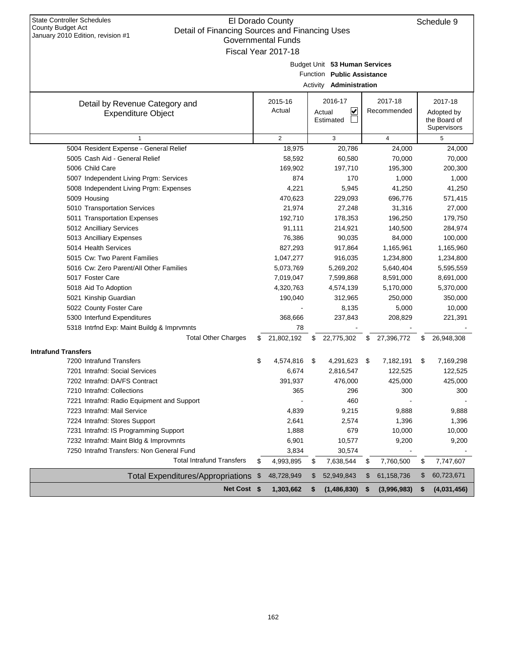| <b>State Controller Schedules</b><br>County Budget Act                              | El Dorado County          |      |                                |      |                         | Schedule 9                  |
|-------------------------------------------------------------------------------------|---------------------------|------|--------------------------------|------|-------------------------|-----------------------------|
| Detail of Financing Sources and Financing Uses<br>January 2010 Edition, revision #1 | <b>Governmental Funds</b> |      |                                |      |                         |                             |
|                                                                                     | Fiscal Year 2017-18       |      |                                |      |                         |                             |
|                                                                                     |                           |      |                                |      |                         |                             |
|                                                                                     |                           |      | Budget Unit 53 Human Services  |      |                         |                             |
|                                                                                     |                           |      | Function Public Assistance     |      |                         |                             |
|                                                                                     |                           |      | Activity <b>Administration</b> |      |                         |                             |
| Detail by Revenue Category and                                                      | 2015-16                   |      | 2016-17                        |      | 2017-18                 | 2017-18                     |
| <b>Expenditure Object</b>                                                           | Actual                    |      | V<br>Actual                    |      | Recommended             | Adopted by                  |
|                                                                                     |                           |      | Estimated                      |      |                         | the Board of<br>Supervisors |
| $\mathbf{1}$                                                                        | $\overline{2}$            |      | 3                              |      | $\overline{\mathbf{4}}$ | 5                           |
| 5004 Resident Expense - General Relief                                              | 18,975                    |      | 20,786                         |      | 24,000                  | 24,000                      |
| 5005 Cash Aid - General Relief                                                      | 58,592                    |      | 60,580                         |      | 70,000                  | 70,000                      |
| 5006 Child Care                                                                     | 169,902                   |      | 197,710                        |      | 195,300                 | 200,300                     |
| 5007 Independent Living Prgm: Services                                              | 874                       |      | 170                            |      | 1,000                   | 1,000                       |
| 5008 Independent Living Prgm: Expenses                                              | 4,221                     |      | 5,945                          |      | 41,250                  | 41,250                      |
| 5009 Housing                                                                        | 470,623                   |      | 229,093                        |      | 696,776                 | 571,415                     |
| 5010 Transportation Services                                                        | 21,974                    |      | 27,248                         |      | 31,316                  | 27,000                      |
| 5011 Transportation Expenses                                                        | 192,710                   |      | 178,353                        |      | 196,250                 | 179,750                     |
| 5012 Ancilliary Services                                                            | 91,111                    |      | 214,921                        |      | 140,500                 | 284,974                     |
| 5013 Ancilliary Expenses                                                            | 76,386                    |      | 90,035                         |      | 84,000                  | 100,000                     |
| 5014 Health Services                                                                | 827,293                   |      | 917,864                        |      | 1,165,961               | 1,165,960                   |
| 5015 Cw: Two Parent Families                                                        | 1,047,277                 |      | 916,035                        |      | 1,234,800               | 1,234,800                   |
| 5016 Cw: Zero Parent/All Other Families                                             | 5,073,769                 |      | 5,269,202                      |      | 5,640,404               | 5,595,559                   |
| 5017 Foster Care                                                                    | 7,019,047                 |      | 7,599,868                      |      | 8,591,000               | 8,691,000                   |
| 5018 Aid To Adoption                                                                | 4,320,763                 |      | 4,574,139                      |      | 5,170,000               | 5,370,000                   |
| 5021 Kinship Guardian                                                               | 190,040                   |      | 312,965                        |      | 250,000                 | 350,000                     |
| 5022 County Foster Care                                                             |                           |      | 8,135                          |      | 5,000                   | 10,000                      |
| 5300 Interfund Expenditures                                                         | 368,666                   |      | 237,843                        |      | 208,829                 | 221,391                     |
| 5318 Intrfnd Exp: Maint Buildg & Imprvmnts                                          | 78                        |      |                                |      |                         |                             |
| <b>Total Other Charges</b>                                                          | \$<br>21,802,192          | \$   | 22,775,302                     | \$   | 27,396,772              | \$<br>26,948,308            |
| <b>Intrafund Transfers</b>                                                          |                           |      |                                |      |                         |                             |
| 7200 Intrafund Transfers                                                            | \$<br>4,574,816           | - \$ | 4,291,623                      | - \$ | 7,182,191               | \$<br>7,169,298             |
| 7201 Intrafnd: Social Services                                                      | 6,674                     |      | 2,816,547                      |      | 122,525                 | 122,525                     |
| 7202 Intrafnd: DA/FS Contract                                                       | 391,937                   |      | 476,000                        |      | 425,000                 | 425,000                     |
| 7210 Intrafnd: Collections                                                          | 365                       |      | 296                            |      | 300                     | 300                         |
| 7221 Intrafnd: Radio Equipment and Support                                          |                           |      | 460                            |      |                         |                             |
| 7223 Intrafnd: Mail Service                                                         | 4,839                     |      | 9,215                          |      | 9,888                   | 9,888                       |
| 7224 Intrafnd: Stores Support                                                       | 2,641                     |      | 2,574                          |      | 1,396                   | 1,396                       |
| 7231 Intrafnd: IS Programming Support                                               | 1,888                     |      | 679                            |      | 10,000                  | 10,000                      |
| 7232 Intrafnd: Maint Bldg & Improvmnts                                              | 6,901                     |      | 10,577                         |      | 9,200                   | 9,200                       |
| 7250 Intrafnd Transfers: Non General Fund                                           | 3,834                     |      | 30,574                         |      |                         |                             |
| <b>Total Intrafund Transfers</b>                                                    | \$<br>4,993,895           | \$   | 7,638,544                      | \$   | 7,760,500               | \$<br>7,747,607             |
| Total Expenditures/Appropriations                                                   | \$<br>48,728,949          | \$   | 52,949,843                     | \$   | 61,158,736              | \$<br>60,723,671            |
| Net Cost \$                                                                         | 1,303,662                 | \$   | (1,486,830)                    | \$   | (3,996,983)             | \$<br>(4,031,456)           |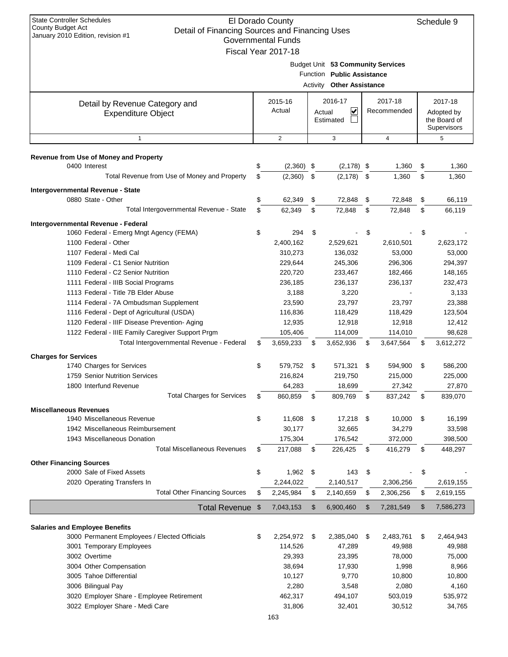| <b>State Controller Schedules</b><br>El Dorado County<br>Schedule 9<br><b>County Budget Act</b><br>Detail of Financing Sources and Financing Uses<br>January 2010 Edition, revision #1<br><b>Governmental Funds</b><br>Fiscal Year 2017-18 |    |                        |    |                                                                                              |    |                        |    |                                                      |
|--------------------------------------------------------------------------------------------------------------------------------------------------------------------------------------------------------------------------------------------|----|------------------------|----|----------------------------------------------------------------------------------------------|----|------------------------|----|------------------------------------------------------|
|                                                                                                                                                                                                                                            |    |                        |    | Budget Unit 53 Community Services<br>Function Public Assistance<br>Activity Other Assistance |    |                        |    |                                                      |
| Detail by Revenue Category and<br><b>Expenditure Object</b>                                                                                                                                                                                |    | 2015-16<br>Actual      |    | 2016-17<br>V<br>Actual<br>Estimated                                                          |    | 2017-18<br>Recommended |    | 2017-18<br>Adopted by<br>the Board of<br>Supervisors |
| $\mathbf{1}$                                                                                                                                                                                                                               |    | 2                      |    | 3                                                                                            |    | 4                      |    | 5                                                    |
| <b>Revenue from Use of Money and Property</b>                                                                                                                                                                                              |    |                        |    |                                                                                              |    |                        |    |                                                      |
| 0400 Interest                                                                                                                                                                                                                              | \$ | $(2,360)$ \$           |    | $(2, 178)$ \$                                                                                |    | 1,360                  | \$ | 1,360                                                |
| Total Revenue from Use of Money and Property                                                                                                                                                                                               | \$ | (2,360)                | \$ | $(2, 178)$ \$                                                                                |    | 1,360                  | \$ | 1,360                                                |
| Intergovernmental Revenue - State                                                                                                                                                                                                          |    |                        |    |                                                                                              |    |                        |    |                                                      |
| 0880 State - Other                                                                                                                                                                                                                         | \$ | 62,349                 | \$ | 72,848                                                                                       | \$ | 72,848                 | \$ | 66,119                                               |
| Total Intergovernmental Revenue - State                                                                                                                                                                                                    | \$ | 62,349                 | \$ | 72,848                                                                                       | \$ | 72,848                 | \$ | 66,119                                               |
| Intergovernmental Revenue - Federal                                                                                                                                                                                                        |    |                        |    |                                                                                              |    |                        |    |                                                      |
| 1060 Federal - Emerg Mngt Agency (FEMA)                                                                                                                                                                                                    | \$ | 294                    | \$ |                                                                                              | \$ |                        | \$ |                                                      |
| 1100 Federal - Other                                                                                                                                                                                                                       |    | 2,400,162              |    | 2,529,621                                                                                    |    | 2,610,501              |    | 2,623,172                                            |
| 1107 Federal - Medi Cal<br>1109 Federal - C1 Senior Nutrition                                                                                                                                                                              |    | 310,273<br>229,644     |    | 136,032<br>245,306                                                                           |    | 53,000<br>296,306      |    | 53,000<br>294,397                                    |
| 1110 Federal - C2 Senior Nutrition                                                                                                                                                                                                         |    | 220,720                |    | 233,467                                                                                      |    | 182,466                |    | 148,165                                              |
| 1111 Federal - IIIB Social Programs                                                                                                                                                                                                        |    | 236,185                |    | 236,137                                                                                      |    | 236,137                |    | 232,473                                              |
| 1113 Federal - Title 7B Elder Abuse                                                                                                                                                                                                        |    | 3,188                  |    | 3,220                                                                                        |    |                        |    | 3,133                                                |
| 1114 Federal - 7A Ombudsman Supplement                                                                                                                                                                                                     |    | 23,590                 |    | 23,797                                                                                       |    | 23,797                 |    | 23,388                                               |
| 1116 Federal - Dept of Agricultural (USDA)                                                                                                                                                                                                 |    | 116,836                |    | 118,429                                                                                      |    | 118,429                |    | 123,504                                              |
| 1120 Federal - IIIF Disease Prevention- Aging                                                                                                                                                                                              |    | 12,935                 |    | 12,918                                                                                       |    | 12,918                 |    | 12,412                                               |
| 1122 Federal - IIIE Family Caregiver Support Prgm                                                                                                                                                                                          |    | 105,406                |    | 114,009                                                                                      |    | 114,010                |    | 98,628                                               |
| Total Intergovernmental Revenue - Federal                                                                                                                                                                                                  | \$ | 3,659,233              | \$ | 3,652,936                                                                                    | \$ | 3,647,564              | \$ | 3,612,272                                            |
| <b>Charges for Services</b>                                                                                                                                                                                                                |    |                        |    |                                                                                              |    |                        |    |                                                      |
| 1740 Charges for Services                                                                                                                                                                                                                  | \$ | 579,752                | \$ | 571,321                                                                                      | \$ | 594,900                | \$ | 586,200                                              |
| 1759 Senior Nutrition Services                                                                                                                                                                                                             |    | 216,824                |    | 219,750                                                                                      |    | 215,000                |    | 225,000                                              |
| 1800 Interfund Revenue                                                                                                                                                                                                                     |    | 64,283                 |    | 18,699                                                                                       |    | 27,342                 |    | 27,870                                               |
| <b>Total Charges for Services</b>                                                                                                                                                                                                          | \$ | 860,859                | \$ | 809,769                                                                                      | \$ | 837,242                | \$ | 839,070                                              |
| <b>Miscellaneous Revenues</b>                                                                                                                                                                                                              |    |                        |    |                                                                                              |    |                        |    |                                                      |
| 1940 Miscellaneous Revenue                                                                                                                                                                                                                 | \$ | 11,608                 | \$ | $17,218$ \$                                                                                  |    | 10,000                 | \$ | 16,199                                               |
| 1942 Miscellaneous Reimbursement                                                                                                                                                                                                           |    | 30,177                 |    | 32,665                                                                                       |    | 34,279                 |    | 33,598                                               |
| 1943 Miscellaneous Donation<br><b>Total Miscellaneous Revenues</b>                                                                                                                                                                         |    | 175,304                |    | 176,542                                                                                      |    | 372,000                |    | 398,500                                              |
|                                                                                                                                                                                                                                            | \$ | 217,088                | \$ | 226,425                                                                                      | \$ | 416,279                | \$ | 448,297                                              |
| <b>Other Financing Sources</b>                                                                                                                                                                                                             |    |                        |    |                                                                                              |    |                        |    |                                                      |
| 2000 Sale of Fixed Assets                                                                                                                                                                                                                  | \$ | $1,962$ \$             |    | 143                                                                                          | \$ |                        | \$ |                                                      |
| 2020 Operating Transfers In<br><b>Total Other Financing Sources</b>                                                                                                                                                                        | \$ | 2,244,022<br>2,245,984 | \$ | 2,140,517<br>2,140,659                                                                       | \$ | 2,306,256<br>2,306,256 |    | 2,619,155                                            |
|                                                                                                                                                                                                                                            |    |                        |    |                                                                                              |    |                        | \$ | 2,619,155                                            |
| <b>Total Revenue</b>                                                                                                                                                                                                                       | \$ | 7,043,153              | \$ | 6,900,460                                                                                    | \$ | 7,281,549              | \$ | 7,586,273                                            |
| <b>Salaries and Employee Benefits</b>                                                                                                                                                                                                      |    |                        |    |                                                                                              |    |                        |    |                                                      |
| 3000 Permanent Employees / Elected Officials                                                                                                                                                                                               | \$ | 2,254,972              | \$ | 2,385,040                                                                                    | \$ | 2,483,761              | \$ | 2,464,943                                            |
| 3001 Temporary Employees                                                                                                                                                                                                                   |    | 114,526                |    | 47,289                                                                                       |    | 49,988                 |    | 49,988                                               |
| 3002 Overtime                                                                                                                                                                                                                              |    | 29,393                 |    | 23,395                                                                                       |    | 78,000                 |    | 75,000                                               |
| 3004 Other Compensation                                                                                                                                                                                                                    |    | 38,694                 |    | 17,930                                                                                       |    | 1,998                  |    | 8,966                                                |
| 3005 Tahoe Differential                                                                                                                                                                                                                    |    | 10,127                 |    | 9,770                                                                                        |    | 10,800                 |    | 10,800                                               |
| 3006 Bilingual Pay                                                                                                                                                                                                                         |    | 2,280                  |    | 3,548                                                                                        |    | 2,080                  |    | 4,160                                                |
| 3020 Employer Share - Employee Retirement                                                                                                                                                                                                  |    | 462,317                |    | 494,107                                                                                      |    | 503,019                |    | 535,972                                              |
| 3022 Employer Share - Medi Care                                                                                                                                                                                                            |    | 31,806                 |    | 32,401                                                                                       |    | 30,512                 |    | 34,765                                               |
|                                                                                                                                                                                                                                            |    | 163                    |    |                                                                                              |    |                        |    |                                                      |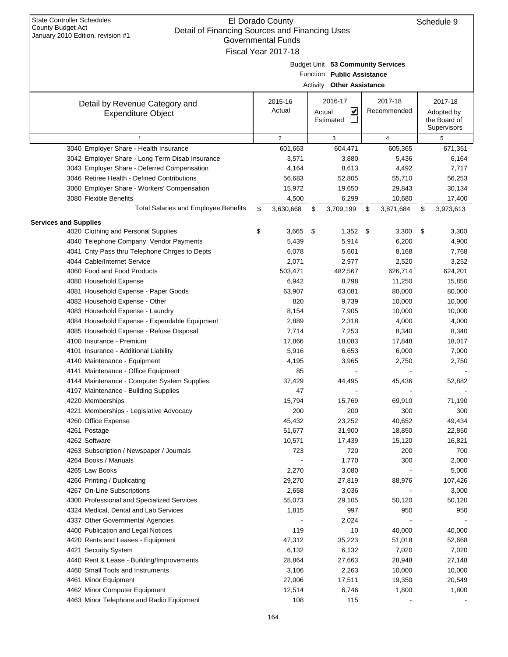| January 2010 Edition, revision #1                                             | <b>Governmental Funds</b> |                                   |                  |                  |
|-------------------------------------------------------------------------------|---------------------------|-----------------------------------|------------------|------------------|
|                                                                               | Fiscal Year 2017-18       |                                   |                  |                  |
|                                                                               |                           | Budget Unit 53 Community Services |                  |                  |
|                                                                               |                           | Function Public Assistance        |                  |                  |
|                                                                               |                           | Activity Other Assistance         |                  |                  |
|                                                                               |                           |                                   |                  |                  |
| Detail by Revenue Category and                                                | 2015-16                   | 2016-17                           | 2017-18          | 2017-18          |
| <b>Expenditure Object</b>                                                     | Actual                    | V<br>Actual                       | Recommended      | Adopted by       |
|                                                                               |                           | Estimated                         |                  | the Board of     |
|                                                                               |                           |                                   |                  | Supervisors      |
| $\mathbf{1}$                                                                  | $\overline{2}$            | 3                                 | $\overline{4}$   | 5                |
| 3040 Employer Share - Health Insurance                                        | 601,663                   | 604,471                           | 605,365          | 671,351          |
| 3042 Employer Share - Long Term Disab Insurance                               | 3,571                     | 3,880                             | 5,436            | 6,164            |
| 3043 Employer Share - Deferred Compensation                                   | 4,164                     | 8,613                             | 4,492            | 7,717            |
| 3046 Retiree Health - Defined Contributions                                   | 56,683                    | 52,805                            | 55,710           | 56,253           |
| 3060 Employer Share - Workers' Compensation<br>3080 Flexible Benefits         | 15,972<br>4,500           | 19,650<br>6,299                   | 29,843<br>10,680 | 30,134           |
| <b>Total Salaries and Employee Benefits</b>                                   |                           |                                   |                  | 17,400           |
|                                                                               | \$<br>3,630,668           | \$<br>3,709,199                   | \$<br>3,871,684  | \$<br>3,973,613  |
| <b>Services and Supplies</b>                                                  |                           |                                   |                  |                  |
| 4020 Clothing and Personal Supplies                                           | \$<br>3,665               | \$<br>$1,352$ \$                  | 3,300            | \$<br>3,300      |
| 4040 Telephone Company Vendor Payments                                        | 5,439                     | 5,914                             | 6,200            | 4,900            |
| 4041 Cnty Pass thru Telephone Chrges to Depts                                 | 6,078                     | 5,601                             | 8,168            | 7,768            |
| 4044 Cable/Internet Service                                                   | 2,071                     | 2,977                             | 2,520            | 3,252            |
| 4060 Food and Food Products                                                   | 503,471                   | 482,567                           | 626,714          | 624,201          |
| 4080 Household Expense                                                        | 6,942                     | 8,798                             | 11,250           | 15,850           |
| 4081 Household Expense - Paper Goods                                          | 63,907                    | 63,081                            | 80,000           | 80,000           |
| 4082 Household Expense - Other                                                | 820                       | 9,739                             | 10,000           | 10,000           |
| 4083 Household Expense - Laundry                                              | 8,154                     | 7,905                             | 10,000           | 10,000           |
| 4084 Household Expense - Expendable Equipment                                 | 2,889                     | 2,318                             | 4,000            | 4,000            |
| 4085 Household Expense - Refuse Disposal                                      | 7,714                     | 7,253                             | 8,340            | 8,340            |
| 4100 Insurance - Premium                                                      | 17,866                    | 18,083                            | 17,848           | 18,017           |
| 4101 Insurance - Additional Liability                                         | 5,916                     | 6,653                             | 6,000            | 7,000            |
| 4140 Maintenance - Equipment                                                  | 4,195                     | 3,965                             | 2,750            | 2,750            |
| 4141 Maintenance - Office Equipment                                           | 85                        |                                   |                  |                  |
| 4144 Maintenance - Computer System Supplies                                   | 37,429                    | 44,495                            | 45,436           | 52,882           |
| 4197 Maintenance - Building Supplies                                          | 47                        |                                   |                  |                  |
| 4220 Memberships                                                              | 15,794                    | 15,769                            | 69,910           | 71,190           |
| 4221 Memberships - Legislative Advocacy                                       | 200                       | 200                               | 300              | 300              |
| 4260 Office Expense                                                           | 45,432                    | 23,252                            | 40,652           | 49,434           |
| 4261 Postage                                                                  | 51,677                    | 31,900                            | 18,850           | 22,850           |
| 4262 Software                                                                 | 10,571                    | 17,439                            | 15,120           | 16,821           |
| 4263 Subscription / Newspaper / Journals                                      | 723                       | 720                               | 200              | 700              |
| 4264 Books / Manuals                                                          |                           | 1,770                             | 300              | 2,000            |
| 4265 Law Books                                                                | 2,270                     | 3,080                             |                  | 5,000            |
| 4266 Printing / Duplicating                                                   | 29,270                    | 27,819                            | 88,976           | 107,426          |
| 4267 On-Line Subscriptions                                                    | 2,658                     | 3,036                             |                  | 3,000            |
| 4300 Professional and Specialized Services                                    | 55,073                    | 29,105                            | 50,120           | 50,120           |
| 4324 Medical, Dental and Lab Services                                         | 1,815                     | 997                               | 950              | 950              |
| 4337 Other Governmental Agencies                                              |                           | 2,024                             |                  |                  |
| 4400 Publication and Legal Notices                                            | 119                       | 10                                | 40,000           | 40,000           |
| 4420 Rents and Leases - Equipment                                             | 47,312                    | 35,223                            | 51,018           | 52,668           |
| 4421 Security System                                                          | 6,132<br>28,864           | 6,132                             | 7,020            | 7,020            |
| 4440 Rent & Lease - Building/Improvements<br>4460 Small Tools and Instruments |                           | 27,663<br>2,263                   | 28,948           | 27,148           |
| 4461 Minor Equipment                                                          | 3,106<br>27,006           | 17,511                            | 10,000<br>19,350 | 10,000<br>20,549 |
| 4462 Minor Computer Equipment                                                 | 12,514                    | 6,746                             | 1,800            | 1,800            |
| 4463 Minor Telephone and Radio Equipment                                      | 108                       | 115                               |                  |                  |
|                                                                               |                           |                                   |                  |                  |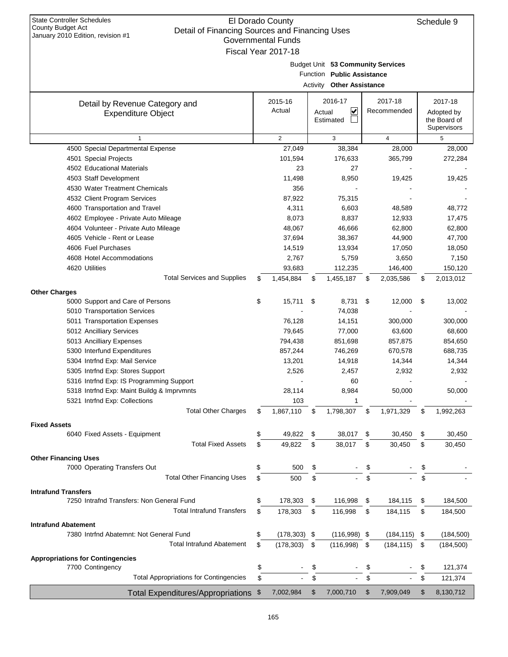| <b>State Controller Schedules</b><br><b>County Budget Act</b><br>January 2010 Edition, revision #1 | El Dorado County<br>Detail of Financing Sources and Financing Uses<br><b>Governmental Funds</b><br>Fiscal Year 2017-18 |          |                                                                                            |    |                        |    |                                                      |  |
|----------------------------------------------------------------------------------------------------|------------------------------------------------------------------------------------------------------------------------|----------|--------------------------------------------------------------------------------------------|----|------------------------|----|------------------------------------------------------|--|
|                                                                                                    |                                                                                                                        | Activity | Budget Unit 53 Community Services<br>Function Public Assistance<br><b>Other Assistance</b> |    |                        |    |                                                      |  |
| Detail by Revenue Category and<br><b>Expenditure Object</b>                                        | 2015-16<br>Actual                                                                                                      |          | 2016-17<br>V<br>Actual<br>Estimated                                                        |    | 2017-18<br>Recommended |    | 2017-18<br>Adopted by<br>the Board of<br>Supervisors |  |
| $\mathbf{1}$                                                                                       | $\overline{2}$                                                                                                         |          | 3                                                                                          |    | 4                      |    | 5                                                    |  |
| 4500 Special Departmental Expense                                                                  | 27,049                                                                                                                 |          | 38,384                                                                                     |    | 28,000                 |    | 28,000                                               |  |
| 4501 Special Projects                                                                              | 101,594                                                                                                                |          | 176,633                                                                                    |    | 365,799                |    | 272,284                                              |  |
| 4502 Educational Materials                                                                         | 23                                                                                                                     |          | 27                                                                                         |    |                        |    |                                                      |  |
| 4503 Staff Development                                                                             | 11,498                                                                                                                 |          | 8,950                                                                                      |    | 19,425                 |    | 19,425                                               |  |
| 4530 Water Treatment Chemicals                                                                     | 356                                                                                                                    |          |                                                                                            |    |                        |    |                                                      |  |
| 4532 Client Program Services                                                                       | 87,922                                                                                                                 |          | 75,315                                                                                     |    |                        |    |                                                      |  |
| 4600 Transportation and Travel                                                                     | 4,311                                                                                                                  |          | 6,603                                                                                      |    | 48,589                 |    | 48,772                                               |  |
| 4602 Employee - Private Auto Mileage                                                               | 8,073                                                                                                                  |          | 8,837                                                                                      |    | 12,933                 |    | 17,475                                               |  |
| 4604 Volunteer - Private Auto Mileage                                                              | 48,067                                                                                                                 |          | 46,666                                                                                     |    | 62,800                 |    | 62,800                                               |  |
| 4605 Vehicle - Rent or Lease                                                                       | 37,694                                                                                                                 |          | 38,367                                                                                     |    | 44,900                 |    | 47,700                                               |  |
| 4606 Fuel Purchases                                                                                | 14,519                                                                                                                 |          | 13,934                                                                                     |    | 17,050                 |    | 18,050                                               |  |
| 4608 Hotel Accommodations                                                                          | 2,767                                                                                                                  |          | 5,759                                                                                      |    | 3,650                  |    | 7,150                                                |  |
| 4620 Utilities                                                                                     | 93,683                                                                                                                 |          | 112,235                                                                                    |    | 146,400                |    | 150,120                                              |  |
| <b>Total Services and Supplies</b>                                                                 | \$<br>1,454,884                                                                                                        | \$       | 1,455,187                                                                                  | \$ | 2,035,586              | \$ | 2,013,012                                            |  |
| <b>Other Charges</b>                                                                               |                                                                                                                        |          |                                                                                            |    |                        |    |                                                      |  |
| 5000 Support and Care of Persons                                                                   | \$<br>15,711                                                                                                           | \$       | 8,731                                                                                      | \$ | 12,000                 | \$ | 13,002                                               |  |
| 5010 Transportation Services                                                                       |                                                                                                                        |          | 74,038                                                                                     |    |                        |    |                                                      |  |
| 5011 Transportation Expenses                                                                       | 76,128                                                                                                                 |          | 14,151                                                                                     |    | 300,000                |    | 300,000                                              |  |
| 5012 Ancilliary Services                                                                           | 79,645                                                                                                                 |          | 77,000                                                                                     |    | 63,600                 |    | 68,600                                               |  |
| 5013 Ancilliary Expenses                                                                           | 794,438                                                                                                                |          | 851,698                                                                                    |    | 857,875                |    | 854,650                                              |  |
| 5300 Interfund Expenditures                                                                        | 857,244                                                                                                                |          | 746,269                                                                                    |    | 670,578                |    | 688,735                                              |  |
| 5304 Intrfnd Exp: Mail Service                                                                     | 13,201                                                                                                                 |          | 14,918                                                                                     |    | 14,344                 |    | 14,344                                               |  |
| 5305 Intrfnd Exp: Stores Support                                                                   | 2,526                                                                                                                  |          | 2,457                                                                                      |    | 2,932                  |    | 2,932                                                |  |
| 5316 Intrfnd Exp: IS Programming Support                                                           |                                                                                                                        |          | 60                                                                                         |    |                        |    |                                                      |  |
| 5318 Intrfnd Exp: Maint Buildg & Imprvmnts                                                         | 28,114                                                                                                                 |          | 8,984                                                                                      |    | 50,000                 |    | 50,000                                               |  |
| 5321 Intrfnd Exp: Collections                                                                      | 103                                                                                                                    |          | 1                                                                                          |    |                        |    |                                                      |  |
| <b>Total Other Charges</b>                                                                         | \$<br>1,867,110                                                                                                        | \$       | 1,798,307                                                                                  | \$ | 1,971,329              | \$ | 1,992,263                                            |  |
|                                                                                                    |                                                                                                                        |          |                                                                                            |    |                        |    |                                                      |  |
| <b>Fixed Assets</b>                                                                                | \$<br>49,822                                                                                                           |          | 38,017                                                                                     | \$ |                        | \$ |                                                      |  |
| 6040 Fixed Assets - Equipment<br><b>Total Fixed Assets</b>                                         | \$                                                                                                                     | \$       |                                                                                            |    | 30,450                 |    | 30,450                                               |  |
|                                                                                                    | 49,822                                                                                                                 | \$       | 38,017                                                                                     | \$ | 30,450                 | \$ | 30,450                                               |  |
| <b>Other Financing Uses</b>                                                                        |                                                                                                                        |          |                                                                                            |    |                        |    |                                                      |  |
| 7000 Operating Transfers Out                                                                       | \$<br>500                                                                                                              | \$       |                                                                                            | \$ |                        |    |                                                      |  |
| <b>Total Other Financing Uses</b>                                                                  | \$<br>500                                                                                                              | \$       |                                                                                            | \$ |                        | \$ |                                                      |  |
| <b>Intrafund Transfers</b>                                                                         |                                                                                                                        |          |                                                                                            |    |                        |    |                                                      |  |
| 7250 Intrafnd Transfers: Non General Fund                                                          | \$<br>178,303                                                                                                          | \$       | 116,998                                                                                    | \$ | 184,115                | \$ | 184,500                                              |  |
| <b>Total Intrafund Transfers</b>                                                                   | \$<br>178,303                                                                                                          | \$       | 116,998                                                                                    | \$ | 184,115                | \$ | 184,500                                              |  |
| <b>Intrafund Abatement</b>                                                                         |                                                                                                                        |          |                                                                                            |    |                        |    |                                                      |  |
| 7380 Intrfnd Abatemnt: Not General Fund                                                            | \$<br>$(178, 303)$ \$                                                                                                  |          | $(116,998)$ \$                                                                             |    | $(184, 115)$ \$        |    | (184, 500)                                           |  |
| <b>Total Intrafund Abatement</b>                                                                   | \$<br>(178, 303)                                                                                                       | \$       | (116,998)                                                                                  | \$ | (184, 115)             | \$ | (184, 500)                                           |  |
|                                                                                                    |                                                                                                                        |          |                                                                                            |    |                        |    |                                                      |  |
| <b>Appropriations for Contingencies</b>                                                            |                                                                                                                        |          |                                                                                            |    |                        |    |                                                      |  |
| 7700 Contingency                                                                                   | \$                                                                                                                     | \$       |                                                                                            | \$ |                        | \$ | 121,374                                              |  |
| <b>Total Appropriations for Contingencies</b>                                                      | \$                                                                                                                     | \$       |                                                                                            | \$ |                        | \$ | 121,374                                              |  |
| Total Expenditures/Appropriations \$                                                               | 7,002,984                                                                                                              | \$       | 7,000,710                                                                                  | \$ | 7,909,049              | \$ | 8,130,712                                            |  |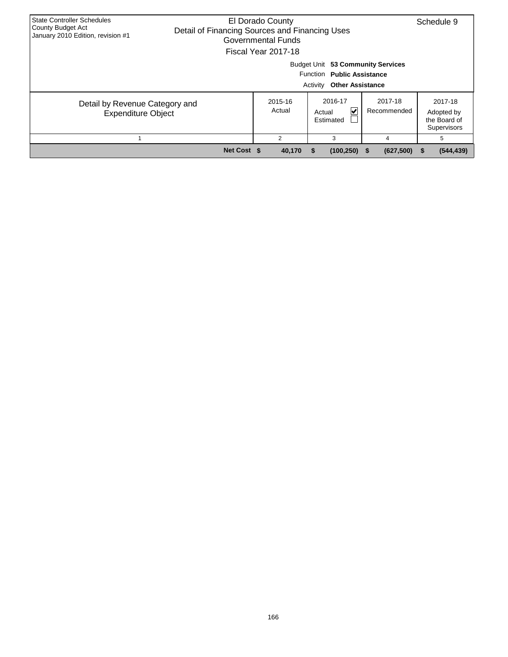| <b>State Controller Schedules</b><br>County Budget Act<br>January 2010 Edition, revision #1 | El Dorado County<br>Detail of Financing Sources and Financing Uses<br>Governmental Funds<br>Fiscal Year 2017-18 | Schedule 9        |                                                                                                        |                        |                                                      |
|---------------------------------------------------------------------------------------------|-----------------------------------------------------------------------------------------------------------------|-------------------|--------------------------------------------------------------------------------------------------------|------------------------|------------------------------------------------------|
|                                                                                             |                                                                                                                 |                   | Budget Unit 53 Community Services<br>Function Public Assistance<br>Activity<br><b>Other Assistance</b> |                        |                                                      |
| Detail by Revenue Category and<br><b>Expenditure Object</b>                                 |                                                                                                                 | 2015-16<br>Actual | 2016-17<br>V<br>Actual<br>Estimated                                                                    | 2017-18<br>Recommended | 2017-18<br>Adopted by<br>the Board of<br>Supervisors |
|                                                                                             |                                                                                                                 | 2                 | 3                                                                                                      | 4                      | 5                                                    |
|                                                                                             | Net Cost \$                                                                                                     | 40,170            | (100, 250)                                                                                             | (627,500)<br>- 56      | (544, 439)<br>S.                                     |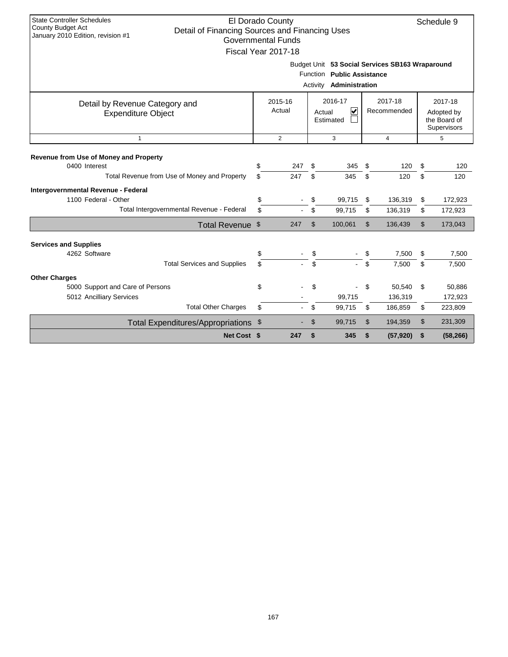| <b>State Controller Schedules</b><br>El Dorado County<br>Schedule 9<br>County Budget Act<br>Detail of Financing Sources and Financing Uses<br>January 2010 Edition, revision #1<br><b>Governmental Funds</b><br>Fiscal Year 2017-18 |                                                                                                                                                                  |                |          |                  |          |                    |          |                    |  |  |  |
|-------------------------------------------------------------------------------------------------------------------------------------------------------------------------------------------------------------------------------------|------------------------------------------------------------------------------------------------------------------------------------------------------------------|----------------|----------|------------------|----------|--------------------|----------|--------------------|--|--|--|
|                                                                                                                                                                                                                                     | Budget Unit 53 Social Services SB163 Wraparound<br>Function Public Assistance<br>Activity <b>Administration</b>                                                  |                |          |                  |          |                    |          |                    |  |  |  |
| Detail by Revenue Category and<br><b>Expenditure Object</b>                                                                                                                                                                         | 2016-17<br>2017-18<br>2015-16<br>2017-18<br>$\overline{\mathbf{v}}$<br>Actual<br>Recommended<br>Actual<br>Adopted by<br>Estimated<br>the Board of<br>Supervisors |                |          |                  |          |                    |          |                    |  |  |  |
| $\mathbf{1}$                                                                                                                                                                                                                        |                                                                                                                                                                  | $\overline{2}$ |          | 3                |          | $\overline{4}$     |          | 5                  |  |  |  |
| Revenue from Use of Money and Property<br>0400 Interest<br>Total Revenue from Use of Money and Property                                                                                                                             | \$<br>\$<br>247<br>\$<br>120<br>345<br>\$<br>\$<br>345<br>\$<br>120<br>247                                                                                       |                |          |                  |          |                    | \$<br>\$ | 120<br>120         |  |  |  |
| Intergovernmental Revenue - Federal<br>1100 Federal - Other<br>Total Intergovernmental Revenue - Federal                                                                                                                            | \$<br>\$                                                                                                                                                         |                | \$<br>\$ | 99,715<br>99,715 | \$<br>\$ | 136,319<br>136,319 | \$<br>\$ | 172,923<br>172,923 |  |  |  |
| Total Revenue \$                                                                                                                                                                                                                    |                                                                                                                                                                  | 247            | \$       | 100,061          | \$       | 136,439            | \$       | 173,043            |  |  |  |
| <b>Services and Supplies</b><br>4262 Software                                                                                                                                                                                       | \$                                                                                                                                                               |                | \$       |                  | \$       | 7,500              | \$       | 7,500              |  |  |  |
| <b>Total Services and Supplies</b>                                                                                                                                                                                                  | \$                                                                                                                                                               |                | \$       |                  | \$       | 7,500              | \$       | 7,500              |  |  |  |
| <b>Other Charges</b><br>5000 Support and Care of Persons                                                                                                                                                                            | \$<br>\$<br>50,540<br>\$<br>\$                                                                                                                                   |                |          |                  |          |                    |          |                    |  |  |  |
| 5012 Ancilliary Services                                                                                                                                                                                                            |                                                                                                                                                                  |                |          | 99,715           |          | 136,319            |          | 172,923            |  |  |  |
| <b>Total Other Charges</b>                                                                                                                                                                                                          | \$                                                                                                                                                               |                | \$       | 99,715           | \$       | 186,859            | \$       | 223,809            |  |  |  |
| Total Expenditures/Appropriations \$                                                                                                                                                                                                |                                                                                                                                                                  |                | \$       | 99,715           | \$       | 194,359            | \$       | 231,309            |  |  |  |
| Net Cost \$                                                                                                                                                                                                                         |                                                                                                                                                                  | 247            | \$       | 345              | \$       | (57, 920)          | \$       | (58, 266)          |  |  |  |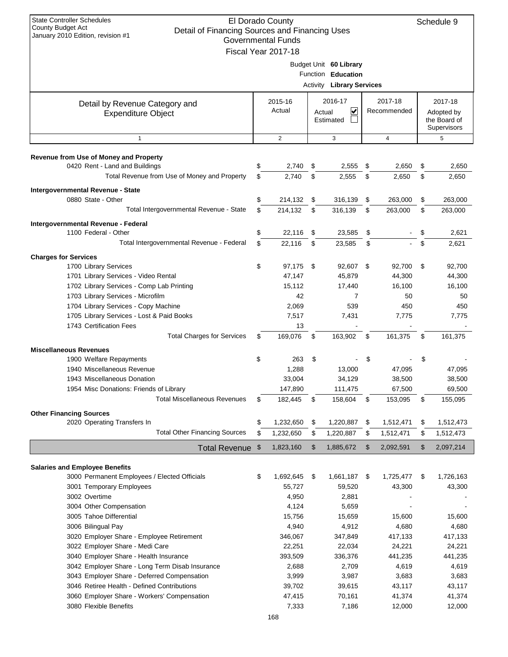| <b>State Controller Schedules</b><br>El Dorado County<br>Schedule 9<br><b>County Budget Act</b><br>Detail of Financing Sources and Financing Uses<br>January 2010 Edition, revision #1<br><b>Governmental Funds</b><br>Fiscal Year 2017-18 |          |                   |          |                                                                                  |    |                        |          |                  |  |                                                      |
|--------------------------------------------------------------------------------------------------------------------------------------------------------------------------------------------------------------------------------------------|----------|-------------------|----------|----------------------------------------------------------------------------------|----|------------------------|----------|------------------|--|------------------------------------------------------|
|                                                                                                                                                                                                                                            |          |                   |          | Budget Unit 60 Library<br>Function Education<br><b>Activity Library Services</b> |    |                        |          |                  |  |                                                      |
| Detail by Revenue Category and<br><b>Expenditure Object</b>                                                                                                                                                                                |          | 2015-16<br>Actual |          | 2016-17<br>⊻<br>Actual<br>Estimated                                              |    | 2017-18<br>Recommended |          |                  |  | 2017-18<br>Adopted by<br>the Board of<br>Supervisors |
| $\mathbf{1}$                                                                                                                                                                                                                               |          | 2                 |          | 3                                                                                |    | $\overline{4}$         |          | 5                |  |                                                      |
| Revenue from Use of Money and Property                                                                                                                                                                                                     |          |                   |          |                                                                                  |    |                        |          |                  |  |                                                      |
| 0420 Rent - Land and Buildings                                                                                                                                                                                                             | \$       | 2,740             | \$       | 2,555                                                                            | \$ | 2,650                  | \$       | 2,650            |  |                                                      |
| Total Revenue from Use of Money and Property                                                                                                                                                                                               | \$       | 2,740             | \$       | 2,555                                                                            | \$ | 2,650                  | \$       | 2,650            |  |                                                      |
| Intergovernmental Revenue - State                                                                                                                                                                                                          |          |                   |          |                                                                                  |    |                        |          |                  |  |                                                      |
| 0880 State - Other                                                                                                                                                                                                                         | \$       | 214,132           | \$       | 316,139                                                                          | \$ | 263,000                | \$       | 263,000          |  |                                                      |
| Total Intergovernmental Revenue - State                                                                                                                                                                                                    | \$       | 214,132           | \$       | 316,139                                                                          | \$ | 263,000                | \$       | 263,000          |  |                                                      |
| Intergovernmental Revenue - Federal                                                                                                                                                                                                        |          |                   |          |                                                                                  |    |                        |          |                  |  |                                                      |
| 1100 Federal - Other<br>Total Intergovernmental Revenue - Federal                                                                                                                                                                          | \$<br>\$ | 22,116            | \$<br>\$ | 23,585                                                                           | \$ |                        | \$<br>\$ | 2,621            |  |                                                      |
|                                                                                                                                                                                                                                            |          | 22,116            |          | 23,585                                                                           | \$ |                        |          | 2,621            |  |                                                      |
| <b>Charges for Services</b>                                                                                                                                                                                                                |          |                   |          |                                                                                  |    |                        |          |                  |  |                                                      |
| 1700 Library Services                                                                                                                                                                                                                      | \$       | 97,175<br>47,147  | - \$     | 92,607 \$<br>45,879                                                              |    | 92,700<br>44,300       | \$       | 92,700<br>44,300 |  |                                                      |
| 1701 Library Services - Video Rental<br>1702 Library Services - Comp Lab Printing                                                                                                                                                          |          | 15,112            |          | 17,440                                                                           |    | 16,100                 |          | 16,100           |  |                                                      |
| 1703 Library Services - Microfilm                                                                                                                                                                                                          |          | 42                |          | 7                                                                                |    | 50                     |          | 50               |  |                                                      |
| 1704 Library Services - Copy Machine                                                                                                                                                                                                       |          | 2,069             |          | 539                                                                              |    | 450                    |          | 450              |  |                                                      |
| 1705 Library Services - Lost & Paid Books                                                                                                                                                                                                  |          | 7,517             |          | 7,431                                                                            |    | 7,775                  |          | 7,775            |  |                                                      |
| 1743 Certification Fees                                                                                                                                                                                                                    |          | 13                |          |                                                                                  |    |                        |          |                  |  |                                                      |
| <b>Total Charges for Services</b>                                                                                                                                                                                                          | S        | 169,076           | \$       | 163,902                                                                          | \$ | 161,375                | \$       | 161,375          |  |                                                      |
| <b>Miscellaneous Revenues</b>                                                                                                                                                                                                              |          |                   |          |                                                                                  |    |                        |          |                  |  |                                                      |
| 1900 Welfare Repayments                                                                                                                                                                                                                    | \$       | 263               | \$       |                                                                                  | \$ |                        | \$       |                  |  |                                                      |
| 1940 Miscellaneous Revenue                                                                                                                                                                                                                 |          | 1,288             |          | 13,000                                                                           |    | 47,095                 |          | 47,095           |  |                                                      |
| 1943 Miscellaneous Donation                                                                                                                                                                                                                |          | 33,004            |          | 34,129                                                                           |    | 38,500                 |          | 38,500           |  |                                                      |
| 1954 Misc Donations: Friends of Library                                                                                                                                                                                                    |          | 147,890           |          | 111,475                                                                          |    | 67,500                 |          | 69,500           |  |                                                      |
| <b>Total Miscellaneous Revenues</b>                                                                                                                                                                                                        | \$       | 182,445           | \$       | 158,604                                                                          | \$ | 153,095                | \$       | 155,095          |  |                                                      |
| <b>Other Financing Sources</b>                                                                                                                                                                                                             |          |                   |          |                                                                                  |    |                        |          |                  |  |                                                      |
| 2020 Operating Transfers In                                                                                                                                                                                                                | \$       | 1,232,650         | \$       | 1,220,887                                                                        | \$ | 1,512,471              | \$       | 1,512,473        |  |                                                      |
| <b>Total Other Financing Sources</b>                                                                                                                                                                                                       | \$       | 1,232,650         | \$       | 1,220,887                                                                        | \$ | 1,512,471              | \$       | 1,512,473        |  |                                                      |
| Total Revenue \$                                                                                                                                                                                                                           |          | 1,823,160         | \$       | 1,885,672                                                                        | \$ | 2,092,591              | \$       | 2,097,214        |  |                                                      |
|                                                                                                                                                                                                                                            |          |                   |          |                                                                                  |    |                        |          |                  |  |                                                      |
| <b>Salaries and Employee Benefits</b><br>3000 Permanent Employees / Elected Officials                                                                                                                                                      | \$       | 1,692,645         | \$       | 1,661,187                                                                        | \$ | 1,725,477              | \$       | 1,726,163        |  |                                                      |
| 3001 Temporary Employees                                                                                                                                                                                                                   |          | 55,727            |          | 59,520                                                                           |    | 43,300                 |          | 43,300           |  |                                                      |
| 3002 Overtime                                                                                                                                                                                                                              |          | 4,950             |          | 2,881                                                                            |    |                        |          |                  |  |                                                      |
| 3004 Other Compensation                                                                                                                                                                                                                    |          | 4,124             |          | 5,659                                                                            |    |                        |          |                  |  |                                                      |
| 3005 Tahoe Differential                                                                                                                                                                                                                    |          | 15,756            |          | 15,659                                                                           |    | 15,600                 |          | 15,600           |  |                                                      |
| 3006 Bilingual Pay                                                                                                                                                                                                                         |          | 4,940             |          | 4,912                                                                            |    | 4,680                  |          | 4,680            |  |                                                      |
| 3020 Employer Share - Employee Retirement                                                                                                                                                                                                  |          | 346,067           |          | 347,849                                                                          |    | 417,133                |          | 417,133          |  |                                                      |
| 3022 Employer Share - Medi Care                                                                                                                                                                                                            |          | 22,251            |          | 22,034                                                                           |    | 24,221                 |          | 24,221           |  |                                                      |
| 3040 Employer Share - Health Insurance                                                                                                                                                                                                     |          | 393,509           |          | 336,376                                                                          |    | 441,235                |          | 441,235          |  |                                                      |
| 3042 Employer Share - Long Term Disab Insurance                                                                                                                                                                                            |          | 2,688             |          | 2,709                                                                            |    | 4,619                  |          | 4,619            |  |                                                      |
| 3043 Employer Share - Deferred Compensation                                                                                                                                                                                                |          | 3,999             |          | 3,987                                                                            |    | 3,683                  |          | 3,683            |  |                                                      |
| 3046 Retiree Health - Defined Contributions                                                                                                                                                                                                |          | 39,702            |          | 39,615                                                                           |    | 43,117                 |          | 43,117           |  |                                                      |
| 3060 Employer Share - Workers' Compensation<br>3080 Flexible Benefits                                                                                                                                                                      |          | 47,415            |          | 70,161                                                                           |    | 41,374                 |          | 41,374           |  |                                                      |
|                                                                                                                                                                                                                                            |          | 7,333             |          | 7,186                                                                            |    | 12,000                 |          | 12,000           |  |                                                      |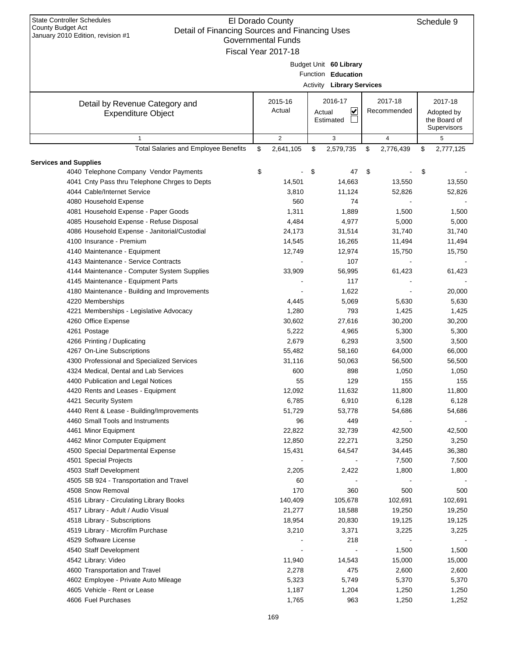| <b>State Controller Schedules</b><br>County Budget Act<br>Detail of Financing Sources and Financing Uses<br>January 2010 Edition, revision #1 | El Dorado County<br>Governmental Funds |                                                                                  |                        | Schedule 9                                           |
|-----------------------------------------------------------------------------------------------------------------------------------------------|----------------------------------------|----------------------------------------------------------------------------------|------------------------|------------------------------------------------------|
|                                                                                                                                               | Fiscal Year 2017-18                    | Budget Unit 60 Library<br>Function Education<br><b>Activity Library Services</b> |                        |                                                      |
|                                                                                                                                               |                                        |                                                                                  |                        |                                                      |
| Detail by Revenue Category and<br><b>Expenditure Object</b>                                                                                   | 2015-16<br>Actual                      | 2016-17<br>V<br>Actual<br>Estimated                                              | 2017-18<br>Recommended | 2017-18<br>Adopted by<br>the Board of<br>Supervisors |
| $\mathbf{1}$                                                                                                                                  | $\overline{2}$                         | 3                                                                                | $\overline{4}$         | 5                                                    |
| <b>Total Salaries and Employee Benefits</b>                                                                                                   | \$<br>2,641,105                        | \$<br>2,579,735                                                                  | \$<br>2,776,439        | \$<br>2,777,125                                      |
| <b>Services and Supplies</b>                                                                                                                  |                                        |                                                                                  |                        |                                                      |
| 4040 Telephone Company Vendor Payments                                                                                                        | \$                                     | \$<br>47                                                                         | \$                     | \$                                                   |
| 4041 Cnty Pass thru Telephone Chrges to Depts                                                                                                 | 14,501                                 | 14,663                                                                           | 13,550                 | 13,550                                               |
| 4044 Cable/Internet Service                                                                                                                   | 3,810                                  | 11,124                                                                           | 52,826                 | 52,826                                               |
| 4080 Household Expense                                                                                                                        | 560                                    | 74                                                                               |                        |                                                      |
| 4081 Household Expense - Paper Goods                                                                                                          | 1,311                                  | 1,889                                                                            | 1,500                  | 1,500                                                |
| 4085 Household Expense - Refuse Disposal                                                                                                      | 4,484                                  | 4,977                                                                            | 5,000                  | 5,000                                                |
| 4086 Household Expense - Janitorial/Custodial                                                                                                 | 24,173                                 | 31,514                                                                           | 31,740                 | 31,740                                               |
| 4100 Insurance - Premium                                                                                                                      | 14,545                                 | 16,265                                                                           | 11,494                 | 11,494                                               |
| 4140 Maintenance - Equipment                                                                                                                  | 12,749                                 | 12,974                                                                           | 15,750                 | 15,750                                               |
| 4143 Maintenance - Service Contracts                                                                                                          |                                        | 107                                                                              |                        |                                                      |
| 4144 Maintenance - Computer System Supplies                                                                                                   | 33,909                                 | 56,995                                                                           | 61,423                 | 61,423                                               |
| 4145 Maintenance - Equipment Parts                                                                                                            |                                        | 117                                                                              |                        |                                                      |
| 4180 Maintenance - Building and Improvements                                                                                                  |                                        | 1,622                                                                            |                        | 20,000                                               |
| 4220 Memberships                                                                                                                              | 4,445                                  | 5,069                                                                            | 5,630                  | 5,630                                                |
| 4221 Memberships - Legislative Advocacy                                                                                                       | 1,280                                  | 793                                                                              | 1,425                  | 1,425                                                |
| 4260 Office Expense                                                                                                                           | 30,602                                 | 27,616                                                                           | 30,200                 | 30,200                                               |
| 4261 Postage                                                                                                                                  | 5,222                                  | 4,965                                                                            | 5,300                  | 5,300                                                |
| 4266 Printing / Duplicating                                                                                                                   | 2,679                                  | 6,293                                                                            | 3,500                  | 3,500                                                |
| 4267 On-Line Subscriptions                                                                                                                    | 55,482                                 | 58,160                                                                           | 64,000                 | 66,000                                               |
| 4300 Professional and Specialized Services                                                                                                    | 31,116                                 | 50,063                                                                           | 56,500                 | 56,500                                               |
| 4324 Medical, Dental and Lab Services                                                                                                         | 600                                    | 898                                                                              | 1,050                  | 1,050                                                |
| 4400 Publication and Legal Notices                                                                                                            | 55                                     | 129                                                                              | 155                    | 155                                                  |
| 4420 Rents and Leases - Equipment                                                                                                             | 12,092                                 | 11,632                                                                           | 11,800                 | 11,800                                               |
| 4421 Security System                                                                                                                          | 6,785                                  | 6,910                                                                            | 6,128                  | 6,128                                                |
| 4440 Rent & Lease - Building/Improvements                                                                                                     | 51,729                                 | 53,778                                                                           | 54,686                 | 54,686                                               |
| 4460 Small Tools and Instruments                                                                                                              | 96                                     | 449                                                                              |                        |                                                      |
| 4461 Minor Equipment                                                                                                                          | 22,822                                 | 32,739                                                                           | 42,500                 | 42,500                                               |
| 4462 Minor Computer Equipment                                                                                                                 | 12,850                                 | 22,271                                                                           | 3,250                  | 3,250                                                |
| 4500 Special Departmental Expense                                                                                                             | 15,431                                 | 64,547                                                                           | 34,445                 | 36,380                                               |
| 4501 Special Projects                                                                                                                         |                                        |                                                                                  | 7,500                  | 7,500                                                |
| 4503 Staff Development                                                                                                                        | 2,205                                  | 2,422                                                                            | 1,800                  | 1,800                                                |
| 4505 SB 924 - Transportation and Travel                                                                                                       | 60                                     |                                                                                  |                        |                                                      |
| 4508 Snow Removal                                                                                                                             | 170                                    | 360                                                                              | 500                    | 500                                                  |
| 4516 Library - Circulating Library Books                                                                                                      | 140,409                                | 105,678                                                                          | 102,691                | 102,691                                              |
| 4517 Library - Adult / Audio Visual                                                                                                           | 21,277                                 | 18,588                                                                           | 19,250                 | 19,250                                               |
| 4518 Library - Subscriptions                                                                                                                  | 18,954                                 | 20,830                                                                           | 19,125                 | 19,125                                               |
| 4519 Library - Microfilm Purchase                                                                                                             | 3,210                                  | 3,371                                                                            | 3,225                  | 3,225                                                |
| 4529 Software License                                                                                                                         |                                        | 218                                                                              |                        |                                                      |
| 4540 Staff Development                                                                                                                        |                                        |                                                                                  | 1,500                  | 1,500                                                |
| 4542 Library: Video                                                                                                                           | 11,940                                 | 14,543                                                                           | 15,000                 | 15,000                                               |
| 4600 Transportation and Travel                                                                                                                | 2,278                                  | 475                                                                              | 2,600                  | 2,600                                                |
| 4602 Employee - Private Auto Mileage                                                                                                          | 5,323                                  | 5,749                                                                            | 5,370                  | 5,370                                                |
| 4605 Vehicle - Rent or Lease                                                                                                                  | 1,187                                  | 1,204                                                                            | 1,250                  | 1,250                                                |
|                                                                                                                                               |                                        |                                                                                  |                        |                                                      |
| 4606 Fuel Purchases                                                                                                                           | 1,765                                  | 963                                                                              | 1,250                  | 1,252                                                |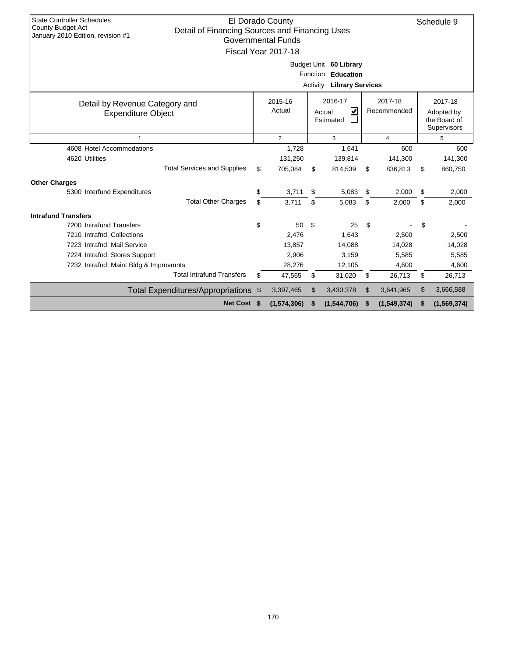| <b>State Controller Schedules</b><br><b>County Budget Act</b><br>Detail of Financing Sources and Financing Uses<br>January 2010 Edition, revision #1 |                               | El Dorado County<br><b>Governmental Funds</b><br>Fiscal Year 2017-18 | Activity | Budget Unit 60 Library<br>Function Education<br><b>Library Services</b> |          |                           |          | Schedule 9                                           |  |  |
|------------------------------------------------------------------------------------------------------------------------------------------------------|-------------------------------|----------------------------------------------------------------------|----------|-------------------------------------------------------------------------|----------|---------------------------|----------|------------------------------------------------------|--|--|
| Detail by Revenue Category and<br><b>Expenditure Object</b>                                                                                          |                               | 2015-16<br>Actual                                                    |          | 2016-17<br>V<br>Actual<br>Estimated                                     |          | 2017-18<br>Recommended    |          | 2017-18<br>Adopted by<br>the Board of<br>Supervisors |  |  |
| $\mathbf{1}$                                                                                                                                         | $\overline{2}$<br>3<br>4<br>5 |                                                                      |          |                                                                         |          |                           |          |                                                      |  |  |
| 4608 Hotel Accommodations<br>4620 Utilities<br><b>Total Services and Supplies</b>                                                                    | \$                            | 1,728<br>131,250<br>705,084                                          | \$       | 1,641<br>139,814<br>814,539                                             | \$       | 600<br>141,300<br>836,813 | \$       | 600<br>141,300<br>860,750                            |  |  |
|                                                                                                                                                      |                               |                                                                      |          |                                                                         |          |                           |          |                                                      |  |  |
| <b>Other Charges</b><br>5300 Interfund Expenditures<br><b>Total Other Charges</b>                                                                    | \$<br>\$                      | 3,711<br>3.711                                                       | \$<br>\$ | 5,083<br>5,083                                                          | \$<br>\$ | 2,000<br>2,000            | \$<br>\$ | 2,000<br>2,000                                       |  |  |
|                                                                                                                                                      |                               |                                                                      |          |                                                                         |          |                           |          |                                                      |  |  |
| <b>Intrafund Transfers</b><br>7200 Intrafund Transfers                                                                                               | \$                            | 50                                                                   | \$       | 25                                                                      | \$       |                           | \$       |                                                      |  |  |
| 7210 Intrafnd: Collections                                                                                                                           |                               | 2,476                                                                |          | 1,643                                                                   |          | 2,500                     |          | 2,500                                                |  |  |
| 7223 Intrafnd: Mail Service                                                                                                                          |                               | 13,857                                                               |          | 14,088                                                                  |          | 14,028                    |          | 14,028                                               |  |  |
| 7224 Intrafnd: Stores Support                                                                                                                        |                               | 2,906                                                                |          | 3,159                                                                   |          | 5,585                     |          | 5,585                                                |  |  |
| 7232 Intrafnd: Maint Bldg & Improvmnts                                                                                                               |                               | 28,276                                                               |          | 12,105                                                                  |          | 4,600                     |          | 4,600                                                |  |  |
| <b>Total Intrafund Transfers</b>                                                                                                                     | \$                            | 47,565                                                               | \$       | 31,020                                                                  | \$       | 26,713                    | \$       | 26,713                                               |  |  |
| Total Expenditures/Appropriations \$                                                                                                                 |                               | 3,397,465                                                            | \$       | 3,430,378                                                               | \$       | 3,641,965                 | \$       | 3,666,588                                            |  |  |
| Net Cost \$                                                                                                                                          |                               | (1,574,306)                                                          | \$       | (1,544,706)                                                             | S        | (1,549,374)               | S        | (1,569,374)                                          |  |  |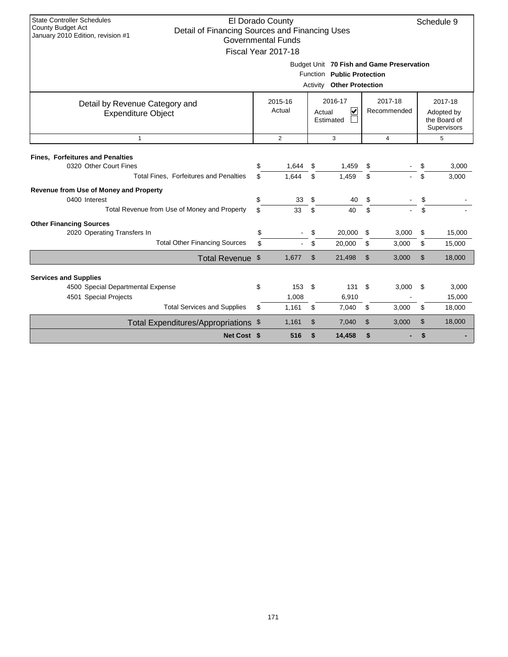| <b>State Controller Schedules</b><br>El Dorado County<br>Schedule 9<br><b>County Budget Act</b><br>Detail of Financing Sources and Financing Uses<br>January 2010 Edition, revision #1<br><b>Governmental Funds</b><br>Fiscal Year 2017-18<br>Budget Unit 70 Fish and Game Preservation<br>Function Public Protection |                                                                                                                                             |                |          |                                  |               |       |          |                |  |  |  |
|-----------------------------------------------------------------------------------------------------------------------------------------------------------------------------------------------------------------------------------------------------------------------------------------------------------------------|---------------------------------------------------------------------------------------------------------------------------------------------|----------------|----------|----------------------------------|---------------|-------|----------|----------------|--|--|--|
|                                                                                                                                                                                                                                                                                                                       |                                                                                                                                             |                |          |                                  |               |       |          |                |  |  |  |
|                                                                                                                                                                                                                                                                                                                       |                                                                                                                                             |                |          | <b>Activity Other Protection</b> |               |       |          |                |  |  |  |
| Detail by Revenue Category and<br><b>Expenditure Object</b>                                                                                                                                                                                                                                                           | 2017-18<br>2015-16<br>2016-17<br>2017-18<br>Actual<br>∣✔<br>Recommended<br>Actual<br>Adopted by<br>the Board of<br>Estimated<br>Supervisors |                |          |                                  |               |       |          |                |  |  |  |
| $\mathbf{1}$                                                                                                                                                                                                                                                                                                          | $\overline{2}$<br>3<br>5<br>$\overline{4}$                                                                                                  |                |          |                                  |               |       |          |                |  |  |  |
| <b>Fines, Forfeitures and Penalties</b><br>0320 Other Court Fines<br>Total Fines, Forfeitures and Penalties                                                                                                                                                                                                           | \$<br>\$                                                                                                                                    | 1,644<br>1.644 | \$<br>\$ | 1,459<br>1,459                   | \$<br>\$      |       | \$<br>\$ | 3,000<br>3,000 |  |  |  |
| <b>Revenue from Use of Money and Property</b>                                                                                                                                                                                                                                                                         |                                                                                                                                             |                |          |                                  |               |       |          |                |  |  |  |
| 0400 Interest                                                                                                                                                                                                                                                                                                         | \$                                                                                                                                          | 33             | \$       | 40                               | \$            |       | \$       |                |  |  |  |
| Total Revenue from Use of Money and Property                                                                                                                                                                                                                                                                          | \$                                                                                                                                          | 33             | \$       | 40                               | \$            |       | \$       |                |  |  |  |
| <b>Other Financing Sources</b><br>2020 Operating Transfers In                                                                                                                                                                                                                                                         | \$                                                                                                                                          |                | \$       | 20,000                           | \$            | 3,000 | \$       | 15,000         |  |  |  |
| <b>Total Other Financing Sources</b>                                                                                                                                                                                                                                                                                  | \$                                                                                                                                          |                | \$       | 20,000                           | \$            | 3,000 | \$       | 15,000         |  |  |  |
| Total Revenue \$                                                                                                                                                                                                                                                                                                      |                                                                                                                                             | 1,677          | \$       | 21,498                           | $\mathsf{\$}$ | 3,000 | \$       | 18,000         |  |  |  |
| <b>Services and Supplies</b>                                                                                                                                                                                                                                                                                          |                                                                                                                                             |                |          |                                  |               |       |          |                |  |  |  |
| 4500 Special Departmental Expense                                                                                                                                                                                                                                                                                     | \$                                                                                                                                          | 153            | \$       | 131                              | \$            | 3,000 | \$       | 3,000          |  |  |  |
| 4501 Special Projects                                                                                                                                                                                                                                                                                                 |                                                                                                                                             | 1,008          |          | 6,910                            |               |       |          | 15,000         |  |  |  |
| <b>Total Services and Supplies</b>                                                                                                                                                                                                                                                                                    | \$                                                                                                                                          | 1,161          | \$       | 7,040                            | \$            | 3,000 | \$       | 18,000         |  |  |  |
| Total Expenditures/Appropriations \$                                                                                                                                                                                                                                                                                  |                                                                                                                                             | 1,161          | \$       | 7,040                            | $\mathsf{\$}$ | 3,000 | \$       | 18,000         |  |  |  |
| Net Cost \$                                                                                                                                                                                                                                                                                                           |                                                                                                                                             | 516            | \$       | 14,458                           | \$            |       | \$       |                |  |  |  |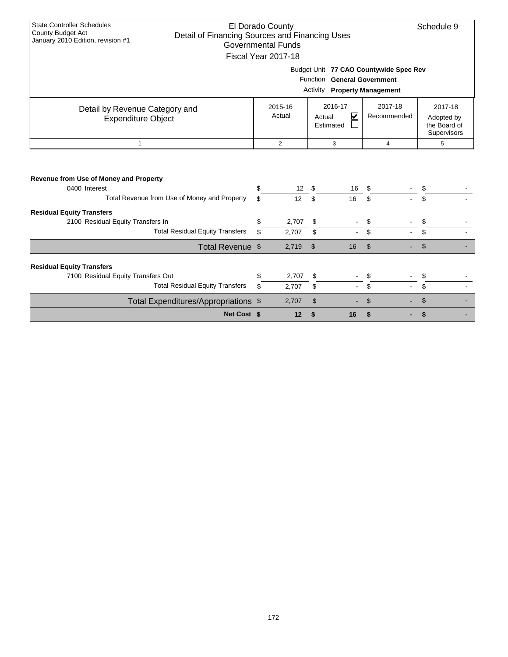| <b>State Controller Schedules</b><br>El Dorado County<br>Schedule 9<br><b>County Budget Act</b><br>Detail of Financing Sources and Financing Uses<br>January 2010 Edition, revision #1<br><b>Governmental Funds</b><br>Fiscal Year 2017-18<br>Budget Unit 77 CAO Countywide Spec Rev<br>Function General Government<br><b>Activity Property Management</b> |          |                       |                |                                                 |                        |                                                      |  |  |  |  |  |  |
|------------------------------------------------------------------------------------------------------------------------------------------------------------------------------------------------------------------------------------------------------------------------------------------------------------------------------------------------------------|----------|-----------------------|----------------|-------------------------------------------------|------------------------|------------------------------------------------------|--|--|--|--|--|--|
|                                                                                                                                                                                                                                                                                                                                                            |          |                       |                |                                                 |                        |                                                      |  |  |  |  |  |  |
| Detail by Revenue Category and<br><b>Expenditure Object</b>                                                                                                                                                                                                                                                                                                |          | 2015-16<br>Actual     | Actual         | 2016-17<br>$\overline{\mathbf{v}}$<br>Estimated | 2017-18<br>Recommended | 2017-18<br>Adopted by<br>the Board of<br>Supervisors |  |  |  |  |  |  |
| $\mathbf{1}$                                                                                                                                                                                                                                                                                                                                               |          | 2                     |                | 3                                               | $\overline{4}$         | 5                                                    |  |  |  |  |  |  |
| Revenue from Use of Money and Property<br>0400 Interest<br>Total Revenue from Use of Money and Property                                                                                                                                                                                                                                                    | \$<br>\$ | 12 <sup>7</sup><br>12 | S<br>\$        | 16<br>16                                        | \$<br>\$               | \$<br>\$.                                            |  |  |  |  |  |  |
| <b>Residual Equity Transfers</b>                                                                                                                                                                                                                                                                                                                           |          |                       |                |                                                 |                        |                                                      |  |  |  |  |  |  |
| 2100 Residual Equity Transfers In                                                                                                                                                                                                                                                                                                                          | \$       | 2,707                 | \$             |                                                 | \$                     | \$                                                   |  |  |  |  |  |  |
| <b>Total Residual Equity Transfers</b>                                                                                                                                                                                                                                                                                                                     | \$       | 2,707                 | \$             |                                                 | \$                     | \$                                                   |  |  |  |  |  |  |
| Total Revenue \$                                                                                                                                                                                                                                                                                                                                           |          | 2,719                 | $\mathfrak{S}$ | 16                                              | $\mathbb{S}$           | \$                                                   |  |  |  |  |  |  |
| <b>Residual Equity Transfers</b><br>7100 Residual Equity Transfers Out                                                                                                                                                                                                                                                                                     | \$       | 2,707                 | \$             |                                                 | \$                     | \$                                                   |  |  |  |  |  |  |
| <b>Total Residual Equity Transfers</b>                                                                                                                                                                                                                                                                                                                     | \$       | 2,707                 | \$             |                                                 | \$                     | \$                                                   |  |  |  |  |  |  |
| Total Expenditures/Appropriations \$                                                                                                                                                                                                                                                                                                                       |          | 2,707                 | \$             |                                                 | \$                     | \$                                                   |  |  |  |  |  |  |
| Net Cost \$                                                                                                                                                                                                                                                                                                                                                |          | 12                    | \$             | 16                                              | \$                     | \$                                                   |  |  |  |  |  |  |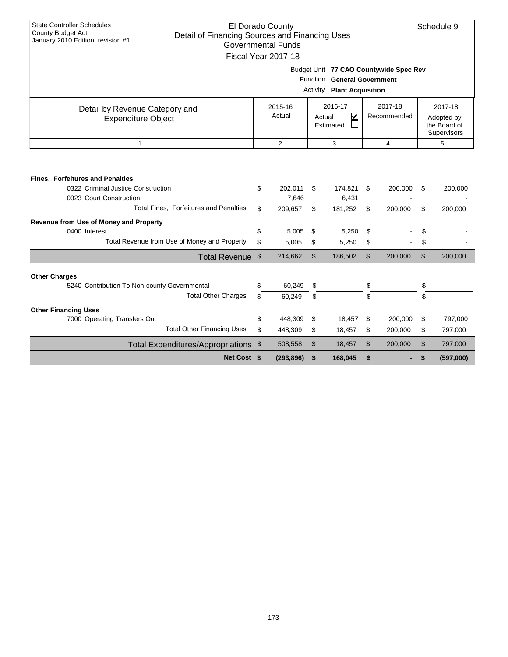| <b>State Controller Schedules</b><br>County Budget Act                                                                                                                                                                                                        |                                                    | El Dorado County                              |                      |                                               |                      |                    |                      | Schedule 9         |  |
|---------------------------------------------------------------------------------------------------------------------------------------------------------------------------------------------------------------------------------------------------------------|----------------------------------------------------|-----------------------------------------------|----------------------|-----------------------------------------------|----------------------|--------------------|----------------------|--------------------|--|
| Detail of Financing Sources and Financing Uses<br>January 2010 Edition, revision #1                                                                                                                                                                           |                                                    | <b>Governmental Funds</b>                     |                      |                                               |                      |                    |                      |                    |  |
|                                                                                                                                                                                                                                                               |                                                    |                                               |                      |                                               |                      |                    |                      |                    |  |
|                                                                                                                                                                                                                                                               |                                                    | Fiscal Year 2017-18                           |                      |                                               |                      |                    |                      |                    |  |
|                                                                                                                                                                                                                                                               |                                                    |                                               |                      | Budget Unit 77 CAO Countywide Spec Rev        |                      |                    |                      |                    |  |
|                                                                                                                                                                                                                                                               |                                                    |                                               |                      | Function General Government                   |                      |                    |                      |                    |  |
|                                                                                                                                                                                                                                                               |                                                    |                                               |                      | <b>Activity Plant Acquisition</b>             |                      |                    |                      |                    |  |
| Detail by Revenue Category and                                                                                                                                                                                                                                |                                                    | 2015-16                                       |                      | 2016-17                                       |                      | 2017-18            |                      | 2017-18            |  |
| <b>Expenditure Object</b>                                                                                                                                                                                                                                     | Actual<br>V<br>Recommended<br>Actual<br>Adopted by |                                               |                      |                                               |                      |                    |                      |                    |  |
|                                                                                                                                                                                                                                                               |                                                    |                                               |                      | Estimated                                     |                      |                    |                      | the Board of       |  |
|                                                                                                                                                                                                                                                               |                                                    |                                               |                      |                                               |                      |                    |                      | Supervisors        |  |
| $\mathbf{1}$                                                                                                                                                                                                                                                  |                                                    | $\overline{2}$                                |                      | 3                                             |                      | $\overline{4}$     |                      | 5                  |  |
| <b>Fines, Forfeitures and Penalties</b><br>0322 Criminal Justice Construction<br>0323 Court Construction<br>Total Fines, Forfeitures and Penalties<br>Revenue from Use of Money and Property<br>0400 Interest<br>Total Revenue from Use of Money and Property | \$<br>\$<br>\$<br>\$                               | 202,011<br>7,646<br>209.657<br>5,005<br>5,005 | \$<br>\$<br>\$<br>\$ | 174,821<br>6,431<br>181,252<br>5,250<br>5,250 | \$<br>\$<br>\$<br>\$ | 200,000<br>200,000 | \$<br>\$<br>\$<br>\$ | 200,000<br>200,000 |  |
| Total Revenue \$                                                                                                                                                                                                                                              |                                                    | 214,662                                       | $\mathfrak{L}$       | 186,502                                       | $\mathfrak{S}$       | 200,000            | \$                   | 200,000            |  |
|                                                                                                                                                                                                                                                               |                                                    |                                               |                      |                                               |                      |                    |                      |                    |  |
| <b>Other Charges</b><br>5240 Contribution To Non-county Governmental                                                                                                                                                                                          | \$                                                 | 60.249                                        | \$                   |                                               | \$                   |                    | \$                   |                    |  |
| <b>Total Other Charges</b>                                                                                                                                                                                                                                    | \$                                                 | 60,249                                        | \$                   |                                               | \$                   |                    | \$                   |                    |  |
|                                                                                                                                                                                                                                                               |                                                    |                                               |                      |                                               |                      |                    |                      |                    |  |
| <b>Other Financing Uses</b>                                                                                                                                                                                                                                   |                                                    |                                               |                      |                                               |                      |                    |                      |                    |  |
| 7000 Operating Transfers Out                                                                                                                                                                                                                                  | \$                                                 | 448,309                                       | \$                   | 18,457                                        | \$                   | 200,000            | \$                   | 797,000            |  |
| <b>Total Other Financing Uses</b>                                                                                                                                                                                                                             | \$                                                 | 448,309                                       | \$                   | 18,457                                        | \$                   | 200,000            | \$                   | 797,000            |  |
| Total Expenditures/Appropriations \$                                                                                                                                                                                                                          |                                                    | 508,558                                       | \$                   | 18,457                                        | \$                   | 200,000            | \$                   | 797,000            |  |
| Net Cost \$                                                                                                                                                                                                                                                   |                                                    | (293, 896)                                    | \$                   | 168,045                                       | \$                   |                    | \$                   | (597,000)          |  |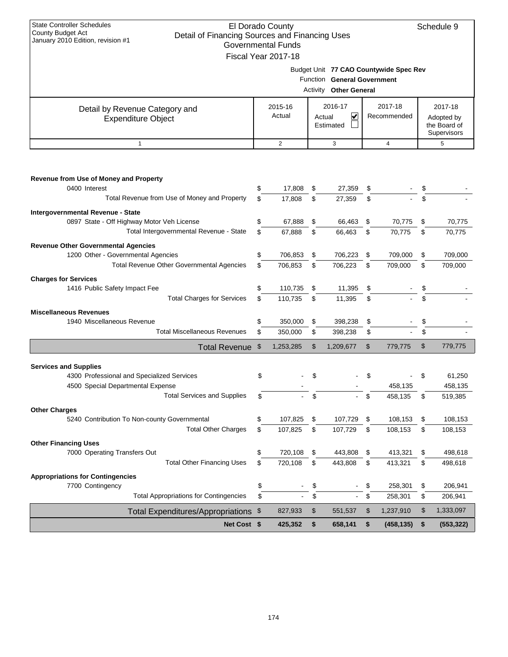| <b>State Controller Schedules</b><br>County Budget Act<br>Detail of Financing Sources and Financing Uses<br>January 2010 Edition, revision #1 | El Dorado County<br><b>Governmental Funds</b><br>Fiscal Year 2017-18 |                                                              |                                                      |                                        |    | Schedule 9 |
|-----------------------------------------------------------------------------------------------------------------------------------------------|----------------------------------------------------------------------|--------------------------------------------------------------|------------------------------------------------------|----------------------------------------|----|------------|
|                                                                                                                                               |                                                                      | Function General Government<br><b>Activity Other General</b> |                                                      | Budget Unit 77 CAO Countywide Spec Rev |    |            |
| Detail by Revenue Category and<br><b>Expenditure Object</b>                                                                                   | 2015-16<br>Actual                                                    | 2017-18<br>Recommended                                       | 2017-18<br>Adopted by<br>the Board of<br>Supervisors |                                        |    |            |
| $\mathbf{1}$                                                                                                                                  | 2                                                                    | 3                                                            |                                                      | $\overline{4}$                         |    | 5          |
|                                                                                                                                               |                                                                      |                                                              |                                                      |                                        |    |            |
| Revenue from Use of Money and Property<br>0400 Interest                                                                                       | \$<br>17,808                                                         | \$<br>27,359                                                 | \$                                                   |                                        | \$ |            |
| Total Revenue from Use of Money and Property                                                                                                  | \$<br>17,808                                                         | \$<br>27,359                                                 | \$                                                   |                                        | \$ |            |
|                                                                                                                                               |                                                                      |                                                              |                                                      |                                        |    |            |
| Intergovernmental Revenue - State                                                                                                             |                                                                      |                                                              |                                                      |                                        |    |            |
| 0897 State - Off Highway Motor Veh License                                                                                                    | \$<br>67,888                                                         | \$<br>66,463                                                 | \$                                                   | 70,775                                 | \$ | 70,775     |
| Total Intergovernmental Revenue - State                                                                                                       | \$<br>67,888                                                         | \$<br>66,463                                                 | \$                                                   | 70,775                                 | \$ | 70,775     |
| <b>Revenue Other Governmental Agencies</b>                                                                                                    |                                                                      |                                                              |                                                      |                                        |    |            |
| 1200 Other - Governmental Agencies                                                                                                            | \$<br>706,853                                                        | \$<br>706,223                                                | \$                                                   | 709,000                                | \$ | 709,000    |
| Total Revenue Other Governmental Agencies                                                                                                     | \$<br>706,853                                                        | \$<br>706,223                                                | \$                                                   | 709,000                                | \$ | 709,000    |
| <b>Charges for Services</b>                                                                                                                   |                                                                      |                                                              |                                                      |                                        |    |            |
| 1416 Public Safety Impact Fee                                                                                                                 | \$<br>110,735                                                        | \$<br>11,395                                                 | \$                                                   |                                        | \$ |            |
| <b>Total Charges for Services</b>                                                                                                             | \$<br>110,735                                                        | \$<br>11,395                                                 | \$                                                   |                                        | \$ |            |
|                                                                                                                                               |                                                                      |                                                              |                                                      |                                        |    |            |
| <b>Miscellaneous Revenues</b>                                                                                                                 |                                                                      |                                                              |                                                      |                                        |    |            |
| 1940 Miscellaneous Revenue                                                                                                                    | \$<br>350,000                                                        | \$<br>398,238                                                | \$                                                   |                                        | \$ |            |
| <b>Total Miscellaneous Revenues</b>                                                                                                           | \$<br>350,000                                                        | \$<br>398,238                                                | \$                                                   |                                        | \$ |            |
| Total Revenue \$                                                                                                                              | 1,253,285                                                            | \$<br>1,209,677                                              | \$                                                   | 779,775                                | \$ | 779,775    |
|                                                                                                                                               |                                                                      |                                                              |                                                      |                                        |    |            |
| <b>Services and Supplies</b>                                                                                                                  |                                                                      |                                                              |                                                      |                                        |    |            |
| 4300 Professional and Specialized Services                                                                                                    | \$                                                                   | \$                                                           | \$                                                   |                                        | \$ | 61,250     |
| 4500 Special Departmental Expense                                                                                                             |                                                                      |                                                              |                                                      | 458,135                                |    | 458,135    |
| <b>Total Services and Supplies</b>                                                                                                            | \$                                                                   | \$                                                           | \$                                                   | 458,135                                | \$ | 519,385    |
| <b>Other Charges</b>                                                                                                                          |                                                                      |                                                              |                                                      |                                        |    |            |
| 5240 Contribution To Non-county Governmental                                                                                                  | \$<br>107,825                                                        | \$<br>107,729                                                | \$                                                   | 108,153                                | \$ | 108,153    |
| <b>Total Other Charges</b>                                                                                                                    | \$<br>107,825                                                        | \$<br>107,729                                                | \$                                                   | 108,153                                | \$ | 108,153    |
| <b>Other Financing Uses</b>                                                                                                                   |                                                                      |                                                              |                                                      |                                        |    |            |
| 7000 Operating Transfers Out                                                                                                                  | \$<br>720,108                                                        | \$<br>443,808                                                | \$                                                   | 413,321                                | \$ | 498,618    |
| <b>Total Other Financing Uses</b>                                                                                                             | \$<br>720,108                                                        | \$<br>443,808                                                | \$                                                   | 413,321                                | \$ | 498,618    |
|                                                                                                                                               |                                                                      |                                                              |                                                      |                                        |    |            |
| <b>Appropriations for Contingencies</b><br>7700 Contingency                                                                                   | \$                                                                   | \$                                                           |                                                      | 258,301                                |    | 206,941    |
| <b>Total Appropriations for Contingencies</b>                                                                                                 | \$                                                                   | \$                                                           | \$<br>\$                                             | 258,301                                | \$ |            |
|                                                                                                                                               |                                                                      |                                                              |                                                      |                                        | \$ | 206,941    |
| Total Expenditures/Appropriations \$                                                                                                          | 827,933                                                              | \$<br>551,537                                                | \$                                                   | 1,237,910                              | \$ | 1,333,097  |

**Net Cost \$ 425,352 \$ 658,141 \$ (458,135) \$ (553,322)**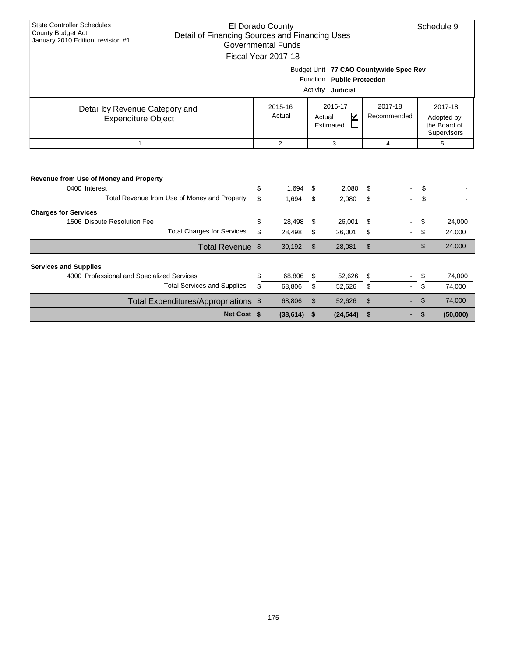| <b>State Controller Schedules</b>                                                                               |     | El Dorado County          |                                        |                |                |                | Schedule 9                  |
|-----------------------------------------------------------------------------------------------------------------|-----|---------------------------|----------------------------------------|----------------|----------------|----------------|-----------------------------|
| <b>County Budget Act</b><br>Detail of Financing Sources and Financing Uses<br>January 2010 Edition, revision #1 |     |                           |                                        |                |                |                |                             |
|                                                                                                                 |     | <b>Governmental Funds</b> |                                        |                |                |                |                             |
|                                                                                                                 |     | Fiscal Year 2017-18       |                                        |                |                |                |                             |
|                                                                                                                 |     |                           | Budget Unit 77 CAO Countywide Spec Rev |                |                |                |                             |
|                                                                                                                 |     |                           | Function Public Protection             |                |                |                |                             |
|                                                                                                                 |     |                           | Activity <b>Judicial</b>               |                |                |                |                             |
| Detail by Revenue Category and                                                                                  |     | 2015-16                   | 2016-17                                |                | 2017-18        |                | 2017-18                     |
| <b>Expenditure Object</b>                                                                                       |     | Actual                    | V<br>Actual                            |                | Recommended    |                | Adopted by                  |
|                                                                                                                 |     |                           | Estimated                              |                |                |                | the Board of<br>Supervisors |
| $\mathbf{1}$                                                                                                    |     | $\overline{2}$            | 3                                      |                | $\overline{4}$ |                | 5                           |
| Revenue from Use of Money and Property<br>0400 Interest                                                         | \$  | 1,694                     | \$<br>2,080                            | \$             |                | \$             |                             |
| Total Revenue from Use of Money and Property                                                                    | \$. | 1.694                     | \$<br>2,080                            | \$             |                | \$             |                             |
| <b>Charges for Services</b>                                                                                     |     |                           |                                        |                |                |                |                             |
| 1506 Dispute Resolution Fee                                                                                     | \$  | 28,498                    | \$<br>26,001                           | \$             |                | \$             | 24,000                      |
| <b>Total Charges for Services</b>                                                                               | \$  | 28,498                    | \$<br>26,001                           | \$             |                | \$             | 24,000                      |
| Total Revenue \$                                                                                                |     | 30,192                    | \$<br>28,081                           | \$             |                | $\mathfrak{L}$ | 24,000                      |
| <b>Services and Supplies</b>                                                                                    |     |                           |                                        |                |                |                |                             |
| 4300 Professional and Specialized Services                                                                      | \$  | 68,806                    | \$<br>52,626                           | \$             |                | \$             | 74,000                      |
| <b>Total Services and Supplies</b>                                                                              | \$  | 68,806                    | \$<br>52,626                           | \$             |                | \$             | 74,000                      |
| Total Expenditures/Appropriations \$                                                                            |     | 68,806                    | \$<br>52,626                           | $\mathfrak{S}$ |                | \$             | 74,000                      |
| Net Cost \$                                                                                                     |     | (38, 614)                 | \$<br>(24, 544)                        | \$             |                | \$             | (50,000)                    |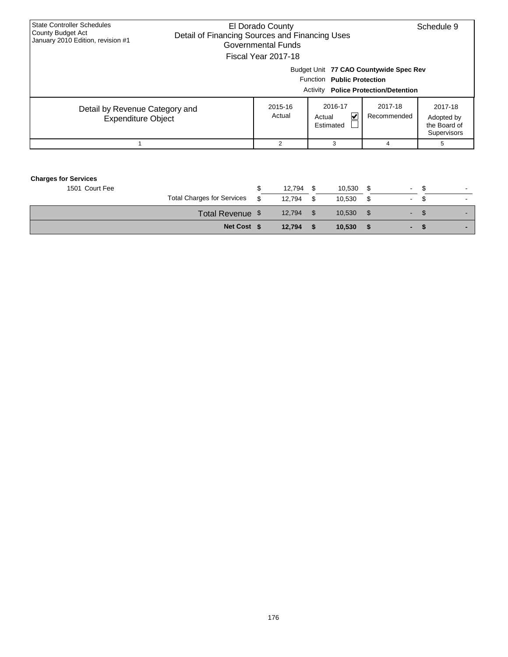| <b>State Controller Schedules</b><br>County Budget Act<br>January 2010 Edition, revision #1 | El Dorado County<br>Detail of Financing Sources and Financing Uses<br>Governmental Funds<br>Fiscal Year 2017-18 |                                     |                                                                                | Schedule 9                                                  |
|---------------------------------------------------------------------------------------------|-----------------------------------------------------------------------------------------------------------------|-------------------------------------|--------------------------------------------------------------------------------|-------------------------------------------------------------|
|                                                                                             |                                                                                                                 | Function Public Protection          | Budget Unit 77 CAO Countywide Spec Rev<br>Activity Police Protection/Detention |                                                             |
| Detail by Revenue Category and<br><b>Expenditure Object</b>                                 | 2015-16<br>Actual                                                                                               | 2016-17<br>V<br>Actual<br>Estimated | 2017-18<br>Recommended                                                         | 2017-18<br>Adopted by<br>the Board of<br><b>Supervisors</b> |
|                                                                                             | 2                                                                                                               | 3                                   | 4                                                                              | h.                                                          |

| <b>Charges for Services</b> |                                   |        |     |        |                          |      |                |
|-----------------------------|-----------------------------------|--------|-----|--------|--------------------------|------|----------------|
| 1501 Court Fee              |                                   | 12.794 |     | 10.530 | $\sim$                   | -55  | ۰.             |
|                             | <b>Total Charges for Services</b> | 12.794 | \$. | 10.530 | $\sim$                   | £.   | $\blacksquare$ |
|                             | Total Revenue \$                  | 12,794 |     | 10.530 | $\blacksquare$           | - 95 |                |
|                             | Net Cost \$                       | 12.794 |     | 10.530 | $\overline{\phantom{0}}$ |      |                |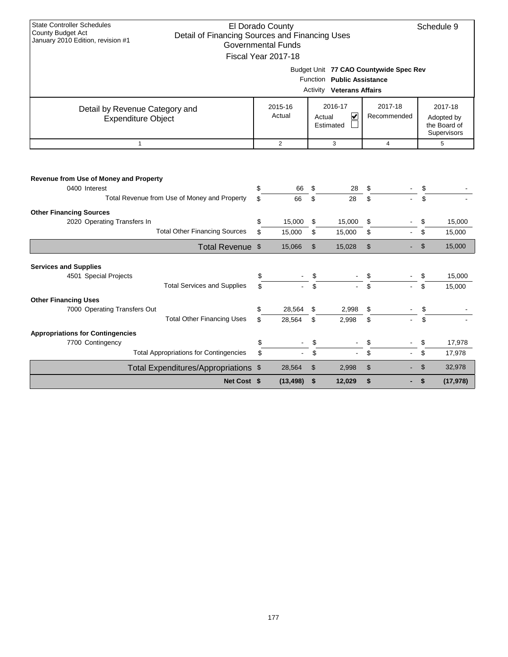| <b>State Controller Schedules</b><br><b>County Budget Act</b>                       | El Dorado County          |                |                                  |                                        |                | Schedule 9                  |
|-------------------------------------------------------------------------------------|---------------------------|----------------|----------------------------------|----------------------------------------|----------------|-----------------------------|
| Detail of Financing Sources and Financing Uses<br>January 2010 Edition, revision #1 | <b>Governmental Funds</b> |                |                                  |                                        |                |                             |
|                                                                                     | Fiscal Year 2017-18       |                |                                  |                                        |                |                             |
|                                                                                     |                           |                |                                  |                                        |                |                             |
|                                                                                     |                           |                | Function Public Assistance       | Budget Unit 77 CAO Countywide Spec Rev |                |                             |
|                                                                                     |                           |                | <b>Activity Veterans Affairs</b> |                                        |                |                             |
|                                                                                     |                           |                |                                  |                                        |                |                             |
| Detail by Revenue Category and                                                      | 2015-16                   |                | 2016-17                          | 2017-18                                |                | 2017-18                     |
| <b>Expenditure Object</b>                                                           | Actual                    |                | $\blacktriangledown$<br>Actual   | Recommended                            |                | Adopted by                  |
|                                                                                     |                           |                | Estimated                        |                                        |                | the Board of<br>Supervisors |
| $\mathbf{1}$                                                                        | $\overline{2}$            |                | 3                                | $\overline{4}$                         |                | 5                           |
|                                                                                     |                           |                |                                  |                                        |                |                             |
|                                                                                     |                           |                |                                  |                                        |                |                             |
| Revenue from Use of Money and Property                                              |                           |                |                                  |                                        |                |                             |
| 0400 Interest                                                                       | \$<br>66                  | \$             | 28                               | \$                                     | \$             |                             |
| Total Revenue from Use of Money and Property                                        | \$<br>66                  | \$             | 28                               | \$                                     | \$             |                             |
| <b>Other Financing Sources</b>                                                      |                           |                |                                  |                                        |                |                             |
| 2020 Operating Transfers In                                                         | \$<br>15,000              | \$             | 15,000                           | \$                                     | \$             | 15,000                      |
| <b>Total Other Financing Sources</b>                                                | \$<br>15,000              | \$             | 15,000                           | \$                                     | \$             | 15,000                      |
| Total Revenue \$                                                                    | 15,066                    | $\mathfrak{S}$ | 15,028                           | $\mathfrak{S}$                         | \$             | 15,000                      |
|                                                                                     |                           |                |                                  |                                        |                |                             |
| <b>Services and Supplies</b><br>4501 Special Projects                               | \$                        | \$             |                                  |                                        | \$             | 15,000                      |
| <b>Total Services and Supplies</b>                                                  | \$                        | \$             |                                  | \$                                     | \$             | 15,000                      |
| <b>Other Financing Uses</b>                                                         |                           |                |                                  |                                        |                |                             |
| 7000 Operating Transfers Out                                                        | \$<br>28,564              | \$             | 2,998                            | \$                                     | \$             |                             |
| <b>Total Other Financing Uses</b>                                                   | \$<br>28,564              | \$             | 2,998                            | \$                                     | \$             |                             |
| <b>Appropriations for Contingencies</b>                                             |                           |                |                                  |                                        |                |                             |
| 7700 Contingency                                                                    | \$                        | \$             |                                  | \$                                     | \$             | 17,978                      |
| <b>Total Appropriations for Contingencies</b>                                       | \$                        | \$             |                                  | \$                                     | \$             | 17,978                      |
| Total Expenditures/Appropriations \$                                                | 28,564                    | \$             | 2,998                            | \$                                     | $\mathfrak{s}$ | 32,978                      |
| Net Cost \$                                                                         | (13, 498)                 | \$             | 12,029                           | \$                                     | \$             | (17, 978)                   |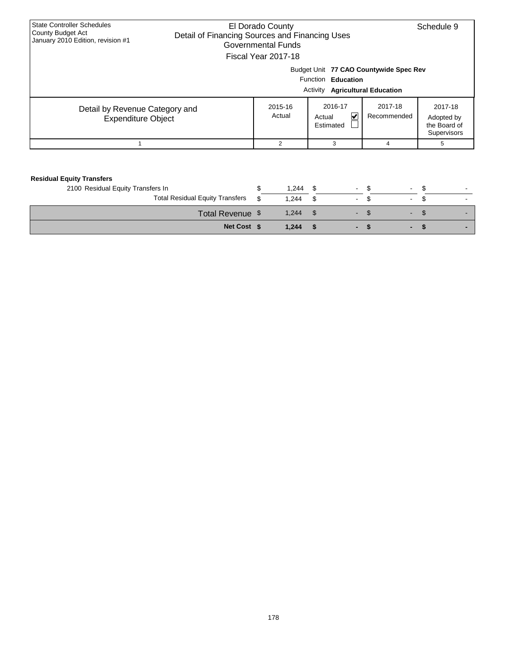| <b>State Controller Schedules</b><br><b>County Budget Act</b><br>January 2010 Edition, revision #1 | El Dorado County<br>Detail of Financing Sources and Financing Uses<br>Governmental Funds<br>Fiscal Year 2017-18 |                                                        |                        | Schedule 9                                           |  |  |  |  |  |  |
|----------------------------------------------------------------------------------------------------|-----------------------------------------------------------------------------------------------------------------|--------------------------------------------------------|------------------------|------------------------------------------------------|--|--|--|--|--|--|
|                                                                                                    | Budget Unit 77 CAO Countywide Spec Rev<br>Function Education<br><b>Activity Agricultural Education</b>          |                                                        |                        |                                                      |  |  |  |  |  |  |
| Detail by Revenue Category and<br><b>Expenditure Object</b>                                        | 2015-16<br>Actual                                                                                               | 2016-17<br>$\blacktriangledown$<br>Actual<br>Estimated | 2017-18<br>Recommended | 2017-18<br>Adopted by<br>the Board of<br>Supervisors |  |  |  |  |  |  |
|                                                                                                    | 2                                                                                                               |                                                        | 4                      | 5                                                    |  |  |  |  |  |  |

| <b>Residual Equity Transfers</b>       |     |       |      |                   |        |    |  |
|----------------------------------------|-----|-------|------|-------------------|--------|----|--|
| 2100 Residual Equity Transfers In      |     | 1.244 | - \$ | $-S$              | $\sim$ |    |  |
| <b>Total Residual Equity Transfers</b> | \$. | 1.244 | - \$ | $\sim$            | $\sim$ |    |  |
| Total Revenue \$                       |     | 1,244 | - \$ | <b>STATISTICS</b> | $\sim$ | J. |  |
| Net Cost \$                            |     | 1.244 |      | . .               | -      |    |  |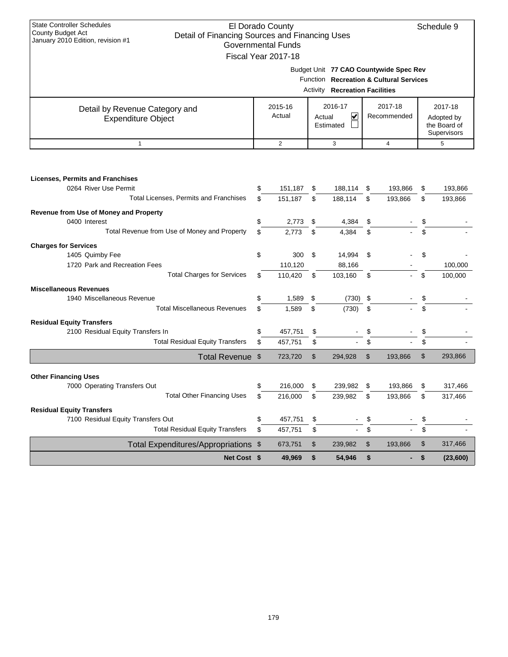| <b>State Controller Schedules</b><br><b>County Budget Act</b>                       |           | El Dorado County          |    |                                       |               |                                         |      | Schedule 9   |
|-------------------------------------------------------------------------------------|-----------|---------------------------|----|---------------------------------------|---------------|-----------------------------------------|------|--------------|
| Detail of Financing Sources and Financing Uses<br>January 2010 Edition, revision #1 |           |                           |    |                                       |               |                                         |      |              |
|                                                                                     |           | <b>Governmental Funds</b> |    |                                       |               |                                         |      |              |
|                                                                                     |           | Fiscal Year 2017-18       |    |                                       |               |                                         |      |              |
|                                                                                     |           |                           |    |                                       |               | Budget Unit 77 CAO Countywide Spec Rev  |      |              |
|                                                                                     |           |                           |    |                                       |               | Function Recreation & Cultural Services |      |              |
|                                                                                     |           |                           |    |                                       |               |                                         |      |              |
|                                                                                     |           |                           |    | <b>Activity Recreation Facilities</b> |               |                                         |      |              |
|                                                                                     |           | 2015-16                   |    | 2016-17                               |               | 2017-18                                 |      | 2017-18      |
| Detail by Revenue Category and                                                      |           | Actual                    |    | V<br>Actual                           |               | Recommended                             |      | Adopted by   |
| <b>Expenditure Object</b>                                                           |           |                           |    |                                       |               |                                         |      | the Board of |
|                                                                                     | Estimated |                           |    |                                       |               |                                         |      | Supervisors  |
| $\mathbf{1}$                                                                        |           | $\overline{2}$            |    | 3                                     |               | 4                                       |      | 5            |
|                                                                                     |           |                           |    |                                       |               |                                         |      |              |
|                                                                                     |           |                           |    |                                       |               |                                         |      |              |
|                                                                                     |           |                           |    |                                       |               |                                         |      |              |
| <b>Licenses, Permits and Franchises</b>                                             |           |                           |    |                                       |               |                                         |      |              |
| 0264 River Use Permit                                                               | \$        | 151,187                   | \$ | 188,114                               | \$            | 193,866                                 | \$   | 193,866      |
| Total Licenses, Permits and Franchises                                              | \$        | 151,187                   | \$ | 188,114                               | \$            | 193,866                                 | \$   | 193,866      |
|                                                                                     |           |                           |    |                                       |               |                                         |      |              |
| Revenue from Use of Money and Property                                              |           |                           |    |                                       |               |                                         |      |              |
| 0400 Interest                                                                       | \$        | 2,773                     | \$ | 4,384                                 | \$            |                                         | \$   |              |
| Total Revenue from Use of Money and Property                                        | \$        | 2,773                     | \$ | 4,384                                 | \$            |                                         | \$   |              |
| <b>Charges for Services</b>                                                         |           |                           |    |                                       |               |                                         |      |              |
| 1405 Quimby Fee                                                                     | \$        | 300                       | \$ | 14,994                                | \$            |                                         | \$   |              |
| 1720 Park and Recreation Fees                                                       |           | 110,120                   |    | 88,166                                |               |                                         |      | 100,000      |
| <b>Total Charges for Services</b>                                                   | \$        | 110,420                   | \$ | 103,160                               | \$            |                                         | \$   | 100,000      |
|                                                                                     |           |                           |    |                                       |               |                                         |      |              |
| <b>Miscellaneous Revenues</b>                                                       |           |                           |    |                                       |               |                                         |      |              |
| 1940 Miscellaneous Revenue                                                          | \$        | 1,589                     | \$ | (730)                                 | \$            |                                         | \$   |              |
| <b>Total Miscellaneous Revenues</b>                                                 | \$        | 1,589                     | \$ | (730)                                 | \$            |                                         | \$   |              |
| <b>Residual Equity Transfers</b>                                                    |           |                           |    |                                       |               |                                         |      |              |
| 2100 Residual Equity Transfers In                                                   | \$        | 457,751                   | \$ |                                       | \$            |                                         |      |              |
| <b>Total Residual Equity Transfers</b>                                              | \$        | 457,751                   | \$ |                                       | \$            |                                         | \$   |              |
|                                                                                     |           |                           |    |                                       |               |                                         |      |              |
| Total Revenue \$                                                                    |           | 723,720                   | \$ | 294,928                               | $\mathsf{\$}$ | 193,866                                 | \$   | 293,866      |
|                                                                                     |           |                           |    |                                       |               |                                         |      |              |
| <b>Other Financing Uses</b>                                                         |           |                           |    |                                       |               |                                         |      |              |
| 7000 Operating Transfers Out                                                        | ፍ         | 216,000                   |    | 239,982                               |               | 193,866                                 |      | 317,466      |
| <b>Total Other Financing Uses</b>                                                   | \$        | 216,000                   | \$ | 239,982 \$                            |               | 193,866                                 | - \$ | 317,466      |
|                                                                                     |           |                           |    |                                       |               |                                         |      |              |
| <b>Residual Equity Transfers</b>                                                    |           |                           |    |                                       |               |                                         |      |              |
| 7100 Residual Equity Transfers Out                                                  | \$        | 457,751                   | \$ |                                       | \$            |                                         | \$   |              |
| <b>Total Residual Equity Transfers</b>                                              | \$        | 457,751                   | \$ | $\blacksquare$                        | \$            |                                         | \$   |              |
| Total Expenditures/Appropriations \$                                                |           | 673,751                   | \$ | 239,982                               | \$            | 193,866                                 | \$   | 317,466      |
| Net Cost \$                                                                         |           | 49,969                    | \$ | 54,946                                | \$            | ٠                                       | \$   | (23,600)     |
|                                                                                     |           |                           |    |                                       |               |                                         |      |              |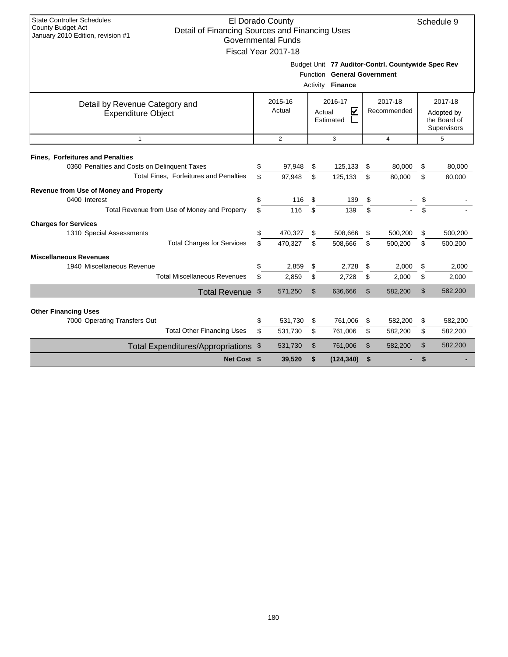| <b>State Controller Schedules</b><br><b>County Budget Act</b> | El Dorado County<br>Schedule 9<br>Detail of Financing Sources and Financing Uses<br>January 2010 Edition, revision #1<br><b>Governmental Funds</b> |                     |    |                                                    |                |                |    |              |  |  |  |
|---------------------------------------------------------------|----------------------------------------------------------------------------------------------------------------------------------------------------|---------------------|----|----------------------------------------------------|----------------|----------------|----|--------------|--|--|--|
|                                                               |                                                                                                                                                    |                     |    |                                                    |                |                |    |              |  |  |  |
|                                                               |                                                                                                                                                    | Fiscal Year 2017-18 |    |                                                    |                |                |    |              |  |  |  |
|                                                               |                                                                                                                                                    |                     |    | Budget Unit 77 Auditor-Contrl. Countywide Spec Rev |                |                |    |              |  |  |  |
|                                                               |                                                                                                                                                    |                     |    | Function General Government                        |                |                |    |              |  |  |  |
|                                                               |                                                                                                                                                    |                     |    | Activity Finance                                   |                |                |    |              |  |  |  |
|                                                               |                                                                                                                                                    | 2015-16             |    | 2016-17                                            |                | 2017-18        |    | 2017-18      |  |  |  |
| Detail by Revenue Category and<br><b>Expenditure Object</b>   |                                                                                                                                                    | Actual              |    | $\overline{\mathbf{v}}$<br>Actual                  |                | Recommended    |    | Adopted by   |  |  |  |
|                                                               |                                                                                                                                                    |                     |    | Estimated                                          |                |                |    | the Board of |  |  |  |
|                                                               |                                                                                                                                                    |                     |    |                                                    |                |                |    | Supervisors  |  |  |  |
| $\mathbf{1}$                                                  |                                                                                                                                                    | 2                   |    | 3                                                  |                | $\overline{4}$ |    | 5            |  |  |  |
| <b>Fines, Forfeitures and Penalties</b>                       |                                                                                                                                                    |                     |    |                                                    |                |                |    |              |  |  |  |
| 0360 Penalties and Costs on Delinquent Taxes                  | \$                                                                                                                                                 | 97,948              | \$ | 125,133                                            | \$             | 80,000         | \$ | 80,000       |  |  |  |
| Total Fines, Forfeitures and Penalties                        | \$.                                                                                                                                                | 97,948              | \$ | 125,133                                            | \$             | 80,000         | \$ | 80,000       |  |  |  |
| Revenue from Use of Money and Property                        |                                                                                                                                                    |                     |    |                                                    |                |                |    |              |  |  |  |
| 0400 Interest                                                 | \$                                                                                                                                                 | 116                 | \$ | 139                                                | \$             |                | \$ |              |  |  |  |
| Total Revenue from Use of Money and Property                  | \$                                                                                                                                                 | 116                 | \$ | 139                                                | \$             |                | \$ |              |  |  |  |
| <b>Charges for Services</b>                                   |                                                                                                                                                    |                     |    |                                                    |                |                |    |              |  |  |  |
| 1310 Special Assessments                                      | \$                                                                                                                                                 | 470,327             | \$ | 508.666                                            | \$             | 500,200        | \$ | 500,200      |  |  |  |
| <b>Total Charges for Services</b>                             | \$.                                                                                                                                                | 470.327             | \$ | 508,666                                            | \$             | 500,200        | \$ | 500,200      |  |  |  |
| <b>Miscellaneous Revenues</b>                                 |                                                                                                                                                    |                     |    |                                                    |                |                |    |              |  |  |  |
| 1940 Miscellaneous Revenue                                    | \$                                                                                                                                                 | 2,859               | \$ | 2,728                                              | \$             | 2,000          | \$ | 2,000        |  |  |  |
| <b>Total Miscellaneous Revenues</b>                           | \$                                                                                                                                                 | 2,859               | \$ | 2,728                                              | \$             | 2,000          | \$ | 2,000        |  |  |  |
| Total Revenue \$                                              |                                                                                                                                                    | 571,250             | \$ | 636,666                                            | \$             | 582,200        | \$ | 582,200      |  |  |  |
|                                                               |                                                                                                                                                    |                     |    |                                                    |                |                |    |              |  |  |  |
| <b>Other Financing Uses</b><br>7000 Operating Transfers Out   | \$                                                                                                                                                 | 531,730             | \$ | 761,006                                            | \$             | 582,200        | \$ | 582,200      |  |  |  |
| <b>Total Other Financing Uses</b>                             | \$                                                                                                                                                 | 531,730             | \$ | 761,006                                            | \$             | 582,200        | \$ | 582,200      |  |  |  |
| Total Expenditures/Appropriations \$                          |                                                                                                                                                    | 531,730             | \$ | 761,006                                            | $\mathfrak{L}$ | 582,200        | \$ | 582,200      |  |  |  |
| Net Cost \$                                                   |                                                                                                                                                    | 39,520              | \$ | (124, 340)                                         | \$             |                | \$ |              |  |  |  |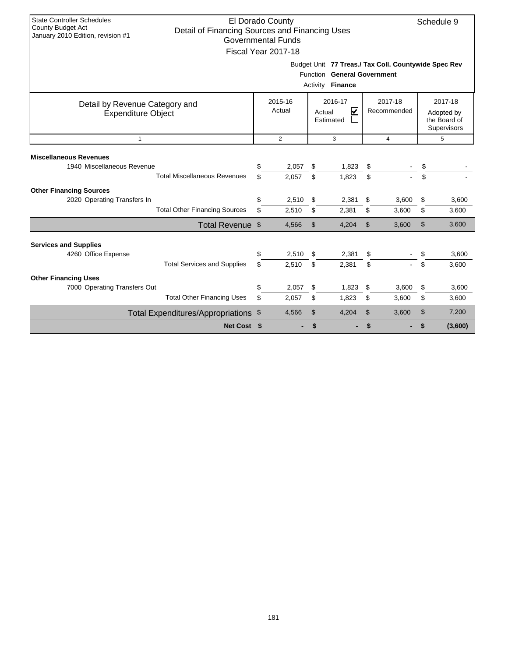| <b>State Controller Schedules</b><br>El Dorado County<br>Schedule 9<br><b>County Budget Act</b><br>Detail of Financing Sources and Financing Uses<br>January 2010 Edition, revision #1<br><b>Governmental Funds</b><br>Fiscal Year 2017-18 |                  |                       |                |                                                      |                |                |    |              |  |  |
|--------------------------------------------------------------------------------------------------------------------------------------------------------------------------------------------------------------------------------------------|------------------|-----------------------|----------------|------------------------------------------------------|----------------|----------------|----|--------------|--|--|
|                                                                                                                                                                                                                                            |                  |                       |                |                                                      |                |                |    |              |  |  |
|                                                                                                                                                                                                                                            |                  |                       |                | Budget Unit 77 Treas./ Tax Coll. Countywide Spec Rev |                |                |    |              |  |  |
|                                                                                                                                                                                                                                            |                  |                       |                | Function General Government                          |                |                |    |              |  |  |
|                                                                                                                                                                                                                                            |                  |                       |                | Activity <b>Finance</b>                              |                |                |    |              |  |  |
| Detail by Revenue Category and                                                                                                                                                                                                             |                  | 2015-16               |                | 2016-17                                              |                | 2017-18        |    | 2017-18      |  |  |
| <b>Expenditure Object</b>                                                                                                                                                                                                                  |                  | Actual                |                | V<br>Actual                                          |                | Recommended    |    | Adopted by   |  |  |
|                                                                                                                                                                                                                                            |                  |                       |                | Estimated                                            |                |                |    | the Board of |  |  |
| $\mathbf{1}$                                                                                                                                                                                                                               | Supervisors<br>3 |                       |                |                                                      |                |                |    |              |  |  |
|                                                                                                                                                                                                                                            |                  | $\mathbf{2}^{\prime}$ |                |                                                      |                | 4              |    | 5            |  |  |
| <b>Miscellaneous Revenues</b>                                                                                                                                                                                                              |                  |                       |                |                                                      |                |                |    |              |  |  |
| 1940 Miscellaneous Revenue                                                                                                                                                                                                                 | \$               | 2,057                 | \$             | 1,823                                                | \$             |                |    |              |  |  |
| <b>Total Miscellaneous Revenues</b>                                                                                                                                                                                                        | \$               | 2,057                 | \$             | 1,823                                                | \$             |                | \$ |              |  |  |
| <b>Other Financing Sources</b>                                                                                                                                                                                                             |                  |                       |                |                                                      |                |                |    |              |  |  |
| 2020 Operating Transfers In                                                                                                                                                                                                                | \$               | 2,510                 | \$             | 2,381                                                | \$             | 3,600          | \$ | 3,600        |  |  |
| <b>Total Other Financing Sources</b>                                                                                                                                                                                                       | \$               | 2,510                 | \$             | 2,381                                                | \$             | 3,600          | \$ | 3,600        |  |  |
| Total Revenue \$                                                                                                                                                                                                                           |                  | 4,566                 | $\mathfrak{S}$ | 4,204                                                | $\mathfrak{L}$ | 3,600          | \$ | 3,600        |  |  |
|                                                                                                                                                                                                                                            |                  |                       |                |                                                      |                |                |    |              |  |  |
| <b>Services and Supplies</b><br>4260 Office Expense                                                                                                                                                                                        | \$               | 2,510                 | \$             | 2,381                                                | \$             |                | \$ | 3,600        |  |  |
| <b>Total Services and Supplies</b>                                                                                                                                                                                                         | \$               | 2,510                 | \$             | 2,381                                                | \$             |                | \$ | 3,600        |  |  |
|                                                                                                                                                                                                                                            |                  |                       |                |                                                      |                |                |    |              |  |  |
| <b>Other Financing Uses</b>                                                                                                                                                                                                                | \$               | 2,057                 | \$             |                                                      | \$             |                | \$ | 3,600        |  |  |
| 7000 Operating Transfers Out<br><b>Total Other Financing Uses</b>                                                                                                                                                                          | \$               | 2,057                 | \$             | 1,823<br>1,823                                       | \$             | 3,600<br>3,600 | \$ | 3,600        |  |  |
|                                                                                                                                                                                                                                            |                  |                       |                |                                                      |                |                |    |              |  |  |
| Total Expenditures/Appropriations \$                                                                                                                                                                                                       |                  | 4,566                 | \$             | 4,204                                                | $\mathfrak{S}$ | 3,600          | \$ | 7,200        |  |  |
| Net Cost \$                                                                                                                                                                                                                                |                  |                       | \$             |                                                      | \$             |                | \$ | (3,600)      |  |  |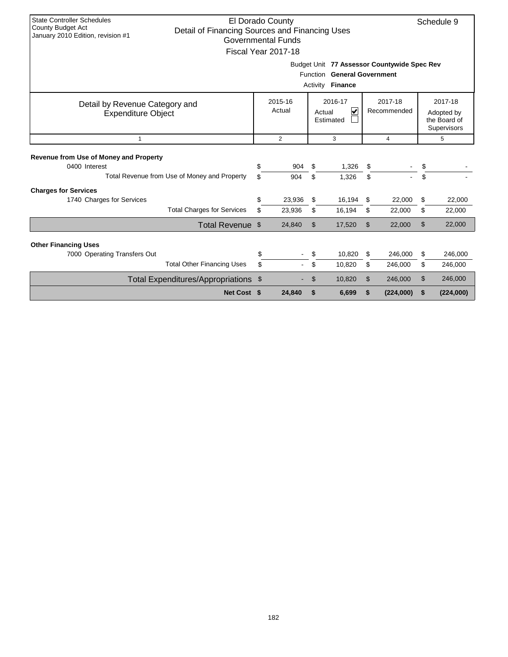| <b>State Controller Schedules</b>                                          |    | El Dorado County          |          |                                             |    |             |    | Schedule 9 |  |  |
|----------------------------------------------------------------------------|----|---------------------------|----------|---------------------------------------------|----|-------------|----|------------|--|--|
| <b>County Budget Act</b><br>Detail of Financing Sources and Financing Uses |    |                           |          |                                             |    |             |    |            |  |  |
| January 2010 Edition, revision #1                                          |    | <b>Governmental Funds</b> |          |                                             |    |             |    |            |  |  |
|                                                                            |    | Fiscal Year 2017-18       |          |                                             |    |             |    |            |  |  |
|                                                                            |    |                           |          | Budget Unit 77 Assessor Countywide Spec Rev |    |             |    |            |  |  |
|                                                                            |    |                           |          | Function General Government                 |    |             |    |            |  |  |
|                                                                            |    |                           | Activity | <b>Finance</b>                              |    |             |    |            |  |  |
|                                                                            |    |                           |          |                                             |    |             |    |            |  |  |
| Detail by Revenue Category and                                             |    | 2015-16                   |          | 2016-17                                     |    | 2017-18     |    | 2017-18    |  |  |
| <b>Expenditure Object</b>                                                  |    | Actual                    |          | V<br>Actual                                 |    | Recommended |    | Adopted by |  |  |
| the Board of<br>Estimated<br>Supervisors                                   |    |                           |          |                                             |    |             |    |            |  |  |
| $\overline{2}$<br>3<br>$\overline{4}$<br>5<br>$\mathbf{1}$                 |    |                           |          |                                             |    |             |    |            |  |  |
|                                                                            |    |                           |          |                                             |    |             |    |            |  |  |
| Revenue from Use of Money and Property                                     |    |                           |          |                                             |    |             |    |            |  |  |
| 0400 Interest                                                              | \$ | 904                       | \$       | 1,326                                       | \$ |             | \$ |            |  |  |
| Total Revenue from Use of Money and Property                               | \$ | 904                       | \$       | 1,326                                       | \$ |             | \$ |            |  |  |
| <b>Charges for Services</b>                                                |    |                           |          |                                             |    |             |    |            |  |  |
| 1740 Charges for Services                                                  | \$ | 23,936                    | \$       | 16,194                                      | \$ | 22,000      | \$ | 22,000     |  |  |
| <b>Total Charges for Services</b>                                          | \$ | 23,936                    | \$       | 16,194                                      | \$ | 22,000      | \$ | 22,000     |  |  |
| Total Revenue \$                                                           |    | 24,840                    | \$       | 17,520                                      | \$ | 22,000      | \$ | 22,000     |  |  |
|                                                                            |    |                           |          |                                             |    |             |    |            |  |  |
| <b>Other Financing Uses</b>                                                |    |                           |          |                                             |    | 246.000     |    |            |  |  |
| 7000 Operating Transfers Out                                               | \$ |                           | \$       | 10,820                                      | S. |             | \$ | 246,000    |  |  |
| <b>Total Other Financing Uses</b>                                          | \$ |                           | \$       | 10,820                                      | \$ | 246,000     | \$ | 246,000    |  |  |
| Total Expenditures/Appropriations \$                                       |    |                           | \$       | 10,820                                      | \$ | 246,000     | \$ | 246,000    |  |  |
| Net Cost \$                                                                |    | 24,840                    | \$       | 6,699                                       | \$ | (224,000)   | \$ | (224,000)  |  |  |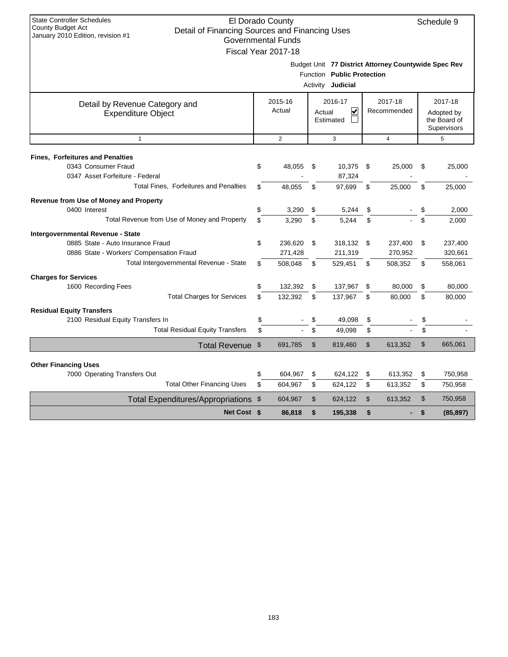| <b>State Controller Schedules</b>                                   |                           |                |                            |                |                                                      |                             |
|---------------------------------------------------------------------|---------------------------|----------------|----------------------------|----------------|------------------------------------------------------|-----------------------------|
| County Budget Act<br>Detail of Financing Sources and Financing Uses | El Dorado County          |                |                            |                |                                                      | Schedule 9                  |
| January 2010 Edition, revision #1                                   | <b>Governmental Funds</b> |                |                            |                |                                                      |                             |
|                                                                     | Fiscal Year 2017-18       |                |                            |                |                                                      |                             |
|                                                                     |                           |                |                            |                |                                                      |                             |
|                                                                     |                           |                | Function Public Protection |                | Budget Unit 77 District Attorney Countywide Spec Rev |                             |
|                                                                     |                           | Activity       | Judicial                   |                |                                                      |                             |
|                                                                     |                           |                |                            |                |                                                      |                             |
| Detail by Revenue Category and                                      | 2015-16                   |                | 2016-17                    |                | 2017-18                                              | 2017-18                     |
| <b>Expenditure Object</b>                                           | Actual                    |                | V<br>Actual                |                | Recommended                                          | Adopted by                  |
|                                                                     |                           |                | Estimated                  |                |                                                      | the Board of<br>Supervisors |
| $\mathbf{1}$                                                        | $\overline{2}$            |                | 3                          |                | $\overline{4}$                                       | 5                           |
|                                                                     |                           |                |                            |                |                                                      |                             |
| <b>Fines, Forfeitures and Penalties</b>                             |                           |                |                            |                |                                                      |                             |
| 0343 Consumer Fraud                                                 | \$<br>48.055              | \$             | 10,375                     | \$             | 25.000                                               | \$<br>25,000                |
| 0347 Asset Forfeiture - Federal                                     |                           |                | 87,324                     |                |                                                      |                             |
| <b>Total Fines, Forfeitures and Penalties</b>                       | \$<br>48,055              | \$             | 97,699                     | \$             | 25,000                                               | \$<br>25,000                |
| Revenue from Use of Money and Property                              |                           |                |                            |                |                                                      |                             |
| 0400 Interest                                                       | \$<br>3,290               | \$             | 5,244                      | \$             |                                                      | \$<br>2,000                 |
| Total Revenue from Use of Money and Property                        | \$<br>3,290               | \$             | 5,244                      | \$             |                                                      | \$<br>2,000                 |
| Intergovernmental Revenue - State                                   |                           |                |                            |                |                                                      |                             |
| 0885 State - Auto Insurance Fraud                                   | \$<br>236,620             | \$             | 318,132                    | \$             | 237,400                                              | \$<br>237,400               |
| 0886 State - Workers' Compensation Fraud                            | 271,428                   |                | 211,319                    |                | 270,952                                              | 320,661                     |
| Total Intergovernmental Revenue - State                             | \$<br>508,048             | \$             | 529,451                    | \$             | 508,352                                              | \$<br>558,061               |
| <b>Charges for Services</b>                                         |                           |                |                            |                |                                                      |                             |
| 1600 Recording Fees                                                 | \$<br>132,392             | \$             | 137,967                    | \$             | 80,000                                               | \$<br>80,000                |
| <b>Total Charges for Services</b>                                   | \$<br>132,392             | \$             | 137,967                    | \$             | 80,000                                               | \$<br>80,000                |
| <b>Residual Equity Transfers</b>                                    |                           |                |                            |                |                                                      |                             |
| 2100 Residual Equity Transfers In                                   | \$                        | \$             | 49,098                     | \$             |                                                      | \$                          |
| <b>Total Residual Equity Transfers</b>                              | \$                        | \$             | 49,098                     | \$             |                                                      | \$                          |
| Total Revenue \$                                                    | 691,785                   | $\mathfrak{S}$ | 819,460                    | $\mathfrak{L}$ | 613,352                                              | \$<br>665,061               |
|                                                                     |                           |                |                            |                |                                                      |                             |
| <b>Other Financing Uses</b><br>7000 Operating Transfers Out         | \$<br>604,967             | \$             | 624,122                    | \$             | 613,352                                              | \$<br>750,958               |
| <b>Total Other Financing Uses</b>                                   | \$<br>604,967             | \$             | 624,122                    | \$             | 613,352                                              | \$<br>750,958               |
|                                                                     |                           |                |                            |                |                                                      | \$                          |
| Total Expenditures/Appropriations \$                                | 604,967                   | \$             | 624,122                    | \$             | 613,352                                              | 750,958                     |
| Net Cost \$                                                         | 86,818                    | \$             | 195,338                    | \$             |                                                      | \$<br>(85, 897)             |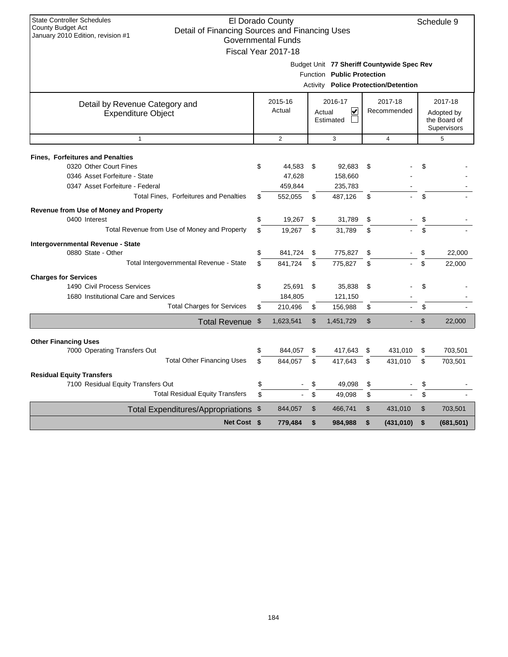| <b>State Controller Schedules</b><br>County Budget Act                              |               | El Dorado County          |          |                            |                |                                            | Schedule 9       |
|-------------------------------------------------------------------------------------|---------------|---------------------------|----------|----------------------------|----------------|--------------------------------------------|------------------|
| Detail of Financing Sources and Financing Uses<br>January 2010 Edition, revision #1 |               | <b>Governmental Funds</b> |          |                            |                |                                            |                  |
|                                                                                     |               |                           |          |                            |                |                                            |                  |
|                                                                                     |               | Fiscal Year 2017-18       |          |                            |                |                                            |                  |
|                                                                                     |               |                           |          |                            |                | Budget Unit 77 Sheriff Countywide Spec Rev |                  |
|                                                                                     |               |                           |          | Function Public Protection |                |                                            |                  |
|                                                                                     |               |                           | Activity |                            |                | <b>Police Protection/Detention</b>         |                  |
| Detail by Revenue Category and                                                      |               | 2015-16                   |          | 2016-17                    |                | 2017-18                                    | 2017-18          |
| <b>Expenditure Object</b>                                                           |               | Actual                    | Actual   | $\overline{\mathbf{v}}$    |                | Recommended                                | Adopted by       |
|                                                                                     |               |                           |          | Estimated                  |                |                                            | the Board of     |
|                                                                                     |               |                           |          |                            |                |                                            | Supervisors      |
| $\mathbf{1}$                                                                        |               | $\overline{2}$            |          | 3                          |                | $\overline{4}$                             | 5                |
| <b>Fines, Forfeitures and Penalties</b>                                             |               |                           |          |                            |                |                                            |                  |
| 0320 Other Court Fines                                                              | \$            | 44,583                    | \$       | 92,683                     | \$             |                                            | \$               |
| 0346 Asset Forfeiture - State                                                       |               | 47,628                    |          | 158,660                    |                |                                            |                  |
| 0347 Asset Forfeiture - Federal                                                     |               | 459,844                   |          | 235,783                    |                |                                            |                  |
| Total Fines, Forfeitures and Penalties                                              | \$            | 552,055                   | \$       | 487,126                    | \$             |                                            | \$               |
| Revenue from Use of Money and Property                                              |               |                           |          |                            |                |                                            |                  |
| 0400 Interest                                                                       | \$            | 19,267                    | \$       | 31,789                     | \$             |                                            | \$               |
| Total Revenue from Use of Money and Property                                        | \$            | 19,267                    | \$       | 31,789                     | \$             |                                            | \$               |
| <b>Intergovernmental Revenue - State</b>                                            |               |                           |          |                            |                |                                            |                  |
| 0880 State - Other                                                                  | \$            | 841,724                   | \$       | 775,827                    | \$             |                                            | \$<br>22.000     |
| Total Intergovernmental Revenue - State                                             | \$            | 841,724                   | \$       | 775,827                    | \$             |                                            | \$<br>22,000     |
| <b>Charges for Services</b>                                                         |               |                           |          |                            |                |                                            |                  |
| 1490 Civil Process Services                                                         | \$            | 25,691                    | \$       | 35,838                     | \$             |                                            | \$               |
| 1680 Institutional Care and Services                                                |               | 184,805                   |          | 121,150                    |                |                                            |                  |
| <b>Total Charges for Services</b>                                                   | \$            | 210,496                   | \$       | 156,988                    | \$             |                                            | \$               |
| Total Revenue                                                                       | $\frac{1}{2}$ | 1,623,541                 | \$       | 1,451,729                  | $\mathfrak{S}$ |                                            | \$<br>22,000     |
|                                                                                     |               |                           |          |                            |                |                                            |                  |
| <b>Other Financing Uses</b>                                                         |               |                           |          |                            |                |                                            |                  |
| 7000 Operating Transfers Out                                                        | \$            | 844,057                   | \$       | 417,643                    | \$             | 431,010                                    | \$<br>703,501    |
| <b>Total Other Financing Uses</b>                                                   | \$            | 844,057                   | \$       | 417,643                    | \$             | 431,010                                    | \$<br>703,501    |
| <b>Residual Equity Transfers</b>                                                    |               |                           |          |                            |                |                                            |                  |
| 7100 Residual Equity Transfers Out                                                  | \$            |                           | \$       | 49,098                     | \$             |                                            | \$               |
| <b>Total Residual Equity Transfers</b>                                              | \$            |                           | \$       | 49,098                     | \$             |                                            | \$               |
| Total Expenditures/Appropriations \$                                                |               | 844,057                   | \$       | 466,741                    | $\mathfrak{L}$ | 431,010                                    | \$<br>703,501    |
| Net Cost \$                                                                         |               | 779,484                   | \$       | 984,988                    | \$             | (431,010)                                  | \$<br>(681, 501) |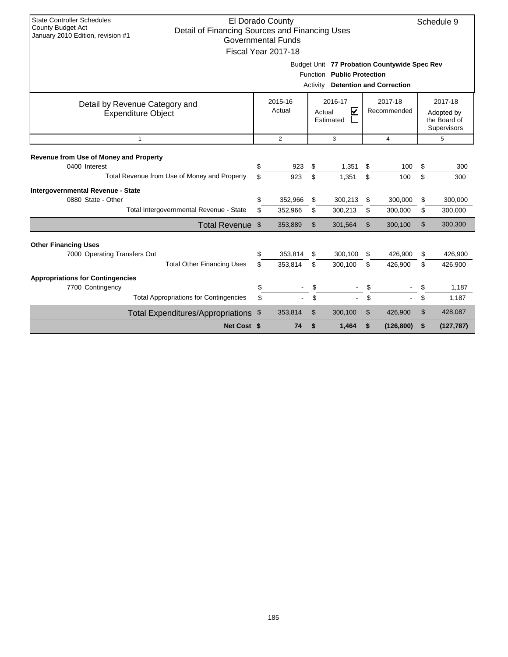| <b>State Controller Schedules</b><br>El Dorado County<br>Schedule 9<br>County Budget Act<br>Detail of Financing Sources and Financing Uses<br>January 2010 Edition, revision #1<br><b>Governmental Funds</b><br>Fiscal Year 2017-18 |                                               |           |                    |                |                    |          |                    |          |                    |
|-------------------------------------------------------------------------------------------------------------------------------------------------------------------------------------------------------------------------------------|-----------------------------------------------|-----------|--------------------|----------------|--------------------|----------|--------------------|----------|--------------------|
| Budget Unit 77 Probation Countywide Spec Rev<br>Function Public Protection<br>Activity<br><b>Detention and Correction</b>                                                                                                           |                                               |           |                    |                |                    |          |                    |          |                    |
| 2016-17<br>2017-18<br>2017-18<br>2015-16<br>Detail by Revenue Category and<br>Actual<br>$\overline{\mathbf{v}}$<br>Recommended<br>Actual<br><b>Expenditure Object</b><br>Adopted by<br>the Board of<br>Estimated<br>Supervisors     |                                               |           |                    |                |                    |          |                    |          |                    |
| $\mathbf{1}$                                                                                                                                                                                                                        | 2<br>3<br>5<br>$\overline{4}$                 |           |                    |                |                    |          |                    |          |                    |
| Revenue from Use of Money and Property<br>0400 Interest                                                                                                                                                                             | \$                                            | 923       | \$                 | 1,351          | \$                 | 100      | \$                 | 300      |                    |
|                                                                                                                                                                                                                                     | Total Revenue from Use of Money and Property  | \$        | 923                | \$             | 1,351              | \$       | 100                | \$       | 300                |
| Intergovernmental Revenue - State<br>0880 State - Other                                                                                                                                                                             | Total Intergovernmental Revenue - State       | \$<br>\$  | 352,966<br>352,966 | \$<br>\$       | 300,213<br>300,213 | \$<br>\$ | 300.000<br>300,000 | \$<br>\$ | 300,000<br>300,000 |
|                                                                                                                                                                                                                                     | Total Revenue \$                              |           | 353,889            | $\mathfrak{L}$ | 301,564            | \$       | 300,100            | \$       | 300,300            |
| <b>Other Financing Uses</b>                                                                                                                                                                                                         |                                               |           |                    |                |                    |          |                    |          |                    |
| 7000 Operating Transfers Out                                                                                                                                                                                                        | <b>Total Other Financing Uses</b>             | \$<br>\$. | 353,814<br>353,814 | \$<br>\$       | 300,100<br>300,100 | \$<br>\$ | 426,900<br>426,900 | \$<br>\$ | 426,900<br>426,900 |
|                                                                                                                                                                                                                                     |                                               |           |                    |                |                    |          |                    |          |                    |
| <b>Appropriations for Contingencies</b><br>7700 Contingency                                                                                                                                                                         |                                               | \$        |                    | \$             |                    | \$       |                    | \$       | 1,187              |
|                                                                                                                                                                                                                                     | <b>Total Appropriations for Contingencies</b> | \$        |                    | \$             | ÷.                 | \$       |                    | \$       | 1,187              |
|                                                                                                                                                                                                                                     | <b>Total Expenditures/Appropriations</b>      | \$        | 353,814            | \$             | 300,100            | \$       | 426,900            | \$       | 428,087            |
|                                                                                                                                                                                                                                     | Net Cost \$                                   |           | 74                 | \$             | 1,464              | \$       | (126, 800)         | \$       | (127, 787)         |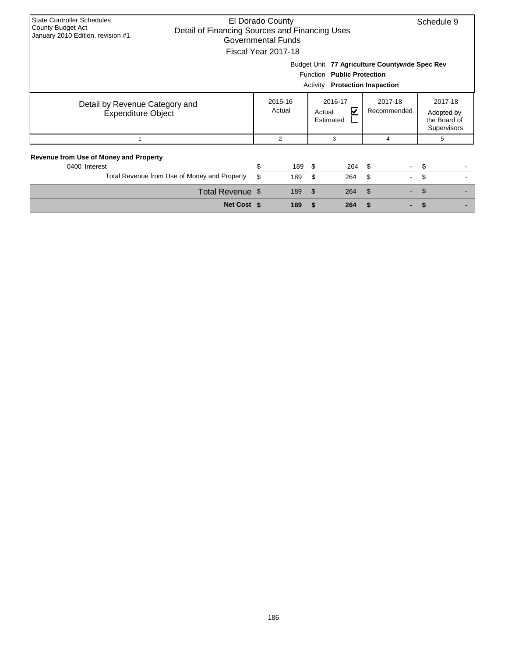| <b>State Controller Schedules</b><br>County Budget Act<br>January 2010 Edition, revision #1             |                                                | El Dorado County<br>Detail of Financing Sources and Financing Uses<br><b>Governmental Funds</b><br>Fiscal Year 2017-18 |                   |                                                        |            |                                            |                                                      |  |  |  |  |
|---------------------------------------------------------------------------------------------------------|------------------------------------------------|------------------------------------------------------------------------------------------------------------------------|-------------------|--------------------------------------------------------|------------|--------------------------------------------|------------------------------------------------------|--|--|--|--|
|                                                                                                         | Budget Unit 77 Agriculture Countywide Spec Rev |                                                                                                                        |                   |                                                        |            |                                            |                                                      |  |  |  |  |
|                                                                                                         | <b>Function</b><br><b>Public Protection</b>    |                                                                                                                        |                   |                                                        |            |                                            |                                                      |  |  |  |  |
|                                                                                                         |                                                |                                                                                                                        |                   | Activity                                               |            | <b>Protection Inspection</b>               |                                                      |  |  |  |  |
| Detail by Revenue Category and<br><b>Expenditure Object</b>                                             |                                                |                                                                                                                        | 2015-16<br>Actual | 2016-17<br>$\blacktriangledown$<br>Actual<br>Estimated |            | 2017-18<br>Recommended                     | 2017-18<br>Adopted by<br>the Board of<br>Supervisors |  |  |  |  |
|                                                                                                         |                                                |                                                                                                                        | 2                 | 3                                                      |            | 4                                          | 5                                                    |  |  |  |  |
| Revenue from Use of Money and Property<br>0400 Interest<br>Total Revenue from Use of Money and Property |                                                | \$<br>\$                                                                                                               | 189<br>189        | - \$<br>\$                                             | 264<br>264 | - \$<br>\$                                 | \$<br>\$                                             |  |  |  |  |
|                                                                                                         | Total Revenue \$                               |                                                                                                                        | 189               | $\mathfrak{S}$                                         | 264        | $\mathfrak{S}$<br>$\overline{\phantom{a}}$ | \$                                                   |  |  |  |  |
|                                                                                                         | Net Cost \$                                    |                                                                                                                        | 189               | <b>S</b>                                               | 264        |                                            |                                                      |  |  |  |  |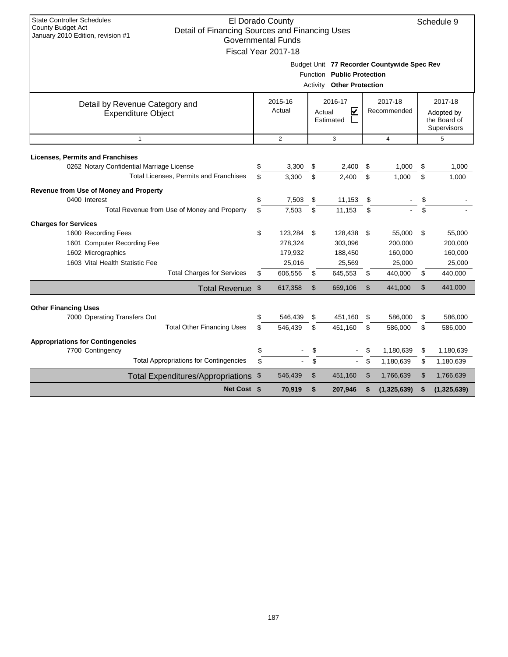| <b>State Controller Schedules</b><br>El Dorado County<br>Schedule 9<br>County Budget Act<br>Detail of Financing Sources and Financing Uses<br>January 2010 Edition, revision #1<br><b>Governmental Funds</b><br>Fiscal Year 2017-18 |    |                   |    |                                                                |                        |                                             |    |                                                      |  |  |
|-------------------------------------------------------------------------------------------------------------------------------------------------------------------------------------------------------------------------------------|----|-------------------|----|----------------------------------------------------------------|------------------------|---------------------------------------------|----|------------------------------------------------------|--|--|
|                                                                                                                                                                                                                                     |    |                   |    | Function Public Protection<br><b>Activity Other Protection</b> |                        | Budget Unit 77 Recorder Countywide Spec Rev |    |                                                      |  |  |
| Detail by Revenue Category and<br><b>Expenditure Object</b>                                                                                                                                                                         |    | 2015-16<br>Actual |    | 2016-17<br>$\overline{\mathbf{v}}$<br>Actual<br>Estimated      | 2017-18<br>Recommended |                                             |    | 2017-18<br>Adopted by<br>the Board of<br>Supervisors |  |  |
| $\mathbf{1}$                                                                                                                                                                                                                        |    | 2                 |    | 3                                                              |                        | $\overline{4}$                              |    | 5                                                    |  |  |
| <b>Licenses, Permits and Franchises</b>                                                                                                                                                                                             |    |                   |    |                                                                |                        |                                             |    |                                                      |  |  |
| 0262 Notary Confidential Marriage License                                                                                                                                                                                           | \$ | 3,300             | \$ | 2,400                                                          | \$                     | 1,000                                       | \$ | 1,000                                                |  |  |
| Total Licenses, Permits and Franchises                                                                                                                                                                                              | \$ | 3,300             | \$ | 2,400                                                          | \$                     | 1,000                                       | \$ | 1,000                                                |  |  |
| Revenue from Use of Money and Property                                                                                                                                                                                              |    |                   |    |                                                                |                        |                                             |    |                                                      |  |  |
| 0400 Interest                                                                                                                                                                                                                       | \$ | 7,503             | \$ | 11,153                                                         | \$                     |                                             | \$ |                                                      |  |  |
| Total Revenue from Use of Money and Property                                                                                                                                                                                        | \$ | 7.503             | \$ | 11.153                                                         | \$                     |                                             | \$ |                                                      |  |  |
| <b>Charges for Services</b>                                                                                                                                                                                                         |    |                   |    |                                                                |                        |                                             |    |                                                      |  |  |
| 1600 Recording Fees                                                                                                                                                                                                                 | \$ | 123,284           | \$ | 128,438                                                        | \$                     | 55,000                                      | \$ | 55,000                                               |  |  |
| 1601 Computer Recording Fee                                                                                                                                                                                                         |    | 278,324           |    | 303,096                                                        |                        | 200,000                                     |    | 200,000                                              |  |  |
| 1602 Micrographics                                                                                                                                                                                                                  |    | 179,932           |    | 188,450                                                        |                        | 160,000                                     |    | 160,000                                              |  |  |
| 1603 Vital Health Statistic Fee                                                                                                                                                                                                     |    | 25,016            |    | 25,569                                                         |                        | 25,000                                      |    | 25,000                                               |  |  |
| <b>Total Charges for Services</b>                                                                                                                                                                                                   | \$ | 606,556           | \$ | 645,553                                                        | \$                     | 440,000                                     | \$ | 440,000                                              |  |  |
| Total Revenue \$                                                                                                                                                                                                                    |    | 617,358           | \$ | 659,106                                                        | \$                     | 441,000                                     | \$ | 441,000                                              |  |  |
| <b>Other Financing Uses</b>                                                                                                                                                                                                         |    |                   |    |                                                                |                        |                                             |    |                                                      |  |  |
| 7000 Operating Transfers Out                                                                                                                                                                                                        | \$ | 546,439           | \$ | 451,160                                                        | \$                     | 586,000                                     | \$ | 586,000                                              |  |  |
| <b>Total Other Financing Uses</b>                                                                                                                                                                                                   | \$ | 546,439           | \$ | 451,160                                                        | \$                     | 586,000                                     | \$ | 586,000                                              |  |  |
|                                                                                                                                                                                                                                     |    |                   |    |                                                                |                        |                                             |    |                                                      |  |  |
| <b>Appropriations for Contingencies</b><br>7700 Contingency                                                                                                                                                                         | \$ |                   | \$ |                                                                | \$                     | 1,180,639                                   | \$ | 1,180,639                                            |  |  |
| <b>Total Appropriations for Contingencies</b>                                                                                                                                                                                       | \$ |                   | \$ | $\blacksquare$                                                 | \$                     | 1,180,639                                   | \$ | 1,180,639                                            |  |  |
|                                                                                                                                                                                                                                     |    |                   | \$ |                                                                |                        |                                             | \$ |                                                      |  |  |
| Total Expenditures/Appropriations \$                                                                                                                                                                                                |    | 546,439           |    | 451,160                                                        | \$                     | 1,766,639                                   |    | 1,766,639                                            |  |  |
| <b>Net Cost \$</b>                                                                                                                                                                                                                  |    | 70,919            | \$ | 207,946                                                        | \$                     | (1, 325, 639)                               | \$ | (1, 325, 639)                                        |  |  |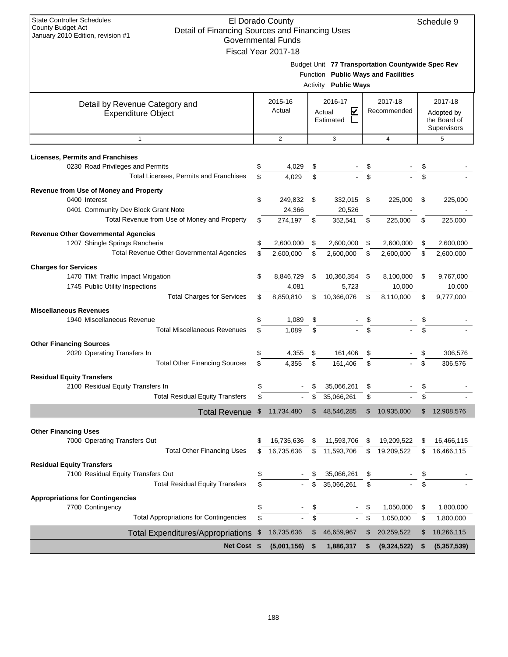| <b>State Controller Schedules</b><br><b>County Budget Act</b><br>Detail of Financing Sources and Financing Uses<br>January 2010 Edition, revision #1 | El Dorado County                                 |                                     |    |                                                   | Schedule 9                  |
|------------------------------------------------------------------------------------------------------------------------------------------------------|--------------------------------------------------|-------------------------------------|----|---------------------------------------------------|-----------------------------|
|                                                                                                                                                      | <b>Governmental Funds</b><br>Fiscal Year 2017-18 |                                     |    |                                                   |                             |
|                                                                                                                                                      |                                                  |                                     |    | Budget Unit 77 Transportation Countywide Spec Rev |                             |
|                                                                                                                                                      |                                                  | Function Public Ways and Facilities |    |                                                   |                             |
|                                                                                                                                                      |                                                  | <b>Activity Public Ways</b>         |    |                                                   |                             |
|                                                                                                                                                      | 2015-16                                          | 2016-17                             |    | 2017-18                                           | 2017-18                     |
| Detail by Revenue Category and<br><b>Expenditure Object</b>                                                                                          | Actual                                           | V<br>Actual                         |    | Recommended                                       | Adopted by                  |
|                                                                                                                                                      |                                                  | Estimated                           |    |                                                   | the Board of<br>Supervisors |
| $\mathbf{1}$                                                                                                                                         | 2                                                | 3                                   |    | $\overline{4}$                                    | 5                           |
| <b>Licenses, Permits and Franchises</b>                                                                                                              |                                                  |                                     |    |                                                   |                             |
| 0230 Road Privileges and Permits                                                                                                                     | \$<br>4,029                                      | \$                                  |    |                                                   | \$                          |
| Total Licenses, Permits and Franchises                                                                                                               | \$<br>4,029                                      | \$                                  | \$ |                                                   |                             |
| Revenue from Use of Money and Property                                                                                                               |                                                  |                                     |    |                                                   |                             |
| 0400 Interest                                                                                                                                        | \$<br>249,832                                    | \$<br>332,015                       | \$ | 225,000                                           | \$<br>225,000               |
| 0401 Community Dev Block Grant Note                                                                                                                  | 24,366                                           | 20,526                              |    |                                                   |                             |
| Total Revenue from Use of Money and Property                                                                                                         | \$<br>274,197                                    | \$<br>352,541                       | \$ | 225,000                                           | \$<br>225,000               |
| <b>Revenue Other Governmental Agencies</b>                                                                                                           |                                                  |                                     |    |                                                   |                             |
| 1207 Shingle Springs Rancheria                                                                                                                       | \$<br>2,600,000                                  | \$<br>2,600,000                     | \$ | 2,600,000                                         | \$<br>2,600,000             |
| <b>Total Revenue Other Governmental Agencies</b>                                                                                                     | \$<br>2,600,000                                  | \$<br>2,600,000                     | \$ | 2,600,000                                         | \$<br>2,600,000             |
| <b>Charges for Services</b>                                                                                                                          |                                                  |                                     |    |                                                   |                             |
| 1470 TIM: Traffic Impact Mitigation<br>1745 Public Utility Inspections                                                                               | \$<br>8,846,729                                  | \$<br>10,360,354                    | \$ | 8,100,000                                         | \$<br>9,767,000             |
| <b>Total Charges for Services</b>                                                                                                                    | \$<br>4,081<br>8,850,810                         | \$<br>5,723<br>10,366,076           | \$ | 10,000<br>8,110,000                               | \$<br>10,000<br>9,777,000   |
| <b>Miscellaneous Revenues</b>                                                                                                                        |                                                  |                                     |    |                                                   |                             |
| 1940 Miscellaneous Revenue                                                                                                                           | \$<br>1,089                                      | \$                                  | \$ |                                                   | \$                          |
| <b>Total Miscellaneous Revenues</b>                                                                                                                  | \$<br>1,089                                      | \$                                  | \$ |                                                   | \$                          |
| <b>Other Financing Sources</b>                                                                                                                       |                                                  |                                     |    |                                                   |                             |
| 2020 Operating Transfers In                                                                                                                          | \$<br>4,355                                      | \$<br>161,406                       | \$ |                                                   | \$<br>306,576               |
| <b>Total Other Financing Sources</b>                                                                                                                 | \$<br>4,355                                      | \$<br>161,406                       | \$ |                                                   | \$<br>306,576               |
| <b>Residual Equity Transfers</b>                                                                                                                     |                                                  |                                     |    |                                                   |                             |
| 2100 Residual Equity Transfers In                                                                                                                    | \$                                               | \$<br>35,066,261                    | \$ |                                                   | \$                          |
| Total Residual Equity Transfers                                                                                                                      | \$                                               | \$<br>35,066,261                    | \$ |                                                   | \$                          |
| <b>Total Revenue</b>                                                                                                                                 | \$<br>11,734,480                                 | \$<br>48,546,285                    | \$ | 10,935,000                                        | \$<br>12,908,576            |
| <b>Other Financing Uses</b>                                                                                                                          |                                                  |                                     |    |                                                   |                             |
| 7000 Operating Transfers Out                                                                                                                         | \$<br>16,735,636                                 | \$<br>11,593,706                    | \$ | 19,209,522                                        | \$<br>16,466,115            |
| <b>Total Other Financing Uses</b>                                                                                                                    | \$<br>16,735,636                                 | \$<br>11,593,706                    | \$ | 19,209,522                                        | \$<br>16,466,115            |
| <b>Residual Equity Transfers</b>                                                                                                                     |                                                  |                                     |    |                                                   |                             |
| 7100 Residual Equity Transfers Out                                                                                                                   | \$                                               | \$<br>35,066,261                    | \$ |                                                   | \$                          |
| <b>Total Residual Equity Transfers</b>                                                                                                               | \$                                               | \$<br>35,066,261                    | \$ |                                                   | \$                          |
| <b>Appropriations for Contingencies</b>                                                                                                              |                                                  |                                     |    |                                                   |                             |
| 7700 Contingency                                                                                                                                     | \$                                               | \$                                  | \$ | 1,050,000                                         | \$<br>1,800,000             |
| <b>Total Appropriations for Contingencies</b>                                                                                                        | \$                                               | \$                                  | S  | 1,050,000                                         | \$<br>1,800,000             |
| <b>Total Expenditures/Appropriations</b>                                                                                                             | \$<br>16,735,636                                 | \$<br>46,659,967                    | \$ | 20,259,522                                        | \$<br>18,266,115            |
| Net Cost \$                                                                                                                                          | (5,001,156)                                      | \$<br>1,886,317                     | \$ | (9,324,522)                                       | \$<br>(5,357,539)           |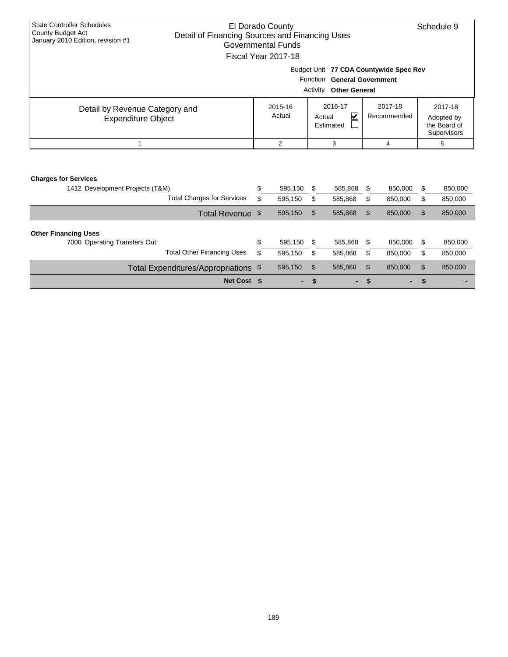| <b>State Controller Schedules</b><br>County Budget Act<br>January 2010 Edition, revision #1 | El Dorado County<br>Detail of Financing Sources and Financing Uses<br>Governmental Funds<br>Fiscal Year 2017-18<br>Budget Unit 77 CDA Countywide Spec Rev |                   |                    |                      |                                                     |                                                                                |          |                    |  |  |  |
|---------------------------------------------------------------------------------------------|-----------------------------------------------------------------------------------------------------------------------------------------------------------|-------------------|--------------------|----------------------|-----------------------------------------------------|--------------------------------------------------------------------------------|----------|--------------------|--|--|--|
|                                                                                             |                                                                                                                                                           |                   |                    | Function<br>Activity | <b>Other General</b>                                | <b>General Government</b>                                                      |          |                    |  |  |  |
| Detail by Revenue Category and<br><b>Expenditure Object</b>                                 |                                                                                                                                                           | 2015-16<br>Actual |                    | Actual               | 2016-17<br>$\vert\bm{\mathsf{v}}\vert$<br>Estimated | 2017-18<br>2017-18<br>Recommended<br>Adopted by<br>the Board of<br>Supervisors |          |                    |  |  |  |
|                                                                                             |                                                                                                                                                           | 2                 |                    |                      | 3                                                   | 4                                                                              |          | 5                  |  |  |  |
| <b>Charges for Services</b><br>1412 Development Projects (T&M)                              | <b>Total Charges for Services</b>                                                                                                                         | \$<br>\$          | 595,150<br>595,150 | \$<br>\$             | 585,868<br>585,868                                  | \$<br>850,000<br>\$<br>850,000                                                 | \$<br>\$ | 850,000<br>850,000 |  |  |  |

| Total Revenue \$                                                                                 |   | 595,150            | \$         | 585.868            |     | 850,000            | \$ | 850,000            |
|--------------------------------------------------------------------------------------------------|---|--------------------|------------|--------------------|-----|--------------------|----|--------------------|
| <b>Other Financing Uses</b><br>7000 Operating Transfers Out<br><b>Total Other Financing Uses</b> | J | 595.150<br>595.150 | - \$<br>\$ | 585.868<br>585.868 | \$. | 850,000<br>850.000 | \$ | 850,000<br>850,000 |
| Total Expenditures/Appropriations \$                                                             |   | 595,150            | -S         | 585,868            |     | 850,000            | S  | 850,000            |
| Net Cost \$                                                                                      |   | $\sim$ 100 $\mu$   |            |                    | - > | ۰.                 |    |                    |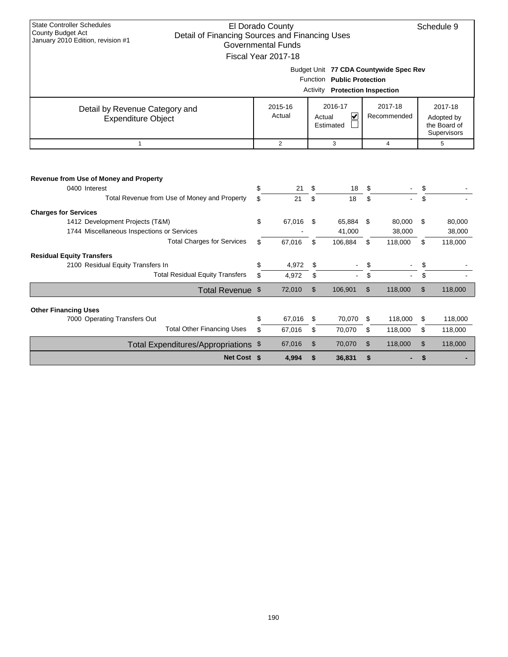| <b>State Controller Schedules</b><br>County Budget Act                                                  | El Dorado County |          |          |                                       |                |                                        | Schedule 9    |
|---------------------------------------------------------------------------------------------------------|------------------|----------|----------|---------------------------------------|----------------|----------------------------------------|---------------|
| Detail of Financing Sources and Financing Uses<br>January 2010 Edition, revision #1                     |                  |          |          |                                       |                |                                        |               |
| <b>Governmental Funds</b>                                                                               |                  |          |          |                                       |                |                                        |               |
| Fiscal Year 2017-18                                                                                     |                  |          |          |                                       |                |                                        |               |
|                                                                                                         |                  |          |          |                                       |                | Budget Unit 77 CDA Countywide Spec Rev |               |
|                                                                                                         |                  |          |          | Function Public Protection            |                |                                        |               |
|                                                                                                         |                  |          |          | <b>Activity Protection Inspection</b> |                |                                        |               |
|                                                                                                         |                  | 2015-16  |          | 2016-17                               |                | 2017-18                                | 2017-18       |
| Detail by Revenue Category and                                                                          |                  | Actual   |          | V<br>Actual                           |                | Recommended                            | Adopted by    |
| <b>Expenditure Object</b>                                                                               |                  |          |          | Estimated                             |                |                                        | the Board of  |
|                                                                                                         |                  |          |          |                                       |                |                                        | Supervisors   |
| $\mathbf{1}$                                                                                            |                  | 2        |          | 3                                     |                | $\overline{4}$                         | 5             |
| Revenue from Use of Money and Property<br>0400 Interest<br>Total Revenue from Use of Money and Property | \$<br>\$         | 21<br>21 | \$<br>\$ | 18<br>18                              | \$<br>\$       |                                        |               |
| <b>Charges for Services</b>                                                                             |                  |          |          |                                       |                |                                        |               |
| 1412 Development Projects (T&M)                                                                         | \$               | 67,016   | \$       | 65,884                                | \$             | 80,000                                 | \$<br>80,000  |
| 1744 Miscellaneous Inspections or Services                                                              |                  |          |          | 41,000                                |                | 38,000                                 | 38,000        |
| <b>Total Charges for Services</b>                                                                       | \$.              | 67,016   | \$       | 106,884                               | \$             | 118,000                                | \$<br>118,000 |
| <b>Residual Equity Transfers</b>                                                                        |                  |          |          |                                       |                |                                        |               |
| 2100 Residual Equity Transfers In                                                                       | \$               | 4,972    | \$       |                                       | \$             |                                        | \$            |
| <b>Total Residual Equity Transfers</b>                                                                  | \$               | 4,972    | \$       |                                       | \$             |                                        | \$            |
| Total Revenue \$                                                                                        |                  | 72,010   | \$       | 106,901                               | \$             | 118,000                                | \$<br>118,000 |
|                                                                                                         |                  |          |          |                                       |                |                                        |               |
| <b>Other Financing Uses</b><br>7000 Operating Transfers Out                                             | \$               | 67,016   | \$       | 70,070                                | \$             | 118,000                                | \$<br>118,000 |
| <b>Total Other Financing Uses</b>                                                                       | \$               | 67,016   | \$       | 70,070                                | \$             | 118,000                                | \$<br>118,000 |
|                                                                                                         |                  |          |          |                                       |                |                                        |               |
| Total Expenditures/Appropriations \$                                                                    |                  | 67,016   | \$       | 70,070                                | $\mathfrak{L}$ | 118,000                                | \$<br>118,000 |
| Net Cost \$                                                                                             |                  | 4,994    | \$       | 36,831                                | \$             |                                        | \$            |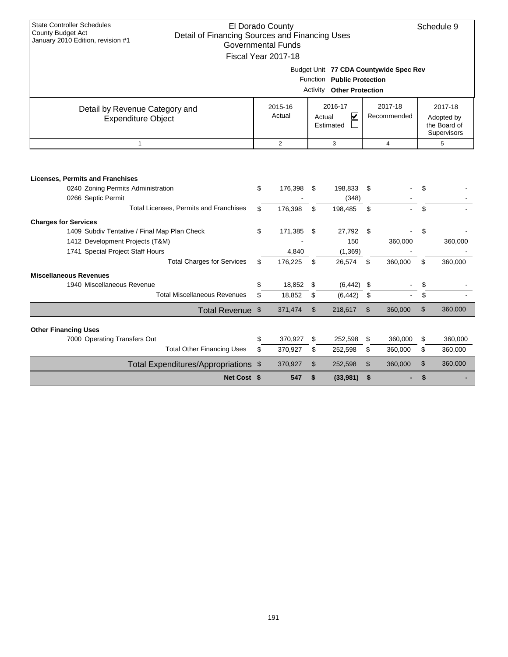| <b>State Controller Schedules</b><br><b>County Budget Act</b>                       |                    | El Dorado County          |                |                                  |         |                                        | Schedule 9                  |
|-------------------------------------------------------------------------------------|--------------------|---------------------------|----------------|----------------------------------|---------|----------------------------------------|-----------------------------|
| Detail of Financing Sources and Financing Uses<br>January 2010 Edition, revision #1 |                    |                           |                |                                  |         |                                        |                             |
|                                                                                     |                    | <b>Governmental Funds</b> |                |                                  |         |                                        |                             |
|                                                                                     |                    | Fiscal Year 2017-18       |                |                                  |         |                                        |                             |
|                                                                                     |                    |                           |                |                                  |         | Budget Unit 77 CDA Countywide Spec Rev |                             |
|                                                                                     |                    |                           |                | Function Public Protection       |         |                                        |                             |
|                                                                                     |                    |                           |                | <b>Activity Other Protection</b> |         |                                        |                             |
|                                                                                     |                    |                           |                |                                  |         |                                        |                             |
| Detail by Revenue Category and                                                      | 2016-17<br>2015-16 |                           |                |                                  | 2017-18 | 2017-18                                |                             |
| <b>Expenditure Object</b>                                                           |                    | Actual                    |                | $\blacktriangledown$<br>Actual   |         | Recommended                            | Adopted by                  |
|                                                                                     |                    |                           |                | Estimated                        |         |                                        | the Board of<br>Supervisors |
| $\mathbf{1}$                                                                        |                    | $\overline{2}$            |                | 3                                |         | 4                                      | 5                           |
|                                                                                     |                    |                           |                |                                  |         |                                        |                             |
|                                                                                     |                    |                           |                |                                  |         |                                        |                             |
|                                                                                     |                    |                           |                |                                  |         |                                        |                             |
| <b>Licenses, Permits and Franchises</b><br>0240 Zoning Permits Administration       | \$                 | 176,398                   | \$             | 198,833                          | \$      |                                        | \$                          |
|                                                                                     |                    |                           |                |                                  |         |                                        |                             |
| 0266 Septic Permit                                                                  |                    |                           |                | (348)                            |         |                                        |                             |
| Total Licenses, Permits and Franchises                                              | \$                 | 176,398                   | \$             | 198,485                          | \$      |                                        | \$                          |
| <b>Charges for Services</b>                                                         |                    |                           |                |                                  |         |                                        |                             |
| 1409 Subdiv Tentative / Final Map Plan Check                                        | \$                 | 171,385                   | \$             | 27,792                           | \$      |                                        | \$                          |
| 1412 Development Projects (T&M)                                                     |                    |                           |                | 150                              |         | 360,000                                | 360,000                     |
| 1741 Special Project Staff Hours                                                    |                    | 4,840                     |                | (1, 369)                         |         |                                        |                             |
| <b>Total Charges for Services</b>                                                   | \$                 | 176,225                   | \$             | 26,574                           | \$      | 360,000                                | \$<br>360,000               |
| <b>Miscellaneous Revenues</b>                                                       |                    |                           |                |                                  |         |                                        |                             |
| 1940 Miscellaneous Revenue                                                          | \$                 | 18,852                    | \$             | (6, 442)                         | \$      |                                        | \$                          |
| <b>Total Miscellaneous Revenues</b>                                                 | \$                 | 18,852                    | \$             | (6, 442)                         | \$      |                                        | \$                          |
| Total Revenue \$                                                                    |                    | 371,474                   | $\mathfrak{L}$ | 218,617                          | \$      | 360,000                                | \$<br>360,000               |
|                                                                                     |                    |                           |                |                                  |         |                                        |                             |
| <b>Other Financing Uses</b>                                                         |                    |                           |                |                                  |         |                                        |                             |
| 7000 Operating Transfers Out                                                        | \$                 | 370,927                   | \$             | 252,598                          | \$      | 360,000                                | \$<br>360,000               |
| <b>Total Other Financing Uses</b>                                                   | \$                 | 370,927                   | \$             | 252,598                          | \$      | 360,000                                | \$<br>360,000               |
| Total Expenditures/Appropriations \$                                                |                    | 370,927                   | \$             | 252,598                          | \$      | 360,000                                | \$<br>360,000               |
|                                                                                     |                    |                           |                |                                  |         |                                        |                             |
| Net Cost \$                                                                         |                    | 547                       | \$             | (33,981)                         | \$      |                                        | \$                          |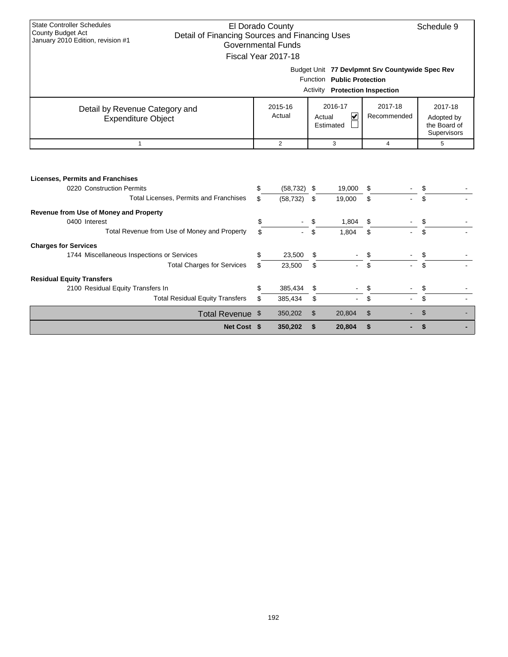| <b>State Controller Schedules</b><br>County Budget Act<br>Detail of Financing Sources and Financing Uses<br>January 2010 Edition, revision #1 |          | El Dorado County<br>Governmental Funds |         |                                                                     |                                                 | Schedule 9                            |  |
|-----------------------------------------------------------------------------------------------------------------------------------------------|----------|----------------------------------------|---------|---------------------------------------------------------------------|-------------------------------------------------|---------------------------------------|--|
|                                                                                                                                               |          | Fiscal Year 2017-18                    |         |                                                                     |                                                 |                                       |  |
|                                                                                                                                               |          |                                        |         | Function Public Protection<br><b>Activity Protection Inspection</b> | Budget Unit 77 Devlpmnt Srv Countywide Spec Rev |                                       |  |
| Detail by Revenue Category and<br><b>Expenditure Object</b>                                                                                   |          | 2015-16<br>Actual                      |         | 2016-17<br>V<br>Actual<br>Estimated                                 | 2017-18<br>Recommended                          | 2017-18<br>Adopted by<br>the Board of |  |
|                                                                                                                                               |          |                                        |         |                                                                     |                                                 | Supervisors                           |  |
| $\mathbf{1}$                                                                                                                                  |          | 2                                      |         | 3                                                                   | $\overline{4}$                                  | 5                                     |  |
| <b>Licenses, Permits and Franchises</b><br>0220 Construction Permits<br><b>Total Licenses, Permits and Franchises</b>                         | \$<br>\$ | (58, 732)<br>(58, 732)                 | S<br>\$ | 19,000<br>19,000                                                    | S<br>\$                                         | \$                                    |  |
| Revenue from Use of Money and Property                                                                                                        |          |                                        |         |                                                                     |                                                 |                                       |  |
| 0400 Interest                                                                                                                                 | \$       |                                        |         | 1,804                                                               | \$                                              |                                       |  |
| Total Revenue from Use of Money and Property                                                                                                  | \$.      |                                        | \$      | 1,804                                                               | \$                                              | \$                                    |  |
| <b>Charges for Services</b>                                                                                                                   |          |                                        |         |                                                                     |                                                 |                                       |  |
| 1744 Miscellaneous Inspections or Services                                                                                                    | \$       | 23,500                                 | \$      |                                                                     | \$                                              | \$                                    |  |
| <b>Total Charges for Services</b>                                                                                                             | \$       | 23,500                                 | \$      |                                                                     | \$                                              | \$.                                   |  |
| <b>Residual Equity Transfers</b>                                                                                                              |          |                                        |         |                                                                     |                                                 |                                       |  |
| 2100 Residual Equity Transfers In                                                                                                             | \$       | 385,434                                | \$      |                                                                     | \$                                              | \$                                    |  |
| <b>Total Residual Equity Transfers</b>                                                                                                        | \$       | 385,434                                | \$      |                                                                     | \$                                              | \$                                    |  |

Total Revenue \$ 350,202 \$ 20,804 \$ - \$ -

**Net Cost \$ 350,202 \$ 20,804 \$ - \$ -**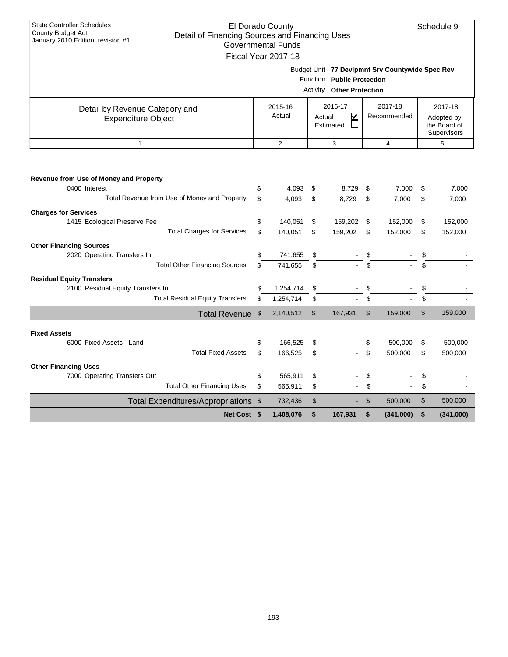| <b>State Controller Schedules</b><br>County Budget Act                              |                           | El Dorado County          |                |                                  |    |                                                 |    | Schedule 9                  |  |  |  |  |
|-------------------------------------------------------------------------------------|---------------------------|---------------------------|----------------|----------------------------------|----|-------------------------------------------------|----|-----------------------------|--|--|--|--|
| Detail of Financing Sources and Financing Uses<br>January 2010 Edition, revision #1 |                           | <b>Governmental Funds</b> |                |                                  |    |                                                 |    |                             |  |  |  |  |
|                                                                                     |                           | Fiscal Year 2017-18       |                |                                  |    |                                                 |    |                             |  |  |  |  |
|                                                                                     |                           |                           |                |                                  |    |                                                 |    |                             |  |  |  |  |
|                                                                                     |                           |                           |                |                                  |    | Budget Unit 77 Devlpmnt Srv Countywide Spec Rev |    |                             |  |  |  |  |
|                                                                                     |                           |                           |                | Function Public Protection       |    |                                                 |    |                             |  |  |  |  |
|                                                                                     |                           |                           |                | <b>Activity Other Protection</b> |    |                                                 |    |                             |  |  |  |  |
| Detail by Revenue Category and                                                      |                           | 2015-16                   |                | 2016-17                          |    | 2017-18                                         |    | 2017-18                     |  |  |  |  |
| Expenditure Object                                                                  |                           | Actual                    |                | V<br>Actual                      |    | Recommended                                     |    | Adopted by                  |  |  |  |  |
|                                                                                     |                           |                           |                | Estimated                        |    |                                                 |    | the Board of<br>Supervisors |  |  |  |  |
| $\mathbf{1}$                                                                        |                           | $\overline{c}$            |                | 3                                |    | $\overline{4}$                                  |    | 5                           |  |  |  |  |
|                                                                                     |                           |                           |                |                                  |    |                                                 |    |                             |  |  |  |  |
|                                                                                     |                           |                           |                |                                  |    |                                                 |    |                             |  |  |  |  |
| Revenue from Use of Money and Property                                              |                           |                           |                |                                  |    |                                                 |    |                             |  |  |  |  |
| 0400 Interest                                                                       | \$                        | 4,093                     | \$             | 8,729                            | \$ | 7,000                                           | \$ | 7,000                       |  |  |  |  |
| Total Revenue from Use of Money and Property                                        | \$                        | 4,093                     | \$             | 8,729                            | \$ | 7,000                                           | \$ | 7,000                       |  |  |  |  |
| <b>Charges for Services</b>                                                         |                           |                           |                |                                  |    |                                                 |    |                             |  |  |  |  |
| 1415 Ecological Preserve Fee                                                        | \$                        | 140,051                   | \$             | 159,202                          | \$ | 152,000                                         | \$ | 152,000                     |  |  |  |  |
| <b>Total Charges for Services</b>                                                   | \$                        | 140,051                   | \$             | 159,202                          | \$ | 152,000                                         | \$ | 152,000                     |  |  |  |  |
| <b>Other Financing Sources</b>                                                      |                           |                           |                |                                  |    |                                                 |    |                             |  |  |  |  |
| 2020 Operating Transfers In                                                         | \$                        | 741,655                   | \$             |                                  |    |                                                 |    |                             |  |  |  |  |
| <b>Total Other Financing Sources</b>                                                | \$                        | 741.655                   | \$             |                                  |    |                                                 |    |                             |  |  |  |  |
| <b>Residual Equity Transfers</b>                                                    |                           |                           |                |                                  |    |                                                 |    |                             |  |  |  |  |
| 2100 Residual Equity Transfers In                                                   | \$                        | 1,254,714                 | \$             |                                  | \$ |                                                 | \$ |                             |  |  |  |  |
| <b>Total Residual Equity Transfers</b>                                              | \$                        | 1,254,714                 | \$             |                                  | \$ |                                                 | \$ |                             |  |  |  |  |
| <b>Total Revenue</b>                                                                | $\boldsymbol{\mathsf{S}}$ | 2,140,512                 | $\mathfrak{S}$ | 167,931                          | \$ | 159,000                                         | \$ | 159,000                     |  |  |  |  |
|                                                                                     |                           |                           |                |                                  |    |                                                 |    |                             |  |  |  |  |
| <b>Fixed Assets</b>                                                                 |                           |                           |                |                                  |    |                                                 |    |                             |  |  |  |  |
| 6000 Fixed Assets - Land                                                            | \$                        | 166,525                   | \$             |                                  | \$ | 500.000                                         | \$ | 500,000                     |  |  |  |  |
| <b>Total Fixed Assets</b>                                                           | \$                        | 166,525                   | \$             |                                  | \$ | 500,000                                         | \$ | 500,000                     |  |  |  |  |
| <b>Other Financing Uses</b>                                                         |                           |                           |                |                                  |    |                                                 |    |                             |  |  |  |  |
| 7000 Operating Transfers Out                                                        | \$                        | 565,911                   | \$             |                                  | \$ |                                                 | \$ |                             |  |  |  |  |
| <b>Total Other Financing Uses</b>                                                   | \$                        | 565,911                   | \$             |                                  | \$ |                                                 | \$ |                             |  |  |  |  |
| Total Expenditures/Appropriations \$                                                |                           | 732,436                   | \$             |                                  | \$ | 500,000                                         | \$ | 500,000                     |  |  |  |  |
| Net Cost \$                                                                         |                           | 1.408.076                 | \$             | 167.931                          | \$ | (341,000)                                       | \$ | (341,000)                   |  |  |  |  |

 $\mathbf{I}$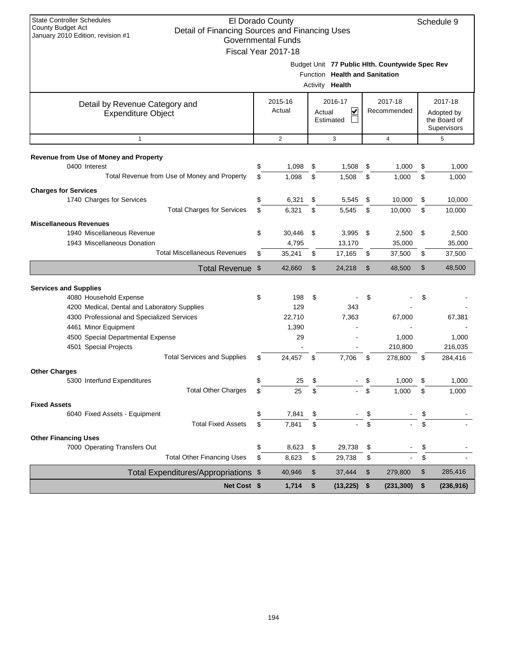| <b>State Controller Schedules</b><br>El Dorado County<br><b>County Budget Act</b><br>Detail of Financing Sources and Financing Uses<br>January 2010 Edition, revision #1<br><b>Governmental Funds</b> |     |                     |        |                                |      |                                                 |    |                  |
|-------------------------------------------------------------------------------------------------------------------------------------------------------------------------------------------------------|-----|---------------------|--------|--------------------------------|------|-------------------------------------------------|----|------------------|
|                                                                                                                                                                                                       |     |                     |        |                                |      |                                                 |    |                  |
|                                                                                                                                                                                                       |     | Fiscal Year 2017-18 |        |                                |      |                                                 |    |                  |
|                                                                                                                                                                                                       |     |                     |        |                                |      | Budget Unit 77 Public Hlth. Countywide Spec Rev |    |                  |
|                                                                                                                                                                                                       |     |                     |        | Function Health and Sanitation |      |                                                 |    |                  |
|                                                                                                                                                                                                       |     |                     |        | Activity <b>Health</b>         |      |                                                 |    |                  |
| Detail by Revenue Category and                                                                                                                                                                        |     | 2015-16             |        | 2016-17                        |      | 2017-18                                         |    | 2017-18          |
| <b>Expenditure Object</b>                                                                                                                                                                             |     | Actual              | Actual | $\overline{\mathbf{v}}$        |      | Recommended                                     |    | Adopted by       |
|                                                                                                                                                                                                       |     |                     |        | Estimated                      |      |                                                 |    | the Board of     |
| $\mathbf{1}$                                                                                                                                                                                          |     | 2                   |        | 3<br>$\overline{4}$            |      |                                                 |    | Supervisors<br>5 |
|                                                                                                                                                                                                       |     |                     |        |                                |      |                                                 |    |                  |
| Revenue from Use of Money and Property                                                                                                                                                                |     |                     |        |                                |      |                                                 |    |                  |
| 0400 Interest                                                                                                                                                                                         | \$  | 1,098               | \$     | 1,508                          | \$   | 1,000                                           | \$ | 1,000            |
| Total Revenue from Use of Money and Property                                                                                                                                                          | \$  | 1,098               | \$     | 1,508                          | \$   | 1.000                                           | \$ | 1,000            |
| <b>Charges for Services</b>                                                                                                                                                                           |     |                     |        |                                |      |                                                 |    |                  |
| 1740 Charges for Services                                                                                                                                                                             | \$  | 6,321               | \$     | 5,545                          | \$   | 10,000                                          | \$ | 10,000           |
| <b>Total Charges for Services</b>                                                                                                                                                                     | \$  | 6,321               | \$     | 5,545                          | \$   | 10,000                                          | \$ | 10,000           |
| <b>Miscellaneous Revenues</b>                                                                                                                                                                         |     |                     |        |                                |      |                                                 |    |                  |
| 1940 Miscellaneous Revenue                                                                                                                                                                            | \$  | 30,446              | \$     | 3,995                          | \$   | 2,500                                           | \$ | 2,500            |
| 1943 Miscellaneous Donation                                                                                                                                                                           |     | 4,795               |        | 13,170                         |      | 35,000                                          |    | 35,000           |
| <b>Total Miscellaneous Revenues</b>                                                                                                                                                                   | \$  | 35,241              | \$     | 17,165                         | \$   | 37,500                                          | \$ | 37,500           |
| <b>Total Revenue</b>                                                                                                                                                                                  | \$  | 42,660              | \$     | 24,218                         | \$   | 48,500                                          | \$ | 48,500           |
|                                                                                                                                                                                                       |     |                     |        |                                |      |                                                 |    |                  |
| <b>Services and Supplies</b><br>4080 Household Expense                                                                                                                                                | \$  | 198                 | \$     |                                | \$   |                                                 | \$ |                  |
| 4200 Medical, Dental and Laboratory Supplies                                                                                                                                                          |     | 129                 |        | 343                            |      |                                                 |    |                  |
| 4300 Professional and Specialized Services                                                                                                                                                            |     | 22,710              |        | 7,363                          |      | 67,000                                          |    | 67,381           |
| 4461 Minor Equipment                                                                                                                                                                                  |     | 1,390               |        |                                |      |                                                 |    |                  |
| 4500 Special Departmental Expense                                                                                                                                                                     |     | 29                  |        |                                |      | 1,000                                           |    | 1,000            |
| 4501 Special Projects                                                                                                                                                                                 |     |                     |        |                                |      | 210,800                                         |    | 216,035          |
| <b>Total Services and Supplies</b>                                                                                                                                                                    | \$  | 24,457              | \$     | 7,706                          | \$   | 278,800                                         | \$ | 284,416          |
| <b>Other Charges</b>                                                                                                                                                                                  |     |                     |        |                                |      |                                                 |    |                  |
| 5300 Interfund Expenditures                                                                                                                                                                           | \$. | 25                  |        |                                |      | 1.000                                           |    | 1,000            |
| <b>Total Other Charges</b>                                                                                                                                                                            | \$  | 25                  | \$     |                                | \$   | 1,000                                           | \$ | 1,000            |
| <b>Fixed Assets</b>                                                                                                                                                                                   |     |                     |        |                                |      |                                                 |    |                  |
| 6040 Fixed Assets - Equipment                                                                                                                                                                         | \$  | 7,841               | \$     |                                | \$   |                                                 |    |                  |
| <b>Total Fixed Assets</b>                                                                                                                                                                             | \$  | 7,841               | \$     |                                | \$   |                                                 | \$ |                  |
| <b>Other Financing Uses</b>                                                                                                                                                                           |     |                     |        |                                |      |                                                 |    |                  |
| 7000 Operating Transfers Out                                                                                                                                                                          | \$  | 8,623               | \$     | 29,738                         | \$   |                                                 | \$ |                  |
| <b>Total Other Financing Uses</b>                                                                                                                                                                     | \$  | 8,623               | \$     | 29,738                         | \$   |                                                 | \$ |                  |
| Total Expenditures/Appropriations \$                                                                                                                                                                  |     | 40,946              | \$     | 37,444                         | \$   | 279,800                                         | \$ | 285,416          |
| Net Cost \$                                                                                                                                                                                           |     | 1,714               | \$     | (13, 225)                      | - \$ | (231, 300)                                      | \$ | (236, 916)       |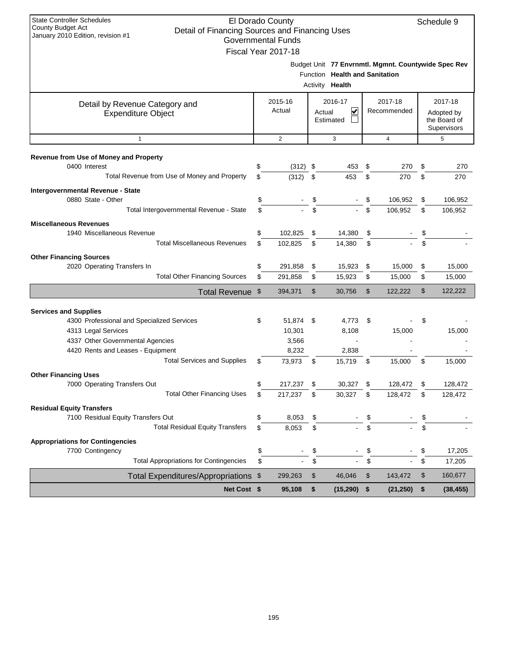| <b>State Controller Schedules</b><br>El Dorado County<br>Schedule 9<br><b>County Budget Act</b><br>Detail of Financing Sources and Financing Uses |    |                           |        |                                |    |                                                     |    |              |  |
|---------------------------------------------------------------------------------------------------------------------------------------------------|----|---------------------------|--------|--------------------------------|----|-----------------------------------------------------|----|--------------|--|
| January 2010 Edition, revision #1                                                                                                                 |    | <b>Governmental Funds</b> |        |                                |    |                                                     |    |              |  |
|                                                                                                                                                   |    | Fiscal Year 2017-18       |        |                                |    |                                                     |    |              |  |
|                                                                                                                                                   |    |                           |        |                                |    | Budget Unit 77 Envrnmtl. Mgmnt. Countywide Spec Rev |    |              |  |
|                                                                                                                                                   |    |                           |        | Function Health and Sanitation |    |                                                     |    |              |  |
|                                                                                                                                                   |    |                           |        | Activity <b>Health</b>         |    |                                                     |    |              |  |
|                                                                                                                                                   |    | 2015-16                   |        | 2016-17                        |    | 2017-18                                             |    | 2017-18      |  |
| Detail by Revenue Category and<br><b>Expenditure Object</b>                                                                                       |    | Actual                    | Actual | V                              |    | Recommended                                         |    | Adopted by   |  |
|                                                                                                                                                   |    |                           |        | Estimated                      |    |                                                     |    | the Board of |  |
|                                                                                                                                                   |    |                           |        |                                |    |                                                     |    | Supervisors  |  |
| $\mathbf{1}$                                                                                                                                      |    | 2                         |        | 3                              |    | 4                                                   |    | 5            |  |
| Revenue from Use of Money and Property                                                                                                            |    |                           |        |                                |    |                                                     |    |              |  |
| 0400 Interest                                                                                                                                     | \$ | (312)                     | \$     | 453                            | \$ | 270                                                 | \$ | 270          |  |
| Total Revenue from Use of Money and Property                                                                                                      | \$ | (312)                     | \$     | 453                            | \$ | 270                                                 | \$ | 270          |  |
| Intergovernmental Revenue - State                                                                                                                 |    |                           |        |                                |    |                                                     |    |              |  |
| 0880 State - Other                                                                                                                                | \$ |                           | \$     |                                | \$ | 106.952                                             | \$ | 106,952      |  |
| Total Intergovernmental Revenue - State                                                                                                           | \$ |                           | \$     |                                | \$ | 106,952                                             | \$ | 106,952      |  |
| <b>Miscellaneous Revenues</b>                                                                                                                     |    |                           |        |                                |    |                                                     |    |              |  |
| 1940 Miscellaneous Revenue                                                                                                                        | \$ | 102,825                   | \$     | 14,380                         | \$ |                                                     | \$ |              |  |
| <b>Total Miscellaneous Revenues</b>                                                                                                               | \$ | 102,825                   | \$     | 14,380                         | \$ |                                                     | \$ |              |  |
| <b>Other Financing Sources</b>                                                                                                                    |    |                           |        |                                |    |                                                     |    |              |  |
| 2020 Operating Transfers In                                                                                                                       | \$ | 291,858                   | \$     | 15,923                         | \$ | 15,000                                              | \$ | 15,000       |  |
| <b>Total Other Financing Sources</b>                                                                                                              | \$ | 291,858                   | \$     | 15,923                         | \$ | 15,000                                              | \$ | 15,000       |  |
| Total Revenue \$                                                                                                                                  |    | 394,371                   | \$     | 30,756                         | \$ | 122,222                                             | \$ | 122,222      |  |
|                                                                                                                                                   |    |                           |        |                                |    |                                                     |    |              |  |
| <b>Services and Supplies</b><br>4300 Professional and Specialized Services                                                                        | \$ | 51,874 \$                 |        | 4,773                          | \$ |                                                     | \$ |              |  |
| 4313 Legal Services                                                                                                                               |    | 10,301                    |        | 8,108                          |    | 15,000                                              |    | 15,000       |  |
| 4337 Other Governmental Agencies                                                                                                                  |    | 3,566                     |        |                                |    |                                                     |    |              |  |
| 4420 Rents and Leases - Equipment                                                                                                                 |    | 8,232                     |        | 2,838                          |    |                                                     |    |              |  |
| <b>Total Services and Supplies</b>                                                                                                                | \$ | 73,973                    | \$     | 15,719                         | \$ | 15,000                                              | \$ | 15,000       |  |
| <b>Other Financing Uses</b>                                                                                                                       |    |                           |        |                                |    |                                                     |    |              |  |
| 7000 Operating Transfers Out                                                                                                                      | \$ | 217,237                   | \$     | 30,327                         | \$ | 128,472                                             | \$ | 128,472      |  |
| <b>Total Other Financing Uses</b>                                                                                                                 | \$ | 217,237                   | \$     | 30,327                         | \$ | 128,472                                             | \$ | 128,472      |  |
| <b>Residual Equity Transfers</b>                                                                                                                  |    |                           |        |                                |    |                                                     |    |              |  |
| 7100 Residual Equity Transfers Out                                                                                                                | \$ | 8,053                     | \$     |                                |    |                                                     |    |              |  |
| <b>Total Residual Equity Transfers</b>                                                                                                            | \$ | 8,053                     | \$     |                                | \$ |                                                     |    |              |  |
| <b>Appropriations for Contingencies</b>                                                                                                           |    |                           |        |                                |    |                                                     |    |              |  |
| 7700 Contingency                                                                                                                                  | \$ |                           | \$     |                                | \$ |                                                     |    | 17,205       |  |
| <b>Total Appropriations for Contingencies</b>                                                                                                     | \$ |                           | \$     |                                | \$ |                                                     | \$ | 17,205       |  |
| Total Expenditures/Appropriations \$                                                                                                              |    | 299,263                   | \$     | 46,046                         | \$ | 143,472                                             | \$ | 160,677      |  |
| Net Cost \$                                                                                                                                       |    | 95,108                    | \$     | (15, 290)                      | \$ | (21, 250)                                           | \$ | (38, 455)    |  |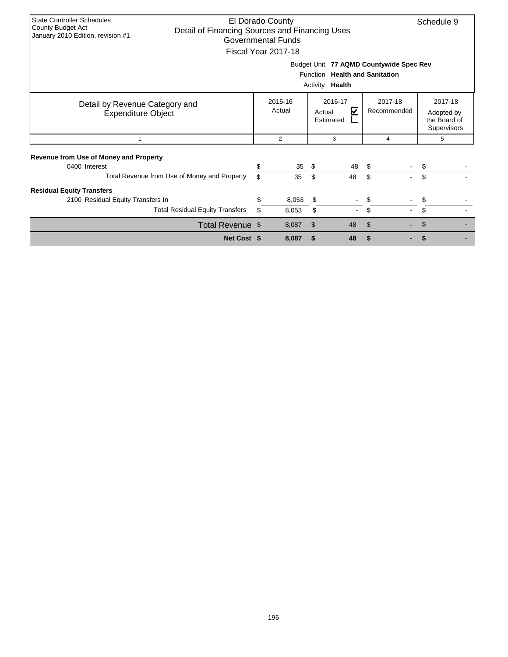| <b>State Controller Schedules</b>             |                                                |    | El Dorado County    |                |    |                                         | Schedule 9   |  |  |  |  |  |
|-----------------------------------------------|------------------------------------------------|----|---------------------|----------------|----|-----------------------------------------|--------------|--|--|--|--|--|
| County Budget Act                             | Detail of Financing Sources and Financing Uses |    |                     |                |    |                                         |              |  |  |  |  |  |
| January 2010 Edition, revision #1             |                                                |    | Governmental Funds  |                |    |                                         |              |  |  |  |  |  |
|                                               |                                                |    | Fiscal Year 2017-18 |                |    |                                         |              |  |  |  |  |  |
|                                               |                                                |    |                     |                |    |                                         |              |  |  |  |  |  |
|                                               |                                                |    |                     |                |    | Budget Unit 77 AQMD Countywide Spec Rev |              |  |  |  |  |  |
|                                               |                                                |    |                     |                |    | Function Health and Sanitation          |              |  |  |  |  |  |
|                                               | Activity<br>Health                             |    |                     |                |    |                                         |              |  |  |  |  |  |
|                                               |                                                |    |                     |                |    |                                         |              |  |  |  |  |  |
|                                               |                                                |    | 2017-18             |                |    |                                         |              |  |  |  |  |  |
| Detail by Revenue Category and                |                                                |    | Actual              | Actual         | V  | Recommended                             | Adopted by   |  |  |  |  |  |
| <b>Expenditure Object</b>                     |                                                |    | Estimated           |                |    |                                         | the Board of |  |  |  |  |  |
|                                               |                                                |    |                     |                |    |                                         | Supervisors  |  |  |  |  |  |
| $\mathbf{1}$                                  |                                                |    | 2                   | 3              |    | 4                                       | 5            |  |  |  |  |  |
|                                               |                                                |    |                     |                |    |                                         |              |  |  |  |  |  |
| <b>Revenue from Use of Money and Property</b> |                                                |    |                     |                |    |                                         |              |  |  |  |  |  |
| 0400 Interest                                 |                                                | \$ | 35                  | - \$           | 48 | \$                                      |              |  |  |  |  |  |
|                                               | Total Revenue from Use of Money and Property   | \$ | 35                  | \$             | 48 | \$                                      | \$           |  |  |  |  |  |
|                                               |                                                |    |                     |                |    |                                         |              |  |  |  |  |  |
| <b>Residual Equity Transfers</b>              |                                                |    |                     |                |    |                                         |              |  |  |  |  |  |
| 2100 Residual Equity Transfers In             |                                                | \$ | 8,053               | \$             |    | \$                                      | \$           |  |  |  |  |  |
|                                               | <b>Total Residual Equity Transfers</b>         | \$ | \$                  |                |    |                                         |              |  |  |  |  |  |
|                                               | Total Revenue \$                               |    | 8,087               | $\mathfrak{L}$ | 48 | $\mathfrak{L}$                          |              |  |  |  |  |  |
|                                               | Net Cost \$                                    |    | 8,087               | \$             | 48 | \$                                      |              |  |  |  |  |  |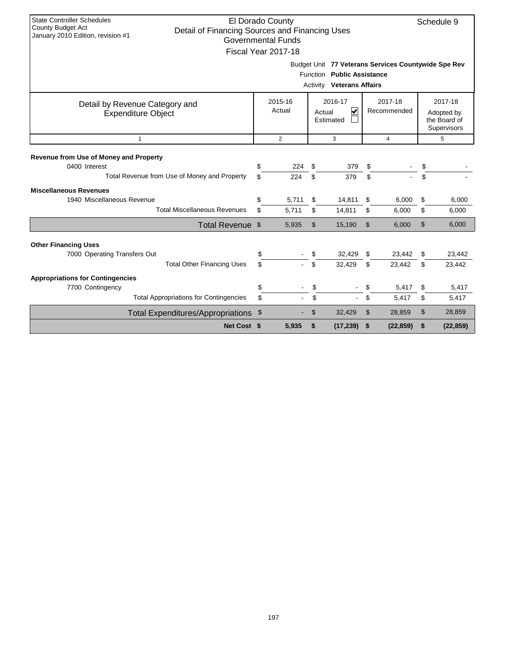| <b>State Controller Schedules</b><br><b>County Budget Act</b><br>January 2010 Edition, revision #1 | El Dorado County<br>Detail of Financing Sources and Financing Uses<br><b>Governmental Funds</b><br>Fiscal Year 2017-18 |           | Schedule 9                                          |          |                  |          |                        |                                                      |                  |  |
|----------------------------------------------------------------------------------------------------|------------------------------------------------------------------------------------------------------------------------|-----------|-----------------------------------------------------|----------|------------------|----------|------------------------|------------------------------------------------------|------------------|--|
|                                                                                                    | Budget Unit 77 Veterans Services Countywide Spe Rev<br>Function Public Assistance<br><b>Activity Veterans Affairs</b>  |           |                                                     |          |                  |          |                        |                                                      |                  |  |
| Detail by Revenue Category and<br><b>Expenditure Object</b>                                        |                                                                                                                        |           | 2016-17<br>2015-16<br>Actual<br>Actual<br>Estimated |          | <u>V</u>         |          | 2017-18<br>Recommended | 2017-18<br>Adopted by<br>the Board of<br>Supervisors |                  |  |
| $\mathbf{1}$                                                                                       |                                                                                                                        |           | $\overline{2}$                                      |          | 3                |          | $\overline{4}$         |                                                      | 5                |  |
| Revenue from Use of Money and Property<br>0400 Interest                                            |                                                                                                                        | \$        | 224                                                 | \$       | 379              | S        |                        | \$                                                   |                  |  |
| Total Revenue from Use of Money and Property                                                       |                                                                                                                        | \$        | 224                                                 | \$       | 379              | \$       |                        | \$                                                   |                  |  |
| <b>Miscellaneous Revenues</b><br>1940 Miscellaneous Revenue                                        | <b>Total Miscellaneous Revenues</b>                                                                                    | \$<br>\$. | 5,711<br>5,711                                      | \$<br>\$ | 14,811<br>14,811 | \$<br>\$ | 6,000<br>6,000         | \$<br>\$                                             | 6,000<br>6,000   |  |
|                                                                                                    | Total Revenue \$                                                                                                       |           | 5,935                                               | \$       | 15,190           | \$       | 6,000                  | \$                                                   | 6.000            |  |
| <b>Other Financing Uses</b><br>7000 Operating Transfers Out                                        | <b>Total Other Financing Uses</b>                                                                                      | \$<br>\$  |                                                     | \$<br>\$ | 32,429<br>32,429 | \$<br>\$ | 23,442<br>23,442       | \$<br>\$                                             | 23,442<br>23,442 |  |
| <b>Appropriations for Contingencies</b><br>7700 Contingency                                        |                                                                                                                        | \$        |                                                     | \$       | $\blacksquare$   | \$       | 5,417                  | \$                                                   | 5,417            |  |
|                                                                                                    | <b>Total Appropriations for Contingencies</b>                                                                          | \$        |                                                     | \$       | $\blacksquare$   | \$       | 5,417                  | \$                                                   | 5,417            |  |
|                                                                                                    | <b>Total Expenditures/Appropriations</b>                                                                               | \$        |                                                     | \$       | 32,429           | \$       | 28,859                 | \$                                                   | 28,859           |  |
|                                                                                                    | Net Cost \$                                                                                                            |           | 5,935                                               | \$       | (17, 239)        | \$       | (22, 859)              | \$                                                   | (22, 859)        |  |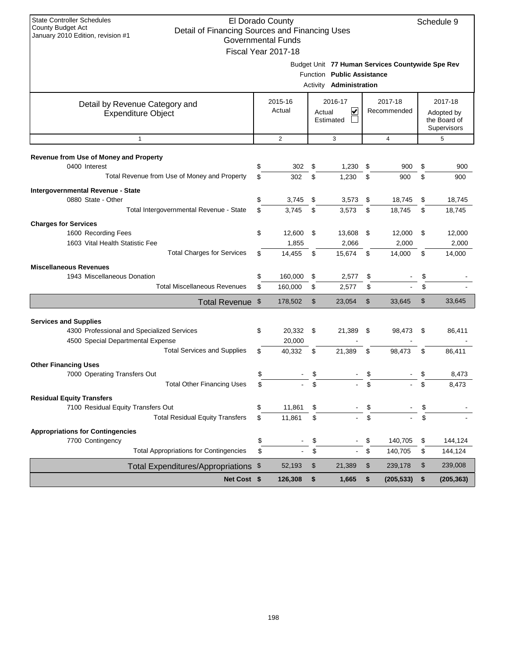| <b>State Controller Schedules</b><br>El Dorado County<br>Schedule 9<br><b>County Budget Act</b> |          |                           |          |                                |          |                                                  |          |                             |
|-------------------------------------------------------------------------------------------------|----------|---------------------------|----------|--------------------------------|----------|--------------------------------------------------|----------|-----------------------------|
| Detail of Financing Sources and Financing Uses<br>January 2010 Edition, revision #1             |          | <b>Governmental Funds</b> |          |                                |          |                                                  |          |                             |
|                                                                                                 |          | Fiscal Year 2017-18       |          |                                |          |                                                  |          |                             |
|                                                                                                 |          |                           |          |                                |          | Budget Unit 77 Human Services Countywide Spe Rev |          |                             |
|                                                                                                 |          |                           |          | Function Public Assistance     |          |                                                  |          |                             |
|                                                                                                 |          |                           |          | <b>Activity Administration</b> |          |                                                  |          |                             |
| Detail by Revenue Category and                                                                  |          | 2015-16                   |          | 2016-17                        |          | 2017-18                                          |          | 2017-18                     |
| <b>Expenditure Object</b>                                                                       |          | Actual                    | Actual   | ✔                              |          | Recommended                                      |          | Adopted by                  |
|                                                                                                 |          |                           |          | Estimated                      |          |                                                  |          | the Board of<br>Supervisors |
| $\mathbf{1}$                                                                                    |          | 2                         | 3        |                                |          | $\overline{4}$                                   |          | 5                           |
|                                                                                                 |          |                           |          |                                |          |                                                  |          |                             |
| Revenue from Use of Money and Property                                                          |          |                           |          |                                |          |                                                  |          |                             |
| 0400 Interest                                                                                   | \$       | 302                       | \$       | 1,230                          | \$       | 900                                              | \$       | 900                         |
| Total Revenue from Use of Money and Property                                                    | \$       | 302                       | \$       | 1,230                          | \$       | 900                                              | \$       | 900                         |
| Intergovernmental Revenue - State                                                               |          |                           |          |                                |          |                                                  |          |                             |
| 0880 State - Other                                                                              | \$       | 3,745                     | \$       | 3,573                          | \$       | 18,745                                           | \$       | 18,745                      |
| Total Intergovernmental Revenue - State                                                         | \$       | 3,745                     | \$       | 3,573                          | \$       | 18,745                                           | \$       | 18,745                      |
| <b>Charges for Services</b>                                                                     |          | 12,600                    |          |                                |          |                                                  |          |                             |
| 1600 Recording Fees<br>1603 Vital Health Statistic Fee                                          | \$       | 1,855                     | \$       | 13,608<br>2,066                | \$       | 12,000<br>2,000                                  | \$       | 12,000<br>2,000             |
| <b>Total Charges for Services</b>                                                               | \$       | 14,455                    | \$       | 15,674                         | \$       | 14,000                                           | \$       | 14,000                      |
|                                                                                                 |          |                           |          |                                |          |                                                  |          |                             |
| <b>Miscellaneous Revenues</b><br>1943 Miscellaneous Donation                                    | \$       | 160,000                   | \$       | 2,577                          | \$       |                                                  | \$       |                             |
| <b>Total Miscellaneous Revenues</b>                                                             | \$       | 160,000                   | \$       | 2,577                          | \$       |                                                  | \$       |                             |
| Total Revenue \$                                                                                |          | 178,502                   | \$       | 23,054                         | \$       | 33,645                                           | \$       | 33,645                      |
|                                                                                                 |          |                           |          |                                |          |                                                  |          |                             |
| <b>Services and Supplies</b>                                                                    |          |                           |          |                                |          |                                                  |          |                             |
| 4300 Professional and Specialized Services                                                      | \$       | 20,332 \$                 |          | 21,389                         | \$       | 98,473                                           | \$       | 86,411                      |
| 4500 Special Departmental Expense<br><b>Total Services and Supplies</b>                         | \$       | 20,000                    |          |                                | \$       |                                                  |          |                             |
|                                                                                                 |          | 40,332                    | \$       | 21,389                         |          | 98,473                                           | \$       | 86,411                      |
| <b>Other Financing Uses</b>                                                                     |          |                           |          |                                |          |                                                  |          | 8,473                       |
| 7000 Operating Transfers Out<br><b>Total Other Financing Uses</b>                               | \$<br>\$ |                           |          |                                | \$       |                                                  | \$       | 8,473                       |
|                                                                                                 |          |                           | P        |                                | P.       |                                                  |          |                             |
| <b>Residual Equity Transfers</b><br>7100 Residual Equity Transfers Out                          | \$       | 11,861                    |          |                                |          |                                                  |          |                             |
| <b>Total Residual Equity Transfers</b>                                                          | \$       | 11,861                    | \$<br>\$ |                                | \$<br>\$ |                                                  | \$<br>\$ |                             |
|                                                                                                 |          |                           |          |                                |          |                                                  |          |                             |
| <b>Appropriations for Contingencies</b><br>7700 Contingency                                     | \$       |                           | \$       |                                | \$       | 140,705                                          | \$       | 144,124                     |
| <b>Total Appropriations for Contingencies</b>                                                   | \$       |                           | \$       |                                | \$       | 140,705                                          | \$       | 144,124                     |
| Total Expenditures/Appropriations \$                                                            |          | 52,193                    | \$       | 21,389                         | \$       | 239,178                                          | \$       | 239,008                     |
| Net Cost \$                                                                                     |          | 126,308                   | \$       | 1,665                          | \$       | (205, 533)                                       | \$       | (205, 363)                  |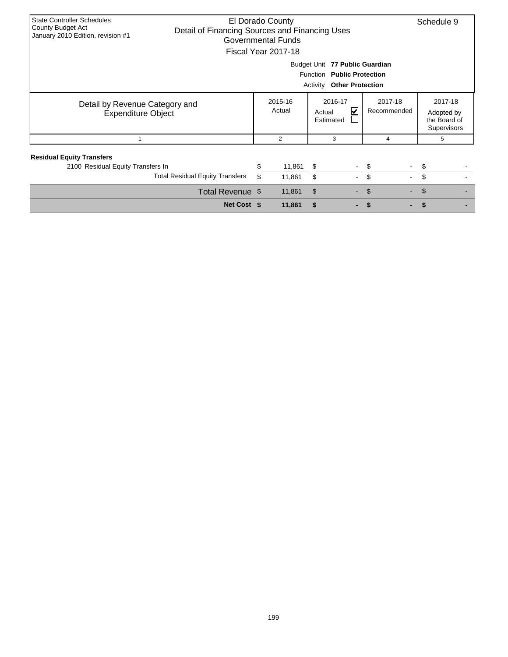| <b>State Controller Schedules</b><br>County Budget Act<br>January 2010 Edition, revision #1      | Detail of Financing Sources and Financing Uses |    | El Dorado County<br><b>Governmental Funds</b><br>Fiscal Year 2017-18 |                                |                |                          | Schedule 9                                           |  |  |  |  |
|--------------------------------------------------------------------------------------------------|------------------------------------------------|----|----------------------------------------------------------------------|--------------------------------|----------------|--------------------------|------------------------------------------------------|--|--|--|--|
| Budget Unit 77 Public Guardian<br>Function Public Protection<br><b>Activity Other Protection</b> |                                                |    |                                                                      |                                |                |                          |                                                      |  |  |  |  |
| Detail by Revenue Category and<br><b>Expenditure Object</b>                                      |                                                |    | 2015-16<br>Actual                                                    | 2016-17<br>Actual<br>Estimated | V              | 2017-18<br>Recommended   | 2017-18<br>Adopted by<br>the Board of<br>Supervisors |  |  |  |  |
|                                                                                                  |                                                |    | 2                                                                    | 3                              |                | 4                        | 5                                                    |  |  |  |  |
| <b>Residual Equity Transfers</b>                                                                 |                                                |    |                                                                      |                                |                |                          |                                                      |  |  |  |  |
| 2100 Residual Equity Transfers In                                                                |                                                | \$ | 11,861                                                               | \$                             |                | - \$                     | \$                                                   |  |  |  |  |
|                                                                                                  | <b>Total Residual Equity Transfers</b>         | \$ | 11,861                                                               | \$                             | $\blacksquare$ | \$                       | \$                                                   |  |  |  |  |
|                                                                                                  | Total Revenue \$                               |    | 11,861                                                               | $\mathfrak{S}$                 | $\sim$         | $\mathfrak{S}$<br>$\sim$ | \$                                                   |  |  |  |  |
|                                                                                                  | Net Cost \$                                    |    | 11,861                                                               | \$                             |                |                          |                                                      |  |  |  |  |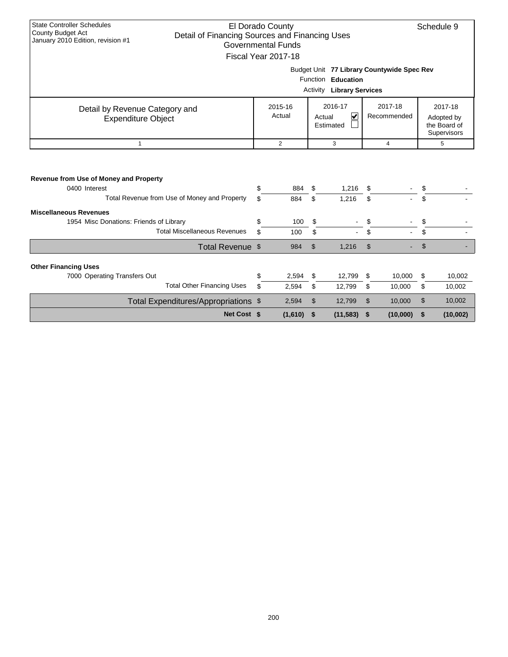| <b>State Controller Schedules</b>                                   |                       |                           |                |                                   |    |                                            |                |                    |  |  |
|---------------------------------------------------------------------|-----------------------|---------------------------|----------------|-----------------------------------|----|--------------------------------------------|----------------|--------------------|--|--|
| County Budget Act<br>Detail of Financing Sources and Financing Uses |                       | El Dorado County          |                |                                   |    |                                            |                | Schedule 9         |  |  |
| January 2010 Edition, revision #1                                   |                       | <b>Governmental Funds</b> |                |                                   |    |                                            |                |                    |  |  |
|                                                                     |                       | Fiscal Year 2017-18       |                |                                   |    |                                            |                |                    |  |  |
|                                                                     |                       |                           |                |                                   |    |                                            |                |                    |  |  |
|                                                                     |                       |                           |                |                                   |    | Budget Unit 77 Library Countywide Spec Rev |                |                    |  |  |
|                                                                     | Function<br>Education |                           |                |                                   |    |                                            |                |                    |  |  |
|                                                                     |                       |                           | Activity       | <b>Library Services</b>           |    |                                            |                |                    |  |  |
| Detail by Revenue Category and                                      |                       | 2015-16                   |                | 2016-17                           |    | 2017-18                                    |                | 2017-18            |  |  |
| <b>Expenditure Object</b>                                           |                       | Actual                    |                | $\overline{\mathbf{v}}$<br>Actual |    | Recommended                                |                | Adopted by         |  |  |
|                                                                     | Estimated             |                           |                |                                   |    |                                            |                |                    |  |  |
|                                                                     |                       |                           |                |                                   |    |                                            |                | <b>Supervisors</b> |  |  |
| $\mathbf{1}$                                                        |                       | $\overline{2}$            |                | 3                                 |    | $\overline{4}$                             |                | 5                  |  |  |
| Revenue from Use of Money and Property<br>0400 Interest             | \$                    |                           |                |                                   |    |                                            |                |                    |  |  |
|                                                                     |                       | 884                       | \$             | 1,216                             | \$ |                                            | \$             |                    |  |  |
| Total Revenue from Use of Money and Property                        | \$.                   | 884                       | \$             | 1,216                             | \$ |                                            | \$             |                    |  |  |
| <b>Miscellaneous Revenues</b>                                       |                       |                           |                |                                   |    |                                            |                |                    |  |  |
| 1954 Misc Donations: Friends of Library                             | \$                    | 100                       | \$             |                                   | \$ |                                            | \$             |                    |  |  |
| <b>Total Miscellaneous Revenues</b>                                 | \$.                   | 100                       | \$             |                                   | \$ |                                            | \$             |                    |  |  |
| Total Revenue \$                                                    |                       | 984                       | $\mathfrak{S}$ | 1,216                             | \$ |                                            | $\mathfrak{S}$ |                    |  |  |
| <b>Other Financing Uses</b>                                         |                       |                           |                |                                   |    |                                            |                |                    |  |  |
| 7000 Operating Transfers Out                                        | \$                    | 2,594                     | \$             | 12,799                            | \$ | 10,000                                     | \$             | 10,002             |  |  |
| <b>Total Other Financing Uses</b>                                   | \$                    | 2,594                     | \$             | 12,799                            | \$ | 10,000                                     | \$             | 10,002             |  |  |
| Total Expenditures/Appropriations \$                                |                       | 2,594                     | \$             | 12,799                            | \$ | 10,000                                     | \$             | 10,002             |  |  |
| Net Cost \$                                                         |                       | (1,610)                   | \$             | (11, 583)                         | \$ | (10,000)                                   | \$             | (10,002)           |  |  |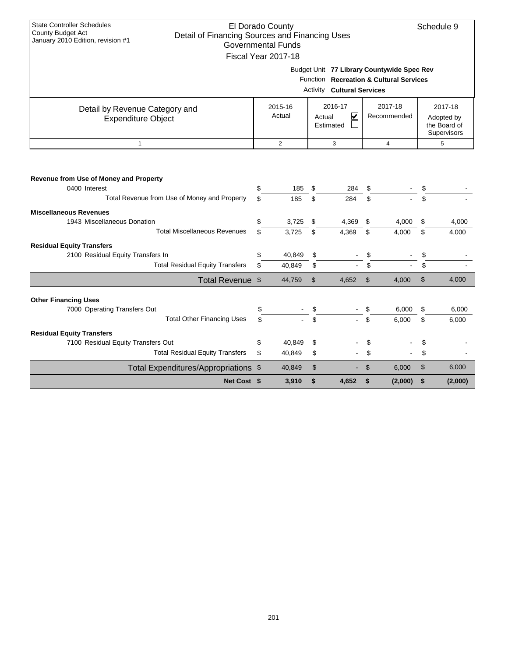| <b>State Controller Schedules</b><br><b>County Budget Act</b>                       |          | El Dorado County          |          |                                   |          |                                                                                              |          | Schedule 9                  |
|-------------------------------------------------------------------------------------|----------|---------------------------|----------|-----------------------------------|----------|----------------------------------------------------------------------------------------------|----------|-----------------------------|
| Detail of Financing Sources and Financing Uses<br>January 2010 Edition, revision #1 |          | <b>Governmental Funds</b> |          |                                   |          |                                                                                              |          |                             |
|                                                                                     |          | Fiscal Year 2017-18       |          |                                   |          |                                                                                              |          |                             |
|                                                                                     |          |                           |          |                                   |          |                                                                                              |          |                             |
|                                                                                     |          |                           |          |                                   |          | Budget Unit 77 Library Countywide Spec Rev<br><b>Function</b> Recreation & Cultural Services |          |                             |
|                                                                                     |          |                           |          |                                   |          |                                                                                              |          |                             |
|                                                                                     |          |                           |          | <b>Activity Cultural Services</b> |          |                                                                                              |          |                             |
| Detail by Revenue Category and                                                      |          | 2016-17<br>2015-16        |          |                                   |          | 2017-18                                                                                      |          | 2017-18                     |
| <b>Expenditure Object</b>                                                           |          | Actual                    |          | $\overline{\mathbf{v}}$<br>Actual |          | Recommended                                                                                  |          | Adopted by                  |
|                                                                                     |          |                           |          | Estimated                         |          |                                                                                              |          | the Board of<br>Supervisors |
| $\mathbf{1}$                                                                        |          | $\overline{2}$            |          | 3                                 |          | $\overline{4}$                                                                               |          | 5                           |
|                                                                                     |          |                           |          |                                   |          |                                                                                              |          |                             |
|                                                                                     |          |                           |          |                                   |          |                                                                                              |          |                             |
| Revenue from Use of Money and Property                                              |          |                           |          |                                   |          |                                                                                              |          |                             |
| 0400 Interest                                                                       | \$       | 185                       | \$       | 284                               | \$       |                                                                                              | \$       |                             |
| Total Revenue from Use of Money and Property                                        | \$       | 185                       | \$       | 284                               | \$       |                                                                                              | \$       |                             |
| <b>Miscellaneous Revenues</b>                                                       |          |                           |          |                                   |          |                                                                                              |          |                             |
| 1943 Miscellaneous Donation                                                         | \$       | 3,725                     | \$       | 4,369                             | \$       | 4,000                                                                                        | \$       | 4,000                       |
| <b>Total Miscellaneous Revenues</b>                                                 | \$       | 3,725                     | \$       | 4,369                             | \$       | 4,000                                                                                        | \$       | 4,000                       |
| <b>Residual Equity Transfers</b>                                                    |          |                           |          |                                   |          |                                                                                              |          |                             |
| 2100 Residual Equity Transfers In                                                   | \$       | 40,849                    | \$       |                                   | \$       |                                                                                              | \$       |                             |
| <b>Total Residual Equity Transfers</b>                                              | \$       | 40,849                    | \$       |                                   | \$       |                                                                                              | \$       |                             |
| Total Revenue \$                                                                    |          | 44,759                    | \$       | 4,652                             | \$       | 4,000                                                                                        | \$       | 4,000                       |
|                                                                                     |          |                           |          |                                   |          |                                                                                              |          |                             |
| <b>Other Financing Uses</b>                                                         |          |                           |          |                                   |          |                                                                                              |          |                             |
| 7000 Operating Transfers Out<br><b>Total Other Financing Uses</b>                   | \$<br>\$ |                           | \$<br>\$ |                                   | \$<br>\$ | 6,000<br>6.000                                                                               | \$<br>\$ | 6,000<br>6.000              |
|                                                                                     |          |                           |          |                                   |          |                                                                                              |          |                             |
| <b>Residual Equity Transfers</b>                                                    |          |                           |          |                                   |          |                                                                                              |          |                             |
| 7100 Residual Equity Transfers Out<br><b>Total Residual Equity Transfers</b>        | \$<br>\$ | 40,849<br>40,849          | \$<br>\$ |                                   | \$<br>\$ |                                                                                              | \$<br>\$ |                             |
|                                                                                     |          |                           |          |                                   |          |                                                                                              |          |                             |
| Total Expenditures/Appropriations \$                                                |          | 40,849                    | \$       |                                   | \$       | 6,000                                                                                        | \$       | 6,000                       |
| Net Cost \$                                                                         |          | 3,910                     | \$       | 4,652                             | \$       | (2,000)                                                                                      | \$       | (2,000)                     |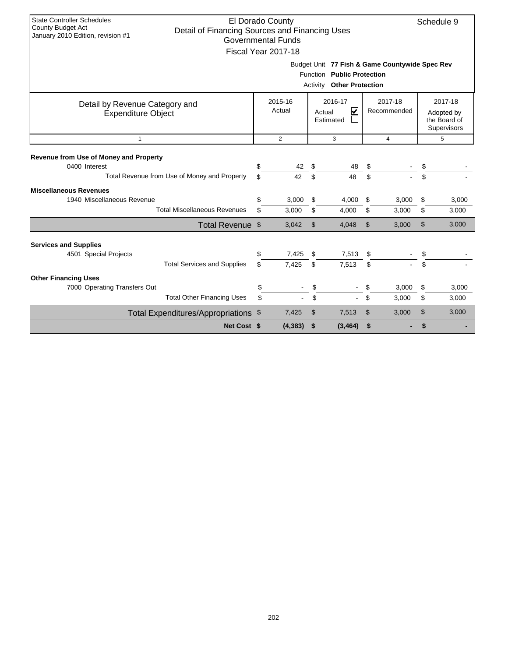| <b>State Controller Schedules</b><br>El Dorado County<br>Schedule 9<br><b>County Budget Act</b><br>Detail of Financing Sources and Financing Uses<br>January 2010 Edition, revision #1<br><b>Governmental Funds</b><br>Fiscal Year 2017-18 |                                                                                                                     |                                                                                |                |          |                |                        |               |                                                      |  |  |
|--------------------------------------------------------------------------------------------------------------------------------------------------------------------------------------------------------------------------------------------|---------------------------------------------------------------------------------------------------------------------|--------------------------------------------------------------------------------|----------------|----------|----------------|------------------------|---------------|------------------------------------------------------|--|--|
|                                                                                                                                                                                                                                            | Budget Unit 77 Fish & Game Countywide Spec Rev<br>Function Public Protection<br><b>Other Protection</b><br>Activity |                                                                                |                |          |                |                        |               |                                                      |  |  |
| Detail by Revenue Category and<br><b>Expenditure Object</b>                                                                                                                                                                                |                                                                                                                     | 2016-17<br>2015-16<br>Actual<br>$\overline{\mathbf{v}}$<br>Actual<br>Estimated |                |          |                | 2017-18<br>Recommended |               | 2017-18<br>Adopted by<br>the Board of<br>Supervisors |  |  |
| $\mathbf{1}$                                                                                                                                                                                                                               |                                                                                                                     | $\overline{2}$                                                                 |                | 3        |                | $\overline{4}$         |               | 5                                                    |  |  |
| Revenue from Use of Money and Property<br>0400 Interest                                                                                                                                                                                    | \$                                                                                                                  | 42                                                                             | \$             | 48       | \$             |                        |               |                                                      |  |  |
| Total Revenue from Use of Money and Property                                                                                                                                                                                               | \$                                                                                                                  | 42                                                                             | \$             | 48       | \$             |                        | \$            |                                                      |  |  |
| <b>Miscellaneous Revenues</b><br>1940 Miscellaneous Revenue                                                                                                                                                                                | \$                                                                                                                  | 3,000                                                                          | \$             | 4,000    | \$             | 3,000                  | \$            | 3,000                                                |  |  |
| <b>Total Miscellaneous Revenues</b>                                                                                                                                                                                                        | \$                                                                                                                  | 3,000                                                                          | \$             | 4,000    | \$             | 3,000                  | \$            | 3,000                                                |  |  |
| Total Revenue \$                                                                                                                                                                                                                           |                                                                                                                     | 3,042                                                                          | $\mathfrak{S}$ | 4,048    | $\mathfrak{S}$ | 3,000                  | $\mathcal{S}$ | 3,000                                                |  |  |
| <b>Services and Supplies</b><br>4501 Special Projects                                                                                                                                                                                      | \$                                                                                                                  | 7,425                                                                          | \$             | 7,513    | \$             |                        | \$            |                                                      |  |  |
| <b>Total Services and Supplies</b>                                                                                                                                                                                                         | \$                                                                                                                  | 7,425                                                                          | \$             | 7.513    | \$             |                        | \$            |                                                      |  |  |
| <b>Other Financing Uses</b>                                                                                                                                                                                                                |                                                                                                                     |                                                                                |                |          |                |                        |               |                                                      |  |  |
| 7000 Operating Transfers Out                                                                                                                                                                                                               | \$                                                                                                                  |                                                                                | \$             |          | \$             | 3,000                  | \$            | 3,000                                                |  |  |
| <b>Total Other Financing Uses</b>                                                                                                                                                                                                          | \$                                                                                                                  |                                                                                | \$             |          | \$             | 3,000                  | \$            | 3,000                                                |  |  |
| Total Expenditures/Appropriations \$                                                                                                                                                                                                       |                                                                                                                     | 7,425                                                                          | \$             | 7,513    | \$             | 3,000                  | \$            | 3,000                                                |  |  |
| Net Cost \$                                                                                                                                                                                                                                |                                                                                                                     | (4, 383)                                                                       | \$             | (3, 464) | \$             |                        | \$            |                                                      |  |  |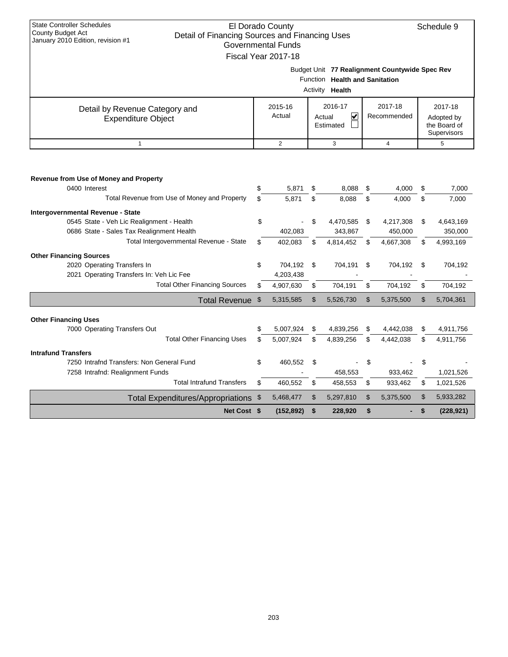| <b>State Controller Schedules</b><br>County Budget Act<br>Detail of Financing Sources and Financing Uses |                                          | El Dorado County          |    |                                |    |                                                |    | Schedule 9         |  |  |
|----------------------------------------------------------------------------------------------------------|------------------------------------------|---------------------------|----|--------------------------------|----|------------------------------------------------|----|--------------------|--|--|
| January 2010 Edition, revision #1                                                                        |                                          | <b>Governmental Funds</b> |    |                                |    |                                                |    |                    |  |  |
|                                                                                                          |                                          | Fiscal Year 2017-18       |    |                                |    |                                                |    |                    |  |  |
|                                                                                                          |                                          |                           |    |                                |    | Budget Unit 77 Realignment Countywide Spec Rev |    |                    |  |  |
|                                                                                                          |                                          |                           |    | Function Health and Sanitation |    |                                                |    |                    |  |  |
|                                                                                                          | Activity <b>Health</b>                   |                           |    |                                |    |                                                |    |                    |  |  |
|                                                                                                          | 2016-17<br>2017-18<br>2015-16<br>2017-18 |                           |    |                                |    |                                                |    |                    |  |  |
| Detail by Revenue Category and<br><b>Expenditure Object</b>                                              |                                          | Actual                    |    | ✔<br>Actual                    |    | Recommended                                    |    | Adopted by         |  |  |
|                                                                                                          |                                          |                           |    | Estimated                      |    |                                                |    | the Board of       |  |  |
|                                                                                                          |                                          |                           |    |                                |    |                                                |    | <b>Supervisors</b> |  |  |
| $\mathbf{1}$                                                                                             |                                          | $\overline{c}$            |    | 3                              |    | $\overline{4}$                                 |    | 5                  |  |  |
|                                                                                                          |                                          |                           |    |                                |    |                                                |    |                    |  |  |
|                                                                                                          |                                          |                           |    |                                |    |                                                |    |                    |  |  |
| <b>Revenue from Use of Money and Property</b>                                                            |                                          |                           |    |                                |    |                                                |    |                    |  |  |
| 0400 Interest                                                                                            | \$                                       | 5,871                     | \$ | 8,088                          | \$ | 4,000                                          | \$ | 7,000              |  |  |
| Total Revenue from Use of Money and Property                                                             | \$                                       | 5,871                     | \$ | 8,088                          | \$ | 4,000                                          | \$ | 7,000              |  |  |
| Intergovernmental Revenue - State                                                                        |                                          |                           |    |                                |    |                                                |    |                    |  |  |
| 0545 State - Veh Lic Realignment - Health                                                                | \$                                       |                           | \$ | 4,470,585                      | \$ | 4,217,308                                      | \$ | 4,643,169          |  |  |
| 0686 State - Sales Tax Realignment Health                                                                |                                          | 402,083                   |    | 343,867                        |    | 450,000                                        |    | 350,000            |  |  |
| Total Intergovernmental Revenue - State                                                                  | \$                                       | 402,083                   | \$ | 4,814,452                      | \$ | 4,667,308                                      | \$ | 4,993,169          |  |  |
| <b>Other Financing Sources</b>                                                                           |                                          |                           |    |                                |    |                                                |    |                    |  |  |
| 2020 Operating Transfers In                                                                              | \$                                       | 704,192 \$                |    | 704,191                        | \$ | 704,192                                        | \$ | 704,192            |  |  |
| 2021 Operating Transfers In: Veh Lic Fee                                                                 |                                          | 4,203,438                 |    |                                |    |                                                |    |                    |  |  |
| <b>Total Other Financing Sources</b>                                                                     | \$                                       | 4,907,630                 | \$ | 704,191                        | \$ | 704,192                                        | \$ | 704,192            |  |  |
| <b>Total Revenue</b>                                                                                     | $\mathfrak{F}$                           | 5,315,585                 | \$ | 5,526,730                      | \$ | 5,375,500                                      | \$ | 5,704,361          |  |  |
|                                                                                                          |                                          |                           |    |                                |    |                                                |    |                    |  |  |
| <b>Other Financing Uses</b><br>7000 Operating Transfers Out                                              | \$                                       | 5,007,924                 | \$ | 4,839,256                      | \$ | 4,442,038                                      | \$ | 4,911,756          |  |  |
| <b>Total Other Financing Uses</b>                                                                        | \$                                       | 5.007.924                 | \$ | 4,839,256                      | \$ | 4,442,038                                      | \$ | 4,911,756          |  |  |
|                                                                                                          |                                          |                           |    |                                |    |                                                |    |                    |  |  |
| <b>Intrafund Transfers</b><br>7250 Intrafnd Transfers: Non General Fund                                  | \$                                       | 460,552                   | \$ |                                | \$ |                                                | \$ |                    |  |  |
| 7258 Intrafnd: Realignment Funds                                                                         |                                          |                           |    | 458,553                        |    | 933,462                                        |    | 1,021,526          |  |  |
| <b>Total Intrafund Transfers</b>                                                                         | \$                                       | 460,552                   | \$ | 458,553                        | \$ | 933,462                                        | \$ | 1,021,526          |  |  |
| <b>Total Expenditures/Appropriations</b>                                                                 | \$                                       | 5,468,477                 | \$ | 5,297,810                      | \$ | 5,375,500                                      | \$ | 5,933,282          |  |  |
|                                                                                                          |                                          |                           |    |                                |    |                                                |    |                    |  |  |
| Net Cost \$                                                                                              |                                          | (152, 892)                | \$ | 228,920                        | \$ |                                                | \$ | (228, 921)         |  |  |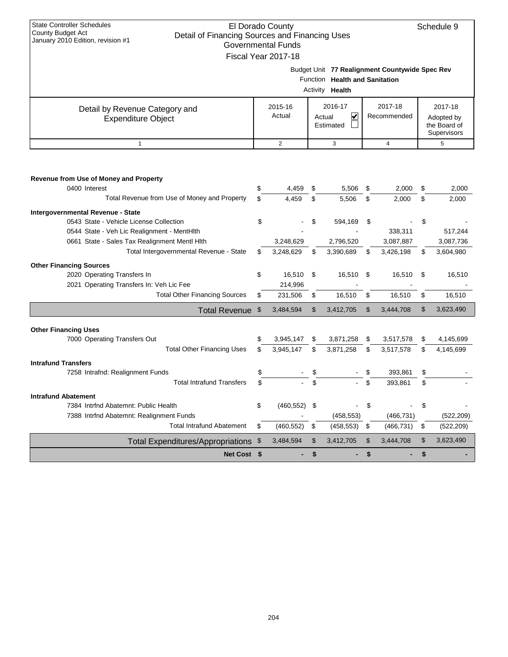| <b>State Controller Schedules</b>                                   |                                          |                           |               |                                   |    |                                                |                |              |  |  |  |
|---------------------------------------------------------------------|------------------------------------------|---------------------------|---------------|-----------------------------------|----|------------------------------------------------|----------------|--------------|--|--|--|
| County Budget Act<br>Detail of Financing Sources and Financing Uses |                                          | El Dorado County          |               |                                   |    |                                                |                | Schedule 9   |  |  |  |
| January 2010 Edition, revision #1                                   |                                          | <b>Governmental Funds</b> |               |                                   |    |                                                |                |              |  |  |  |
|                                                                     |                                          | Fiscal Year 2017-18       |               |                                   |    |                                                |                |              |  |  |  |
|                                                                     |                                          |                           |               |                                   |    | Budget Unit 77 Realignment Countywide Spec Rev |                |              |  |  |  |
|                                                                     |                                          |                           |               | Function Health and Sanitation    |    |                                                |                |              |  |  |  |
|                                                                     | Activity<br>Health                       |                           |               |                                   |    |                                                |                |              |  |  |  |
| Detail by Revenue Category and                                      | 2016-17<br>2017-18<br>2017-18<br>2015-16 |                           |               |                                   |    |                                                |                |              |  |  |  |
| <b>Expenditure Object</b>                                           |                                          | Actual                    |               | $\overline{\mathbf{v}}$<br>Actual |    | Recommended                                    |                | Adopted by   |  |  |  |
|                                                                     |                                          |                           |               | Estimated                         |    |                                                |                | the Board of |  |  |  |
| $\mathbf{1}$                                                        | <b>Supervisors</b><br>2<br>3<br>4<br>5   |                           |               |                                   |    |                                                |                |              |  |  |  |
|                                                                     |                                          |                           |               |                                   |    |                                                |                |              |  |  |  |
|                                                                     |                                          |                           |               |                                   |    |                                                |                |              |  |  |  |
| Revenue from Use of Money and Property                              |                                          |                           |               |                                   |    |                                                |                |              |  |  |  |
| 0400 Interest                                                       | \$                                       | 4,459                     | \$            | 5,506                             | \$ | 2,000                                          | \$             | 2.000        |  |  |  |
| Total Revenue from Use of Money and Property                        | \$                                       | 4,459                     | \$            | 5,506                             | \$ | 2,000                                          | \$             | 2,000        |  |  |  |
| Intergovernmental Revenue - State                                   |                                          |                           |               |                                   |    |                                                |                |              |  |  |  |
| 0543 State - Vehicle License Collection                             | \$                                       |                           | \$            | 594,169                           | \$ |                                                | \$             |              |  |  |  |
| 0544 State - Veh Lic Realignment - MentHlth                         |                                          |                           |               |                                   |    | 338,311                                        |                | 517,244      |  |  |  |
| 0661 State - Sales Tax Realignment Mentl Hlth                       |                                          | 3,248,629                 |               | 2,796,520                         |    | 3,087,887                                      |                | 3,087,736    |  |  |  |
| Total Intergovernmental Revenue - State                             | \$                                       | 3,248,629                 | \$            | 3,390,689                         | \$ | 3,426,198                                      | \$             | 3,604,980    |  |  |  |
| <b>Other Financing Sources</b>                                      |                                          |                           |               |                                   |    |                                                |                |              |  |  |  |
| 2020 Operating Transfers In                                         | \$                                       | 16,510                    | \$            | 16,510                            | \$ | 16,510                                         | \$             | 16,510       |  |  |  |
| 2021 Operating Transfers In: Veh Lic Fee                            |                                          | 214,996                   |               |                                   |    |                                                |                |              |  |  |  |
| <b>Total Other Financing Sources</b>                                | \$                                       | 231,506                   | \$            | 16,510                            | \$ | 16,510                                         | \$             | 16,510       |  |  |  |
| <b>Total Revenue</b>                                                | $\mathfrak{F}$                           | 3,484,594                 | $\mathcal{S}$ | 3,412,705                         | \$ | 3,444,708                                      | $\mathfrak{L}$ | 3,623,490    |  |  |  |
|                                                                     |                                          |                           |               |                                   |    |                                                |                |              |  |  |  |
| <b>Other Financing Uses</b><br>7000 Operating Transfers Out         | \$                                       | 3,945,147                 | S             | 3,871,258                         | S. | 3,517,578                                      | \$             | 4,145,699    |  |  |  |
| <b>Total Other Financing Uses</b>                                   | \$                                       | 3,945,147                 | \$            | 3,871,258                         | \$ | 3,517,578                                      | \$             | 4,145,699    |  |  |  |
| <b>Intrafund Transfers</b>                                          |                                          |                           |               |                                   |    |                                                |                |              |  |  |  |
| 7258 Intrafnd: Realignment Funds                                    | \$                                       |                           | \$            |                                   |    | 393,861                                        | \$             |              |  |  |  |
| <b>Total Intrafund Transfers</b>                                    | \$                                       |                           | \$            |                                   | \$ | 393.861                                        | \$             |              |  |  |  |

**Intrafund Abatement**

7384 Intrind Abatemnt: Public Health  $\qquad \qquad$  \$ (460,552) \$ - \$ - \$ 7388 Intrfnd Abatemnt: Realignment Funds (458,553) (466,731) (522,209)

Total Intrafund Abatement \$ (460,552) \$ (458,553) \$ (466,731) \$ (522,209)

**Net Cost** \$ - \$ - \$ 5 - \$

Total Expenditures/Appropriations \$ 3,484,594 \$ 3,412,705 \$ 3,444,708 \$ 3,623,490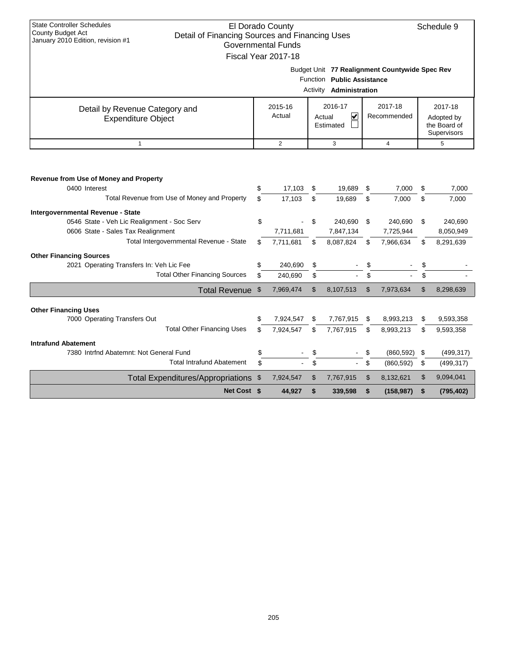| <b>State Controller Schedules</b><br>County Budget Act<br>Detail of Financing Sources and Financing Uses |      | El Dorado County          |                |                                |                |                                                | Schedule 9                  |
|----------------------------------------------------------------------------------------------------------|------|---------------------------|----------------|--------------------------------|----------------|------------------------------------------------|-----------------------------|
| January 2010 Edition, revision #1                                                                        |      | <b>Governmental Funds</b> |                |                                |                |                                                |                             |
|                                                                                                          |      | Fiscal Year 2017-18       |                |                                |                |                                                |                             |
|                                                                                                          |      |                           |                |                                |                | Budget Unit 77 Realignment Countywide Spec Rev |                             |
|                                                                                                          |      |                           |                | Function Public Assistance     |                |                                                |                             |
|                                                                                                          |      |                           |                | Activity <b>Administration</b> |                |                                                |                             |
| Detail by Revenue Category and                                                                           |      | 2015-16                   |                | 2016-17                        |                | 2017-18                                        | 2017-18                     |
| <b>Expenditure Object</b>                                                                                |      | Actual                    |                | V<br>Actual                    |                | Recommended                                    | Adopted by                  |
|                                                                                                          |      |                           |                | Estimated                      |                |                                                | the Board of<br>Supervisors |
| $\mathbf{1}$                                                                                             |      | $\overline{2}$            |                | 3                              |                | $\overline{4}$                                 | 5                           |
|                                                                                                          |      |                           |                |                                |                |                                                |                             |
|                                                                                                          |      |                           |                |                                |                |                                                |                             |
| Revenue from Use of Money and Property                                                                   |      |                           |                |                                |                |                                                |                             |
| 0400 Interest                                                                                            | \$   | 17,103                    | \$             | 19,689                         | \$             | 7,000                                          | \$<br>7,000                 |
| Total Revenue from Use of Money and Property                                                             | \$   | 17,103                    | \$             | 19,689                         | \$             | 7,000                                          | \$<br>7.000                 |
| <b>Intergovernmental Revenue - State</b>                                                                 |      |                           |                |                                |                |                                                |                             |
| 0546 State - Veh Lic Realignment - Soc Serv                                                              | \$   |                           | \$             | 240,690                        | \$             | 240,690                                        | \$<br>240,690               |
| 0606 State - Sales Tax Realignment                                                                       |      | 7,711,681                 |                | 7,847,134                      |                | 7,725,944                                      | 8,050,949                   |
| Total Intergovernmental Revenue - State                                                                  | \$   | 7,711,681                 | \$             | 8,087,824                      | \$             | 7,966,634                                      | \$<br>8,291,639             |
| <b>Other Financing Sources</b>                                                                           |      |                           |                |                                |                |                                                |                             |
| 2021 Operating Transfers In: Veh Lic Fee                                                                 | \$   | 240,690                   | \$             |                                | \$             |                                                | \$                          |
| <b>Total Other Financing Sources</b>                                                                     | \$   | 240,690                   | \$             |                                | \$             |                                                |                             |
| Total Revenue \$                                                                                         |      | 7,969,474                 | $\mathfrak{S}$ | 8,107,513                      | $\mathfrak{L}$ | 7,973,634                                      | \$<br>8,298,639             |
|                                                                                                          |      |                           |                |                                |                |                                                |                             |
| <b>Other Financing Uses</b><br>7000 Operating Transfers Out                                              | \$   | 7,924,547                 | \$             | 7,767,915                      | \$             | 8,993,213                                      | \$<br>9,593,358             |
| <b>Total Other Financing Uses</b>                                                                        | \$   | 7,924,547                 | \$             | 7,767,915                      | \$             | 8,993,213                                      | \$<br>9,593,358             |
| <b>Intrafund Abatement</b>                                                                               |      |                           |                |                                |                |                                                |                             |
| 7380 Intrfnd Abatemnt: Not General Fund                                                                  | \$   |                           | \$             |                                | \$             | (860, 592)                                     | \$<br>(499, 317)            |
| <b>Total Intrafund Abatement</b>                                                                         | \$   |                           | \$             |                                | \$             | (860, 592)                                     | \$<br>(499, 317)            |
| <b>Total Expenditures/Appropriations</b>                                                                 | - \$ | 7,924,547                 | \$             | 7,767,915                      | \$             | 8,132,621                                      | \$<br>9,094,041             |
| Net Cost \$                                                                                              |      | 44,927                    | \$             | 339,598                        | \$             | (158, 987)                                     | \$<br>(795, 402)            |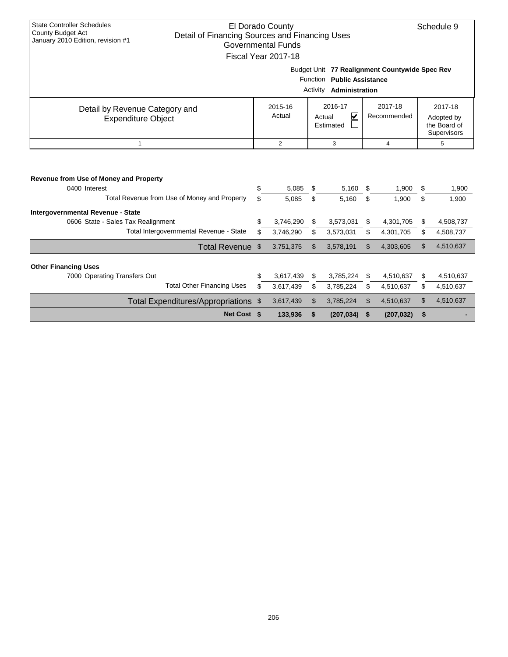| <b>State Controller Schedules</b><br>El Dorado County<br>Schedule 9<br><b>County Budget Act</b><br>Detail of Financing Sources and Financing Uses |                                                           |                           |          |                                   |     |             |    |            |  |  |  |
|---------------------------------------------------------------------------------------------------------------------------------------------------|-----------------------------------------------------------|---------------------------|----------|-----------------------------------|-----|-------------|----|------------|--|--|--|
| January 2010 Edition, revision #1                                                                                                                 |                                                           | <b>Governmental Funds</b> |          |                                   |     |             |    |            |  |  |  |
|                                                                                                                                                   |                                                           | Fiscal Year 2017-18       |          |                                   |     |             |    |            |  |  |  |
|                                                                                                                                                   |                                                           |                           |          |                                   |     |             |    |            |  |  |  |
|                                                                                                                                                   | Budget Unit 77 Realignment Countywide Spec Rev            |                           |          |                                   |     |             |    |            |  |  |  |
|                                                                                                                                                   |                                                           |                           | Function | <b>Public Assistance</b>          |     |             |    |            |  |  |  |
|                                                                                                                                                   |                                                           |                           |          | Activity <b>Administration</b>    |     |             |    |            |  |  |  |
| 2016-17<br>2017-18<br>2017-18<br>2015-16<br>Detail by Revenue Category and                                                                        |                                                           |                           |          |                                   |     |             |    |            |  |  |  |
| <b>Expenditure Object</b>                                                                                                                         |                                                           | Actual                    |          | $\overline{\mathbf{v}}$<br>Actual |     | Recommended |    | Adopted by |  |  |  |
|                                                                                                                                                   | the Board of<br>Estimated                                 |                           |          |                                   |     |             |    |            |  |  |  |
| $\mathbf{1}$                                                                                                                                      | Supervisors<br>$\overline{2}$<br>3<br>$\overline{4}$<br>5 |                           |          |                                   |     |             |    |            |  |  |  |
|                                                                                                                                                   |                                                           |                           |          |                                   |     |             |    |            |  |  |  |
|                                                                                                                                                   |                                                           |                           |          |                                   |     |             |    |            |  |  |  |
|                                                                                                                                                   |                                                           |                           |          |                                   |     |             |    |            |  |  |  |
| Revenue from Use of Money and Property                                                                                                            |                                                           |                           |          |                                   |     |             |    |            |  |  |  |
| 0400 Interest                                                                                                                                     | \$                                                        | 5,085                     | \$       | 5,160                             | S   | 1,900       | S  | 1,900      |  |  |  |
| Total Revenue from Use of Money and Property                                                                                                      | \$                                                        | 5,085                     | \$       | 5,160                             | \$  | 1,900       | \$ | 1,900      |  |  |  |
| Intergovernmental Revenue - State                                                                                                                 |                                                           |                           |          |                                   |     |             |    |            |  |  |  |
| 0606 State - Sales Tax Realignment                                                                                                                | \$                                                        | 3,746,290                 | \$       | 3,573,031                         | S   | 4,301,705   | S. | 4,508,737  |  |  |  |
| Total Intergovernmental Revenue - State                                                                                                           | \$                                                        | 3,746,290                 | \$       | 3,573,031                         | \$  | 4,301,705   | \$ | 4,508,737  |  |  |  |
| <b>Total Revenue</b>                                                                                                                              | \$                                                        | 3,751,375                 | \$       | 3,578,191                         | \$. | 4,303,605   | \$ | 4,510,637  |  |  |  |
|                                                                                                                                                   |                                                           |                           |          |                                   |     |             |    |            |  |  |  |
| <b>Other Financing Uses</b><br>7000 Operating Transfers Out                                                                                       | \$                                                        | 3,617,439                 | \$       | 3,785,224                         | \$  | 4,510,637   | \$ | 4,510,637  |  |  |  |
| <b>Total Other Financing Uses</b>                                                                                                                 | \$                                                        | 3,617,439                 | \$       | 3,785,224                         | \$  | 4,510,637   | \$ | 4,510,637  |  |  |  |
|                                                                                                                                                   |                                                           |                           |          |                                   |     |             |    |            |  |  |  |
| Total Expenditures/Appropriations \$                                                                                                              |                                                           | 3,617,439                 | \$       | 3,785,224                         | \$  | 4,510,637   | \$ | 4,510,637  |  |  |  |
| Net Cost \$                                                                                                                                       |                                                           | 133,936                   | \$       | (207, 034)                        | \$  | (207, 032)  | \$ |            |  |  |  |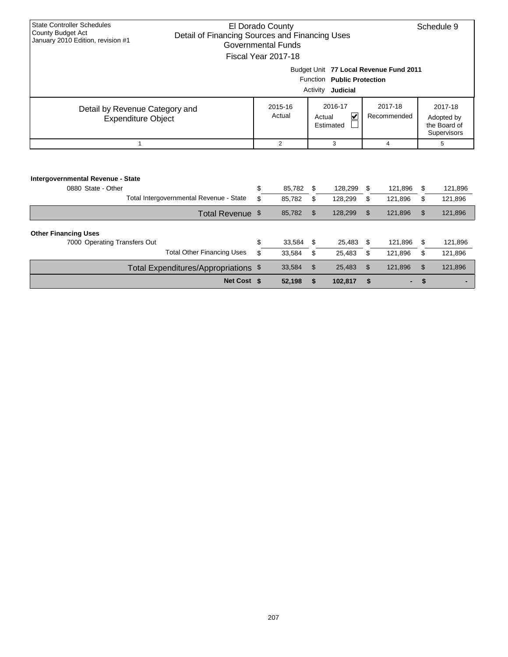| <b>State Controller Schedules</b>                             |                                                |                            | El Dorado County          |                                |                                        |    |             |              | Schedule 9  |  |  |  |
|---------------------------------------------------------------|------------------------------------------------|----------------------------|---------------------------|--------------------------------|----------------------------------------|----|-------------|--------------|-------------|--|--|--|
| <b>County Budget Act</b><br>January 2010 Edition, revision #1 | Detail of Financing Sources and Financing Uses |                            |                           |                                |                                        |    |             |              |             |  |  |  |
|                                                               |                                                |                            | <b>Governmental Funds</b> |                                |                                        |    |             |              |             |  |  |  |
|                                                               |                                                |                            | Fiscal Year 2017-18       |                                |                                        |    |             |              |             |  |  |  |
|                                                               |                                                |                            |                           |                                | Budget Unit 77 Local Revenue Fund 2011 |    |             |              |             |  |  |  |
|                                                               |                                                | Function Public Protection |                           |                                |                                        |    |             |              |             |  |  |  |
|                                                               |                                                | Judicial<br>Activity       |                           |                                |                                        |    |             |              |             |  |  |  |
|                                                               | Detail by Revenue Category and                 |                            | 2015-16                   |                                | 2016-17                                |    | 2017-18     |              | 2017-18     |  |  |  |
|                                                               | <b>Expenditure Object</b>                      | Actual                     |                           | $\blacktriangledown$<br>Actual |                                        |    | Recommended |              | Adopted by  |  |  |  |
|                                                               |                                                |                            |                           |                                | Estimated                              |    |             | the Board of |             |  |  |  |
|                                                               |                                                |                            |                           |                                |                                        |    |             |              | Supervisors |  |  |  |
|                                                               | 1                                              |                            | $\overline{2}$            |                                | 3                                      |    | 4           |              | 5           |  |  |  |
|                                                               |                                                |                            |                           |                                |                                        |    |             |              |             |  |  |  |
|                                                               |                                                |                            |                           |                                |                                        |    |             |              |             |  |  |  |
| Intergovernmental Revenue - State                             |                                                |                            |                           |                                |                                        |    |             |              |             |  |  |  |
| 0880 State - Other                                            |                                                | \$                         | 85.782                    | \$                             | 128,299                                | \$ | 121,896     | \$           | 121,896     |  |  |  |
|                                                               | Total Intergovernmental Revenue - State        | \$                         | 85,782                    | \$                             | 128,299                                | \$ | 121,896     | \$           | 121,896     |  |  |  |
|                                                               | Total Revenue \$                               |                            | 85,782                    | $\mathfrak{L}$                 | 128,299                                | \$ | 121,896     | \$           | 121,896     |  |  |  |
|                                                               |                                                |                            |                           |                                |                                        |    |             |              |             |  |  |  |
| <b>Other Financing Uses</b>                                   |                                                |                            |                           |                                |                                        |    |             |              |             |  |  |  |
| 7000 Operating Transfers Out                                  |                                                | \$                         | 33,584                    | \$                             | 25,483                                 | \$ | 121,896     | \$           | 121,896     |  |  |  |
|                                                               | <b>Total Other Financing Uses</b>              | \$                         | 33,584                    | \$                             | 25,483                                 | \$ | 121,896     | \$           | 121,896     |  |  |  |
|                                                               | Total Expenditures/Appropriations \$           |                            | 33,584                    | \$                             | 25,483                                 | \$ | 121,896     | \$           | 121,896     |  |  |  |

**Net Cost \$ 52,198 \$ 102,817 \$ - \$ -**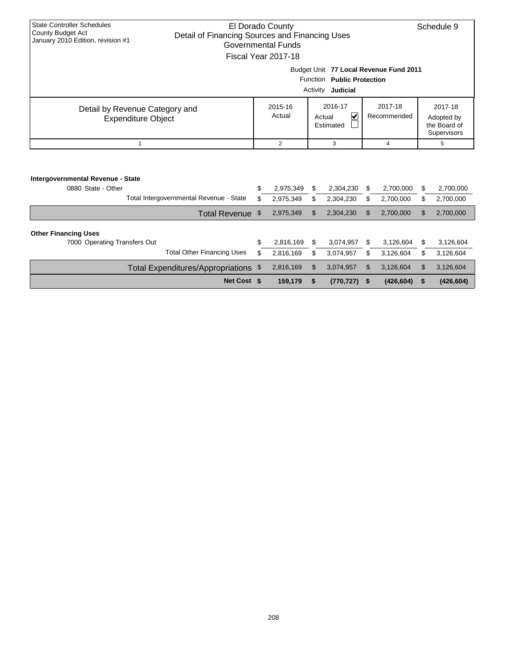| <b>State Controller Schedules</b>                      | El Dorado County                               |                                        |                |    |                                   |     |             |             | Schedule 9   |  |  |  |
|--------------------------------------------------------|------------------------------------------------|----------------------------------------|----------------|----|-----------------------------------|-----|-------------|-------------|--------------|--|--|--|
| County Budget Act<br>January 2010 Edition, revision #1 | Detail of Financing Sources and Financing Uses |                                        |                |    |                                   |     |             |             |              |  |  |  |
|                                                        | Governmental Funds                             |                                        |                |    |                                   |     |             |             |              |  |  |  |
|                                                        | Fiscal Year 2017-18                            |                                        |                |    |                                   |     |             |             |              |  |  |  |
|                                                        |                                                | Budget Unit 77 Local Revenue Fund 2011 |                |    |                                   |     |             |             |              |  |  |  |
|                                                        |                                                | Function<br><b>Public Protection</b>   |                |    |                                   |     |             |             |              |  |  |  |
|                                                        |                                                | Activity<br>Judicial                   |                |    |                                   |     |             |             |              |  |  |  |
|                                                        | Detail by Revenue Category and                 |                                        | 2015-16        |    | 2016-17                           |     | 2017-18     |             | 2017-18      |  |  |  |
|                                                        | <b>Expenditure Object</b>                      |                                        | Actual         |    | $\overline{\mathbf{v}}$<br>Actual |     | Recommended |             | Adopted by   |  |  |  |
|                                                        |                                                |                                        |                |    | Estimated                         |     |             |             | the Board of |  |  |  |
|                                                        |                                                |                                        |                |    |                                   |     |             | Supervisors |              |  |  |  |
|                                                        | $\mathbf{1}$                                   |                                        | $\overline{2}$ |    | 3                                 |     | 4           |             | 5            |  |  |  |
|                                                        |                                                |                                        |                |    |                                   |     |             |             |              |  |  |  |
|                                                        |                                                |                                        |                |    |                                   |     |             |             |              |  |  |  |
| Intergovernmental Revenue - State                      |                                                |                                        |                |    |                                   |     |             |             |              |  |  |  |
| 0880 State - Other                                     |                                                | \$                                     | 2,975,349      | \$ | 2,304,230                         | S   | 2,700,000   | \$          | 2,700,000    |  |  |  |
|                                                        | Total Intergovernmental Revenue - State        | \$                                     | 2,975,349      | \$ | 2,304,230                         | \$  | 2,700,000   | \$          | 2,700,000    |  |  |  |
|                                                        | Total Revenue \$                               |                                        | 2,975,349      | \$ | 2,304,230                         | \$. | 2,700,000   | \$          | 2,700,000    |  |  |  |
|                                                        |                                                |                                        |                |    |                                   |     |             |             |              |  |  |  |
| <b>Other Financing Uses</b>                            |                                                |                                        |                |    |                                   |     |             |             |              |  |  |  |
| 7000 Operating Transfers Out                           |                                                | \$                                     | 2,816,169      | \$ | 3,074,957                         | \$  | 3,126,604   | \$          | 3,126,604    |  |  |  |
|                                                        | <b>Total Other Financing Uses</b>              | \$                                     | 2,816,169      | \$ | 3,074,957                         | \$  | 3,126,604   | \$          | 3,126,604    |  |  |  |
|                                                        | Total Expenditures/Appropriations \$           |                                        | 2,816,169      | \$ | 3,074,957                         | \$  | 3,126,604   | \$          | 3,126,604    |  |  |  |

**Net Cost \$ 159,179 \$ (770,727) \$ (426,604) \$ (426,604)**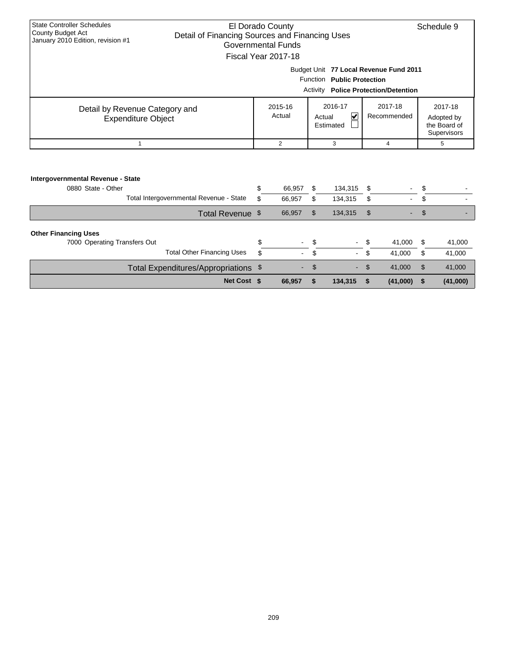| <b>State Controller Schedules</b><br><b>County Budget Act</b> |                                                | El Dorado County                               |                |             |         |             |        | Schedule 9  |              |  |
|---------------------------------------------------------------|------------------------------------------------|------------------------------------------------|----------------|-------------|---------|-------------|--------|-------------|--------------|--|
| January 2010 Edition, revision #1                             |                                                | Detail of Financing Sources and Financing Uses |                |             |         |             |        |             |              |  |
|                                                               |                                                | <b>Governmental Funds</b>                      |                |             |         |             |        |             |              |  |
|                                                               |                                                | Fiscal Year 2017-18                            |                |             |         |             |        |             |              |  |
|                                                               |                                                | Budget Unit 77 Local Revenue Fund 2011         |                |             |         |             |        |             |              |  |
|                                                               |                                                | Function Public Protection                     |                |             |         |             |        |             |              |  |
|                                                               | Activity<br><b>Police Protection/Detention</b> |                                                |                |             |         |             |        |             |              |  |
| Detail by Revenue Category and                                |                                                | 2015-16                                        |                | 2016-17     |         | 2017-18     |        | 2017-18     |              |  |
| <b>Expenditure Object</b>                                     |                                                | Actual                                         |                | V<br>Actual |         | Recommended |        | Adopted by  |              |  |
|                                                               |                                                |                                                |                | Estimated   |         |             |        |             | the Board of |  |
|                                                               |                                                |                                                |                |             |         |             |        | Supervisors |              |  |
| 1                                                             |                                                |                                                | $\overline{2}$ |             | 3       | 4           |        | 5           |              |  |
|                                                               |                                                |                                                |                |             |         |             |        |             |              |  |
|                                                               |                                                |                                                |                |             |         |             |        |             |              |  |
| Intergovernmental Revenue - State                             |                                                |                                                |                |             |         |             |        |             |              |  |
| 0880 State - Other                                            |                                                | \$                                             | 66,957         | \$          | 134,315 | \$          |        | \$          |              |  |
|                                                               | Total Intergovernmental Revenue - State        | \$<br>66,957                                   |                | \$          | 134,315 | \$          |        | \$          |              |  |
|                                                               | Total Revenue \$                               | 66,957                                         |                | \$          | 134,315 | \$          |        | \$          |              |  |
|                                                               |                                                |                                                |                |             |         |             |        |             |              |  |
| <b>Other Financing Uses</b>                                   |                                                |                                                |                |             |         |             |        |             |              |  |
| 7000 Operating Transfers Out                                  |                                                | \$                                             |                | \$          |         |             | 41,000 | \$          | 41,000       |  |
|                                                               | <b>Total Other Financing Uses</b>              | \$                                             |                | \$          |         | \$          | 41,000 | \$          | 41,000       |  |
|                                                               | Total Expenditures/Appropriations \$           |                                                |                | \$          |         | \$          | 41,000 | \$          | 41,000       |  |

**Net Cost \$ 66,957 \$ 134,315 \$ (41,000) \$ (41,000)**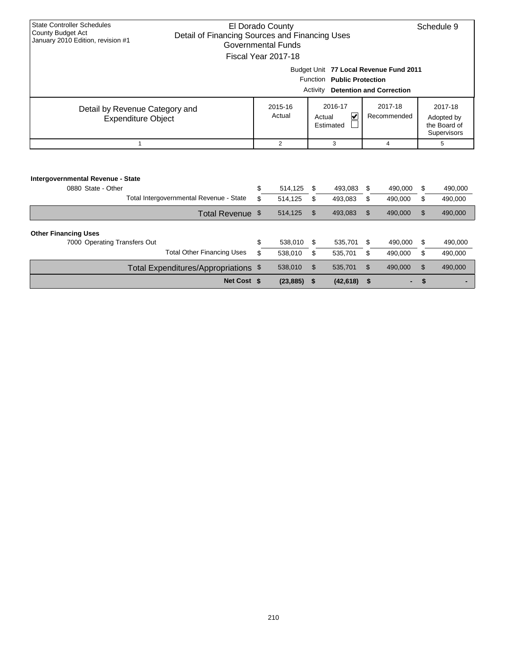| <b>State Controller Schedules</b><br>County Budget Act<br>January 2010 Edition, revision #1 |                                         | El Dorado County<br>Detail of Financing Sources and Financing Uses<br><b>Governmental Funds</b>                                            |                                                           |                    |                        |                    |                                                      | Schedule 9         |  |  |
|---------------------------------------------------------------------------------------------|-----------------------------------------|--------------------------------------------------------------------------------------------------------------------------------------------|-----------------------------------------------------------|--------------------|------------------------|--------------------|------------------------------------------------------|--------------------|--|--|
|                                                                                             |                                         | Fiscal Year 2017-18<br>Budget Unit 77 Local Revenue Fund 2011<br>Function Public Protection<br><b>Detention and Correction</b><br>Activity |                                                           |                    |                        |                    |                                                      |                    |  |  |
| Detail by Revenue Category and<br><b>Expenditure Object</b>                                 |                                         | 2015-16<br>Actual                                                                                                                          | 2016-17<br>$\overline{\mathbf{v}}$<br>Actual<br>Estimated |                    | 2017-18<br>Recommended |                    | 2017-18<br>Adopted by<br>the Board of<br>Supervisors |                    |  |  |
| 1                                                                                           |                                         | $\overline{2}$                                                                                                                             |                                                           | 3                  |                        | 4                  |                                                      | 5                  |  |  |
| Intergovernmental Revenue - State<br>0880 State - Other                                     | Total Intergovernmental Revenue - State | \$<br>514,125<br>\$<br>514,125                                                                                                             | \$<br>\$                                                  | 493,083<br>493,083 | \$<br>\$               | 490,000<br>490,000 | \$<br>\$                                             | 490,000<br>490,000 |  |  |
|                                                                                             | Total Revenue \$                        | 514,125                                                                                                                                    | \$                                                        | 493,083            | \$                     | 490,000            | \$                                                   | 490,000            |  |  |
| <b>Other Financing Uses</b><br>7000 Operating Transfers Out                                 | <b>Total Other Financing Uses</b>       | \$<br>538,010<br>\$<br>538,010                                                                                                             | \$<br>\$                                                  | 535,701<br>535,701 | \$<br>\$               | 490,000<br>490,000 | \$<br>\$                                             | 490,000<br>490,000 |  |  |
|                                                                                             | Total Expenditures/Appropriations \$    | 538,010                                                                                                                                    | \$                                                        | 535,701            | \$                     | 490,000            | \$                                                   | 490,000            |  |  |

**Net Cost \$ (23,885) \$ (42,618) \$ - \$ -**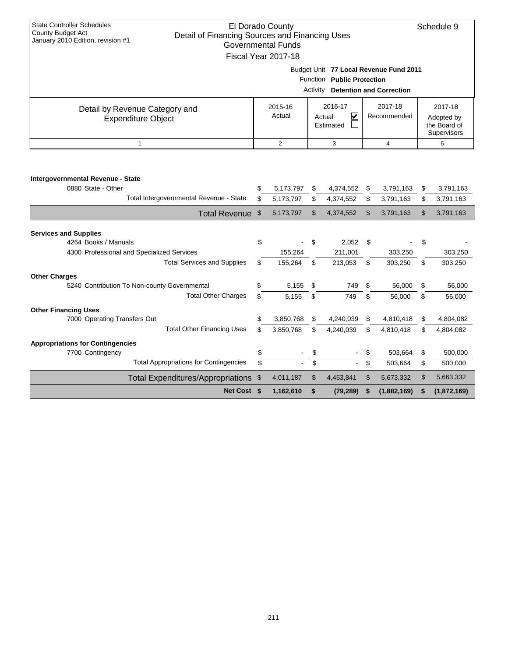| <b>State Controller Schedules</b><br>El Dorado County<br>County Budget Act |                                                                             |                    |                |           |                | Schedule 9  |                |              |  |  |
|----------------------------------------------------------------------------|-----------------------------------------------------------------------------|--------------------|----------------|-----------|----------------|-------------|----------------|--------------|--|--|
| January 2010 Edition, revision #1                                          | Detail of Financing Sources and Financing Uses<br><b>Governmental Funds</b> |                    |                |           |                |             |                |              |  |  |
|                                                                            |                                                                             |                    |                |           |                |             |                |              |  |  |
| Fiscal Year 2017-18                                                        |                                                                             |                    |                |           |                |             |                |              |  |  |
| Budget Unit 77 Local Revenue Fund 2011                                     |                                                                             |                    |                |           |                |             |                |              |  |  |
| <b>Function</b><br><b>Public Protection</b>                                |                                                                             |                    |                |           |                |             |                |              |  |  |
| Activity<br><b>Detention and Correction</b>                                |                                                                             |                    |                |           |                |             |                |              |  |  |
| Detail by Revenue Category and                                             |                                                                             | 2016-17<br>2015-16 |                |           | 2017-18        |             | 2017-18        |              |  |  |
| <b>Expenditure Object</b>                                                  |                                                                             | Actual             | V<br>Actual    |           | Recommended    |             | Adopted by     |              |  |  |
|                                                                            |                                                                             | Estimated          |                |           |                |             |                | the Board of |  |  |
|                                                                            |                                                                             |                    |                |           |                |             |                | Supervisors  |  |  |
| $\mathbf{1}$                                                               |                                                                             | 2                  | 3              |           | $\overline{4}$ |             | 5              |              |  |  |
|                                                                            |                                                                             |                    |                |           |                |             |                |              |  |  |
|                                                                            |                                                                             |                    |                |           |                |             |                |              |  |  |
| Intergovernmental Revenue - State                                          |                                                                             |                    |                |           |                |             |                |              |  |  |
| 0880 State - Other                                                         | \$                                                                          | 5,173,797          | \$             | 4,374,552 | \$             | 3,791,163   | \$             | 3,791,163    |  |  |
| Total Intergovernmental Revenue - State                                    | \$                                                                          | 5,173,797          | \$             | 4,374,552 | \$             | 3,791,163   | \$             | 3,791,163    |  |  |
| Total Revenue \$                                                           |                                                                             | 5,173,797          | $\mathfrak{L}$ | 4,374,552 | \$             | 3,791,163   | \$             | 3,791,163    |  |  |
| <b>Services and Supplies</b>                                               |                                                                             |                    |                |           |                |             |                |              |  |  |
| 4264 Books / Manuals                                                       |                                                                             |                    | \$             | 2,052     | \$             |             | \$             |              |  |  |
| 4300 Professional and Specialized Services                                 |                                                                             | 155,264            |                | 211,001   |                | 303,250     |                | 303,250      |  |  |
| <b>Total Services and Supplies</b>                                         | \$                                                                          | 155,264            | \$             | 213,053   | \$             | 303,250     | \$             | 303,250      |  |  |
| <b>Other Charges</b>                                                       |                                                                             |                    |                |           |                |             |                |              |  |  |
| 5240 Contribution To Non-county Governmental                               |                                                                             | 5,155              | \$             | 749       | \$             | 56,000      | \$             | 56,000       |  |  |
| <b>Total Other Charges</b>                                                 | \$                                                                          | 5.155              | \$             | 749       | \$             | 56,000      | \$             | 56,000       |  |  |
| <b>Other Financing Uses</b>                                                |                                                                             |                    |                |           |                |             |                |              |  |  |
| 7000 Operating Transfers Out                                               | \$                                                                          | 3,850,768          | \$             | 4,240,039 | \$             | 4,810,418   | \$             | 4,804,082    |  |  |
| <b>Total Other Financing Uses</b>                                          | \$                                                                          | 3,850,768          | \$             | 4,240,039 | \$             | 4,810,418   | \$             | 4,804,082    |  |  |
|                                                                            |                                                                             |                    |                |           |                |             |                |              |  |  |
| <b>Appropriations for Contingencies</b><br>7700 Contingency                |                                                                             |                    | \$             |           | \$             | 503,664     | \$             | 500,000      |  |  |
| <b>Total Appropriations for Contingencies</b>                              | \$<br>\$                                                                    |                    | \$             |           | \$             | 503,664     | \$             | 500,000      |  |  |
|                                                                            |                                                                             |                    |                |           |                |             |                |              |  |  |
| Total Expenditures/Appropriations \$                                       |                                                                             | 4,011,187          | $\mathcal{S}$  | 4,453,841 | \$             | 5,673,332   | $\mathfrak{s}$ | 5,663,332    |  |  |
| Net Cost \$                                                                |                                                                             | 1,162,610          | \$             | (79, 289) | \$             | (1,882,169) | \$             | (1,872,169)  |  |  |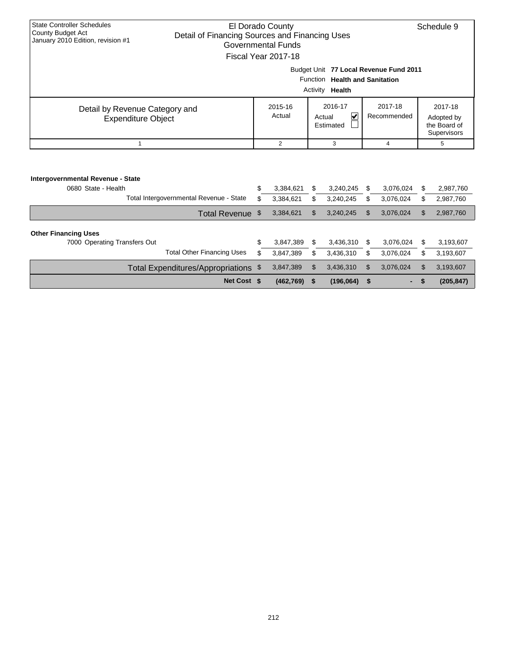|                                                               |                                         |                                                |                |          |                                   |         |             |    | Schedule 9   |  |  |
|---------------------------------------------------------------|-----------------------------------------|------------------------------------------------|----------------|----------|-----------------------------------|---------|-------------|----|--------------|--|--|
| <b>State Controller Schedules</b><br><b>County Budget Act</b> |                                         | El Dorado County                               |                |          |                                   |         |             |    |              |  |  |
| January 2010 Edition, revision #1                             |                                         | Detail of Financing Sources and Financing Uses |                |          |                                   |         |             |    |              |  |  |
|                                                               |                                         | Governmental Funds                             |                |          |                                   |         |             |    |              |  |  |
|                                                               |                                         | Fiscal Year 2017-18                            |                |          |                                   |         |             |    |              |  |  |
|                                                               |                                         | Budget Unit 77 Local Revenue Fund 2011         |                |          |                                   |         |             |    |              |  |  |
|                                                               |                                         |                                                |                |          | Function Health and Sanitation    |         |             |    |              |  |  |
|                                                               |                                         |                                                |                | Activity | Health                            |         |             |    |              |  |  |
| Detail by Revenue Category and                                |                                         |                                                | 2015-16        |          | 2016-17                           | 2017-18 |             |    | 2017-18      |  |  |
| <b>Expenditure Object</b>                                     |                                         |                                                | Actual         |          | $\overline{\mathbf{v}}$<br>Actual |         | Recommended |    | Adopted by   |  |  |
|                                                               |                                         |                                                |                |          | Estimated                         |         |             |    | the Board of |  |  |
|                                                               |                                         |                                                |                |          |                                   |         |             |    | Supervisors  |  |  |
| $\mathbf{1}$                                                  |                                         |                                                | $\overline{2}$ |          | 3                                 |         | 4           |    | 5            |  |  |
|                                                               |                                         |                                                |                |          |                                   |         |             |    |              |  |  |
|                                                               |                                         |                                                |                |          |                                   |         |             |    |              |  |  |
| Intergovernmental Revenue - State                             |                                         |                                                |                |          |                                   |         |             |    |              |  |  |
| 0680 State - Health                                           |                                         | \$                                             | 3,384,621      | \$       | 3,240,245                         | \$      | 3,076,024   | \$ | 2,987,760    |  |  |
|                                                               | Total Intergovernmental Revenue - State | \$                                             | 3,384,621      | \$       | 3,240,245                         | \$      | 3,076,024   | \$ | 2,987,760    |  |  |
|                                                               | Total Revenue \$                        |                                                | 3,384,621      | \$       | 3,240,245                         | \$.     | 3,076,024   | \$ | 2,987,760    |  |  |
|                                                               |                                         |                                                |                |          |                                   |         |             |    |              |  |  |
| <b>Other Financing Uses</b>                                   |                                         |                                                |                |          |                                   |         |             |    |              |  |  |
| 7000 Operating Transfers Out                                  |                                         | \$                                             | 3,847,389      | \$       | 3,436,310                         | \$      | 3,076,024   | \$ | 3,193,607    |  |  |
|                                                               | <b>Total Other Financing Uses</b>       | \$                                             | 3,847,389      | \$       | 3,436,310                         | \$      | 3,076,024   | \$ | 3,193,607    |  |  |
|                                                               | Total Expenditures/Appropriations \$    |                                                | 3,847,389      | \$       | 3,436,310                         | \$      | 3,076,024   | \$ | 3,193,607    |  |  |

**Net Cost \$ (462,769) \$ (196,064) \$ - \$ (205,847)**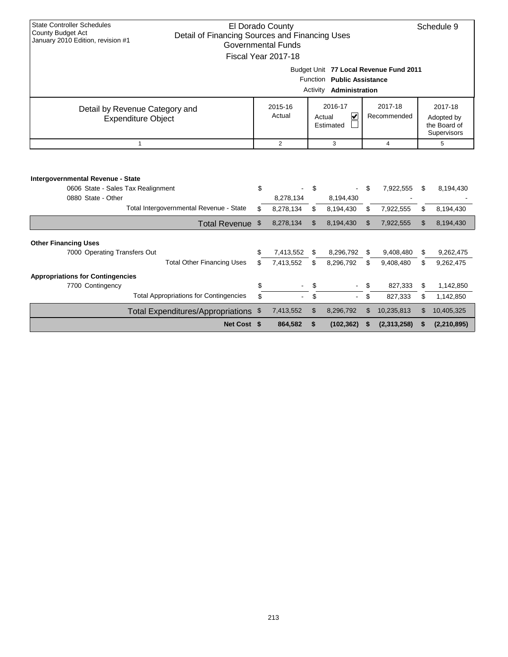| <b>State Controller Schedules</b><br>El Dorado County<br>Schedule 9<br><b>County Budget Act</b> |                                                                             |    |                |          |                                   |    |                                        |                     |               |  |  |  |
|-------------------------------------------------------------------------------------------------|-----------------------------------------------------------------------------|----|----------------|----------|-----------------------------------|----|----------------------------------------|---------------------|---------------|--|--|--|
| January 2010 Edition, revision #1                                                               | Detail of Financing Sources and Financing Uses<br><b>Governmental Funds</b> |    |                |          |                                   |    |                                        |                     |               |  |  |  |
|                                                                                                 | Fiscal Year 2017-18                                                         |    |                |          |                                   |    |                                        |                     |               |  |  |  |
|                                                                                                 |                                                                             |    |                |          |                                   |    |                                        |                     |               |  |  |  |
|                                                                                                 |                                                                             |    |                |          |                                   |    | Budget Unit 77 Local Revenue Fund 2011 |                     |               |  |  |  |
|                                                                                                 |                                                                             |    |                |          | Function Public Assistance        |    |                                        |                     |               |  |  |  |
|                                                                                                 |                                                                             |    |                | Activity | Administration                    |    |                                        |                     |               |  |  |  |
|                                                                                                 | Detail by Revenue Category and                                              |    | 2015-16        |          | 2016-17                           |    | 2017-18                                |                     | 2017-18       |  |  |  |
|                                                                                                 | <b>Expenditure Object</b>                                                   |    | Actual         |          | $\overline{\mathbf{v}}$<br>Actual |    | Recommended                            |                     | Adopted by    |  |  |  |
|                                                                                                 |                                                                             |    |                |          | Estimated                         |    |                                        |                     | the Board of  |  |  |  |
|                                                                                                 | $\mathbf{1}$                                                                |    | $\overline{2}$ |          | 3                                 |    |                                        |                     | Supervisors   |  |  |  |
|                                                                                                 |                                                                             |    |                |          |                                   |    |                                        | $\overline{4}$<br>5 |               |  |  |  |
| Intergovernmental Revenue - State<br>0606 State - Sales Tax Realignment                         |                                                                             | \$ |                | \$       | $\blacksquare$                    | \$ | 7,922,555                              | \$                  | 8,194,430     |  |  |  |
| 0880 State - Other                                                                              |                                                                             |    | 8,278,134      |          | 8,194,430                         |    |                                        |                     |               |  |  |  |
|                                                                                                 | Total Intergovernmental Revenue - State                                     | \$ | 8,278,134      | \$       | 8,194,430                         | \$ | 7,922,555                              | \$                  | 8,194,430     |  |  |  |
|                                                                                                 | Total Revenue \$                                                            |    | 8,278,134      | \$       | 8,194,430                         | \$ | 7,922,555                              | \$                  | 8,194,430     |  |  |  |
| <b>Other Financing Uses</b>                                                                     |                                                                             |    |                |          |                                   |    |                                        |                     |               |  |  |  |
| 7000 Operating Transfers Out                                                                    |                                                                             | \$ | 7,413,552      | \$       | 8,296,792                         | \$ | 9,408,480                              | \$                  | 9,262,475     |  |  |  |
|                                                                                                 | <b>Total Other Financing Uses</b>                                           | \$ | 7,413,552      | \$       | 8,296,792                         | \$ | 9,408,480                              | \$                  | 9,262,475     |  |  |  |
|                                                                                                 |                                                                             |    |                |          |                                   |    |                                        |                     |               |  |  |  |
| <b>Appropriations for Contingencies</b><br>7700 Contingency                                     |                                                                             | \$ |                | \$       |                                   | \$ | 827,333                                | \$                  | 1,142,850     |  |  |  |
|                                                                                                 | <b>Total Appropriations for Contingencies</b>                               | \$ |                | \$       |                                   | \$ | 827,333                                | \$                  | 1,142,850     |  |  |  |
|                                                                                                 | Total Expenditures/Appropriations \$                                        |    | 7,413,552      | \$       | 8,296,792                         | \$ | 10,235,813                             | \$                  | 10,405,325    |  |  |  |
|                                                                                                 | Net Cost \$                                                                 |    | 864,582        | \$       | (102, 362)                        | S  | (2,313,258)                            | S                   | (2, 210, 895) |  |  |  |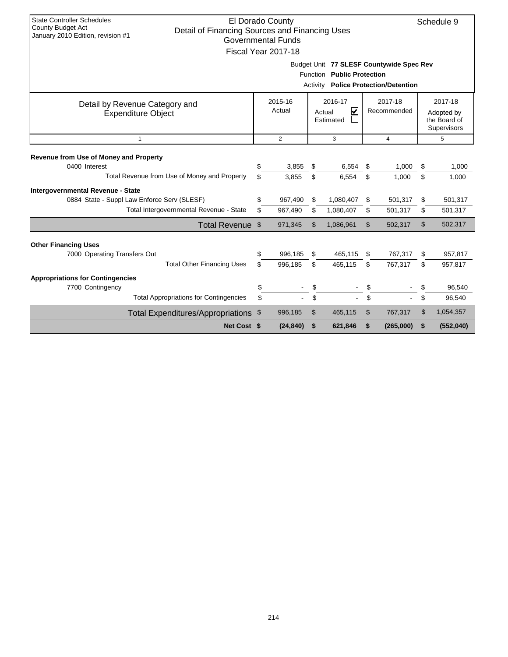| <b>State Controller Schedules</b><br><b>County Budget Act</b><br>January 2010 Edition, revision #1 | El Dorado County<br>Schedule 9<br>Detail of Financing Sources and Financing Uses<br><b>Governmental Funds</b><br>Fiscal Year 2017-18 |                   |                                                           |           |                |                        |    |                                                      |  |
|----------------------------------------------------------------------------------------------------|--------------------------------------------------------------------------------------------------------------------------------------|-------------------|-----------------------------------------------------------|-----------|----------------|------------------------|----|------------------------------------------------------|--|
|                                                                                                    | Budget Unit 77 SLESF Countywide Spec Rev<br>Function Public Protection<br><b>Activity Police Protection/Detention</b>                |                   |                                                           |           |                |                        |    |                                                      |  |
| Detail by Revenue Category and<br><b>Expenditure Object</b>                                        |                                                                                                                                      | 2015-16<br>Actual | 2016-17<br>$\overline{\mathbf{v}}$<br>Actual<br>Estimated |           |                | 2017-18<br>Recommended |    | 2017-18<br>Adopted by<br>the Board of<br>Supervisors |  |
| $\mathbf{1}$                                                                                       |                                                                                                                                      | 2                 |                                                           | 3         | $\overline{4}$ |                        | 5  |                                                      |  |
| Revenue from Use of Money and Property                                                             |                                                                                                                                      |                   |                                                           |           |                |                        |    |                                                      |  |
| 0400 Interest                                                                                      | \$                                                                                                                                   | 3,855             | \$                                                        | 6,554     | \$             | 1,000                  | \$ | 1,000                                                |  |
| Total Revenue from Use of Money and Property                                                       | \$.                                                                                                                                  | 3,855             | \$                                                        | 6,554     | \$             | 1,000                  | \$ | 1,000                                                |  |
| Intergovernmental Revenue - State                                                                  |                                                                                                                                      |                   |                                                           |           |                |                        |    |                                                      |  |
| 0884 State - Suppl Law Enforce Serv (SLESF)                                                        | \$                                                                                                                                   | 967,490           | \$                                                        | 1,080,407 | \$             | 501,317                | \$ | 501,317                                              |  |
| Total Intergovernmental Revenue - State                                                            | \$                                                                                                                                   | 967,490           | \$                                                        | 1,080,407 | \$             | 501,317                | \$ | 501,317                                              |  |
| Total Revenue \$                                                                                   |                                                                                                                                      | 971,345           | \$                                                        | 1,086,961 | \$             | 502,317                | \$ | 502,317                                              |  |
| <b>Other Financing Uses</b>                                                                        |                                                                                                                                      |                   |                                                           |           |                |                        |    |                                                      |  |
| 7000 Operating Transfers Out                                                                       | \$                                                                                                                                   | 996,185           | \$                                                        | 465,115   | \$             | 767,317                | \$ | 957,817                                              |  |
| <b>Total Other Financing Uses</b>                                                                  | \$.                                                                                                                                  | 996,185           | \$                                                        | 465,115   | \$             | 767,317                | \$ | 957,817                                              |  |
| <b>Appropriations for Contingencies</b>                                                            |                                                                                                                                      |                   |                                                           |           |                |                        |    |                                                      |  |
| 7700 Contingency                                                                                   | \$                                                                                                                                   |                   | \$                                                        |           | \$             |                        | \$ | 96,540                                               |  |
| <b>Total Appropriations for Contingencies</b>                                                      | \$                                                                                                                                   |                   | \$                                                        |           | \$             |                        | \$ | 96,540                                               |  |
| Total Expenditures/Appropriations \$                                                               |                                                                                                                                      | 996,185           | \$                                                        | 465,115   | \$             | 767,317                | \$ | 1,054,357                                            |  |
| Net Cost \$                                                                                        |                                                                                                                                      | (24, 840)         | \$                                                        | 621,846   | \$             | (265,000)              | \$ | (552,040)                                            |  |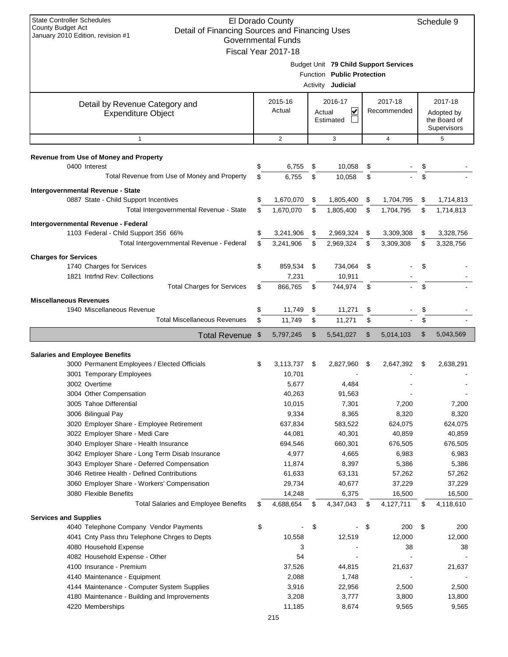| Budget Unit 79 Child Support Services<br>Function Public Protection<br>Activity <b>Judicial</b><br>2016-17<br>2017-18<br>2015-16<br>2017-18<br>Detail by Revenue Category and<br>Actual<br>V<br>Recommended<br>Actual<br>Adopted by<br><b>Expenditure Object</b><br>Estimated<br>the Board of<br>Supervisors<br>$\mathbf{1}$<br>2<br>3<br>4<br>5<br><b>Revenue from Use of Money and Property</b><br>0400 Interest<br>\$<br>6,755<br>\$<br>10,058<br>\$<br>\$<br>Total Revenue from Use of Money and Property<br>\$<br>\$<br>6,755<br>10,058<br>\$<br>\$<br>Intergovernmental Revenue - State<br>0887 State - Child Support Incentives<br>\$<br>1,670,070<br>\$<br>1,805,400<br>\$<br>1,704,795<br>\$<br>1,714,813<br>Total Intergovernmental Revenue - State<br>\$<br>1,670,070<br>\$<br>1,805,400<br>\$<br>1,704,795<br>\$<br>1,714,813<br>Intergovernmental Revenue - Federal<br>1103 Federal - Child Support 356 66%<br>\$<br>\$<br>\$<br>3,241,906<br>2,969,324<br>\$<br>3,309,308<br>3,328,756<br>Total Intergovernmental Revenue - Federal<br>3,241,906<br>\$<br>2,969,324<br>3,309,308<br>\$<br>\$<br>\$<br>3,328,756<br><b>Charges for Services</b><br>1740 Charges for Services<br>\$<br>859,534<br>\$<br>734,064<br>\$<br>\$<br>1821 Intrind Rev: Collections<br>10,911<br>7,231<br><b>Total Charges for Services</b><br>\$<br>\$<br>866,765<br>\$<br>744,974<br>\$<br><b>Miscellaneous Revenues</b><br>1940 Miscellaneous Revenue<br>\$<br>\$<br>\$<br>11,749<br>11,271<br>\$<br><b>Total Miscellaneous Revenues</b><br>\$<br>\$<br>\$<br>\$<br>11,749<br>11,271<br>\$<br>\$<br>5,043,569<br>5,797,245<br>5,541,027<br>\$<br>5,014,103<br><b>Total Revenue</b><br>\$<br><b>Salaries and Employee Benefits</b><br>3000 Permanent Employees / Elected Officials<br>3,113,737<br>\$<br>\$<br>2,827,960<br>\$<br>2,647,392<br>\$<br>2,638,291<br>3001 Temporary Employees<br>10,701<br>3002 Overtime<br>5,677<br>4,484<br>3004 Other Compensation<br>40,263<br>91,563<br>3005 Tahoe Differential<br>10,015<br>7,301<br>7,200<br>7,200<br>8,365<br>3006 Bilingual Pay<br>9,334<br>8,320<br>8,320<br>3020 Employer Share - Employee Retirement<br>637,834<br>583,522<br>624,075<br>624,075<br>3022 Employer Share - Medi Care<br>40,859<br>44,081<br>40,301<br>40,859<br>660,301<br>676,505<br>3040 Employer Share - Health Insurance<br>694,546<br>676,505<br>3042 Employer Share - Long Term Disab Insurance<br>4,977<br>4,665<br>6,983<br>6,983<br>8,397<br>3043 Employer Share - Deferred Compensation<br>11,874<br>5,386<br>5,386<br>3046 Retiree Health - Defined Contributions<br>61,633<br>63,131<br>57,262<br>57,262<br>3060 Employer Share - Workers' Compensation<br>29,734<br>37,229<br>40,677<br>37,229<br>3080 Flexible Benefits<br>14,248<br>6,375<br>16,500<br>16,500<br><b>Total Salaries and Employee Benefits</b><br>4,347,043<br>4,688,654<br>4,127,711<br>4,118,610<br>\$<br>\$<br>\$<br>\$<br><b>Services and Supplies</b><br>4040 Telephone Company Vendor Payments<br>\$<br>\$<br>\$<br>200<br>200<br>\$<br>4041 Cnty Pass thru Telephone Chrges to Depts<br>10,558<br>12,519<br>12,000<br>12,000<br>4080 Household Expense<br>3<br>38<br>38<br>4082 Household Expense - Other<br>54<br>÷,<br>4100 Insurance - Premium<br>44,815<br>37,526<br>21,637<br>21,637<br>2,088<br>1,748<br>4140 Maintenance - Equipment<br>4144 Maintenance - Computer System Supplies<br>3,916<br>22,956<br>2,500<br>2,500<br>3,777<br>3,800<br>4180 Maintenance - Building and Improvements<br>3,208<br>13,800 | <b>State Controller Schedules</b><br>El Dorado County<br>County Budget Act<br>Detail of Financing Sources and Financing Uses<br>January 2010 Edition, revision #1<br><b>Governmental Funds</b><br>Fiscal Year 2017-18 |  |        |  |       |  |       |  | Schedule 9 |
|-------------------------------------------------------------------------------------------------------------------------------------------------------------------------------------------------------------------------------------------------------------------------------------------------------------------------------------------------------------------------------------------------------------------------------------------------------------------------------------------------------------------------------------------------------------------------------------------------------------------------------------------------------------------------------------------------------------------------------------------------------------------------------------------------------------------------------------------------------------------------------------------------------------------------------------------------------------------------------------------------------------------------------------------------------------------------------------------------------------------------------------------------------------------------------------------------------------------------------------------------------------------------------------------------------------------------------------------------------------------------------------------------------------------------------------------------------------------------------------------------------------------------------------------------------------------------------------------------------------------------------------------------------------------------------------------------------------------------------------------------------------------------------------------------------------------------------------------------------------------------------------------------------------------------------------------------------------------------------------------------------------------------------------------------------------------------------------------------------------------------------------------------------------------------------------------------------------------------------------------------------------------------------------------------------------------------------------------------------------------------------------------------------------------------------------------------------------------------------------------------------------------------------------------------------------------------------------------------------------------------------------------------------------------------------------------------------------------------------------------------------------------------------------------------------------------------------------------------------------------------------------------------------------------------------------------------------------------------------------------------------------------------------------------------------------------------------------------------------------------------------------------------------------------------------------------------------------------------------------------------------------------------------------------------------------------------------------------------------------------------------------------------------------------------------------------------------------------------------------------------------------------------|-----------------------------------------------------------------------------------------------------------------------------------------------------------------------------------------------------------------------|--|--------|--|-------|--|-------|--|------------|
|                                                                                                                                                                                                                                                                                                                                                                                                                                                                                                                                                                                                                                                                                                                                                                                                                                                                                                                                                                                                                                                                                                                                                                                                                                                                                                                                                                                                                                                                                                                                                                                                                                                                                                                                                                                                                                                                                                                                                                                                                                                                                                                                                                                                                                                                                                                                                                                                                                                                                                                                                                                                                                                                                                                                                                                                                                                                                                                                                                                                                                                                                                                                                                                                                                                                                                                                                                                                                                                                                                                         |                                                                                                                                                                                                                       |  |        |  |       |  |       |  |            |
|                                                                                                                                                                                                                                                                                                                                                                                                                                                                                                                                                                                                                                                                                                                                                                                                                                                                                                                                                                                                                                                                                                                                                                                                                                                                                                                                                                                                                                                                                                                                                                                                                                                                                                                                                                                                                                                                                                                                                                                                                                                                                                                                                                                                                                                                                                                                                                                                                                                                                                                                                                                                                                                                                                                                                                                                                                                                                                                                                                                                                                                                                                                                                                                                                                                                                                                                                                                                                                                                                                                         |                                                                                                                                                                                                                       |  |        |  |       |  |       |  |            |
|                                                                                                                                                                                                                                                                                                                                                                                                                                                                                                                                                                                                                                                                                                                                                                                                                                                                                                                                                                                                                                                                                                                                                                                                                                                                                                                                                                                                                                                                                                                                                                                                                                                                                                                                                                                                                                                                                                                                                                                                                                                                                                                                                                                                                                                                                                                                                                                                                                                                                                                                                                                                                                                                                                                                                                                                                                                                                                                                                                                                                                                                                                                                                                                                                                                                                                                                                                                                                                                                                                                         |                                                                                                                                                                                                                       |  |        |  |       |  |       |  |            |
|                                                                                                                                                                                                                                                                                                                                                                                                                                                                                                                                                                                                                                                                                                                                                                                                                                                                                                                                                                                                                                                                                                                                                                                                                                                                                                                                                                                                                                                                                                                                                                                                                                                                                                                                                                                                                                                                                                                                                                                                                                                                                                                                                                                                                                                                                                                                                                                                                                                                                                                                                                                                                                                                                                                                                                                                                                                                                                                                                                                                                                                                                                                                                                                                                                                                                                                                                                                                                                                                                                                         |                                                                                                                                                                                                                       |  |        |  |       |  |       |  |            |
|                                                                                                                                                                                                                                                                                                                                                                                                                                                                                                                                                                                                                                                                                                                                                                                                                                                                                                                                                                                                                                                                                                                                                                                                                                                                                                                                                                                                                                                                                                                                                                                                                                                                                                                                                                                                                                                                                                                                                                                                                                                                                                                                                                                                                                                                                                                                                                                                                                                                                                                                                                                                                                                                                                                                                                                                                                                                                                                                                                                                                                                                                                                                                                                                                                                                                                                                                                                                                                                                                                                         |                                                                                                                                                                                                                       |  |        |  |       |  |       |  |            |
|                                                                                                                                                                                                                                                                                                                                                                                                                                                                                                                                                                                                                                                                                                                                                                                                                                                                                                                                                                                                                                                                                                                                                                                                                                                                                                                                                                                                                                                                                                                                                                                                                                                                                                                                                                                                                                                                                                                                                                                                                                                                                                                                                                                                                                                                                                                                                                                                                                                                                                                                                                                                                                                                                                                                                                                                                                                                                                                                                                                                                                                                                                                                                                                                                                                                                                                                                                                                                                                                                                                         |                                                                                                                                                                                                                       |  |        |  |       |  |       |  |            |
|                                                                                                                                                                                                                                                                                                                                                                                                                                                                                                                                                                                                                                                                                                                                                                                                                                                                                                                                                                                                                                                                                                                                                                                                                                                                                                                                                                                                                                                                                                                                                                                                                                                                                                                                                                                                                                                                                                                                                                                                                                                                                                                                                                                                                                                                                                                                                                                                                                                                                                                                                                                                                                                                                                                                                                                                                                                                                                                                                                                                                                                                                                                                                                                                                                                                                                                                                                                                                                                                                                                         |                                                                                                                                                                                                                       |  |        |  |       |  |       |  |            |
|                                                                                                                                                                                                                                                                                                                                                                                                                                                                                                                                                                                                                                                                                                                                                                                                                                                                                                                                                                                                                                                                                                                                                                                                                                                                                                                                                                                                                                                                                                                                                                                                                                                                                                                                                                                                                                                                                                                                                                                                                                                                                                                                                                                                                                                                                                                                                                                                                                                                                                                                                                                                                                                                                                                                                                                                                                                                                                                                                                                                                                                                                                                                                                                                                                                                                                                                                                                                                                                                                                                         |                                                                                                                                                                                                                       |  |        |  |       |  |       |  |            |
|                                                                                                                                                                                                                                                                                                                                                                                                                                                                                                                                                                                                                                                                                                                                                                                                                                                                                                                                                                                                                                                                                                                                                                                                                                                                                                                                                                                                                                                                                                                                                                                                                                                                                                                                                                                                                                                                                                                                                                                                                                                                                                                                                                                                                                                                                                                                                                                                                                                                                                                                                                                                                                                                                                                                                                                                                                                                                                                                                                                                                                                                                                                                                                                                                                                                                                                                                                                                                                                                                                                         |                                                                                                                                                                                                                       |  |        |  |       |  |       |  |            |
|                                                                                                                                                                                                                                                                                                                                                                                                                                                                                                                                                                                                                                                                                                                                                                                                                                                                                                                                                                                                                                                                                                                                                                                                                                                                                                                                                                                                                                                                                                                                                                                                                                                                                                                                                                                                                                                                                                                                                                                                                                                                                                                                                                                                                                                                                                                                                                                                                                                                                                                                                                                                                                                                                                                                                                                                                                                                                                                                                                                                                                                                                                                                                                                                                                                                                                                                                                                                                                                                                                                         |                                                                                                                                                                                                                       |  |        |  |       |  |       |  |            |
|                                                                                                                                                                                                                                                                                                                                                                                                                                                                                                                                                                                                                                                                                                                                                                                                                                                                                                                                                                                                                                                                                                                                                                                                                                                                                                                                                                                                                                                                                                                                                                                                                                                                                                                                                                                                                                                                                                                                                                                                                                                                                                                                                                                                                                                                                                                                                                                                                                                                                                                                                                                                                                                                                                                                                                                                                                                                                                                                                                                                                                                                                                                                                                                                                                                                                                                                                                                                                                                                                                                         |                                                                                                                                                                                                                       |  |        |  |       |  |       |  |            |
|                                                                                                                                                                                                                                                                                                                                                                                                                                                                                                                                                                                                                                                                                                                                                                                                                                                                                                                                                                                                                                                                                                                                                                                                                                                                                                                                                                                                                                                                                                                                                                                                                                                                                                                                                                                                                                                                                                                                                                                                                                                                                                                                                                                                                                                                                                                                                                                                                                                                                                                                                                                                                                                                                                                                                                                                                                                                                                                                                                                                                                                                                                                                                                                                                                                                                                                                                                                                                                                                                                                         |                                                                                                                                                                                                                       |  |        |  |       |  |       |  |            |
|                                                                                                                                                                                                                                                                                                                                                                                                                                                                                                                                                                                                                                                                                                                                                                                                                                                                                                                                                                                                                                                                                                                                                                                                                                                                                                                                                                                                                                                                                                                                                                                                                                                                                                                                                                                                                                                                                                                                                                                                                                                                                                                                                                                                                                                                                                                                                                                                                                                                                                                                                                                                                                                                                                                                                                                                                                                                                                                                                                                                                                                                                                                                                                                                                                                                                                                                                                                                                                                                                                                         |                                                                                                                                                                                                                       |  |        |  |       |  |       |  |            |
|                                                                                                                                                                                                                                                                                                                                                                                                                                                                                                                                                                                                                                                                                                                                                                                                                                                                                                                                                                                                                                                                                                                                                                                                                                                                                                                                                                                                                                                                                                                                                                                                                                                                                                                                                                                                                                                                                                                                                                                                                                                                                                                                                                                                                                                                                                                                                                                                                                                                                                                                                                                                                                                                                                                                                                                                                                                                                                                                                                                                                                                                                                                                                                                                                                                                                                                                                                                                                                                                                                                         |                                                                                                                                                                                                                       |  |        |  |       |  |       |  |            |
|                                                                                                                                                                                                                                                                                                                                                                                                                                                                                                                                                                                                                                                                                                                                                                                                                                                                                                                                                                                                                                                                                                                                                                                                                                                                                                                                                                                                                                                                                                                                                                                                                                                                                                                                                                                                                                                                                                                                                                                                                                                                                                                                                                                                                                                                                                                                                                                                                                                                                                                                                                                                                                                                                                                                                                                                                                                                                                                                                                                                                                                                                                                                                                                                                                                                                                                                                                                                                                                                                                                         |                                                                                                                                                                                                                       |  |        |  |       |  |       |  |            |
|                                                                                                                                                                                                                                                                                                                                                                                                                                                                                                                                                                                                                                                                                                                                                                                                                                                                                                                                                                                                                                                                                                                                                                                                                                                                                                                                                                                                                                                                                                                                                                                                                                                                                                                                                                                                                                                                                                                                                                                                                                                                                                                                                                                                                                                                                                                                                                                                                                                                                                                                                                                                                                                                                                                                                                                                                                                                                                                                                                                                                                                                                                                                                                                                                                                                                                                                                                                                                                                                                                                         |                                                                                                                                                                                                                       |  |        |  |       |  |       |  |            |
|                                                                                                                                                                                                                                                                                                                                                                                                                                                                                                                                                                                                                                                                                                                                                                                                                                                                                                                                                                                                                                                                                                                                                                                                                                                                                                                                                                                                                                                                                                                                                                                                                                                                                                                                                                                                                                                                                                                                                                                                                                                                                                                                                                                                                                                                                                                                                                                                                                                                                                                                                                                                                                                                                                                                                                                                                                                                                                                                                                                                                                                                                                                                                                                                                                                                                                                                                                                                                                                                                                                         |                                                                                                                                                                                                                       |  |        |  |       |  |       |  |            |
|                                                                                                                                                                                                                                                                                                                                                                                                                                                                                                                                                                                                                                                                                                                                                                                                                                                                                                                                                                                                                                                                                                                                                                                                                                                                                                                                                                                                                                                                                                                                                                                                                                                                                                                                                                                                                                                                                                                                                                                                                                                                                                                                                                                                                                                                                                                                                                                                                                                                                                                                                                                                                                                                                                                                                                                                                                                                                                                                                                                                                                                                                                                                                                                                                                                                                                                                                                                                                                                                                                                         |                                                                                                                                                                                                                       |  |        |  |       |  |       |  |            |
|                                                                                                                                                                                                                                                                                                                                                                                                                                                                                                                                                                                                                                                                                                                                                                                                                                                                                                                                                                                                                                                                                                                                                                                                                                                                                                                                                                                                                                                                                                                                                                                                                                                                                                                                                                                                                                                                                                                                                                                                                                                                                                                                                                                                                                                                                                                                                                                                                                                                                                                                                                                                                                                                                                                                                                                                                                                                                                                                                                                                                                                                                                                                                                                                                                                                                                                                                                                                                                                                                                                         |                                                                                                                                                                                                                       |  |        |  |       |  |       |  |            |
|                                                                                                                                                                                                                                                                                                                                                                                                                                                                                                                                                                                                                                                                                                                                                                                                                                                                                                                                                                                                                                                                                                                                                                                                                                                                                                                                                                                                                                                                                                                                                                                                                                                                                                                                                                                                                                                                                                                                                                                                                                                                                                                                                                                                                                                                                                                                                                                                                                                                                                                                                                                                                                                                                                                                                                                                                                                                                                                                                                                                                                                                                                                                                                                                                                                                                                                                                                                                                                                                                                                         |                                                                                                                                                                                                                       |  |        |  |       |  |       |  |            |
|                                                                                                                                                                                                                                                                                                                                                                                                                                                                                                                                                                                                                                                                                                                                                                                                                                                                                                                                                                                                                                                                                                                                                                                                                                                                                                                                                                                                                                                                                                                                                                                                                                                                                                                                                                                                                                                                                                                                                                                                                                                                                                                                                                                                                                                                                                                                                                                                                                                                                                                                                                                                                                                                                                                                                                                                                                                                                                                                                                                                                                                                                                                                                                                                                                                                                                                                                                                                                                                                                                                         |                                                                                                                                                                                                                       |  |        |  |       |  |       |  |            |
|                                                                                                                                                                                                                                                                                                                                                                                                                                                                                                                                                                                                                                                                                                                                                                                                                                                                                                                                                                                                                                                                                                                                                                                                                                                                                                                                                                                                                                                                                                                                                                                                                                                                                                                                                                                                                                                                                                                                                                                                                                                                                                                                                                                                                                                                                                                                                                                                                                                                                                                                                                                                                                                                                                                                                                                                                                                                                                                                                                                                                                                                                                                                                                                                                                                                                                                                                                                                                                                                                                                         |                                                                                                                                                                                                                       |  |        |  |       |  |       |  |            |
|                                                                                                                                                                                                                                                                                                                                                                                                                                                                                                                                                                                                                                                                                                                                                                                                                                                                                                                                                                                                                                                                                                                                                                                                                                                                                                                                                                                                                                                                                                                                                                                                                                                                                                                                                                                                                                                                                                                                                                                                                                                                                                                                                                                                                                                                                                                                                                                                                                                                                                                                                                                                                                                                                                                                                                                                                                                                                                                                                                                                                                                                                                                                                                                                                                                                                                                                                                                                                                                                                                                         |                                                                                                                                                                                                                       |  |        |  |       |  |       |  |            |
|                                                                                                                                                                                                                                                                                                                                                                                                                                                                                                                                                                                                                                                                                                                                                                                                                                                                                                                                                                                                                                                                                                                                                                                                                                                                                                                                                                                                                                                                                                                                                                                                                                                                                                                                                                                                                                                                                                                                                                                                                                                                                                                                                                                                                                                                                                                                                                                                                                                                                                                                                                                                                                                                                                                                                                                                                                                                                                                                                                                                                                                                                                                                                                                                                                                                                                                                                                                                                                                                                                                         |                                                                                                                                                                                                                       |  |        |  |       |  |       |  |            |
|                                                                                                                                                                                                                                                                                                                                                                                                                                                                                                                                                                                                                                                                                                                                                                                                                                                                                                                                                                                                                                                                                                                                                                                                                                                                                                                                                                                                                                                                                                                                                                                                                                                                                                                                                                                                                                                                                                                                                                                                                                                                                                                                                                                                                                                                                                                                                                                                                                                                                                                                                                                                                                                                                                                                                                                                                                                                                                                                                                                                                                                                                                                                                                                                                                                                                                                                                                                                                                                                                                                         |                                                                                                                                                                                                                       |  |        |  |       |  |       |  |            |
|                                                                                                                                                                                                                                                                                                                                                                                                                                                                                                                                                                                                                                                                                                                                                                                                                                                                                                                                                                                                                                                                                                                                                                                                                                                                                                                                                                                                                                                                                                                                                                                                                                                                                                                                                                                                                                                                                                                                                                                                                                                                                                                                                                                                                                                                                                                                                                                                                                                                                                                                                                                                                                                                                                                                                                                                                                                                                                                                                                                                                                                                                                                                                                                                                                                                                                                                                                                                                                                                                                                         |                                                                                                                                                                                                                       |  |        |  |       |  |       |  |            |
|                                                                                                                                                                                                                                                                                                                                                                                                                                                                                                                                                                                                                                                                                                                                                                                                                                                                                                                                                                                                                                                                                                                                                                                                                                                                                                                                                                                                                                                                                                                                                                                                                                                                                                                                                                                                                                                                                                                                                                                                                                                                                                                                                                                                                                                                                                                                                                                                                                                                                                                                                                                                                                                                                                                                                                                                                                                                                                                                                                                                                                                                                                                                                                                                                                                                                                                                                                                                                                                                                                                         |                                                                                                                                                                                                                       |  |        |  |       |  |       |  |            |
|                                                                                                                                                                                                                                                                                                                                                                                                                                                                                                                                                                                                                                                                                                                                                                                                                                                                                                                                                                                                                                                                                                                                                                                                                                                                                                                                                                                                                                                                                                                                                                                                                                                                                                                                                                                                                                                                                                                                                                                                                                                                                                                                                                                                                                                                                                                                                                                                                                                                                                                                                                                                                                                                                                                                                                                                                                                                                                                                                                                                                                                                                                                                                                                                                                                                                                                                                                                                                                                                                                                         |                                                                                                                                                                                                                       |  |        |  |       |  |       |  |            |
|                                                                                                                                                                                                                                                                                                                                                                                                                                                                                                                                                                                                                                                                                                                                                                                                                                                                                                                                                                                                                                                                                                                                                                                                                                                                                                                                                                                                                                                                                                                                                                                                                                                                                                                                                                                                                                                                                                                                                                                                                                                                                                                                                                                                                                                                                                                                                                                                                                                                                                                                                                                                                                                                                                                                                                                                                                                                                                                                                                                                                                                                                                                                                                                                                                                                                                                                                                                                                                                                                                                         |                                                                                                                                                                                                                       |  |        |  |       |  |       |  |            |
|                                                                                                                                                                                                                                                                                                                                                                                                                                                                                                                                                                                                                                                                                                                                                                                                                                                                                                                                                                                                                                                                                                                                                                                                                                                                                                                                                                                                                                                                                                                                                                                                                                                                                                                                                                                                                                                                                                                                                                                                                                                                                                                                                                                                                                                                                                                                                                                                                                                                                                                                                                                                                                                                                                                                                                                                                                                                                                                                                                                                                                                                                                                                                                                                                                                                                                                                                                                                                                                                                                                         |                                                                                                                                                                                                                       |  |        |  |       |  |       |  |            |
|                                                                                                                                                                                                                                                                                                                                                                                                                                                                                                                                                                                                                                                                                                                                                                                                                                                                                                                                                                                                                                                                                                                                                                                                                                                                                                                                                                                                                                                                                                                                                                                                                                                                                                                                                                                                                                                                                                                                                                                                                                                                                                                                                                                                                                                                                                                                                                                                                                                                                                                                                                                                                                                                                                                                                                                                                                                                                                                                                                                                                                                                                                                                                                                                                                                                                                                                                                                                                                                                                                                         |                                                                                                                                                                                                                       |  |        |  |       |  |       |  |            |
|                                                                                                                                                                                                                                                                                                                                                                                                                                                                                                                                                                                                                                                                                                                                                                                                                                                                                                                                                                                                                                                                                                                                                                                                                                                                                                                                                                                                                                                                                                                                                                                                                                                                                                                                                                                                                                                                                                                                                                                                                                                                                                                                                                                                                                                                                                                                                                                                                                                                                                                                                                                                                                                                                                                                                                                                                                                                                                                                                                                                                                                                                                                                                                                                                                                                                                                                                                                                                                                                                                                         |                                                                                                                                                                                                                       |  |        |  |       |  |       |  |            |
|                                                                                                                                                                                                                                                                                                                                                                                                                                                                                                                                                                                                                                                                                                                                                                                                                                                                                                                                                                                                                                                                                                                                                                                                                                                                                                                                                                                                                                                                                                                                                                                                                                                                                                                                                                                                                                                                                                                                                                                                                                                                                                                                                                                                                                                                                                                                                                                                                                                                                                                                                                                                                                                                                                                                                                                                                                                                                                                                                                                                                                                                                                                                                                                                                                                                                                                                                                                                                                                                                                                         |                                                                                                                                                                                                                       |  |        |  |       |  |       |  |            |
|                                                                                                                                                                                                                                                                                                                                                                                                                                                                                                                                                                                                                                                                                                                                                                                                                                                                                                                                                                                                                                                                                                                                                                                                                                                                                                                                                                                                                                                                                                                                                                                                                                                                                                                                                                                                                                                                                                                                                                                                                                                                                                                                                                                                                                                                                                                                                                                                                                                                                                                                                                                                                                                                                                                                                                                                                                                                                                                                                                                                                                                                                                                                                                                                                                                                                                                                                                                                                                                                                                                         |                                                                                                                                                                                                                       |  |        |  |       |  |       |  |            |
|                                                                                                                                                                                                                                                                                                                                                                                                                                                                                                                                                                                                                                                                                                                                                                                                                                                                                                                                                                                                                                                                                                                                                                                                                                                                                                                                                                                                                                                                                                                                                                                                                                                                                                                                                                                                                                                                                                                                                                                                                                                                                                                                                                                                                                                                                                                                                                                                                                                                                                                                                                                                                                                                                                                                                                                                                                                                                                                                                                                                                                                                                                                                                                                                                                                                                                                                                                                                                                                                                                                         |                                                                                                                                                                                                                       |  |        |  |       |  |       |  |            |
|                                                                                                                                                                                                                                                                                                                                                                                                                                                                                                                                                                                                                                                                                                                                                                                                                                                                                                                                                                                                                                                                                                                                                                                                                                                                                                                                                                                                                                                                                                                                                                                                                                                                                                                                                                                                                                                                                                                                                                                                                                                                                                                                                                                                                                                                                                                                                                                                                                                                                                                                                                                                                                                                                                                                                                                                                                                                                                                                                                                                                                                                                                                                                                                                                                                                                                                                                                                                                                                                                                                         |                                                                                                                                                                                                                       |  |        |  |       |  |       |  |            |
|                                                                                                                                                                                                                                                                                                                                                                                                                                                                                                                                                                                                                                                                                                                                                                                                                                                                                                                                                                                                                                                                                                                                                                                                                                                                                                                                                                                                                                                                                                                                                                                                                                                                                                                                                                                                                                                                                                                                                                                                                                                                                                                                                                                                                                                                                                                                                                                                                                                                                                                                                                                                                                                                                                                                                                                                                                                                                                                                                                                                                                                                                                                                                                                                                                                                                                                                                                                                                                                                                                                         |                                                                                                                                                                                                                       |  |        |  |       |  |       |  |            |
|                                                                                                                                                                                                                                                                                                                                                                                                                                                                                                                                                                                                                                                                                                                                                                                                                                                                                                                                                                                                                                                                                                                                                                                                                                                                                                                                                                                                                                                                                                                                                                                                                                                                                                                                                                                                                                                                                                                                                                                                                                                                                                                                                                                                                                                                                                                                                                                                                                                                                                                                                                                                                                                                                                                                                                                                                                                                                                                                                                                                                                                                                                                                                                                                                                                                                                                                                                                                                                                                                                                         |                                                                                                                                                                                                                       |  |        |  |       |  |       |  |            |
|                                                                                                                                                                                                                                                                                                                                                                                                                                                                                                                                                                                                                                                                                                                                                                                                                                                                                                                                                                                                                                                                                                                                                                                                                                                                                                                                                                                                                                                                                                                                                                                                                                                                                                                                                                                                                                                                                                                                                                                                                                                                                                                                                                                                                                                                                                                                                                                                                                                                                                                                                                                                                                                                                                                                                                                                                                                                                                                                                                                                                                                                                                                                                                                                                                                                                                                                                                                                                                                                                                                         |                                                                                                                                                                                                                       |  |        |  |       |  |       |  |            |
|                                                                                                                                                                                                                                                                                                                                                                                                                                                                                                                                                                                                                                                                                                                                                                                                                                                                                                                                                                                                                                                                                                                                                                                                                                                                                                                                                                                                                                                                                                                                                                                                                                                                                                                                                                                                                                                                                                                                                                                                                                                                                                                                                                                                                                                                                                                                                                                                                                                                                                                                                                                                                                                                                                                                                                                                                                                                                                                                                                                                                                                                                                                                                                                                                                                                                                                                                                                                                                                                                                                         |                                                                                                                                                                                                                       |  |        |  |       |  |       |  |            |
|                                                                                                                                                                                                                                                                                                                                                                                                                                                                                                                                                                                                                                                                                                                                                                                                                                                                                                                                                                                                                                                                                                                                                                                                                                                                                                                                                                                                                                                                                                                                                                                                                                                                                                                                                                                                                                                                                                                                                                                                                                                                                                                                                                                                                                                                                                                                                                                                                                                                                                                                                                                                                                                                                                                                                                                                                                                                                                                                                                                                                                                                                                                                                                                                                                                                                                                                                                                                                                                                                                                         |                                                                                                                                                                                                                       |  |        |  |       |  |       |  |            |
|                                                                                                                                                                                                                                                                                                                                                                                                                                                                                                                                                                                                                                                                                                                                                                                                                                                                                                                                                                                                                                                                                                                                                                                                                                                                                                                                                                                                                                                                                                                                                                                                                                                                                                                                                                                                                                                                                                                                                                                                                                                                                                                                                                                                                                                                                                                                                                                                                                                                                                                                                                                                                                                                                                                                                                                                                                                                                                                                                                                                                                                                                                                                                                                                                                                                                                                                                                                                                                                                                                                         |                                                                                                                                                                                                                       |  |        |  |       |  |       |  |            |
|                                                                                                                                                                                                                                                                                                                                                                                                                                                                                                                                                                                                                                                                                                                                                                                                                                                                                                                                                                                                                                                                                                                                                                                                                                                                                                                                                                                                                                                                                                                                                                                                                                                                                                                                                                                                                                                                                                                                                                                                                                                                                                                                                                                                                                                                                                                                                                                                                                                                                                                                                                                                                                                                                                                                                                                                                                                                                                                                                                                                                                                                                                                                                                                                                                                                                                                                                                                                                                                                                                                         |                                                                                                                                                                                                                       |  |        |  |       |  |       |  |            |
|                                                                                                                                                                                                                                                                                                                                                                                                                                                                                                                                                                                                                                                                                                                                                                                                                                                                                                                                                                                                                                                                                                                                                                                                                                                                                                                                                                                                                                                                                                                                                                                                                                                                                                                                                                                                                                                                                                                                                                                                                                                                                                                                                                                                                                                                                                                                                                                                                                                                                                                                                                                                                                                                                                                                                                                                                                                                                                                                                                                                                                                                                                                                                                                                                                                                                                                                                                                                                                                                                                                         | 4220 Memberships                                                                                                                                                                                                      |  | 11,185 |  | 8,674 |  | 9,565 |  | 9,565      |